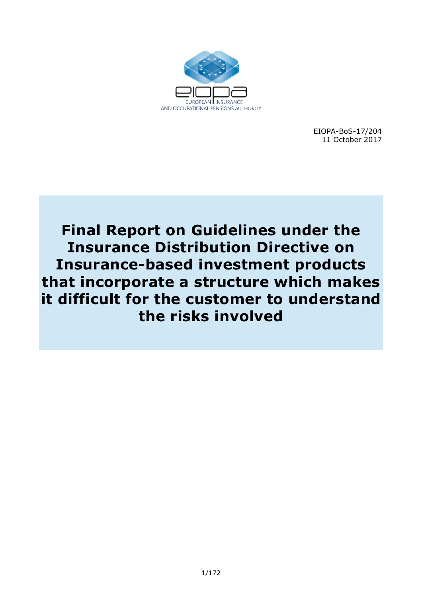

EIOPA-BoS-17/204 11 October 2017

**Final Report on Guidelines under the Insurance Distribution Directive on Insurance-based investment products that incorporate a structure which makes it difficult for the customer to understand the risks involved**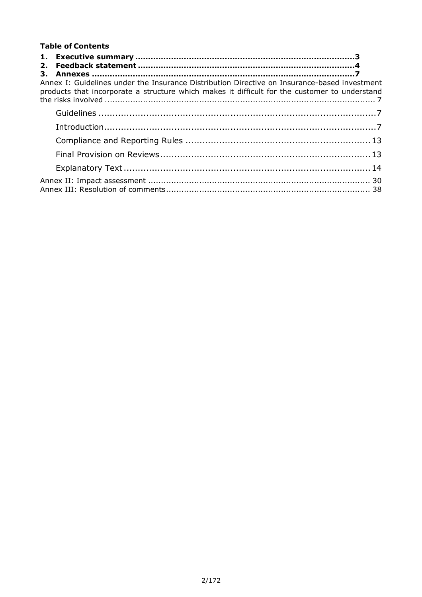#### **Table of Contents**

| Annex I: Guidelines under the Insurance Distribution Directive on Insurance-based investment |  |
|----------------------------------------------------------------------------------------------|--|
|                                                                                              |  |
|                                                                                              |  |
|                                                                                              |  |
|                                                                                              |  |
|                                                                                              |  |
|                                                                                              |  |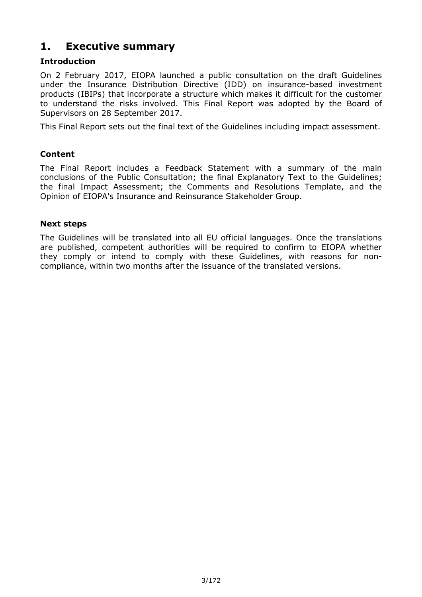# **1. Executive summary**

# **Introduction**

On 2 February 2017, EIOPA launched a public consultation on the draft Guidelines under the Insurance Distribution Directive (IDD) on insurance-based investment products (IBIPs) that incorporate a structure which makes it difficult for the customer to understand the risks involved. This Final Report was adopted by the Board of Supervisors on 28 September 2017.

This Final Report sets out the final text of the Guidelines including impact assessment.

# **Content**

The Final Report includes a Feedback Statement with a summary of the main conclusions of the Public Consultation; the final Explanatory Text to the Guidelines; the final Impact Assessment; the Comments and Resolutions Template, and the Opinion of EIOPA's Insurance and Reinsurance Stakeholder Group.

# **Next steps**

The Guidelines will be translated into all EU official languages. Once the translations are published, competent authorities will be required to confirm to EIOPA whether they comply or intend to comply with these Guidelines, with reasons for non compliance, within two months after the issuance of the translated versions.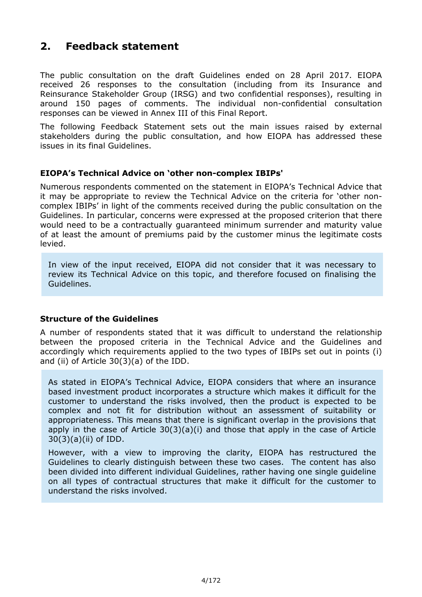# **2. Feedback statement**

The public consultation on the draft Guidelines ended on 28 April 2017. EIOPA received 26 responses to the consultation (including from its Insurance and Reinsurance Stakeholder Group (IRSG) and two confidential responses), resulting in around 150 pages of comments. The individual non-confidential consultation responses can be viewed in Annex III of this Final Report.

The following Feedback Statement sets out the main issues raised by external stakeholders during the public consultation, and how EIOPA has addressed these issues in its final Guidelines.

# **EIOPA's Technical Advice on 'other non-complex IBIPs'**

Numerous respondents commented on the statement in EIOPA's Technical Advice that it may be appropriate to review the Technical Advice on the criteria for 'other non complex IBIPs' in light of the comments received during the public consultation on the Guidelines. In particular, concerns were expressed at the proposed criterion that there would need to be a contractually guaranteed minimum surrender and maturity value of at least the amount of premiums paid by the customer minus the legitimate costs levied.

In view of the input received, EIOPA did not consider that it was necessary to review its Technical Advice on this topic, and therefore focused on finalising the Guidelines.

# **Structure of the Guidelines**

A number of respondents stated that it was difficult to understand the relationship between the proposed criteria in the Technical Advice and the Guidelines and accordingly which requirements applied to the two types of IBIPs set out in points (i) and (ii) of Article 30(3)(a) of the IDD.

As stated in EIOPA's Technical Advice, EIOPA considers that where an insurance based investment product incorporates a structure which makes it difficult for the customer to understand the risks involved, then the product is expected to be complex and not fit for distribution without an assessment of suitability or appropriateness. This means that there is significant overlap in the provisions that apply in the case of Article  $30(3)(a)(i)$  and those that apply in the case of Article 30(3)(a)(ii) of IDD.

However, with a view to improving the clarity, EIOPA has restructured the Guidelines to clearly distinguish between these two cases. The content has also been divided into different individual Guidelines, rather having one single guideline on all types of contractual structures that make it difficult for the customer to understand the risks involved.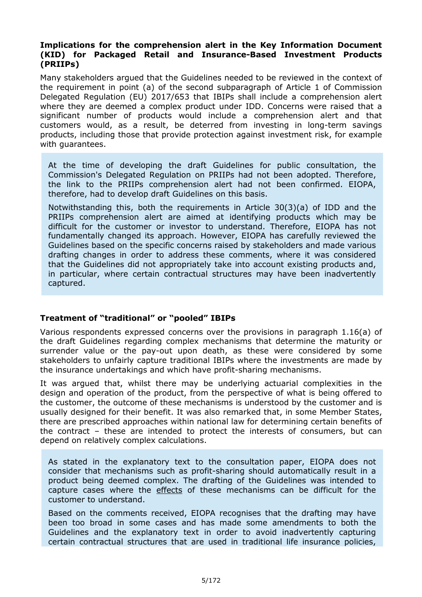#### **Implications for the comprehension alert in the Key Information Document (KID) for Packaged Retail and InsuranceBased Investment Products (PRIIPs)**

Many stakeholders argued that the Guidelines needed to be reviewed in the context of the requirement in point (a) of the second subparagraph of Article 1 of Commission Delegated Regulation (EU) 2017/653 that IBIPs shall include a comprehension alert where they are deemed a complex product under IDD. Concerns were raised that a significant number of products would include a comprehension alert and that customers would, as a result, be deterred from investing in long-term savings products, including those that provide protection against investment risk, for example with guarantees.

At the time of developing the draft Guidelines for public consultation, the Commission's Delegated Regulation on PRIIPs had not been adopted. Therefore, the link to the PRIIPs comprehension alert had not been confirmed. EIOPA, therefore, had to develop draft Guidelines on this basis.

Notwithstanding this, both the requirements in Article 30(3)(a) of IDD and the PRIIPs comprehension alert are aimed at identifying products which may be difficult for the customer or investor to understand. Therefore, EIOPA has not fundamentally changed its approach. However, EIOPA has carefully reviewed the Guidelines based on the specific concerns raised by stakeholders and made various drafting changes in order to address these comments, where it was considered that the Guidelines did not appropriately take into account existing products and, in particular, where certain contractual structures may have been inadvertently captured.

# **Treatment of "traditional" or "pooled" IBIPs**

Various respondents expressed concerns over the provisions in paragraph 1.16(a) of the draft Guidelines regarding complex mechanisms that determine the maturity or surrender value or the pay-out upon death, as these were considered by some stakeholders to unfairly capture traditional IBIPs where the investments are made by the insurance undertakings and which have profit-sharing mechanisms.

It was argued that, whilst there may be underlying actuarial complexities in the design and operation of the product, from the perspective of what is being offered to the customer, the outcome of these mechanisms is understood by the customer and is usually designed for their benefit. It was also remarked that, in some Member States, there are prescribed approaches within national law for determining certain benefits of the contract – these are intended to protect the interests of consumers, but can depend on relatively complex calculations.

As stated in the explanatory text to the consultation paper, EIOPA does not consider that mechanisms such as profit-sharing should automatically result in a product being deemed complex. The drafting of the Guidelines was intended to capture cases where the effects of these mechanisms can be difficult for the customer to understand.

Based on the comments received, EIOPA recognises that the drafting may have been too broad in some cases and has made some amendments to both the Guidelines and the explanatory text in order to avoid inadvertently capturing certain contractual structures that are used in traditional life insurance policies,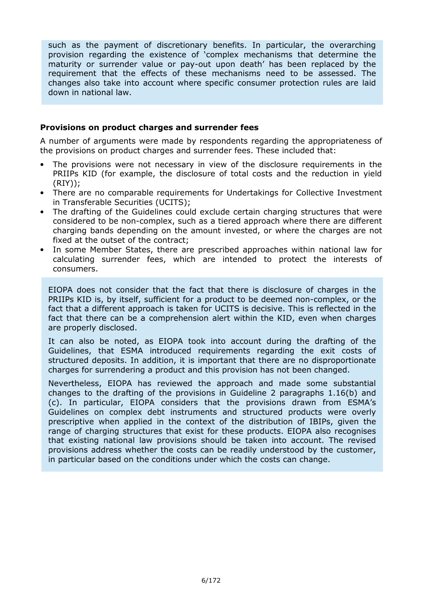such as the payment of discretionary benefits. In particular, the overarching provision regarding the existence of 'complex mechanisms that determine the maturity or surrender value or pay-out upon death' has been replaced by the requirement that the effects of these mechanisms need to be assessed. The changes also take into account where specific consumer protection rules are laid down in national law.

#### **Provisions on product charges and surrender fees**

A number of arguments were made by respondents regarding the appropriateness of the provisions on product charges and surrender fees. These included that:

- The provisions were not necessary in view of the disclosure requirements in the PRIIPs KID (for example, the disclosure of total costs and the reduction in yield (RIY));
- There are no comparable requirements for Undertakings for Collective Investment in Transferable Securities (UCITS);
- The drafting of the Guidelines could exclude certain charging structures that were considered to be non-complex, such as a tiered approach where there are different charging bands depending on the amount invested, or where the charges are not fixed at the outset of the contract;
- In some Member States, there are prescribed approaches within national law for calculating surrender fees, which are intended to protect the interests of consumers.

EIOPA does not consider that the fact that there is disclosure of charges in the PRIIPs KID is, by itself, sufficient for a product to be deemed non-complex, or the fact that a different approach is taken for UCITS is decisive. This is reflected in the fact that there can be a comprehension alert within the KID, even when charges are properly disclosed.

It can also be noted, as EIOPA took into account during the drafting of the Guidelines, that ESMA introduced requirements regarding the exit costs of structured deposits. In addition, it is important that there are no disproportionate charges for surrendering a product and this provision has not been changed.

Nevertheless, EIOPA has reviewed the approach and made some substantial changes to the drafting of the provisions in Guideline 2 paragraphs 1.16(b) and (c). In particular, EIOPA considers that the provisions drawn from ESMA's Guidelines on complex debt instruments and structured products were overly prescriptive when applied in the context of the distribution of IBIPs, given the range of charging structures that exist for these products. EIOPA also recognises that existing national law provisions should be taken into account. The revised provisions address whether the costs can be readily understood by the customer, in particular based on the conditions under which the costs can change.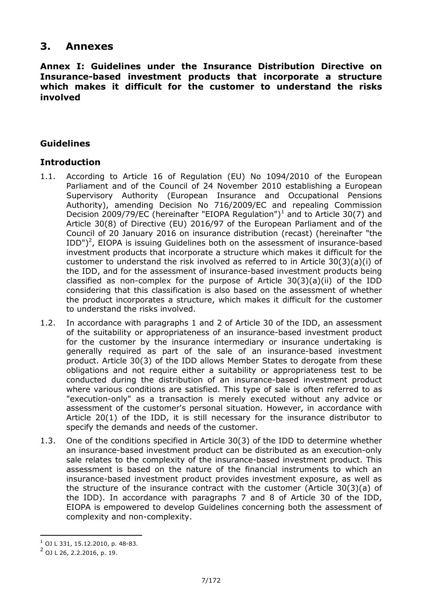# **3. Annexes**

**Annex I: Guidelines under the Insurance Distribution Directive on**  Insurance-based investment products that incorporate a structure **which makes it difficult for the customer to understand the risks involved** 

# **Guidelines**

# **Introduction**

- 1.1. According to Article 16 of Regulation (EU) No 1094/2010 of the European Parliament and of the Council of 24 November 2010 establishing a European Supervisory Authority (European Insurance and Occupational Pensions Authority), amending Decision No 716/2009/EC and repealing Commission Decision 2009/79/EC (hereinafter "EIOPA Regulation")<sup>1</sup> and to Article 30(7) and Article 30(8) of Directive (EU) 2016/97 of the European Parliament and of the Council of 20 January 2016 on insurance distribution (recast) (hereinafter "the IDD")<sup>2</sup>, EIOPA is issuing Guidelines both on the assessment of insurance-based investment products that incorporate a structure which makes it difficult for the customer to understand the risk involved as referred to in Article 30(3)(a)(i) of the IDD, and for the assessment of insurance-based investment products being classified as non-complex for the purpose of Article  $30(3)(a)(ii)$  of the IDD considering that this classification is also based on the assessment of whether the product incorporates a structure, which makes it difficult for the customer to understand the risks involved.
- 1.2. In accordance with paragraphs 1 and 2 of Article 30 of the IDD, an assessment of the suitability or appropriateness of an insurance-based investment product for the customer by the insurance intermediary or insurance undertaking is generally required as part of the sale of an insurance-based investment product. Article 30(3) of the IDD allows Member States to derogate from these obligations and not require either a suitability or appropriateness test to be conducted during the distribution of an insurance-based investment product where various conditions are satisfied. This type of sale is often referred to as "execution-only" as a transaction is merely executed without any advice or assessment of the customer's personal situation. However, in accordance with Article 20(1) of the IDD, it is still necessary for the insurance distributor to specify the demands and needs of the customer.
- 1.3. One of the conditions specified in Article 30(3) of the IDD to determine whether an insurance-based investment product can be distributed as an execution-only sale relates to the complexity of the insurance-based investment product. This assessment is based on the nature of the financial instruments to which an insurance-based investment product provides investment exposure, as well as the structure of the insurance contract with the customer (Article 30(3)(a) of the IDD). In accordance with paragraphs 7 and 8 of Article 30 of the IDD, EIOPA is empowered to develop Guidelines concerning both the assessment of complexity and non-complexity.

l

 $^1$  OJ L 331, 15.12.2010, p. 48-83.

<sup>&</sup>lt;sup>2</sup> OJ L 26, 2.2.2016, p. 19.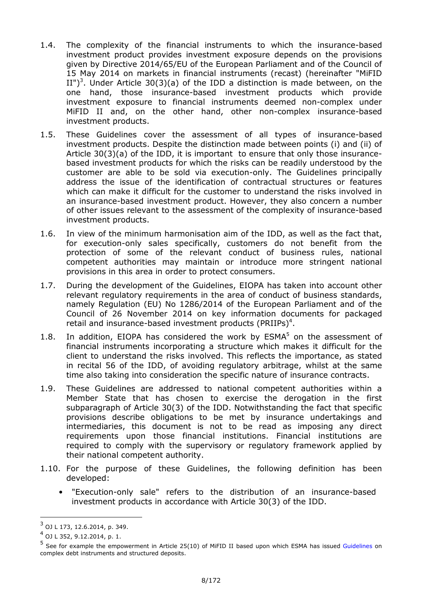- 1.4. The complexity of the financial instruments to which the insurance-based investment product provides investment exposure depends on the provisions given by Directive 2014/65/EU of the European Parliament and of the Council of 15 May 2014 on markets in financial instruments (recast) (hereinafter "MiFID II")<sup>3</sup>. Under Article 30(3)(a) of the IDD a distinction is made between, on the one hand, those insurance-based investment products which provide investment exposure to financial instruments deemed non-complex under MiFID II and, on the other hand, other non-complex insurance-based investment products.
- 1.5. These Guidelines cover the assessment of all types of insurance-based investment products. Despite the distinction made between points (i) and (ii) of Article 30(3)(a) of the IDD, it is important to ensure that only those insurance based investment products for which the risks can be readily understood by the customer are able to be sold via execution-only. The Guidelines principally address the issue of the identification of contractual structures or features which can make it difficult for the customer to understand the risks involved in an insurance-based investment product. However, they also concern a number of other issues relevant to the assessment of the complexity of insurance-based investment products.
- 1.6. In view of the minimum harmonisation aim of the IDD, as well as the fact that, for execution-only sales specifically, customers do not benefit from the protection of some of the relevant conduct of business rules, national competent authorities may maintain or introduce more stringent national provisions in this area in order to protect consumers.
- 1.7. During the development of the Guidelines, EIOPA has taken into account other relevant regulatory requirements in the area of conduct of business standards, namely Regulation (EU) No 1286/2014 of the European Parliament and of the Council of 26 November 2014 on key information documents for packaged retail and insurance-based investment products (PRIIPs)<sup>4</sup>.
- 1.8. In addition, EIOPA has considered the work by  $ESMA<sup>5</sup>$  on the assessment of financial instruments incorporating a structure which makes it difficult for the client to understand the risks involved. This reflects the importance, as stated in recital 56 of the IDD, of avoiding regulatory arbitrage, whilst at the same time also taking into consideration the specific nature of insurance contracts.
- 1.9. These Guidelines are addressed to national competent authorities within a Member State that has chosen to exercise the derogation in the first subparagraph of Article 30(3) of the IDD. Notwithstanding the fact that specific provisions describe obligations to be met by insurance undertakings and intermediaries, this document is not to be read as imposing any direct requirements upon those financial institutions. Financial institutions are required to comply with the supervisory or regulatory framework applied by their national competent authority.
- 1.10. For the purpose of these Guidelines, the following definition has been developed:
	- "Execution-only sale" refers to the distribution of an insurance-based investment products in accordance with Article 30(3) of the IDD.

l

<sup>3</sup> OJ L 173, 12.6.2014, p. 349.

<sup>4</sup> OJ L 352, 9.12.2014, p. 1.

<sup>5</sup> See for example the empowerment in Article 25(10) of MiFID II based upon which ESMA has issued Guidelines on complex debt instruments and structured deposits.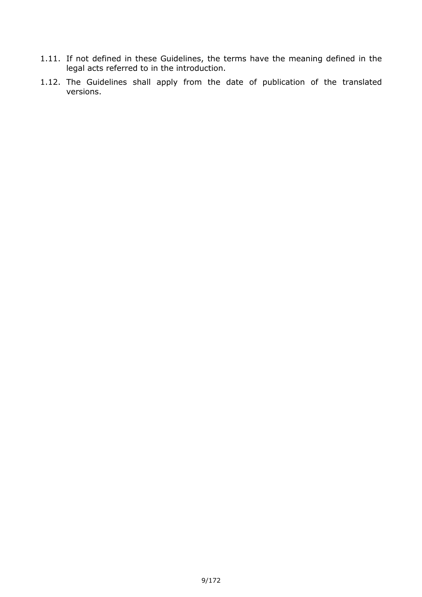- 1.11. If not defined in these Guidelines, the terms have the meaning defined in the legal acts referred to in the introduction.
- 1.12. The Guidelines shall apply from the date of publication of the translated versions.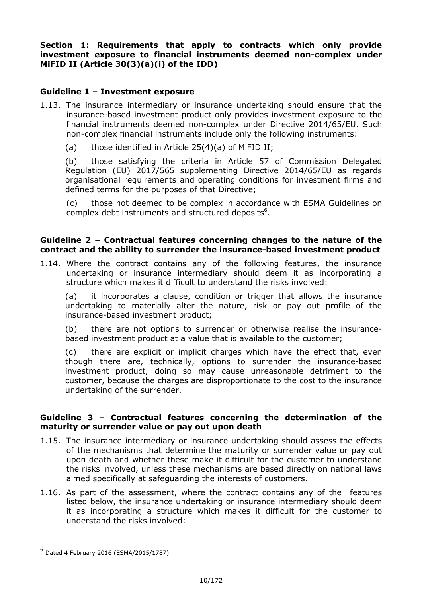**Section 1: Requirements that apply to contracts which only provide**  investment exposure to financial instruments deemed non-complex under **MiFID II (Article 30(3)(a)(i) of the IDD)** 

#### **Guideline 1 – Investment exposure**

- 1.13. The insurance intermediary or insurance undertaking should ensure that the insurance-based investment product only provides investment exposure to the financial instruments deemed non-complex under Directive 2014/65/EU. Such non-complex financial instruments include only the following instruments:
	- (a) those identified in Article 25(4)(a) of MiFID II;

(b) those satisfying the criteria in Article 57 of Commission Delegated Regulation (EU) 2017/565 supplementing Directive 2014/65/EU as regards organisational requirements and operating conditions for investment firms and defined terms for the purposes of that Directive;

(c) those not deemed to be complex in accordance with ESMA Guidelines on complex debt instruments and structured deposits $6$ .

#### **Guideline 2 – Contractual features concerning changes to the nature of the contract and the ability to surrender the insurancebased investment product**

1.14. Where the contract contains any of the following features, the insurance undertaking or insurance intermediary should deem it as incorporating a structure which makes it difficult to understand the risks involved:

(a) it incorporates a clause, condition or trigger that allows the insurance undertaking to materially alter the nature, risk or pay out profile of the insurance-based investment product;

(b) there are not options to surrender or otherwise realise the insurance based investment product at a value that is available to the customer;

(c) there are explicit or implicit charges which have the effect that, even though there are, technically, options to surrender the insurance-based investment product, doing so may cause unreasonable detriment to the customer, because the charges are disproportionate to the cost to the insurance undertaking of the surrender.

#### **Guideline 3 – Contractual features concerning the determination of the maturity or surrender value or pay out upon death**

- 1.15. The insurance intermediary or insurance undertaking should assess the effects of the mechanisms that determine the maturity or surrender value or pay out upon death and whether these make it difficult for the customer to understand the risks involved, unless these mechanisms are based directly on national laws aimed specifically at safeguarding the interests of customers.
- 1.16. As part of the assessment, where the contract contains any of the features listed below, the insurance undertaking or insurance intermediary should deem it as incorporating a structure which makes it difficult for the customer to understand the risks involved:

1

<sup>6</sup> Dated 4 February 2016 (ESMA/2015/1787)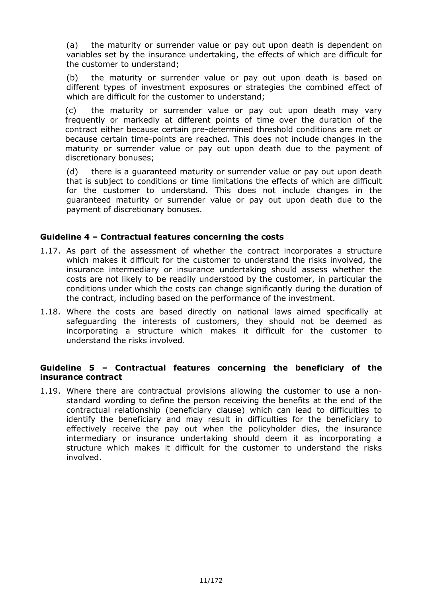(a) the maturity or surrender value or pay out upon death is dependent on variables set by the insurance undertaking, the effects of which are difficult for the customer to understand;

(b) the maturity or surrender value or pay out upon death is based on different types of investment exposures or strategies the combined effect of which are difficult for the customer to understand;

(c) the maturity or surrender value or pay out upon death may vary frequently or markedly at different points of time over the duration of the contract either because certain pre-determined threshold conditions are met or because certain time-points are reached. This does not include changes in the maturity or surrender value or pay out upon death due to the payment of discretionary bonuses;

(d) there is a guaranteed maturity or surrender value or pay out upon death that is subject to conditions or time limitations the effects of which are difficult for the customer to understand. This does not include changes in the guaranteed maturity or surrender value or pay out upon death due to the payment of discretionary bonuses.

#### **Guideline 4 – Contractual features concerning the costs**

- 1.17. As part of the assessment of whether the contract incorporates a structure which makes it difficult for the customer to understand the risks involved, the insurance intermediary or insurance undertaking should assess whether the costs are not likely to be readily understood by the customer, in particular the conditions under which the costs can change significantly during the duration of the contract, including based on the performance of the investment.
- 1.18. Where the costs are based directly on national laws aimed specifically at safeguarding the interests of customers, they should not be deemed as incorporating a structure which makes it difficult for the customer to understand the risks involved.

# **Guideline 5 – Contractual features concerning the beneficiary of the insurance contract**

1.19. Where there are contractual provisions allowing the customer to use a non standard wording to define the person receiving the benefits at the end of the contractual relationship (beneficiary clause) which can lead to difficulties to identify the beneficiary and may result in difficulties for the beneficiary to effectively receive the pay out when the policyholder dies, the insurance intermediary or insurance undertaking should deem it as incorporating a structure which makes it difficult for the customer to understand the risks involved.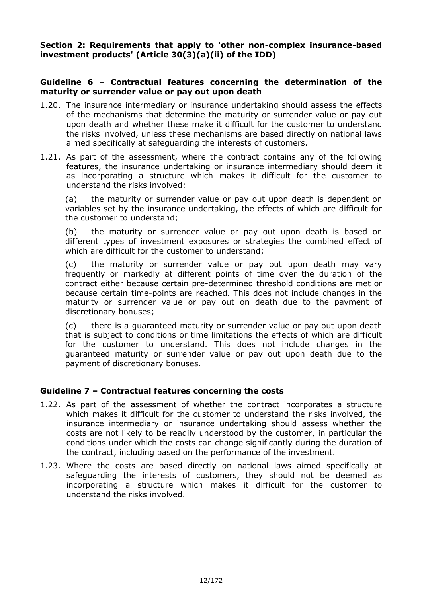#### Section 2: Requirements that apply to 'other non-complex insurance-based **investment products' (Article 30(3)(a)(ii) of the IDD)**

#### **Guideline 6 – Contractual features concerning the determination of the maturity or surrender value or pay out upon death**

- 1.20. The insurance intermediary or insurance undertaking should assess the effects of the mechanisms that determine the maturity or surrender value or pay out upon death and whether these make it difficult for the customer to understand the risks involved, unless these mechanisms are based directly on national laws aimed specifically at safeguarding the interests of customers.
- 1.21. As part of the assessment, where the contract contains any of the following features, the insurance undertaking or insurance intermediary should deem it as incorporating a structure which makes it difficult for the customer to understand the risks involved:

(a) the maturity or surrender value or pay out upon death is dependent on variables set by the insurance undertaking, the effects of which are difficult for the customer to understand;

(b) the maturity or surrender value or pay out upon death is based on different types of investment exposures or strategies the combined effect of which are difficult for the customer to understand;

(c) the maturity or surrender value or pay out upon death may vary frequently or markedly at different points of time over the duration of the contract either because certain pre-determined threshold conditions are met or because certain time-points are reached. This does not include changes in the maturity or surrender value or pay out on death due to the payment of discretionary bonuses;

(c) there is a guaranteed maturity or surrender value or pay out upon death that is subject to conditions or time limitations the effects of which are difficult for the customer to understand. This does not include changes in the guaranteed maturity or surrender value or pay out upon death due to the payment of discretionary bonuses.

# **Guideline 7 – Contractual features concerning the costs**

- 1.22. As part of the assessment of whether the contract incorporates a structure which makes it difficult for the customer to understand the risks involved, the insurance intermediary or insurance undertaking should assess whether the costs are not likely to be readily understood by the customer, in particular the conditions under which the costs can change significantly during the duration of the contract, including based on the performance of the investment.
- 1.23. Where the costs are based directly on national laws aimed specifically at safeguarding the interests of customers, they should not be deemed as incorporating a structure which makes it difficult for the customer to understand the risks involved.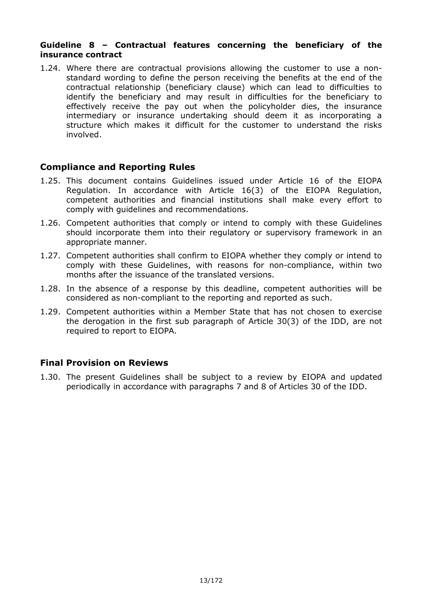#### **Guideline 8 – Contractual features concerning the beneficiary of the insurance contract**

1.24. Where there are contractual provisions allowing the customer to use a non standard wording to define the person receiving the benefits at the end of the contractual relationship (beneficiary clause) which can lead to difficulties to identify the beneficiary and may result in difficulties for the beneficiary to effectively receive the pay out when the policyholder dies, the insurance intermediary or insurance undertaking should deem it as incorporating a structure which makes it difficult for the customer to understand the risks involved.

# **Compliance and Reporting Rules**

- 1.25. This document contains Guidelines issued under Article 16 of the EIOPA Regulation. In accordance with Article 16(3) of the EIOPA Regulation, competent authorities and financial institutions shall make every effort to comply with guidelines and recommendations.
- 1.26. Competent authorities that comply or intend to comply with these Guidelines should incorporate them into their regulatory or supervisory framework in an appropriate manner.
- 1.27. Competent authorities shall confirm to EIOPA whether they comply or intend to comply with these Guidelines, with reasons for non-compliance, within two months after the issuance of the translated versions.
- 1.28. In the absence of a response by this deadline, competent authorities will be considered as non-compliant to the reporting and reported as such.
- 1.29. Competent authorities within a Member State that has not chosen to exercise the derogation in the first sub paragraph of Article 30(3) of the IDD, are not required to report to EIOPA.

# **Final Provision on Reviews**

1.30. The present Guidelines shall be subject to a review by EIOPA and updated periodically in accordance with paragraphs 7 and 8 of Articles 30 of the IDD.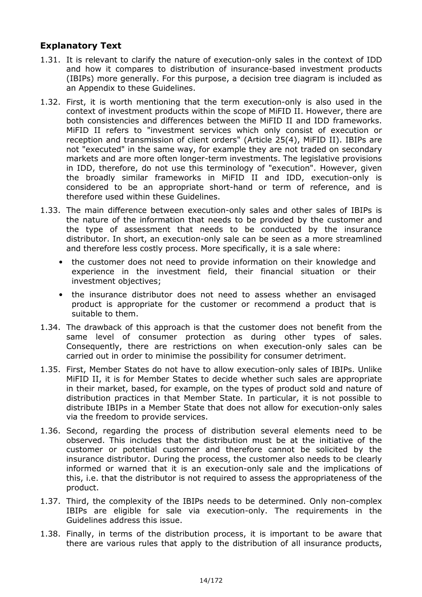# **Explanatory Text**

- 1.31. It is relevant to clarify the nature of execution-only sales in the context of IDD and how it compares to distribution of insurance-based investment products (IBIPs) more generally. For this purpose, a decision tree diagram is included as an Appendix to these Guidelines.
- 1.32. First, it is worth mentioning that the term execution-only is also used in the context of investment products within the scope of MiFID II. However, there are both consistencies and differences between the MiFID II and IDD frameworks. MiFID II refers to "investment services which only consist of execution or reception and transmission of client orders" (Article 25(4), MiFID II). IBIPs are not "executed" in the same way, for example they are not traded on secondary markets and are more often longer-term investments. The legislative provisions in IDD, therefore, do not use this terminology of "execution". However, given the broadly similar frameworks in MiFID II and IDD, execution-only is considered to be an appropriate short-hand or term of reference, and is therefore used within these Guidelines.
- 1.33. The main difference between execution-only sales and other sales of IBIPs is the nature of the information that needs to be provided by the customer and the type of assessment that needs to be conducted by the insurance distributor. In short, an execution-only sale can be seen as a more streamlined and therefore less costly process. More specifically, it is a sale where:
	- the customer does not need to provide information on their knowledge and experience in the investment field, their financial situation or their investment objectives;
	- the insurance distributor does not need to assess whether an envisaged product is appropriate for the customer or recommend a product that is suitable to them.
- 1.34. The drawback of this approach is that the customer does not benefit from the same level of consumer protection as during other types of sales. Consequently, there are restrictions on when execution-only sales can be carried out in order to minimise the possibility for consumer detriment.
- 1.35. First, Member States do not have to allow execution-only sales of IBIPs. Unlike MiFID II, it is for Member States to decide whether such sales are appropriate in their market, based, for example, on the types of product sold and nature of distribution practices in that Member State. In particular, it is not possible to distribute IBIPs in a Member State that does not allow for execution-only sales via the freedom to provide services.
- 1.36. Second, regarding the process of distribution several elements need to be observed. This includes that the distribution must be at the initiative of the customer or potential customer and therefore cannot be solicited by the insurance distributor. During the process, the customer also needs to be clearly informed or warned that it is an execution-only sale and the implications of this, i.e. that the distributor is not required to assess the appropriateness of the product.
- 1.37. Third, the complexity of the IBIPs needs to be determined. Only non-complex IBIPs are eligible for sale via execution-only. The requirements in the Guidelines address this issue.
- 1.38. Finally, in terms of the distribution process, it is important to be aware that there are various rules that apply to the distribution of all insurance products,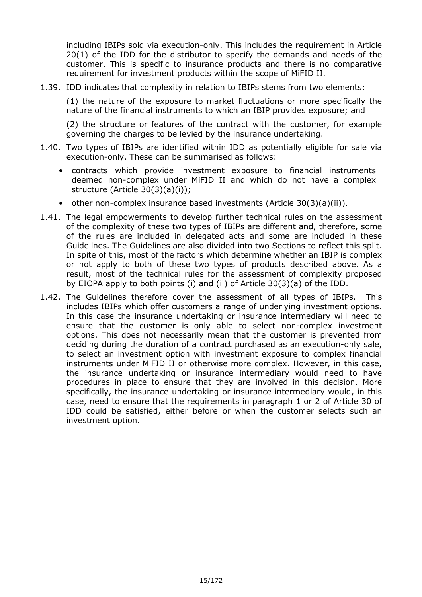including IBIPs sold via execution-only. This includes the requirement in Article 20(1) of the IDD for the distributor to specify the demands and needs of the customer. This is specific to insurance products and there is no comparative requirement for investment products within the scope of MiFID II.

1.39. IDD indicates that complexity in relation to IBIPs stems from two elements:

(1) the nature of the exposure to market fluctuations or more specifically the nature of the financial instruments to which an IBIP provides exposure; and

(2) the structure or features of the contract with the customer, for example governing the charges to be levied by the insurance undertaking.

- 1.40. Two types of IBIPs are identified within IDD as potentially eligible for sale via execution-only. These can be summarised as follows:
	- contracts which provide investment exposure to financial instruments deemed non-complex under MiFID II and which do not have a complex structure (Article 30(3)(a)(i));
	- other non-complex insurance based investments (Article  $30(3)(a)(ii)$ ).
- 1.41. The legal empowerments to develop further technical rules on the assessment of the complexity of these two types of IBIPs are different and, therefore, some of the rules are included in delegated acts and some are included in these Guidelines. The Guidelines are also divided into two Sections to reflect this split. In spite of this, most of the factors which determine whether an IBIP is complex or not apply to both of these two types of products described above. As a result, most of the technical rules for the assessment of complexity proposed by EIOPA apply to both points (i) and (ii) of Article 30(3)(a) of the IDD.
- 1.42. The Guidelines therefore cover the assessment of all types of IBIPs. This includes IBIPs which offer customers a range of underlying investment options. In this case the insurance undertaking or insurance intermediary will need to ensure that the customer is only able to select non-complex investment options. This does not necessarily mean that the customer is prevented from deciding during the duration of a contract purchased as an execution-only sale, to select an investment option with investment exposure to complex financial instruments under MiFID II or otherwise more complex. However, in this case, the insurance undertaking or insurance intermediary would need to have procedures in place to ensure that they are involved in this decision. More specifically, the insurance undertaking or insurance intermediary would, in this case, need to ensure that the requirements in paragraph 1 or 2 of Article 30 of IDD could be satisfied, either before or when the customer selects such an investment option.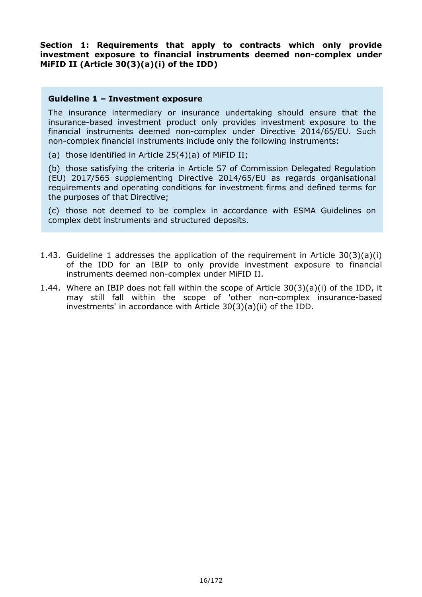**Section 1: Requirements that apply to contracts which only provide**  investment exposure to financial instruments deemed non-complex under **MiFID II (Article 30(3)(a)(i) of the IDD)** 

#### **Guideline 1 – Investment exposure**

The insurance intermediary or insurance undertaking should ensure that the insurance-based investment product only provides investment exposure to the financial instruments deemed non-complex under Directive 2014/65/EU. Such non-complex financial instruments include only the following instruments:

(a) those identified in Article 25(4)(a) of MiFID II;

(b) those satisfying the criteria in Article 57 of Commission Delegated Regulation (EU) 2017/565 supplementing Directive 2014/65/EU as regards organisational requirements and operating conditions for investment firms and defined terms for the purposes of that Directive;

(c) those not deemed to be complex in accordance with ESMA Guidelines on complex debt instruments and structured deposits.

- 1.43. Guideline 1 addresses the application of the requirement in Article 30(3)(a)(i) of the IDD for an IBIP to only provide investment exposure to financial instruments deemed non-complex under MiFID II.
- 1.44. Where an IBIP does not fall within the scope of Article 30(3)(a)(i) of the IDD, it may still fall within the scope of 'other non-complex insurance-based investments' in accordance with Article 30(3)(a)(ii) of the IDD.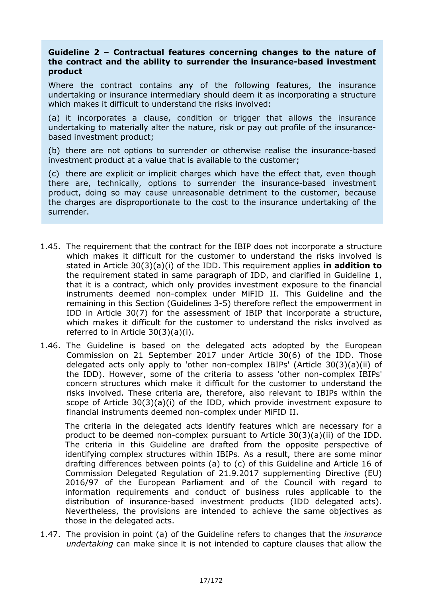#### **Guideline 2 – Contractual features concerning changes to the nature of the contract and the ability to surrender the insurancebased investment product**

Where the contract contains any of the following features, the insurance undertaking or insurance intermediary should deem it as incorporating a structure which makes it difficult to understand the risks involved:

(a) it incorporates a clause, condition or trigger that allows the insurance undertaking to materially alter the nature, risk or pay out profile of the insurance based investment product;

(b) there are not options to surrender or otherwise realise the insurance-based investment product at a value that is available to the customer;

(c) there are explicit or implicit charges which have the effect that, even though there are, technically, options to surrender the insurance-based investment product, doing so may cause unreasonable detriment to the customer, because the charges are disproportionate to the cost to the insurance undertaking of the surrender.

- 1.45. The requirement that the contract for the IBIP does not incorporate a structure which makes it difficult for the customer to understand the risks involved is stated in Article 30(3)(a)(i) of the IDD. This requirement applies **in addition to** the requirement stated in same paragraph of IDD, and clarified in Guideline 1, that it is a contract, which only provides investment exposure to the financial instruments deemed non-complex under MiFID II. This Guideline and the remaining in this Section (Guidelines 3-5) therefore reflect the empowerment in IDD in Article 30(7) for the assessment of IBIP that incorporate a structure, which makes it difficult for the customer to understand the risks involved as referred to in Article 30(3)(a)(i).
- 1.46. The Guideline is based on the delegated acts adopted by the European Commission on 21 September 2017 under Article 30(6) of the IDD. Those delegated acts only apply to 'other non-complex IBIPs' (Article 30(3)(a)(ii) of the IDD). However, some of the criteria to assess 'other non-complex IBIPs' concern structures which make it difficult for the customer to understand the risks involved. These criteria are, therefore, also relevant to IBIPs within the scope of Article 30(3)(a)(i) of the IDD, which provide investment exposure to financial instruments deemed non-complex under MiFID II.

The criteria in the delegated acts identify features which are necessary for a product to be deemed non-complex pursuant to Article  $30(3)(a)(ii)$  of the IDD. The criteria in this Guideline are drafted from the opposite perspective of identifying complex structures within IBIPs. As a result, there are some minor drafting differences between points (a) to (c) of this Guideline and Article 16 of Commission Delegated Regulation of 21.9.2017 supplementing Directive (EU) 2016/97 of the European Parliament and of the Council with regard to information requirements and conduct of business rules applicable to the distribution of insurance-based investment products (IDD delegated acts). Nevertheless, the provisions are intended to achieve the same objectives as those in the delegated acts.

1.47. The provision in point (a) of the Guideline refers to changes that the *insurance undertaking* can make since it is not intended to capture clauses that allow the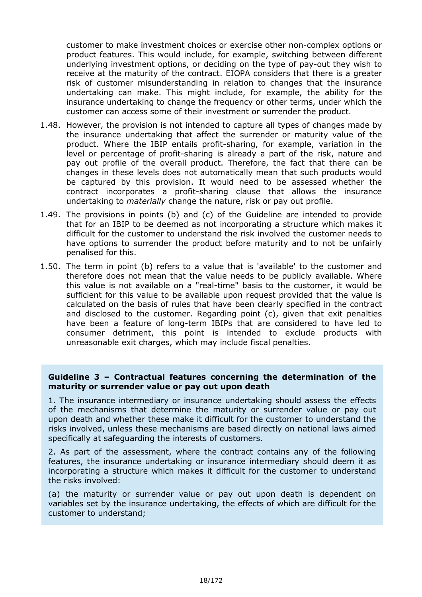customer to make investment choices or exercise other non-complex options or product features. This would include, for example, switching between different underlying investment options, or deciding on the type of pay-out they wish to receive at the maturity of the contract. EIOPA considers that there is a greater risk of customer misunderstanding in relation to changes that the insurance undertaking can make. This might include, for example, the ability for the insurance undertaking to change the frequency or other terms, under which the customer can access some of their investment or surrender the product.

- 1.48. However, the provision is not intended to capture all types of changes made by the insurance undertaking that affect the surrender or maturity value of the product. Where the IBIP entails profit-sharing, for example, variation in the level or percentage of profit-sharing is already a part of the risk, nature and pay out profile of the overall product. Therefore, the fact that there can be changes in these levels does not automatically mean that such products would be captured by this provision. It would need to be assessed whether the contract incorporates a profit-sharing clause that allows the insurance undertaking to *materially* change the nature, risk or pay out profile.
- 1.49. The provisions in points (b) and (c) of the Guideline are intended to provide that for an IBIP to be deemed as not incorporating a structure which makes it difficult for the customer to understand the risk involved the customer needs to have options to surrender the product before maturity and to not be unfairly penalised for this.
- 1.50. The term in point (b) refers to a value that is 'available' to the customer and therefore does not mean that the value needs to be publicly available. Where this value is not available on a "real-time" basis to the customer, it would be sufficient for this value to be available upon request provided that the value is calculated on the basis of rules that have been clearly specified in the contract and disclosed to the customer. Regarding point (c), given that exit penalties have been a feature of long-term IBIPs that are considered to have led to consumer detriment, this point is intended to exclude products with unreasonable exit charges, which may include fiscal penalties.

# **Guideline 3 – Contractual features concerning the determination of the maturity or surrender value or pay out upon death**

1. The insurance intermediary or insurance undertaking should assess the effects of the mechanisms that determine the maturity or surrender value or pay out upon death and whether these make it difficult for the customer to understand the risks involved, unless these mechanisms are based directly on national laws aimed specifically at safeguarding the interests of customers.

2. As part of the assessment, where the contract contains any of the following features, the insurance undertaking or insurance intermediary should deem it as incorporating a structure which makes it difficult for the customer to understand the risks involved:

(a) the maturity or surrender value or pay out upon death is dependent on variables set by the insurance undertaking, the effects of which are difficult for the customer to understand;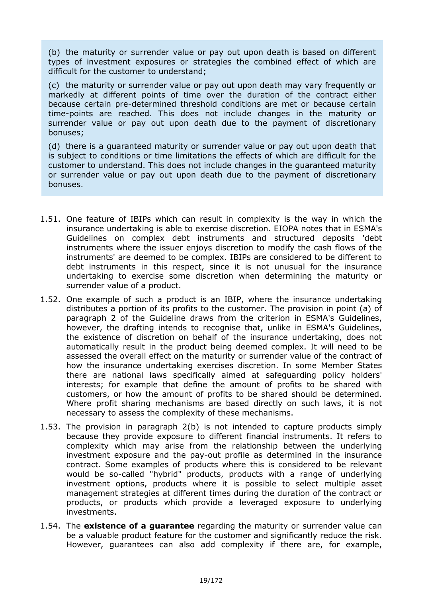(b) the maturity or surrender value or pay out upon death is based on different types of investment exposures or strategies the combined effect of which are difficult for the customer to understand;

(c) the maturity or surrender value or pay out upon death may vary frequently or markedly at different points of time over the duration of the contract either because certain pre-determined threshold conditions are met or because certain time-points are reached. This does not include changes in the maturity or surrender value or pay out upon death due to the payment of discretionary bonuses;

(d) there is a guaranteed maturity or surrender value or pay out upon death that is subject to conditions or time limitations the effects of which are difficult for the customer to understand. This does not include changes in the guaranteed maturity or surrender value or pay out upon death due to the payment of discretionary bonuses.

- 1.51. One feature of IBIPs which can result in complexity is the way in which the insurance undertaking is able to exercise discretion. EIOPA notes that in ESMA's Guidelines on complex debt instruments and structured deposits 'debt instruments where the issuer enjoys discretion to modify the cash flows of the instruments' are deemed to be complex. IBIPs are considered to be different to debt instruments in this respect, since it is not unusual for the insurance undertaking to exercise some discretion when determining the maturity or surrender value of a product.
- 1.52. One example of such a product is an IBIP, where the insurance undertaking distributes a portion of its profits to the customer. The provision in point (a) of paragraph 2 of the Guideline draws from the criterion in ESMA's Guidelines, however, the drafting intends to recognise that, unlike in ESMA's Guidelines, the existence of discretion on behalf of the insurance undertaking, does not automatically result in the product being deemed complex. It will need to be assessed the overall effect on the maturity or surrender value of the contract of how the insurance undertaking exercises discretion. In some Member States there are national laws specifically aimed at safeguarding policy holders' interests; for example that define the amount of profits to be shared with customers, or how the amount of profits to be shared should be determined. Where profit sharing mechanisms are based directly on such laws, it is not necessary to assess the complexity of these mechanisms.
- 1.53. The provision in paragraph 2(b) is not intended to capture products simply because they provide exposure to different financial instruments. It refers to complexity which may arise from the relationship between the underlying investment exposure and the pay-out profile as determined in the insurance contract. Some examples of products where this is considered to be relevant would be so-called "hybrid" products, products with a range of underlying investment options, products where it is possible to select multiple asset management strategies at different times during the duration of the contract or products, or products which provide a leveraged exposure to underlying investments.
- 1.54. The **existence of a guarantee** regarding the maturity or surrender value can be a valuable product feature for the customer and significantly reduce the risk. However, guarantees can also add complexity if there are, for example,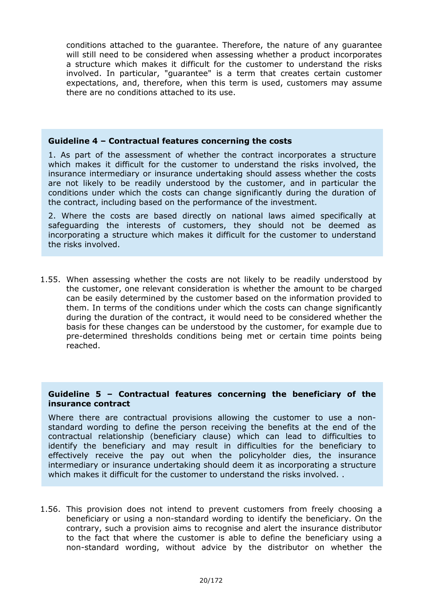conditions attached to the guarantee. Therefore, the nature of any guarantee will still need to be considered when assessing whether a product incorporates a structure which makes it difficult for the customer to understand the risks involved. In particular, "guarantee" is a term that creates certain customer expectations, and, therefore, when this term is used, customers may assume there are no conditions attached to its use.

#### **Guideline 4 – Contractual features concerning the costs**

1. As part of the assessment of whether the contract incorporates a structure which makes it difficult for the customer to understand the risks involved, the insurance intermediary or insurance undertaking should assess whether the costs are not likely to be readily understood by the customer, and in particular the conditions under which the costs can change significantly during the duration of the contract, including based on the performance of the investment.

2. Where the costs are based directly on national laws aimed specifically at safeguarding the interests of customers, they should not be deemed as incorporating a structure which makes it difficult for the customer to understand the risks involved.

1.55. When assessing whether the costs are not likely to be readily understood by the customer, one relevant consideration is whether the amount to be charged can be easily determined by the customer based on the information provided to them. In terms of the conditions under which the costs can change significantly during the duration of the contract, it would need to be considered whether the basis for these changes can be understood by the customer, for example due to predetermined thresholds conditions being met or certain time points being reached.

#### **Guideline 5 – Contractual features concerning the beneficiary of the insurance contract**

Where there are contractual provisions allowing the customer to use a nonstandard wording to define the person receiving the benefits at the end of the contractual relationship (beneficiary clause) which can lead to difficulties to identify the beneficiary and may result in difficulties for the beneficiary to effectively receive the pay out when the policyholder dies, the insurance intermediary or insurance undertaking should deem it as incorporating a structure which makes it difficult for the customer to understand the risks involved. .

1.56. This provision does not intend to prevent customers from freely choosing a beneficiary or using a non-standard wording to identify the beneficiary. On the contrary, such a provision aims to recognise and alert the insurance distributor to the fact that where the customer is able to define the beneficiary using a non-standard wording, without advice by the distributor on whether the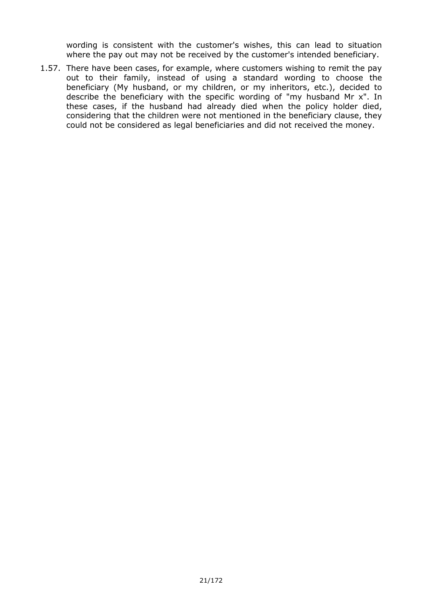wording is consistent with the customer's wishes, this can lead to situation where the pay out may not be received by the customer's intended beneficiary.

1.57. There have been cases, for example, where customers wishing to remit the pay out to their family, instead of using a standard wording to choose the beneficiary (My husband, or my children, or my inheritors, etc.), decided to describe the beneficiary with the specific wording of "my husband Mr x". In these cases, if the husband had already died when the policy holder died, considering that the children were not mentioned in the beneficiary clause, they could not be considered as legal beneficiaries and did not received the money.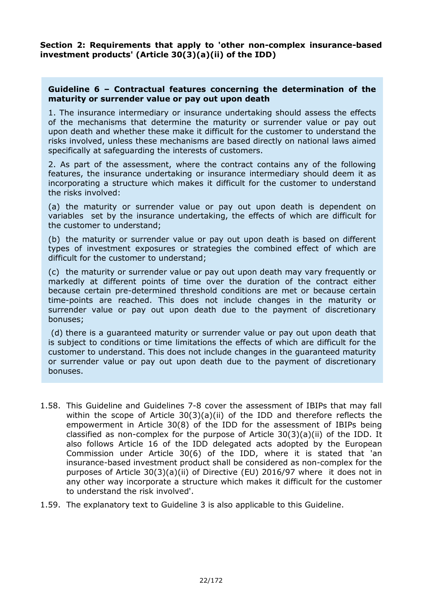**Section 2: Requirements that apply to 'other non-complex insurance-based investment products' (Article 30(3)(a)(ii) of the IDD)** 

#### **Guideline 6 – Contractual features concerning the determination of the maturity or surrender value or pay out upon death**

1. The insurance intermediary or insurance undertaking should assess the effects of the mechanisms that determine the maturity or surrender value or pay out upon death and whether these make it difficult for the customer to understand the risks involved, unless these mechanisms are based directly on national laws aimed specifically at safeguarding the interests of customers.

2. As part of the assessment, where the contract contains any of the following features, the insurance undertaking or insurance intermediary should deem it as incorporating a structure which makes it difficult for the customer to understand the risks involved:

(a) the maturity or surrender value or pay out upon death is dependent on variables set by the insurance undertaking, the effects of which are difficult for the customer to understand;

(b) the maturity or surrender value or pay out upon death is based on different types of investment exposures or strategies the combined effect of which are difficult for the customer to understand;

(c) the maturity or surrender value or pay out upon death may vary frequently or markedly at different points of time over the duration of the contract either because certain pre-determined threshold conditions are met or because certain time-points are reached. This does not include changes in the maturity or surrender value or pay out upon death due to the payment of discretionary bonuses;

 (d) there is a guaranteed maturity or surrender value or pay out upon death that is subject to conditions or time limitations the effects of which are difficult for the customer to understand. This does not include changes in the guaranteed maturity or surrender value or pay out upon death due to the payment of discretionary bonuses.

- 1.58. This Guideline and Guidelines 7-8 cover the assessment of IBIPs that may fall within the scope of Article 30(3)(a)(ii) of the IDD and therefore reflects the empowerment in Article 30(8) of the IDD for the assessment of IBIPs being classified as non-complex for the purpose of Article  $30(3)(a)(ii)$  of the IDD. It also follows Article 16 of the IDD delegated acts adopted by the European Commission under Article 30(6) of the IDD, where it is stated that 'an insurance-based investment product shall be considered as non-complex for the purposes of Article 30(3)(a)(ii) of Directive (EU) 2016/97 where it does not in any other way incorporate a structure which makes it difficult for the customer to understand the risk involved'.
- 1.59. The explanatory text to Guideline 3 is also applicable to this Guideline.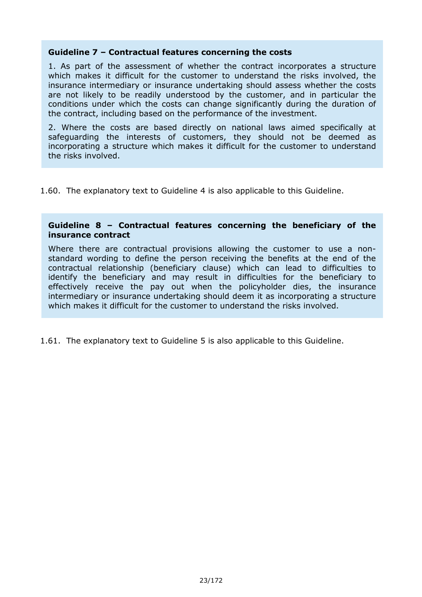#### **Guideline 7 – Contractual features concerning the costs**

1. As part of the assessment of whether the contract incorporates a structure which makes it difficult for the customer to understand the risks involved, the insurance intermediary or insurance undertaking should assess whether the costs are not likely to be readily understood by the customer, and in particular the conditions under which the costs can change significantly during the duration of the contract, including based on the performance of the investment.

2. Where the costs are based directly on national laws aimed specifically at safeguarding the interests of customers, they should not be deemed as incorporating a structure which makes it difficult for the customer to understand the risks involved.

1.60. The explanatory text to Guideline 4 is also applicable to this Guideline.

#### **Guideline 8 – Contractual features concerning the beneficiary of the insurance contract**

Where there are contractual provisions allowing the customer to use a non standard wording to define the person receiving the benefits at the end of the contractual relationship (beneficiary clause) which can lead to difficulties to identify the beneficiary and may result in difficulties for the beneficiary to effectively receive the pay out when the policyholder dies, the insurance intermediary or insurance undertaking should deem it as incorporating a structure which makes it difficult for the customer to understand the risks involved.

1.61. The explanatory text to Guideline 5 is also applicable to this Guideline.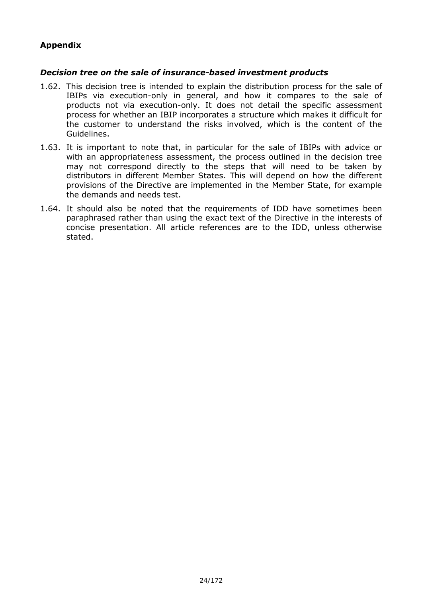# **Appendix**

#### *Decision tree on the sale of insurancebased investment products*

- 1.62. This decision tree is intended to explain the distribution process for the sale of IBIPs via execution-only in general, and how it compares to the sale of products not via execution-only. It does not detail the specific assessment process for whether an IBIP incorporates a structure which makes it difficult for the customer to understand the risks involved, which is the content of the Guidelines.
- 1.63. It is important to note that, in particular for the sale of IBIPs with advice or with an appropriateness assessment, the process outlined in the decision tree may not correspond directly to the steps that will need to be taken by distributors in different Member States. This will depend on how the different provisions of the Directive are implemented in the Member State, for example the demands and needs test.
- 1.64. It should also be noted that the requirements of IDD have sometimes been paraphrased rather than using the exact text of the Directive in the interests of concise presentation. All article references are to the IDD, unless otherwise stated.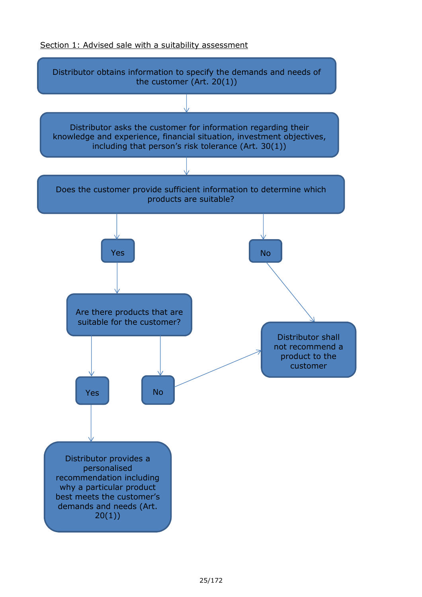#### Section 1: Advised sale with a suitability assessment

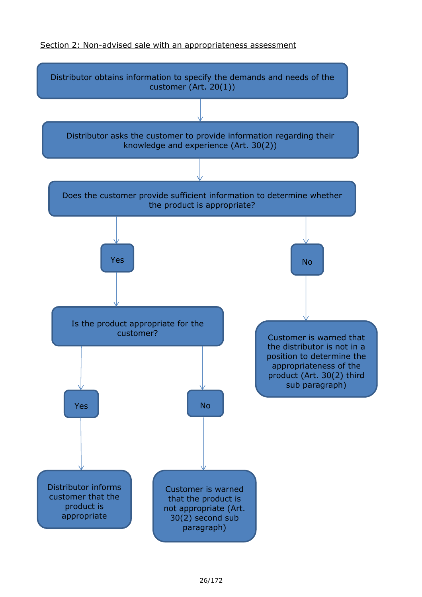#### Section 2: Non-advised sale with an appropriateness assessment

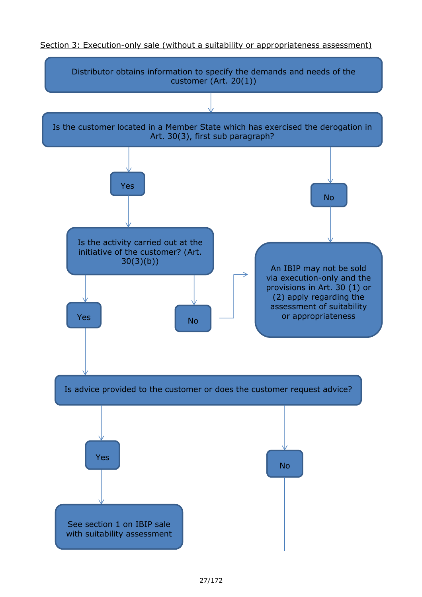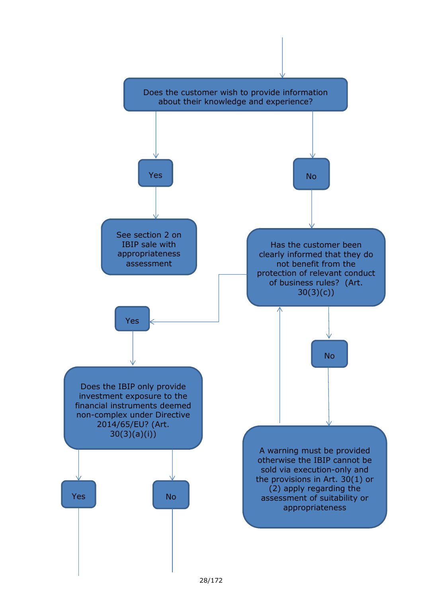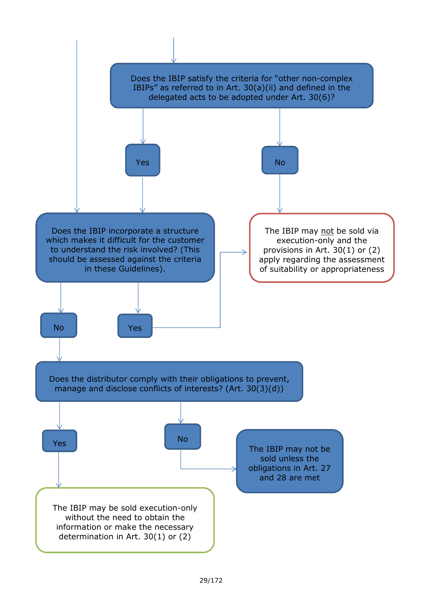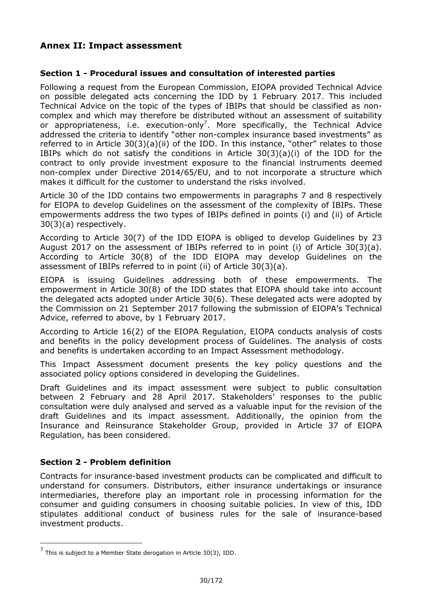# **Annex II: Impact assessment**

# **Section 1 Procedural issues and consultation of interested parties**

Following a request from the European Commission, EIOPA provided Technical Advice on possible delegated acts concerning the IDD by 1 February 2017. This included Technical Advice on the topic of the types of IBIPs that should be classified as non complex and which may therefore be distributed without an assessment of suitability or appropriateness, i.e. execution-only<sup>7</sup>. More specifically, the Technical Advice addressed the criteria to identify "other non-complex insurance based investments" as referred to in Article 30(3)(a)(ii) of the IDD. In this instance, "other" relates to those IBIPs which do not satisfy the conditions in Article  $30(3)(a)(i)$  of the IDD for the contract to only provide investment exposure to the financial instruments deemed non-complex under Directive 2014/65/EU, and to not incorporate a structure which makes it difficult for the customer to understand the risks involved.

Article 30 of the IDD contains two empowerments in paragraphs 7 and 8 respectively for EIOPA to develop Guidelines on the assessment of the complexity of IBIPs. These empowerments address the two types of IBIPs defined in points (i) and (ii) of Article 30(3)(a) respectively.

According to Article 30(7) of the IDD EIOPA is obliged to develop Guidelines by 23 August 2017 on the assessment of IBIPs referred to in point (i) of Article 30(3)(a). According to Article 30(8) of the IDD EIOPA may develop Guidelines on the assessment of IBIPs referred to in point (ii) of Article 30(3)(a).

EIOPA is issuing Guidelines addressing both of these empowerments. The empowerment in Article 30(8) of the IDD states that EIOPA should take into account the delegated acts adopted under Article 30(6). These delegated acts were adopted by the Commission on 21 September 2017 following the submission of EIOPA's Technical Advice, referred to above, by 1 February 2017.

According to Article 16(2) of the EIOPA Regulation, EIOPA conducts analysis of costs and benefits in the policy development process of Guidelines. The analysis of costs and benefits is undertaken according to an Impact Assessment methodology.

This Impact Assessment document presents the key policy questions and the associated policy options considered in developing the Guidelines.

Draft Guidelines and its impact assessment were subject to public consultation between 2 February and 28 April 2017. Stakeholders' responses to the public consultation were duly analysed and served as a valuable input for the revision of the draft Guidelines and its impact assessment. Additionally, the opinion from the Insurance and Reinsurance Stakeholder Group, provided in Article 37 of EIOPA Regulation, has been considered.

# **Section 2 - Problem definition**

1

Contracts for insurance-based investment products can be complicated and difficult to understand for consumers. Distributors, either insurance undertakings or insurance intermediaries, therefore play an important role in processing information for the consumer and guiding consumers in choosing suitable policies. In view of this, IDD stipulates additional conduct of business rules for the sale of insurance-based investment products.

 $^7$  This is subject to a Member State derogation in Article 30(3), IDD.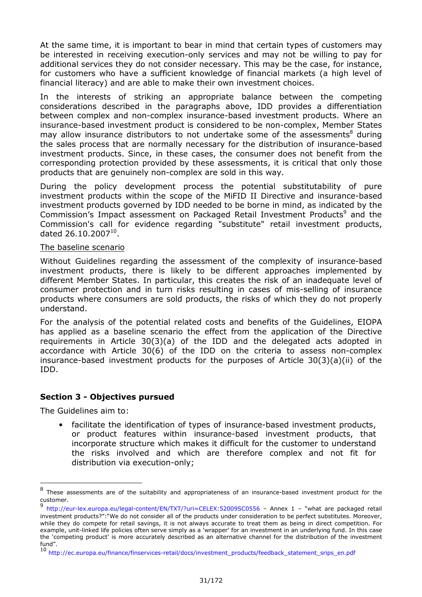At the same time, it is important to bear in mind that certain types of customers may be interested in receiving execution-only services and may not be willing to pay for additional services they do not consider necessary. This may be the case, for instance, for customers who have a sufficient knowledge of financial markets (a high level of financial literacy) and are able to make their own investment choices.

In the interests of striking an appropriate balance between the competing considerations described in the paragraphs above, IDD provides a differentiation between complex and non-complex insurance-based investment products. Where an insurance-based investment product is considered to be non-complex, Member States may allow insurance distributors to not undertake some of the assessments<sup>8</sup> during the sales process that are normally necessary for the distribution of insurance-based investment products. Since, in these cases, the consumer does not benefit from the corresponding protection provided by these assessments, it is critical that only those products that are genuinely non-complex are sold in this way.

During the policy development process the potential substitutability of pure investment products within the scope of the MIFID II Directive and insurance-based investment products governed by IDD needed to be borne in mind, as indicated by the Commission's Impact assessment on Packaged Retail Investment Products<sup>9</sup> and the Commission's call for evidence regarding "substitute" retail investment products, dated 26.10.2007 $^{10}$ .

#### The baseline scenario

Without Guidelines regarding the assessment of the complexity of insurance-based investment products, there is likely to be different approaches implemented by different Member States. In particular, this creates the risk of an inadequate level of consumer protection and in turn risks resulting in cases of mis-selling of insurance products where consumers are sold products, the risks of which they do not properly understand.

For the analysis of the potential related costs and benefits of the Guidelines, EIOPA has applied as a baseline scenario the effect from the application of the Directive requirements in Article 30(3)(a) of the IDD and the delegated acts adopted in accordance with Article 30(6) of the IDD on the criteria to assess non-complex insurance-based investment products for the purposes of Article  $30(3)(a)(ii)$  of the IDD.

#### **Section 3 - Objectives pursued**

The Guidelines aim to:

1

• facilitate the identification of types of insurance-based investment products, or product features within insurance-based investment products, that incorporate structure which makes it difficult for the customer to understand the risks involved and which are therefore complex and not fit for distribution via execution-only;

 $8$  These assessments are of the suitability and appropriateness of an insurance-based investment product for the customer.

<sup>9</sup> http://eur-lex.europa.eu/legal-content/EN/TXT/?uri=CELEX:52009SC0556 - Annex 1 - "what are packaged retail investment products?":"We do not consider all of the products under consideration to be perfect substitutes. Moreover, while they do compete for retail savings, it is not always accurate to treat them as being in direct competition. For example, unit-linked life policies often serve simply as a 'wrapper' for an investment in an underlying fund. In this case the 'competing product' is more accurately described as an alternative channel for the distribution of the investment fund".

<sup>10</sup> http://ec.europa.eu/finance/finservices-retail/docs/investment\_products/feedback\_statement\_srips\_en.pdf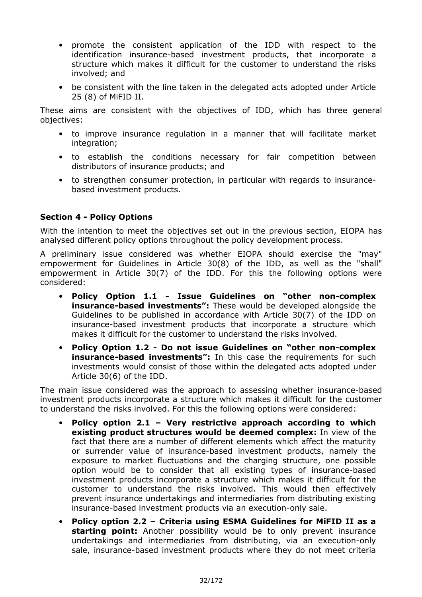- promote the consistent application of the IDD with respect to the identification insurance-based investment products, that incorporate a structure which makes it difficult for the customer to understand the risks involved; and
- be consistent with the line taken in the delegated acts adopted under Article 25 (8) of MiFID II.

These aims are consistent with the objectives of IDD, which has three general objectives:

- to improve insurance regulation in a manner that will facilitate market integration;
- to establish the conditions necessary for fair competition between distributors of insurance products; and
- to strengthen consumer protection, in particular with regards to insurance based investment products.

# **Section 4 - Policy Options**

With the intention to meet the objectives set out in the previous section, EIOPA has analysed different policy options throughout the policy development process.

A preliminary issue considered was whether EIOPA should exercise the "may" empowerment for Guidelines in Article 30(8) of the IDD, as well as the "shall" empowerment in Article 30(7) of the IDD. For this the following options were considered:

- **Policy Option 1.1 Issue Guidelines on "other noncomplex**  insurance-based investments": These would be developed alongside the Guidelines to be published in accordance with Article 30(7) of the IDD on insurance-based investment products that incorporate a structure which makes it difficult for the customer to understand the risks involved.
- **Policy Option 1.2 Do not issue Guidelines on "other non-complex** insurance-based investments": In this case the requirements for such investments would consist of those within the delegated acts adopted under Article 30(6) of the IDD.

The main issue considered was the approach to assessing whether insurance-based investment products incorporate a structure which makes it difficult for the customer to understand the risks involved. For this the following options were considered:

- **Policy option 2.1 Very restrictive approach according to which existing product structures would be deemed complex:** In view of the fact that there are a number of different elements which affect the maturity or surrender value of insurance-based investment products, namely the exposure to market fluctuations and the charging structure, one possible option would be to consider that all existing types of insurance-based investment products incorporate a structure which makes it difficult for the customer to understand the risks involved. This would then effectively prevent insurance undertakings and intermediaries from distributing existing insurance-based investment products via an execution-only sale.
- **Policy option 2.2 Criteria using ESMA Guidelines for MiFID II as a starting point:** Another possibility would be to only prevent insurance undertakings and intermediaries from distributing, via an execution-only sale, insurance-based investment products where they do not meet criteria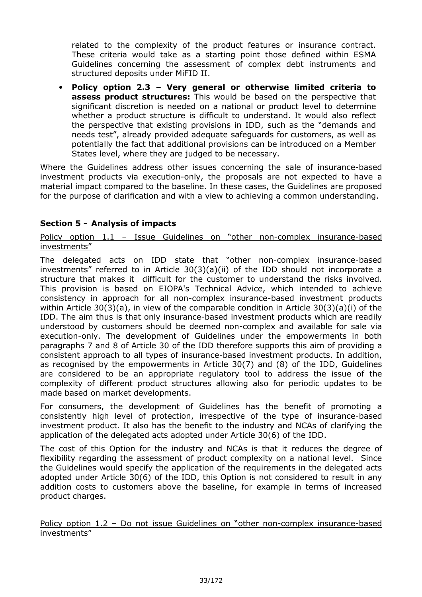related to the complexity of the product features or insurance contract. These criteria would take as a starting point those defined within ESMA Guidelines concerning the assessment of complex debt instruments and structured deposits under MiFID II.

• **Policy option 2.3 – Very general or otherwise limited criteria to assess product structures:** This would be based on the perspective that significant discretion is needed on a national or product level to determine whether a product structure is difficult to understand. It would also reflect the perspective that existing provisions in IDD, such as the "demands and needs test", already provided adequate safeguards for customers, as well as potentially the fact that additional provisions can be introduced on a Member States level, where they are judged to be necessary.

Where the Guidelines address other issues concerning the sale of insurance-based investment products via execution-only, the proposals are not expected to have a material impact compared to the baseline. In these cases, the Guidelines are proposed for the purpose of clarification and with a view to achieving a common understanding.

# **Section 5 Analysis of impacts**

Policy option  $1.1$  – Issue Guidelines on "other non-complex insurance-based investments"

The delegated acts on IDD state that "other non-complex insurance-based investments" referred to in Article 30(3)(a)(ii) of the IDD should not incorporate a structure that makes it difficult for the customer to understand the risks involved. This provision is based on EIOPA's Technical Advice, which intended to achieve consistency in approach for all non-complex insurance-based investment products within Article 30(3)(a), in view of the comparable condition in Article 30(3)(a)(i) of the IDD. The aim thus is that only insurance-based investment products which are readily understood by customers should be deemed non-complex and available for sale via execution-only. The development of Guidelines under the empowerments in both paragraphs 7 and 8 of Article 30 of the IDD therefore supports this aim of providing a consistent approach to all types of insurance-based investment products. In addition, as recognised by the empowerments in Article 30(7) and (8) of the IDD, Guidelines are considered to be an appropriate regulatory tool to address the issue of the complexity of different product structures allowing also for periodic updates to be made based on market developments.

For consumers, the development of Guidelines has the benefit of promoting a consistently high level of protection, irrespective of the type of insurance-based investment product. It also has the benefit to the industry and NCAs of clarifying the application of the delegated acts adopted under Article 30(6) of the IDD.

The cost of this Option for the industry and NCAs is that it reduces the degree of flexibility regarding the assessment of product complexity on a national level. Since the Guidelines would specify the application of the requirements in the delegated acts adopted under Article 30(6) of the IDD, this Option is not considered to result in any addition costs to customers above the baseline, for example in terms of increased product charges.

Policy option  $1.2$  – Do not issue Guidelines on "other non-complex insurance-based investments"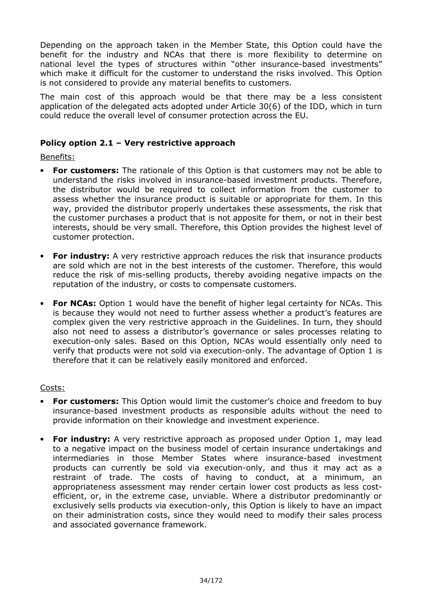Depending on the approach taken in the Member State, this Option could have the benefit for the industry and NCAs that there is more flexibility to determine on national level the types of structures within "other insurance-based investments" which make it difficult for the customer to understand the risks involved. This Option is not considered to provide any material benefits to customers.

The main cost of this approach would be that there may be a less consistent application of the delegated acts adopted under Article 30(6) of the IDD, which in turn could reduce the overall level of consumer protection across the EU.

# **Policy option 2.1 – Very restrictive approach**

Benefits:

- **For customers:** The rationale of this Option is that customers may not be able to understand the risks involved in insurance-based investment products. Therefore, the distributor would be required to collect information from the customer to assess whether the insurance product is suitable or appropriate for them. In this way, provided the distributor properly undertakes these assessments, the risk that the customer purchases a product that is not apposite for them, or not in their best interests, should be very small. Therefore, this Option provides the highest level of customer protection.
- **For industry:** A very restrictive approach reduces the risk that insurance products are sold which are not in the best interests of the customer. Therefore, this would reduce the risk of mis-selling products, thereby avoiding negative impacts on the reputation of the industry, or costs to compensate customers.
- **For NCAs:** Option 1 would have the benefit of higher legal certainty for NCAs. This is because they would not need to further assess whether a product's features are complex given the very restrictive approach in the Guidelines. In turn, they should also not need to assess a distributor's governance or sales processes relating to execution-only sales. Based on this Option, NCAs would essentially only need to verify that products were not sold via execution-only. The advantage of Option 1 is therefore that it can be relatively easily monitored and enforced.

#### Costs:

- **For customers:** This Option would limit the customer's choice and freedom to buy insurance-based investment products as responsible adults without the need to provide information on their knowledge and investment experience.
- **For industry:** A very restrictive approach as proposed under Option 1, may lead to a negative impact on the business model of certain insurance undertakings and intermediaries in those Member States where insurance-based investment products can currently be sold via execution-only, and thus it may act as a restraint of trade. The costs of having to conduct, at a minimum, an appropriateness assessment may render certain lower cost products as less cost efficient, or, in the extreme case, unviable. Where a distributor predominantly or exclusively sells products via execution-only, this Option is likely to have an impact on their administration costs, since they would need to modify their sales process and associated governance framework.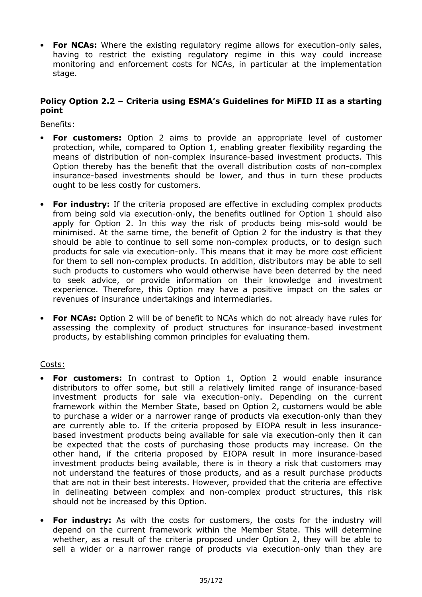• For NCAs: Where the existing regulatory regime allows for execution-only sales, having to restrict the existing regulatory regime in this way could increase monitoring and enforcement costs for NCAs, in particular at the implementation stage.

# **Policy Option 2.2 – Criteria using ESMA's Guidelines for MiFID II as a starting point**

Benefits:

- **For customers:** Option 2 aims to provide an appropriate level of customer protection, while, compared to Option 1, enabling greater flexibility regarding the means of distribution of non-complex insurance-based investment products. This Option thereby has the benefit that the overall distribution costs of noncomplex insurance-based investments should be lower, and thus in turn these products ought to be less costly for customers.
- **For industry:** If the criteria proposed are effective in excluding complex products from being sold via execution-only, the benefits outlined for Option 1 should also apply for Option 2. In this way the risk of products being mis-sold would be minimised. At the same time, the benefit of Option 2 for the industry is that they should be able to continue to sell some non-complex products, or to design such products for sale via execution-only. This means that it may be more cost efficient for them to sell non-complex products. In addition, distributors may be able to sell such products to customers who would otherwise have been deterred by the need to seek advice, or provide information on their knowledge and investment experience. Therefore, this Option may have a positive impact on the sales or revenues of insurance undertakings and intermediaries.
- **For NCAs:** Option 2 will be of benefit to NCAs which do not already have rules for assessing the complexity of product structures for insurance-based investment products, by establishing common principles for evaluating them.

# Costs:

- **For customers:** In contrast to Option 1, Option 2 would enable insurance distributors to offer some, but still a relatively limited range of insurance-based investment products for sale via execution-only. Depending on the current framework within the Member State, based on Option 2, customers would be able to purchase a wider or a narrower range of products via execution-only than they are currently able to. If the criteria proposed by EIOPA result in less insurance based investment products being available for sale via execution-only then it can be expected that the costs of purchasing those products may increase. On the other hand, if the criteria proposed by EIOPA result in more insurance-based investment products being available, there is in theory a risk that customers may not understand the features of those products, and as a result purchase products that are not in their best interests. However, provided that the criteria are effective in delineating between complex and non-complex product structures, this risk should not be increased by this Option.
- **For industry:** As with the costs for customers, the costs for the industry will depend on the current framework within the Member State. This will determine whether, as a result of the criteria proposed under Option 2, they will be able to sell a wider or a narrower range of products via execution-only than they are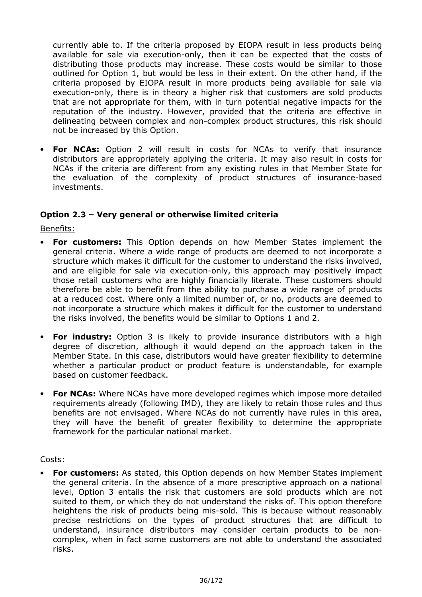currently able to. If the criteria proposed by EIOPA result in less products being available for sale via execution-only, then it can be expected that the costs of distributing those products may increase. These costs would be similar to those outlined for Option 1, but would be less in their extent. On the other hand, if the criteria proposed by EIOPA result in more products being available for sale via execution-only, there is in theory a higher risk that customers are sold products that are not appropriate for them, with in turn potential negative impacts for the reputation of the industry. However, provided that the criteria are effective in delineating between complex and non-complex product structures, this risk should not be increased by this Option.

**For NCAs:** Option 2 will result in costs for NCAs to verify that insurance distributors are appropriately applying the criteria. It may also result in costs for NCAs if the criteria are different from any existing rules in that Member State for the evaluation of the complexity of product structures of insurance-based investments.

# **Option 2.3 – Very general or otherwise limited criteria**

Benefits:

- **For customers:** This Option depends on how Member States implement the general criteria. Where a wide range of products are deemed to not incorporate a structure which makes it difficult for the customer to understand the risks involved, and are eligible for sale via execution-only, this approach may positively impact those retail customers who are highly financially literate. These customers should therefore be able to benefit from the ability to purchase a wide range of products at a reduced cost. Where only a limited number of, or no, products are deemed to not incorporate a structure which makes it difficult for the customer to understand the risks involved, the benefits would be similar to Options 1 and 2.
- **For industry:** Option 3 is likely to provide insurance distributors with a high degree of discretion, although it would depend on the approach taken in the Member State. In this case, distributors would have greater flexibility to determine whether a particular product or product feature is understandable, for example based on customer feedback.
- **For NCAs:** Where NCAs have more developed regimes which impose more detailed requirements already (following IMD), they are likely to retain those rules and thus benefits are not envisaged. Where NCAs do not currently have rules in this area, they will have the benefit of greater flexibility to determine the appropriate framework for the particular national market.

#### Costs:

• **For customers:** As stated, this Option depends on how Member States implement the general criteria. In the absence of a more prescriptive approach on a national level, Option 3 entails the risk that customers are sold products which are not suited to them, or which they do not understand the risks of. This option therefore heightens the risk of products being mis-sold. This is because without reasonably precise restrictions on the types of product structures that are difficult to understand, insurance distributors may consider certain products to be non complex, when in fact some customers are not able to understand the associated risks.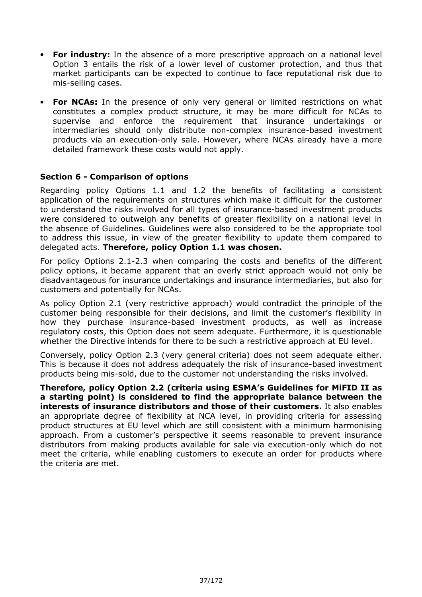- **For industry:** In the absence of a more prescriptive approach on a national level Option 3 entails the risk of a lower level of customer protection, and thus that market participants can be expected to continue to face reputational risk due to mis-selling cases.
- **For NCAs:** In the presence of only very general or limited restrictions on what constitutes a complex product structure, it may be more difficult for NCAs to supervise and enforce the requirement that insurance undertakings or intermediaries should only distribute non-complex insurance-based investment products via an execution-only sale. However, where NCAs already have a more detailed framework these costs would not apply.

## **Section 6 Comparison of options**

Regarding policy Options 1.1 and 1.2 the benefits of facilitating a consistent application of the requirements on structures which make it difficult for the customer to understand the risks involved for all types of insurance-based investment products were considered to outweigh any benefits of greater flexibility on a national level in the absence of Guidelines. Guidelines were also considered to be the appropriate tool to address this issue, in view of the greater flexibility to update them compared to delegated acts. **Therefore, policy Option 1.1 was chosen.**

For policy Options 2.1-2.3 when comparing the costs and benefits of the different policy options, it became apparent that an overly strict approach would not only be disadvantageous for insurance undertakings and insurance intermediaries, but also for customers and potentially for NCAs.

As policy Option 2.1 (very restrictive approach) would contradict the principle of the customer being responsible for their decisions, and limit the customer's flexibility in how they purchase insurance-based investment products, as well as increase regulatory costs, this Option does not seem adequate. Furthermore, it is questionable whether the Directive intends for there to be such a restrictive approach at EU level.

Conversely, policy Option 2.3 (very general criteria) does not seem adequate either. This is because it does not address adequately the risk of insurance-based investment products being mis-sold, due to the customer not understanding the risks involved.

**Therefore, policy Option 2.2 (criteria using ESMA's Guidelines for MiFID II as a starting point) is considered to find the appropriate balance between the interests of insurance distributors and those of their customers.** It also enables an appropriate degree of flexibility at NCA level, in providing criteria for assessing product structures at EU level which are still consistent with a minimum harmonising approach. From a customer's perspective it seems reasonable to prevent insurance distributors from making products available for sale via execution-only which do not meet the criteria, while enabling customers to execute an order for products where the criteria are met.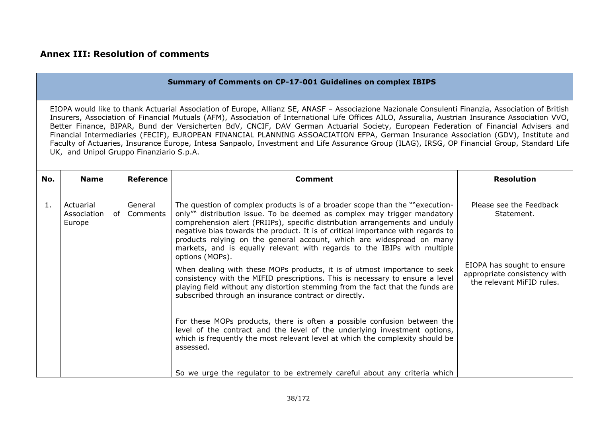|     | <b>Summary of Comments on CP-17-001 Guidelines on complex IBIPS</b>                                                                                                                                                                                                                                                                                                                                                                                                                                                                                                                                                                                                                                                                                                             |                     |                                                                                                                                                                                                                                                                                                                                                                                                                                                                                                                                                                                                                                                                                                                                                                                                                                                                                        |                                                                                                                                  |  |  |  |
|-----|---------------------------------------------------------------------------------------------------------------------------------------------------------------------------------------------------------------------------------------------------------------------------------------------------------------------------------------------------------------------------------------------------------------------------------------------------------------------------------------------------------------------------------------------------------------------------------------------------------------------------------------------------------------------------------------------------------------------------------------------------------------------------------|---------------------|----------------------------------------------------------------------------------------------------------------------------------------------------------------------------------------------------------------------------------------------------------------------------------------------------------------------------------------------------------------------------------------------------------------------------------------------------------------------------------------------------------------------------------------------------------------------------------------------------------------------------------------------------------------------------------------------------------------------------------------------------------------------------------------------------------------------------------------------------------------------------------------|----------------------------------------------------------------------------------------------------------------------------------|--|--|--|
|     | EIOPA would like to thank Actuarial Association of Europe, Allianz SE, ANASF - Associazione Nazionale Consulenti Finanzia, Association of British<br>Insurers, Association of Financial Mutuals (AFM), Association of International Life Offices AILO, Assuralia, Austrian Insurance Association VVO,<br>Better Finance, BIPAR, Bund der Versicherten BdV, CNCIF, DAV German Actuarial Society, European Federation of Financial Advisers and<br>Financial Intermediaries (FECIF), EUROPEAN FINANCIAL PLANNING ASSOACIATION EFPA, German Insurance Association (GDV), Institute and<br>Faculty of Actuaries, Insurance Europe, Intesa Sanpaolo, Investment and Life Assurance Group (ILAG), IRSG, OP Financial Group, Standard Life<br>UK, and Unipol Gruppo Finanziario S.p.A. |                     |                                                                                                                                                                                                                                                                                                                                                                                                                                                                                                                                                                                                                                                                                                                                                                                                                                                                                        |                                                                                                                                  |  |  |  |
| No. | <b>Name</b>                                                                                                                                                                                                                                                                                                                                                                                                                                                                                                                                                                                                                                                                                                                                                                     | <b>Reference</b>    | <b>Comment</b>                                                                                                                                                                                                                                                                                                                                                                                                                                                                                                                                                                                                                                                                                                                                                                                                                                                                         | <b>Resolution</b>                                                                                                                |  |  |  |
| 1.  | Actuarial<br>of I<br>Association<br>Europe                                                                                                                                                                                                                                                                                                                                                                                                                                                                                                                                                                                                                                                                                                                                      | General<br>Comments | The question of complex products is of a broader scope than the ""execution-<br>only" distribution issue. To be deemed as complex may trigger mandatory<br>comprehension alert (PRIIPs), specific distribution arrangements and unduly<br>negative bias towards the product. It is of critical importance with regards to<br>products relying on the general account, which are widespread on many<br>markets, and is equally relevant with regards to the IBIPs with multiple<br>options (MOPs).<br>When dealing with these MOPs products, it is of utmost importance to seek<br>consistency with the MIFID prescriptions. This is necessary to ensure a level<br>playing field without any distortion stemming from the fact that the funds are<br>subscribed through an insurance contract or directly.<br>For these MOPs products, there is often a possible confusion between the | Please see the Feedback<br>Statement.<br>EIOPA has sought to ensure<br>appropriate consistency with<br>the relevant MiFID rules. |  |  |  |
|     |                                                                                                                                                                                                                                                                                                                                                                                                                                                                                                                                                                                                                                                                                                                                                                                 |                     | level of the contract and the level of the underlying investment options,<br>which is frequently the most relevant level at which the complexity should be<br>assessed.<br>So we urge the regulator to be extremely careful about any criteria which                                                                                                                                                                                                                                                                                                                                                                                                                                                                                                                                                                                                                                   |                                                                                                                                  |  |  |  |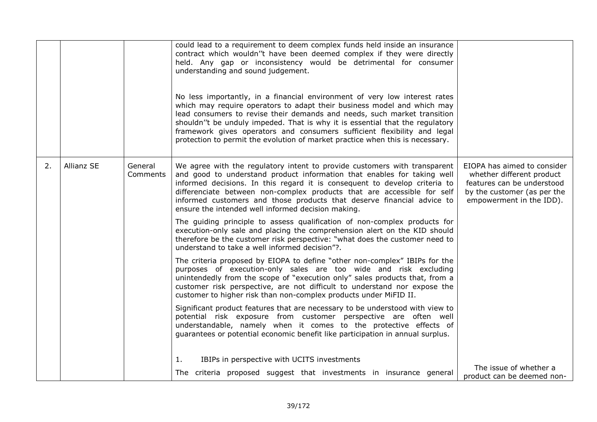|    |            |                     | could lead to a requirement to deem complex funds held inside an insurance<br>contract which wouldn''t have been deemed complex if they were directly<br>held. Any gap or inconsistency would be detrimental for consumer<br>understanding and sound judgement.<br>No less importantly, in a financial environment of very low interest rates<br>which may require operators to adapt their business model and which may<br>lead consumers to revise their demands and needs, such market transition<br>shouldn''t be unduly impeded. That is why it is essential that the regulatory<br>framework gives operators and consumers sufficient flexibility and legal<br>protection to permit the evolution of market practice when this is necessary. |                                                                                                                                                   |
|----|------------|---------------------|----------------------------------------------------------------------------------------------------------------------------------------------------------------------------------------------------------------------------------------------------------------------------------------------------------------------------------------------------------------------------------------------------------------------------------------------------------------------------------------------------------------------------------------------------------------------------------------------------------------------------------------------------------------------------------------------------------------------------------------------------|---------------------------------------------------------------------------------------------------------------------------------------------------|
| 2. | Allianz SE | General<br>Comments | We agree with the regulatory intent to provide customers with transparent<br>and good to understand product information that enables for taking well<br>informed decisions. In this regard it is consequent to develop criteria to<br>differenciate between non-complex products that are accessible for self<br>informed customers and those products that deserve financial advice to<br>ensure the intended well informed decision making.<br>The guiding principle to assess qualification of non-complex products for<br>execution-only sale and placing the comprehension alert on the KID should<br>therefore be the customer risk perspective: "what does the customer need to<br>understand to take a well informed decision"?.           | EIOPA has aimed to consider<br>whether different product<br>features can be understood<br>by the customer (as per the<br>empowerment in the IDD). |
|    |            |                     | The criteria proposed by EIOPA to define "other non-complex" IBIPs for the<br>purposes of execution-only sales are too wide and risk excluding<br>unintendedly from the scope of "execution only" sales products that, from a<br>customer risk perspective, are not difficult to understand nor expose the<br>customer to higher risk than non-complex products under MiFID II.                                                                                                                                                                                                                                                                                                                                                                    |                                                                                                                                                   |
|    |            |                     | Significant product features that are necessary to be understood with view to<br>potential risk exposure from customer perspective are often well<br>understandable, namely when it comes to the protective effects of<br>guarantees or potential economic benefit like participation in annual surplus.                                                                                                                                                                                                                                                                                                                                                                                                                                           |                                                                                                                                                   |
|    |            |                     | IBIPs in perspective with UCITS investments<br>1.<br>The criteria proposed suggest that investments in insurance general                                                                                                                                                                                                                                                                                                                                                                                                                                                                                                                                                                                                                           | The issue of whether a<br>product can be deemed non-                                                                                              |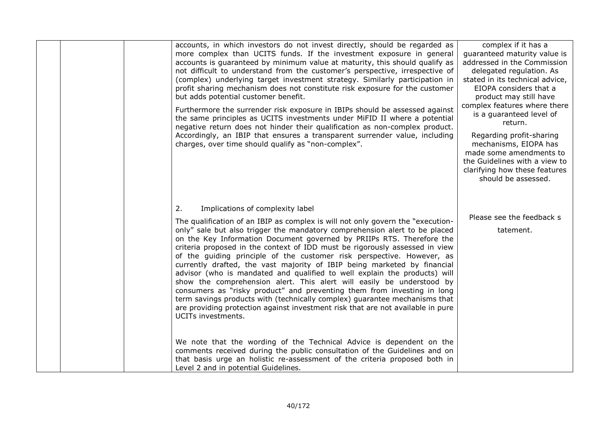| accounts, in which investors do not invest directly, should be regarded as<br>more complex than UCITS funds. If the investment exposure in general<br>accounts is guaranteed by minimum value at maturity, this should qualify as<br>not difficult to understand from the customer's perspective, irrespective of<br>(complex) underlying target investment strategy. Similarly participation in<br>profit sharing mechanism does not constitute risk exposure for the customer<br>but adds potential customer benefit.<br>Furthermore the surrender risk exposure in IBIPs should be assessed against<br>the same principles as UCITS investments under MiFID II where a potential<br>negative return does not hinder their qualification as non-complex product.<br>Accordingly, an IBIP that ensures a transparent surrender value, including<br>charges, over time should qualify as "non-complex".                                                                                                                                                                                                                                                                                                                  | complex if it has a<br>quaranteed maturity value is<br>addressed in the Commission<br>delegated regulation. As<br>stated in its technical advice,<br>EIOPA considers that a<br>product may still have<br>complex features where there<br>is a guaranteed level of<br>return.<br>Regarding profit-sharing<br>mechanisms, EIOPA has<br>made some amendments to<br>the Guidelines with a view to<br>clarifying how these features<br>should be assessed. |
|--------------------------------------------------------------------------------------------------------------------------------------------------------------------------------------------------------------------------------------------------------------------------------------------------------------------------------------------------------------------------------------------------------------------------------------------------------------------------------------------------------------------------------------------------------------------------------------------------------------------------------------------------------------------------------------------------------------------------------------------------------------------------------------------------------------------------------------------------------------------------------------------------------------------------------------------------------------------------------------------------------------------------------------------------------------------------------------------------------------------------------------------------------------------------------------------------------------------------|-------------------------------------------------------------------------------------------------------------------------------------------------------------------------------------------------------------------------------------------------------------------------------------------------------------------------------------------------------------------------------------------------------------------------------------------------------|
| Implications of complexity label<br>2.<br>The qualification of an IBIP as complex is will not only govern the "execution-<br>only" sale but also trigger the mandatory comprehension alert to be placed<br>on the Key Information Document governed by PRIIPs RTS. Therefore the<br>criteria proposed in the context of IDD must be rigorously assessed in view<br>of the guiding principle of the customer risk perspective. However, as<br>currently drafted, the vast majority of IBIP being marketed by financial<br>advisor (who is mandated and qualified to well explain the products) will<br>show the comprehension alert. This alert will easily be understood by<br>consumers as "risky product" and preventing them from investing in long<br>term savings products with (technically complex) guarantee mechanisms that<br>are providing protection against investment risk that are not available in pure<br>UCITs investments.<br>We note that the wording of the Technical Advice is dependent on the<br>comments received during the public consultation of the Guidelines and on<br>that basis urge an holistic re-assessment of the criteria proposed both in<br>Level 2 and in potential Guidelines. | Please see the feedback s<br>tatement.                                                                                                                                                                                                                                                                                                                                                                                                                |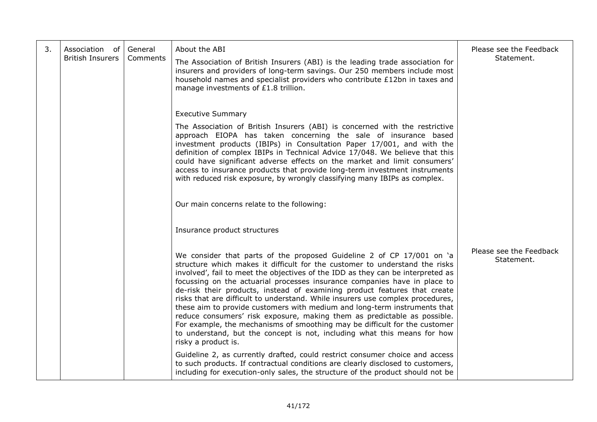| 3. | Association of<br><b>British Insurers</b> | General<br>Comments | About the ABI<br>The Association of British Insurers (ABI) is the leading trade association for<br>insurers and providers of long-term savings. Our 250 members include most<br>household names and specialist providers who contribute £12bn in taxes and<br>manage investments of £1.8 trillion.                                                                                                                                                                                                                                                                                                                                                                                                                                                                                                                            | Please see the Feedback<br>Statement. |
|----|-------------------------------------------|---------------------|-------------------------------------------------------------------------------------------------------------------------------------------------------------------------------------------------------------------------------------------------------------------------------------------------------------------------------------------------------------------------------------------------------------------------------------------------------------------------------------------------------------------------------------------------------------------------------------------------------------------------------------------------------------------------------------------------------------------------------------------------------------------------------------------------------------------------------|---------------------------------------|
|    |                                           |                     | <b>Executive Summary</b><br>The Association of British Insurers (ABI) is concerned with the restrictive<br>approach EIOPA has taken concerning the sale of insurance based<br>investment products (IBIPs) in Consultation Paper 17/001, and with the<br>definition of complex IBIPs in Technical Advice 17/048. We believe that this<br>could have significant adverse effects on the market and limit consumers'<br>access to insurance products that provide long-term investment instruments<br>with reduced risk exposure, by wrongly classifying many IBIPs as complex.                                                                                                                                                                                                                                                  |                                       |
|    |                                           |                     | Our main concerns relate to the following:                                                                                                                                                                                                                                                                                                                                                                                                                                                                                                                                                                                                                                                                                                                                                                                    |                                       |
|    |                                           |                     | Insurance product structures                                                                                                                                                                                                                                                                                                                                                                                                                                                                                                                                                                                                                                                                                                                                                                                                  |                                       |
|    |                                           |                     | We consider that parts of the proposed Guideline 2 of CP 17/001 on 'a<br>structure which makes it difficult for the customer to understand the risks<br>involved', fail to meet the objectives of the IDD as they can be interpreted as<br>focussing on the actuarial processes insurance companies have in place to<br>de-risk their products, instead of examining product features that create<br>risks that are difficult to understand. While insurers use complex procedures,<br>these aim to provide customers with medium and long-term instruments that<br>reduce consumers' risk exposure, making them as predictable as possible.<br>For example, the mechanisms of smoothing may be difficult for the customer<br>to understand, but the concept is not, including what this means for how<br>risky a product is. | Please see the Feedback<br>Statement. |
|    |                                           |                     | Guideline 2, as currently drafted, could restrict consumer choice and access<br>to such products. If contractual conditions are clearly disclosed to customers,<br>including for execution-only sales, the structure of the product should not be                                                                                                                                                                                                                                                                                                                                                                                                                                                                                                                                                                             |                                       |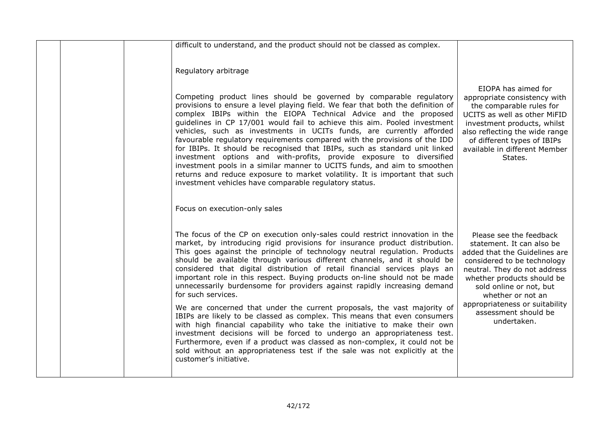|  | difficult to understand, and the product should not be classed as complex.<br>Regulatory arbitrage                                                                                                                                                                                                                                                                                                                                                                                                                                                                                                                                                                                                                                                                                                                                                                                                 |                                                                                                                                                                                                                                                                                                             |
|--|----------------------------------------------------------------------------------------------------------------------------------------------------------------------------------------------------------------------------------------------------------------------------------------------------------------------------------------------------------------------------------------------------------------------------------------------------------------------------------------------------------------------------------------------------------------------------------------------------------------------------------------------------------------------------------------------------------------------------------------------------------------------------------------------------------------------------------------------------------------------------------------------------|-------------------------------------------------------------------------------------------------------------------------------------------------------------------------------------------------------------------------------------------------------------------------------------------------------------|
|  | Competing product lines should be governed by comparable regulatory<br>provisions to ensure a level playing field. We fear that both the definition of<br>complex IBIPs within the EIOPA Technical Advice and the proposed<br>guidelines in CP 17/001 would fail to achieve this aim. Pooled investment<br>vehicles, such as investments in UCITs funds, are currently afforded<br>favourable regulatory requirements compared with the provisions of the IDD<br>for IBIPs. It should be recognised that IBIPs, such as standard unit linked<br>investment options and with-profits, provide exposure to diversified<br>investment pools in a similar manner to UCITS funds, and aim to smoothen<br>returns and reduce exposure to market volatility. It is important that such<br>investment vehicles have comparable regulatory status.                                                          | EIOPA has aimed for<br>appropriate consistency with<br>the comparable rules for<br>UCITS as well as other MiFID<br>investment products, whilst<br>also reflecting the wide range<br>of different types of IBIPs<br>available in different Member<br>States.                                                 |
|  | Focus on execution-only sales                                                                                                                                                                                                                                                                                                                                                                                                                                                                                                                                                                                                                                                                                                                                                                                                                                                                      |                                                                                                                                                                                                                                                                                                             |
|  | The focus of the CP on execution only-sales could restrict innovation in the<br>market, by introducing rigid provisions for insurance product distribution.<br>This goes against the principle of technology neutral regulation. Products<br>should be available through various different channels, and it should be<br>considered that digital distribution of retail financial services plays an<br>important role in this respect. Buying products on-line should not be made<br>unnecessarily burdensome for providers against rapidly increasing demand<br>for such services.<br>We are concerned that under the current proposals, the vast majority of<br>IBIPs are likely to be classed as complex. This means that even consumers<br>with high financial capability who take the initiative to make their own<br>investment decisions will be forced to undergo an appropriateness test. | Please see the feedback<br>statement. It can also be<br>added that the Guidelines are<br>considered to be technology<br>neutral. They do not address<br>whether products should be<br>sold online or not, but<br>whether or not an<br>appropriateness or suitability<br>assessment should be<br>undertaken. |
|  | Furthermore, even if a product was classed as non-complex, it could not be<br>sold without an appropriateness test if the sale was not explicitly at the<br>customer's initiative.                                                                                                                                                                                                                                                                                                                                                                                                                                                                                                                                                                                                                                                                                                                 |                                                                                                                                                                                                                                                                                                             |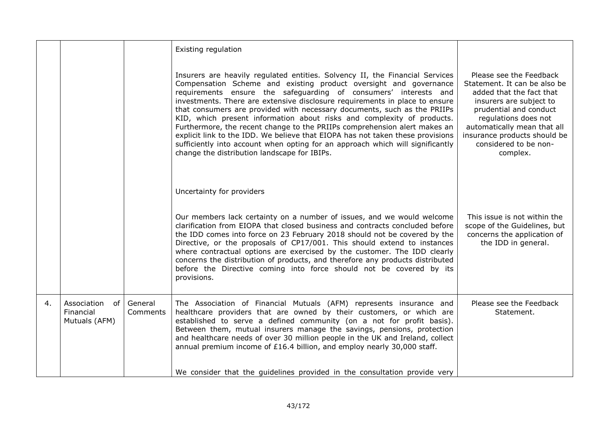|    |                                                 |                     | Existing regulation                                                                                                                                                                                                                                                                                                                                                                                                                                                                                                                                                                                                                                                                                                                                         |                                                                                                                                                                                                                                                                      |
|----|-------------------------------------------------|---------------------|-------------------------------------------------------------------------------------------------------------------------------------------------------------------------------------------------------------------------------------------------------------------------------------------------------------------------------------------------------------------------------------------------------------------------------------------------------------------------------------------------------------------------------------------------------------------------------------------------------------------------------------------------------------------------------------------------------------------------------------------------------------|----------------------------------------------------------------------------------------------------------------------------------------------------------------------------------------------------------------------------------------------------------------------|
|    |                                                 |                     | Insurers are heavily regulated entities. Solvency II, the Financial Services<br>Compensation Scheme and existing product oversight and governance<br>requirements ensure the safeguarding of consumers' interests and<br>investments. There are extensive disclosure requirements in place to ensure<br>that consumers are provided with necessary documents, such as the PRIIPs<br>KID, which present information about risks and complexity of products.<br>Furthermore, the recent change to the PRIIPs comprehension alert makes an<br>explicit link to the IDD. We believe that EIOPA has not taken these provisions<br>sufficiently into account when opting for an approach which will significantly<br>change the distribution landscape for IBIPs. | Please see the Feedback<br>Statement. It can be also be<br>added that the fact that<br>insurers are subject to<br>prudential and conduct<br>regulations does not<br>automatically mean that all<br>insurance products should be<br>considered to be non-<br>complex. |
|    |                                                 |                     | Uncertainty for providers                                                                                                                                                                                                                                                                                                                                                                                                                                                                                                                                                                                                                                                                                                                                   |                                                                                                                                                                                                                                                                      |
|    |                                                 |                     | Our members lack certainty on a number of issues, and we would welcome<br>clarification from EIOPA that closed business and contracts concluded before<br>the IDD comes into force on 23 February 2018 should not be covered by the<br>Directive, or the proposals of CP17/001. This should extend to instances<br>where contractual options are exercised by the customer. The IDD clearly<br>concerns the distribution of products, and therefore any products distributed<br>before the Directive coming into force should not be covered by its<br>provisions.                                                                                                                                                                                          | This issue is not within the<br>scope of the Guidelines, but<br>concerns the application of<br>the IDD in general.                                                                                                                                                   |
| 4. | Association<br>of<br>Financial<br>Mutuals (AFM) | General<br>Comments | The Association of Financial Mutuals (AFM) represents insurance and<br>healthcare providers that are owned by their customers, or which are<br>established to serve a defined community (on a not for profit basis).<br>Between them, mutual insurers manage the savings, pensions, protection<br>and healthcare needs of over 30 million people in the UK and Ireland, collect<br>annual premium income of £16.4 billion, and employ nearly 30,000 staff.                                                                                                                                                                                                                                                                                                  | Please see the Feedback<br>Statement.                                                                                                                                                                                                                                |
|    |                                                 |                     | We consider that the guidelines provided in the consultation provide very                                                                                                                                                                                                                                                                                                                                                                                                                                                                                                                                                                                                                                                                                   |                                                                                                                                                                                                                                                                      |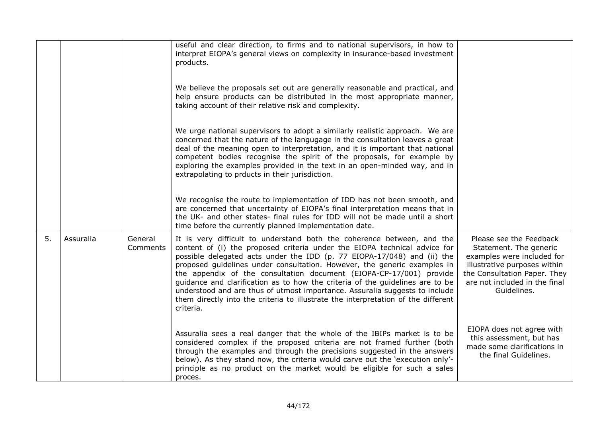|    |           |                     | useful and clear direction, to firms and to national supervisors, in how to<br>interpret EIOPA's general views on complexity in insurance-based investment<br>products.                                                                                                                                                                                                                                                                                                                                                                                                                                                                             |                                                                                                                                                                                                 |
|----|-----------|---------------------|-----------------------------------------------------------------------------------------------------------------------------------------------------------------------------------------------------------------------------------------------------------------------------------------------------------------------------------------------------------------------------------------------------------------------------------------------------------------------------------------------------------------------------------------------------------------------------------------------------------------------------------------------------|-------------------------------------------------------------------------------------------------------------------------------------------------------------------------------------------------|
|    |           |                     | We believe the proposals set out are generally reasonable and practical, and<br>help ensure products can be distributed in the most appropriate manner,<br>taking account of their relative risk and complexity.                                                                                                                                                                                                                                                                                                                                                                                                                                    |                                                                                                                                                                                                 |
|    |           |                     | We urge national supervisors to adopt a similarly realistic approach. We are<br>concerned that the nature of the langugage in the consultation leaves a great<br>deal of the meaning open to interpretation, and it is important that national<br>competent bodies recognise the spirit of the proposals, for example by<br>exploring the examples provided in the text in an open-minded way, and in<br>extrapolating to prducts in their jurisdiction.                                                                                                                                                                                            |                                                                                                                                                                                                 |
|    |           |                     | We recognise the route to implementation of IDD has not been smooth, and<br>are concerned that uncertainty of EIOPA's final interpretation means that in<br>the UK- and other states- final rules for IDD will not be made until a short<br>time before the currently planned implementation date.                                                                                                                                                                                                                                                                                                                                                  |                                                                                                                                                                                                 |
| 5. | Assuralia | General<br>Comments | It is very difficult to understand both the coherence between, and the<br>content of (i) the proposed criteria under the EIOPA technical advice for<br>possible delegated acts under the IDD (p. 77 EIOPA-17/048) and (ii) the<br>proposed guidelines under consultation. However, the generic examples in<br>the appendix of the consultation document (EIOPA-CP-17/001) provide<br>guidance and clarification as to how the criteria of the guidelines are to be<br>understood and are thus of utmost importance. Assuralia suggests to include<br>them directly into the criteria to illustrate the interpretation of the different<br>criteria. | Please see the Feedback<br>Statement. The generic<br>examples were included for<br>illustrative purposes within<br>the Consultation Paper. They<br>are not included in the final<br>Guidelines. |
|    |           |                     | Assuralia sees a real danger that the whole of the IBIPs market is to be<br>considered complex if the proposed criteria are not framed further (both<br>through the examples and through the precisions suggested in the answers<br>below). As they stand now, the criteria would carve out the 'execution only'-<br>principle as no product on the market would be eligible for such a sales<br>proces.                                                                                                                                                                                                                                            | EIOPA does not agree with<br>this assessment, but has<br>made some clarifications in<br>the final Guidelines.                                                                                   |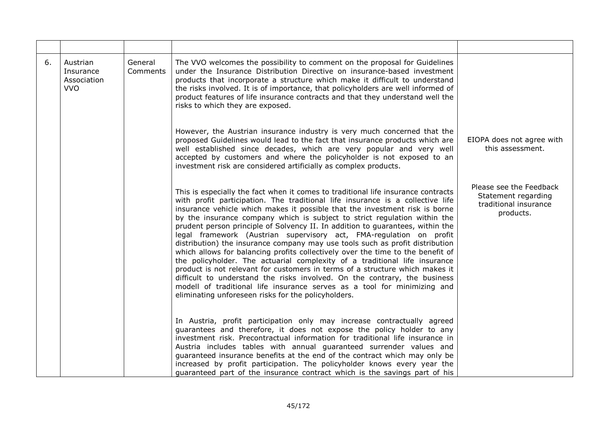| 6. | Austrian<br>Insurance<br>Association<br><b>VVO</b> | General<br>Comments | The VVO welcomes the possibility to comment on the proposal for Guidelines<br>under the Insurance Distribution Directive on insurance-based investment<br>products that incorporate a structure which make it difficult to understand<br>the risks involved. It is of importance, that policyholders are well informed of<br>product features of life insurance contracts and that they understand well the<br>risks to which they are exposed.                                                                                                                                                                                                                                                                                                                                                                                                                                                                                                                                                                                            |                                                                                      |
|----|----------------------------------------------------|---------------------|--------------------------------------------------------------------------------------------------------------------------------------------------------------------------------------------------------------------------------------------------------------------------------------------------------------------------------------------------------------------------------------------------------------------------------------------------------------------------------------------------------------------------------------------------------------------------------------------------------------------------------------------------------------------------------------------------------------------------------------------------------------------------------------------------------------------------------------------------------------------------------------------------------------------------------------------------------------------------------------------------------------------------------------------|--------------------------------------------------------------------------------------|
|    |                                                    |                     | However, the Austrian insurance industry is very much concerned that the<br>proposed Guidelines would lead to the fact that insurance products which are<br>well established since decades, which are very popular and very well<br>accepted by customers and where the policyholder is not exposed to an<br>investment risk are considered artificially as complex products.                                                                                                                                                                                                                                                                                                                                                                                                                                                                                                                                                                                                                                                              | EIOPA does not agree with<br>this assessment.                                        |
|    |                                                    |                     | This is especially the fact when it comes to traditional life insurance contracts<br>with profit participation. The traditional life insurance is a collective life<br>insurance vehicle which makes it possible that the investment risk is borne<br>by the insurance company which is subject to strict regulation within the<br>prudent person principle of Solvency II. In addition to guarantees, within the<br>legal framework (Austrian supervisory act, FMA-regulation on profit<br>distribution) the insurance company may use tools such as profit distribution<br>which allows for balancing profits collectively over the time to the benefit of<br>the policyholder. The actuarial complexity of a traditional life insurance<br>product is not relevant for customers in terms of a structure which makes it<br>difficult to understand the risks involved. On the contrary, the business<br>modell of traditional life insurance serves as a tool for minimizing and<br>eliminating unforeseen risks for the policyholders. | Please see the Feedback<br>Statement regarding<br>traditional insurance<br>products. |
|    |                                                    |                     | In Austria, profit participation only may increase contractually agreed<br>guarantees and therefore, it does not expose the policy holder to any<br>investment risk. Precontractual information for traditional life insurance in<br>Austria includes tables with annual guaranteed surrender values and<br>guaranteed insurance benefits at the end of the contract which may only be<br>increased by profit participation. The policyholder knows every year the<br>guaranteed part of the insurance contract which is the savings part of his                                                                                                                                                                                                                                                                                                                                                                                                                                                                                           |                                                                                      |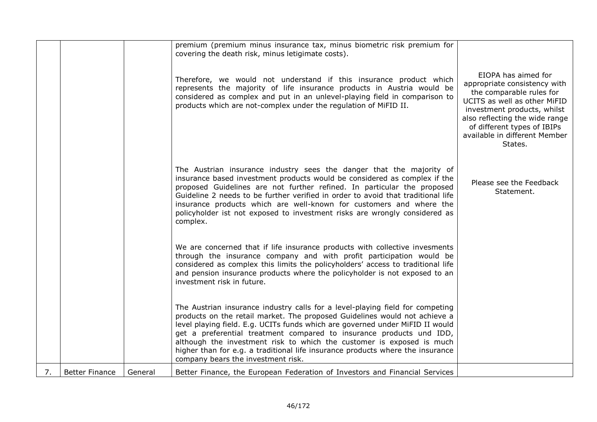|    |                       |         | premium (premium minus insurance tax, minus biometric risk premium for                                                                                                                                                                                                                                                                                                                                                                                                                                                |                                                                                                                                                                                                                                                             |
|----|-----------------------|---------|-----------------------------------------------------------------------------------------------------------------------------------------------------------------------------------------------------------------------------------------------------------------------------------------------------------------------------------------------------------------------------------------------------------------------------------------------------------------------------------------------------------------------|-------------------------------------------------------------------------------------------------------------------------------------------------------------------------------------------------------------------------------------------------------------|
|    |                       |         | covering the death risk, minus letigimate costs).                                                                                                                                                                                                                                                                                                                                                                                                                                                                     |                                                                                                                                                                                                                                                             |
|    |                       |         | Therefore, we would not understand if this insurance product which<br>represents the majority of life insurance products in Austria would be<br>considered as complex and put in an unlevel-playing field in comparison to<br>products which are not-complex under the regulation of MiFID II.                                                                                                                                                                                                                        | EIOPA has aimed for<br>appropriate consistency with<br>the comparable rules for<br>UCITS as well as other MiFID<br>investment products, whilst<br>also reflecting the wide range<br>of different types of IBIPs<br>available in different Member<br>States. |
|    |                       |         | The Austrian insurance industry sees the danger that the majority of<br>insurance based investment products would be considered as complex if the<br>proposed Guidelines are not further refined. In particular the proposed<br>Guideline 2 needs to be further verified in order to avoid that traditional life<br>insurance products which are well-known for customers and where the<br>policyholder ist not exposed to investment risks are wrongly considered as<br>complex.                                     | Please see the Feedback<br>Statement.                                                                                                                                                                                                                       |
|    |                       |         | We are concerned that if life insurance products with collective invesments<br>through the insurance company and with profit participation would be<br>considered as complex this limits the policyholders' access to traditional life<br>and pension insurance products where the policyholder is not exposed to an<br>investment risk in future.                                                                                                                                                                    |                                                                                                                                                                                                                                                             |
|    |                       |         | The Austrian insurance industry calls for a level-playing field for competing<br>products on the retail market. The proposed Guidelines would not achieve a<br>level playing field. E.g. UCITs funds which are governed under MiFID II would<br>get a preferential treatment compared to insurance products und IDD,<br>although the investment risk to which the customer is exposed is much<br>higher than for e.g. a traditional life insurance products where the insurance<br>company bears the investment risk. |                                                                                                                                                                                                                                                             |
| 7. | <b>Better Finance</b> | General | Better Finance, the European Federation of Investors and Financial Services                                                                                                                                                                                                                                                                                                                                                                                                                                           |                                                                                                                                                                                                                                                             |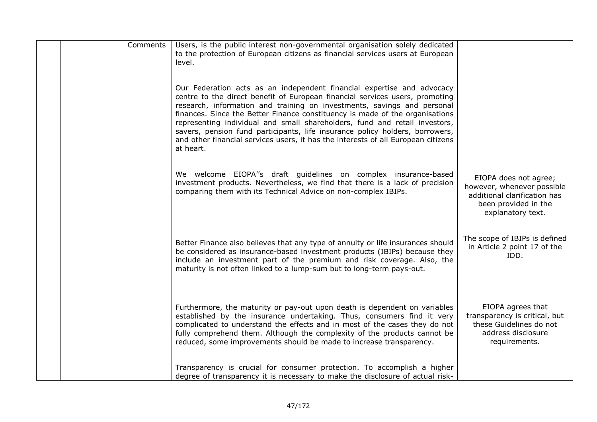|  | Comments | Users, is the public interest non-governmental organisation solely dedicated<br>to the protection of European citizens as financial services users at European<br>level.                                                                                                                                                                                                                                                                                                                                                                                                          |                                                                                                                                  |
|--|----------|-----------------------------------------------------------------------------------------------------------------------------------------------------------------------------------------------------------------------------------------------------------------------------------------------------------------------------------------------------------------------------------------------------------------------------------------------------------------------------------------------------------------------------------------------------------------------------------|----------------------------------------------------------------------------------------------------------------------------------|
|  |          | Our Federation acts as an independent financial expertise and advocacy<br>centre to the direct benefit of European financial services users, promoting<br>research, information and training on investments, savings and personal<br>finances. Since the Better Finance constituency is made of the organisations<br>representing individual and small shareholders, fund and retail investors,<br>savers, pension fund participants, life insurance policy holders, borrowers,<br>and other financial services users, it has the interests of all European citizens<br>at heart. |                                                                                                                                  |
|  |          | We welcome EIOPA"s draft guidelines on complex insurance-based<br>investment products. Nevertheless, we find that there is a lack of precision<br>comparing them with its Technical Advice on non-complex IBIPs.                                                                                                                                                                                                                                                                                                                                                                  | EIOPA does not agree;<br>however, whenever possible<br>additional clarification has<br>been provided in the<br>explanatory text. |
|  |          | Better Finance also believes that any type of annuity or life insurances should<br>be considered as insurance-based investment products (IBIPs) because they<br>include an investment part of the premium and risk coverage. Also, the<br>maturity is not often linked to a lump-sum but to long-term pays-out.                                                                                                                                                                                                                                                                   | The scope of IBIPs is defined<br>in Article 2 point 17 of the<br>IDD.                                                            |
|  |          | Furthermore, the maturity or pay-out upon death is dependent on variables<br>established by the insurance undertaking. Thus, consumers find it very<br>complicated to understand the effects and in most of the cases they do not<br>fully comprehend them. Although the complexity of the products cannot be<br>reduced, some improvements should be made to increase transparency.                                                                                                                                                                                              | EIOPA agrees that<br>transparency is critical, but<br>these Guidelines do not<br>address disclosure<br>requirements.             |
|  |          | Transparency is crucial for consumer protection. To accomplish a higher<br>degree of transparency it is necessary to make the disclosure of actual risk-                                                                                                                                                                                                                                                                                                                                                                                                                          |                                                                                                                                  |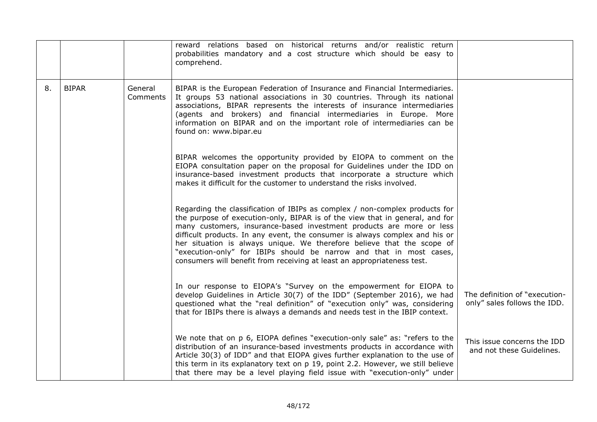|    |              |                     | reward relations based on historical returns and/or realistic return<br>probabilities mandatory and a cost structure which should be easy to<br>comprehend.                                                                                                                                                                                                                                                                                                                                                                                    |                                                               |
|----|--------------|---------------------|------------------------------------------------------------------------------------------------------------------------------------------------------------------------------------------------------------------------------------------------------------------------------------------------------------------------------------------------------------------------------------------------------------------------------------------------------------------------------------------------------------------------------------------------|---------------------------------------------------------------|
| 8. | <b>BIPAR</b> | General<br>Comments | BIPAR is the European Federation of Insurance and Financial Intermediaries.<br>It groups 53 national associations in 30 countries. Through its national<br>associations, BIPAR represents the interests of insurance intermediaries<br>(agents and brokers) and financial intermediaries in Europe. More<br>information on BIPAR and on the important role of intermediaries can be<br>found on: www.bipar.eu                                                                                                                                  |                                                               |
|    |              |                     | BIPAR welcomes the opportunity provided by EIOPA to comment on the<br>EIOPA consultation paper on the proposal for Guidelines under the IDD on<br>insurance-based investment products that incorporate a structure which<br>makes it difficult for the customer to understand the risks involved.                                                                                                                                                                                                                                              |                                                               |
|    |              |                     | Regarding the classification of IBIPs as complex / non-complex products for<br>the purpose of execution-only, BIPAR is of the view that in general, and for<br>many customers, insurance-based investment products are more or less<br>difficult products. In any event, the consumer is always complex and his or<br>her situation is always unique. We therefore believe that the scope of<br>"execution-only" for IBIPs should be narrow and that in most cases,<br>consumers will benefit from receiving at least an appropriateness test. |                                                               |
|    |              |                     | In our response to EIOPA's "Survey on the empowerment for EIOPA to<br>develop Guidelines in Article 30(7) of the IDD" (September 2016), we had<br>questioned what the "real definition" of "execution only" was, considering<br>that for IBIPs there is always a demands and needs test in the IBIP context.                                                                                                                                                                                                                                   | The definition of "execution-<br>only" sales follows the IDD. |
|    |              |                     | We note that on p 6, EIOPA defines "execution-only sale" as: "refers to the<br>distribution of an insurance-based investments products in accordance with<br>Article 30(3) of IDD" and that EIOPA gives further explanation to the use of<br>this term in its explanatory text on p 19, point 2.2. However, we still believe<br>that there may be a level playing field issue with "execution-only" under                                                                                                                                      | This issue concerns the IDD<br>and not these Guidelines.      |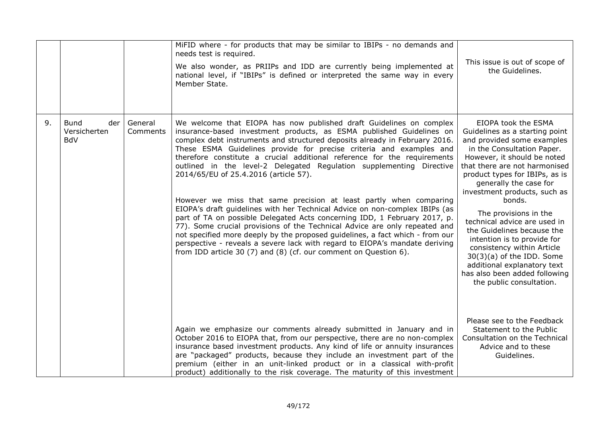|    |                                                  |                     | MiFID where - for products that may be similar to IBIPs - no demands and<br>needs test is required.<br>We also wonder, as PRIIPs and IDD are currently being implemented at<br>national level, if "IBIPs" is defined or interpreted the same way in every<br>Member State.                                                                                                                                                                                                                                                                                                                                                                                                                                                                                                                                                                                                                                                                                                                                                                        | This issue is out of scope of<br>the Guidelines.                                                                                                                                                                                                                                                                                                                                                                                                                                                                                                                     |
|----|--------------------------------------------------|---------------------|---------------------------------------------------------------------------------------------------------------------------------------------------------------------------------------------------------------------------------------------------------------------------------------------------------------------------------------------------------------------------------------------------------------------------------------------------------------------------------------------------------------------------------------------------------------------------------------------------------------------------------------------------------------------------------------------------------------------------------------------------------------------------------------------------------------------------------------------------------------------------------------------------------------------------------------------------------------------------------------------------------------------------------------------------|----------------------------------------------------------------------------------------------------------------------------------------------------------------------------------------------------------------------------------------------------------------------------------------------------------------------------------------------------------------------------------------------------------------------------------------------------------------------------------------------------------------------------------------------------------------------|
| 9. | <b>Bund</b><br>der<br>Versicherten<br><b>BdV</b> | General<br>Comments | We welcome that EIOPA has now published draft Guidelines on complex<br>insurance-based investment products, as ESMA published Guidelines on<br>complex debt instruments and structured deposits already in February 2016.<br>These ESMA Guidelines provide for precise criteria and examples and<br>therefore constitute a crucial additional reference for the requirements<br>outlined in the level-2 Delegated Regulation supplementing Directive<br>2014/65/EU of 25.4.2016 (article 57).<br>However we miss that same precision at least partly when comparing<br>EIOPA's draft guidelines with her Technical Advice on non-complex IBIPs (as<br>part of TA on possible Delegated Acts concerning IDD, 1 February 2017, p.<br>77). Some crucial provisions of the Technical Advice are only repeated and<br>not specified more deeply by the proposed guidelines, a fact which - from our<br>perspective - reveals a severe lack with regard to EIOPA's mandate deriving<br>from IDD article 30 (7) and (8) (cf. our comment on Question 6). | EIOPA took the ESMA<br>Guidelines as a starting point<br>and provided some examples<br>in the Consultation Paper.<br>However, it should be noted<br>that there are not harmonised<br>product types for IBIPs, as is<br>generally the case for<br>investment products, such as<br>bonds.<br>The provisions in the<br>technical advice are used in<br>the Guidelines because the<br>intention is to provide for<br>consistency within Article<br>30(3)(a) of the IDD. Some<br>additional explanatory text<br>has also been added following<br>the public consultation. |
|    |                                                  |                     | Again we emphasize our comments already submitted in January and in<br>October 2016 to EIOPA that, from our perspective, there are no non-complex<br>insurance based investment products. Any kind of life or annuity insurances<br>are "packaged" products, because they include an investment part of the<br>premium (either in an unit-linked product or in a classical with-profit<br>product) additionally to the risk coverage. The maturity of this investment                                                                                                                                                                                                                                                                                                                                                                                                                                                                                                                                                                             | Please see to the Feedback<br>Statement to the Public<br>Consultation on the Technical<br>Advice and to these<br>Guidelines.                                                                                                                                                                                                                                                                                                                                                                                                                                         |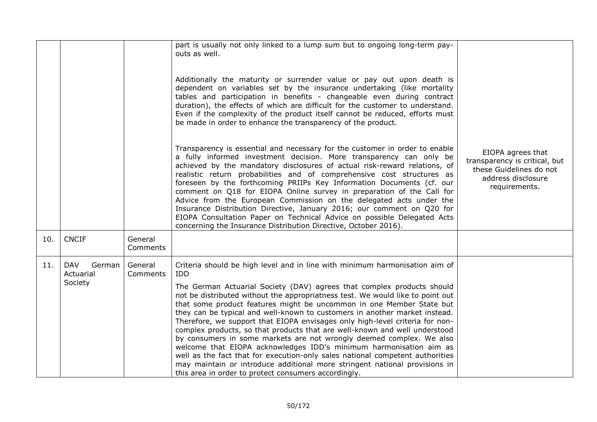|     |                                              |                     | part is usually not only linked to a lump sum but to ongoing long-term pay-<br>outs as well.                                                                                                                                                                                                                                                                                                                                                                                                                                                                                                                                                                                                                                                                                                                                                                                                                                            |                                                                                                                      |
|-----|----------------------------------------------|---------------------|-----------------------------------------------------------------------------------------------------------------------------------------------------------------------------------------------------------------------------------------------------------------------------------------------------------------------------------------------------------------------------------------------------------------------------------------------------------------------------------------------------------------------------------------------------------------------------------------------------------------------------------------------------------------------------------------------------------------------------------------------------------------------------------------------------------------------------------------------------------------------------------------------------------------------------------------|----------------------------------------------------------------------------------------------------------------------|
|     |                                              |                     | Additionally the maturity or surrender value or pay out upon death is<br>dependent on variables set by the insurance undertaking (like mortality<br>tables and participation in benefits - changeable even during contract<br>duration), the effects of which are difficult for the customer to understand.<br>Even if the complexity of the product itself cannot be reduced, efforts must<br>be made in order to enhance the transparency of the product.                                                                                                                                                                                                                                                                                                                                                                                                                                                                             |                                                                                                                      |
|     |                                              |                     | Transparency is essential and necessary for the customer in order to enable<br>a fully informed investment decision. More transparency can only be<br>achieved by the mandatory disclosures of actual risk-reward relations, of<br>realistic return probabilities and of comprehensive cost structures as<br>foreseen by the forthcoming PRIIPs Key Information Documents (cf. our<br>comment on Q18 for EIOPA Online survey in preparation of the Call for<br>Advice from the European Commission on the delegated acts under the<br>Insurance Distribution Directive, January 2016; our comment on Q20 for<br>EIOPA Consultation Paper on Technical Advice on possible Delegated Acts<br>concerning the Insurance Distribution Directive, October 2016).                                                                                                                                                                              | EIOPA agrees that<br>transparency is critical, but<br>these Guidelines do not<br>address disclosure<br>requirements. |
| 10. | <b>CNCIF</b>                                 | General<br>Comments |                                                                                                                                                                                                                                                                                                                                                                                                                                                                                                                                                                                                                                                                                                                                                                                                                                                                                                                                         |                                                                                                                      |
| 11. | <b>DAV</b><br>German<br>Actuarial<br>Society | General<br>Comments | Criteria should be high level and in line with minimum harmonisation aim of<br>IDD<br>The German Actuarial Society (DAV) agrees that complex products should<br>not be distributed without the appropriatness test. We would like to point out<br>that some product features might be uncommon in one Member State but<br>they can be typical and well-known to customers in another market instead.<br>Therefore, we support that EIOPA envisages only high-level criteria for non-<br>complex products, so that products that are well-known and well understood<br>by consumers in some markets are not wrongly deemed complex. We also<br>welcome that EIOPA acknowledges IDD's minimum harmonisation aim as<br>well as the fact that for execution-only sales national competent authorities<br>may maintain or introduce additional more stringent national provisions in<br>this area in order to protect consumers accordingly. |                                                                                                                      |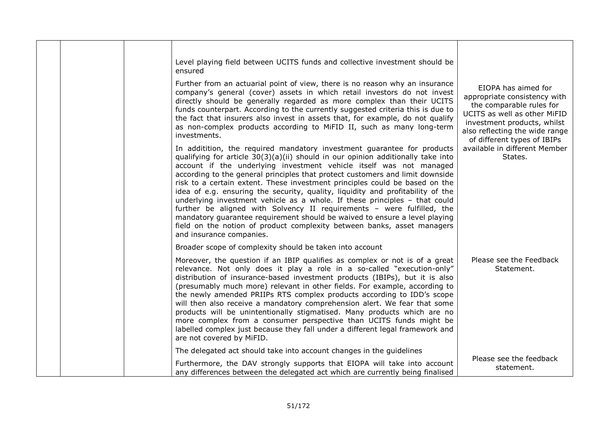|  | Level playing field between UCITS funds and collective investment should be<br>ensured<br>Further from an actuarial point of view, there is no reason why an insurance<br>company's general (cover) assets in which retail investors do not invest<br>directly should be generally regarded as more complex than their UCITS<br>funds counterpart. According to the currently suggested criteria this is due to<br>the fact that insurers also invest in assets that, for example, do not qualify<br>as non-complex products according to MiFID II, such as many long-term<br>investments.<br>In additition, the required mandatory investment guarantee for products<br>qualifying for article $30(3)(a)(ii)$ should in our opinion additionally take into<br>account if the underlying investment vehicle itself was not managed<br>according to the general principles that protect customers and limit downside<br>risk to a certain extent. These investment principles could be based on the<br>idea of e.g. ensuring the security, quality, liquidity and profitability of the<br>underlying investment vehicle as a whole. If these principles - that could<br>further be aligned with Solvency II requirements - were fulfilled, the<br>mandatory guarantee requirement should be waived to ensure a level playing<br>field on the notion of product complexity between banks, asset managers<br>and insurance companies. | EIOPA has aimed for<br>appropriate consistency with<br>the comparable rules for<br>UCITS as well as other MiFID<br>investment products, whilst<br>also reflecting the wide range<br>of different types of IBIPs<br>available in different Member<br>States. |
|--|------------------------------------------------------------------------------------------------------------------------------------------------------------------------------------------------------------------------------------------------------------------------------------------------------------------------------------------------------------------------------------------------------------------------------------------------------------------------------------------------------------------------------------------------------------------------------------------------------------------------------------------------------------------------------------------------------------------------------------------------------------------------------------------------------------------------------------------------------------------------------------------------------------------------------------------------------------------------------------------------------------------------------------------------------------------------------------------------------------------------------------------------------------------------------------------------------------------------------------------------------------------------------------------------------------------------------------------------------------------------------------------------------------------------------------|-------------------------------------------------------------------------------------------------------------------------------------------------------------------------------------------------------------------------------------------------------------|
|  | Broader scope of complexity should be taken into account                                                                                                                                                                                                                                                                                                                                                                                                                                                                                                                                                                                                                                                                                                                                                                                                                                                                                                                                                                                                                                                                                                                                                                                                                                                                                                                                                                           |                                                                                                                                                                                                                                                             |
|  | Moreover, the question if an IBIP qualifies as complex or not is of a great<br>relevance. Not only does it play a role in a so-called "execution-only"<br>distribution of insurance-based investment products (IBIPs), but it is also<br>(presumably much more) relevant in other fields. For example, according to<br>the newly amended PRIIPs RTS complex products according to IDD's scope<br>will then also receive a mandatory comprehension alert. We fear that some<br>products will be unintentionally stigmatised. Many products which are no<br>more complex from a consumer perspective than UCITS funds might be<br>labelled complex just because they fall under a different legal framework and<br>are not covered by MiFID.                                                                                                                                                                                                                                                                                                                                                                                                                                                                                                                                                                                                                                                                                         | Please see the Feedback<br>Statement.                                                                                                                                                                                                                       |
|  | The delegated act should take into account changes in the guidelines<br>Furthermore, the DAV strongly supports that EIOPA will take into account                                                                                                                                                                                                                                                                                                                                                                                                                                                                                                                                                                                                                                                                                                                                                                                                                                                                                                                                                                                                                                                                                                                                                                                                                                                                                   | Please see the feedback                                                                                                                                                                                                                                     |
|  | any differences between the delegated act which are currently being finalised                                                                                                                                                                                                                                                                                                                                                                                                                                                                                                                                                                                                                                                                                                                                                                                                                                                                                                                                                                                                                                                                                                                                                                                                                                                                                                                                                      | statement.                                                                                                                                                                                                                                                  |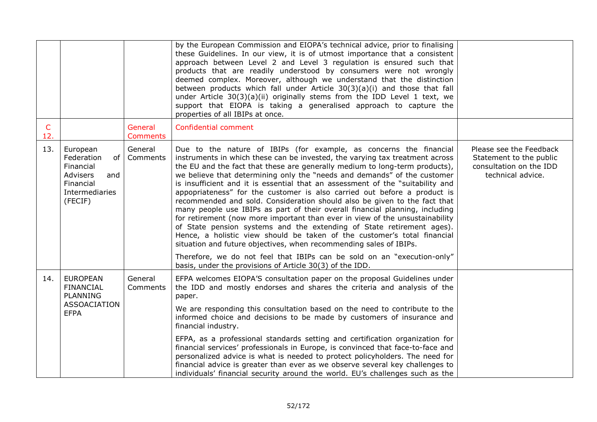|                     |                                                                                                        |                            | by the European Commission and EIOPA's technical advice, prior to finalising<br>these Guidelines. In our view, it is of utmost importance that a consistent<br>approach between Level 2 and Level 3 regulation is ensured such that<br>products that are readily understood by consumers were not wrongly<br>deemed complex. Moreover, although we understand that the distinction<br>between products which fall under Article $30(3)(a)(i)$ and those that fall<br>under Article $30(3)(a)(ii)$ originally stems from the IDD Level 1 text, we<br>support that EIOPA is taking a generalised approach to capture the<br>properties of all IBIPs at once.                                                                                                                                                                                                                                                                                                                                                                                                                                 |                                                                                                    |
|---------------------|--------------------------------------------------------------------------------------------------------|----------------------------|--------------------------------------------------------------------------------------------------------------------------------------------------------------------------------------------------------------------------------------------------------------------------------------------------------------------------------------------------------------------------------------------------------------------------------------------------------------------------------------------------------------------------------------------------------------------------------------------------------------------------------------------------------------------------------------------------------------------------------------------------------------------------------------------------------------------------------------------------------------------------------------------------------------------------------------------------------------------------------------------------------------------------------------------------------------------------------------------|----------------------------------------------------------------------------------------------------|
| $\mathsf{C}$<br>12. |                                                                                                        | General<br><b>Comments</b> | Confidential comment                                                                                                                                                                                                                                                                                                                                                                                                                                                                                                                                                                                                                                                                                                                                                                                                                                                                                                                                                                                                                                                                       |                                                                                                    |
| 13.                 | European<br>Federation<br>of<br>Financial<br>Advisers<br>and<br>Financial<br>Intermediaries<br>(FECIF) | General<br>Comments        | Due to the nature of IBIPs (for example, as concerns the financial<br>instruments in which these can be invested, the varying tax treatment across<br>the EU and the fact that these are generally medium to long-term products),<br>we believe that determining only the "needs and demands" of the customer<br>is insufficient and it is essential that an assessment of the "suitability and<br>appopriateness" for the customer is also carried out before a product is<br>recommended and sold. Consideration should also be given to the fact that<br>many people use IBIPs as part of their overall financial planning, including<br>for retirement (now more important than ever in view of the unsustainability<br>of State pension systems and the extending of State retirement ages).<br>Hence, a holistic view should be taken of the customer's total financial<br>situation and future objectives, when recommending sales of IBIPs.<br>Therefore, we do not feel that IBIPs can be sold on an "execution-only"<br>basis, under the provisions of Article 30(3) of the IDD. | Please see the Feedback<br>Statement to the public<br>consultation on the IDD<br>technical advice. |
| 14.                 | <b>EUROPEAN</b><br><b>FINANCIAL</b><br><b>PLANNING</b><br><b>ASSOACIATION</b><br><b>EFPA</b>           | General<br>Comments        | EFPA welcomes EIOPA'S consultation paper on the proposal Guidelines under<br>the IDD and mostly endorses and shares the criteria and analysis of the<br>paper.<br>We are responding this consultation based on the need to contribute to the<br>informed choice and decisions to be made by customers of insurance and<br>financial industry.                                                                                                                                                                                                                                                                                                                                                                                                                                                                                                                                                                                                                                                                                                                                              |                                                                                                    |
|                     |                                                                                                        |                            | EFPA, as a professional standards setting and certification organization for<br>financial services' professionals in Europe, is convinced that face-to-face and<br>personalized advice is what is needed to protect policyholders. The need for<br>financial advice is greater than ever as we observe several key challenges to<br>individuals' financial security around the world. EU's challenges such as the                                                                                                                                                                                                                                                                                                                                                                                                                                                                                                                                                                                                                                                                          |                                                                                                    |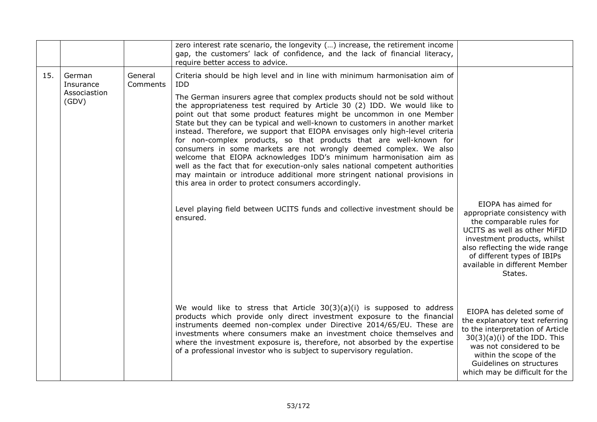|     |                                              |                     | zero interest rate scenario, the longevity () increase, the retirement income<br>gap, the customers' lack of confidence, and the lack of financial literacy,<br>require better access to advice.                                                                                                                                                                                                                                                                                                                                                                                                                                                                                                                                                                                                                                                                                                                             |                                                                                                                                                                                                                                                             |
|-----|----------------------------------------------|---------------------|------------------------------------------------------------------------------------------------------------------------------------------------------------------------------------------------------------------------------------------------------------------------------------------------------------------------------------------------------------------------------------------------------------------------------------------------------------------------------------------------------------------------------------------------------------------------------------------------------------------------------------------------------------------------------------------------------------------------------------------------------------------------------------------------------------------------------------------------------------------------------------------------------------------------------|-------------------------------------------------------------------------------------------------------------------------------------------------------------------------------------------------------------------------------------------------------------|
| 15. | German<br>Insurance<br>Associastion<br>(GDV) | General<br>Comments | Criteria should be high level and in line with minimum harmonisation aim of<br>IDD<br>The German insurers agree that complex products should not be sold without<br>the appropriateness test required by Article 30 (2) IDD. We would like to<br>point out that some product features might be uncommon in one Member<br>State but they can be typical and well-known to customers in another market<br>instead. Therefore, we support that EIOPA envisages only high-level criteria<br>for non-complex products, so that products that are well-known for<br>consumers in some markets are not wrongly deemed complex. We also<br>welcome that EIOPA acknowledges IDD's minimum harmonisation aim as<br>well as the fact that for execution-only sales national competent authorities<br>may maintain or introduce additional more stringent national provisions in<br>this area in order to protect consumers accordingly. |                                                                                                                                                                                                                                                             |
|     |                                              |                     | Level playing field between UCITS funds and collective investment should be<br>ensured.                                                                                                                                                                                                                                                                                                                                                                                                                                                                                                                                                                                                                                                                                                                                                                                                                                      | EIOPA has aimed for<br>appropriate consistency with<br>the comparable rules for<br>UCITS as well as other MiFID<br>investment products, whilst<br>also reflecting the wide range<br>of different types of IBIPs<br>available in different Member<br>States. |
|     |                                              |                     | We would like to stress that Article $30(3)(a)(i)$ is supposed to address<br>products which provide only direct investment exposure to the financial<br>instruments deemed non-complex under Directive 2014/65/EU. These are<br>investments where consumers make an investment choice themselves and<br>where the investment exposure is, therefore, not absorbed by the expertise<br>of a professional investor who is subject to supervisory regulation.                                                                                                                                                                                                                                                                                                                                                                                                                                                                   | EIOPA has deleted some of<br>the explanatory text referring<br>to the interpretation of Article<br>$30(3)(a)(i)$ of the IDD. This<br>was not considered to be<br>within the scope of the<br>Guidelines on structures<br>which may be difficult for the      |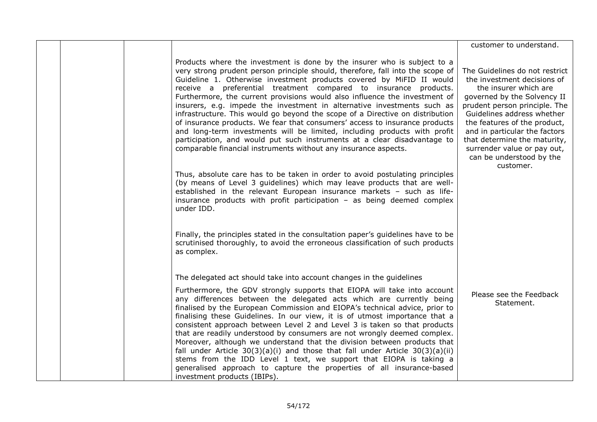|                                                                                                                                                                                                                                                                                                                                                                                                                                                                                                                                                                                                                                                                                                                                                                                                                                                             | customer to understand.                                                                                                                                                                                                                                                                                                                                       |
|-------------------------------------------------------------------------------------------------------------------------------------------------------------------------------------------------------------------------------------------------------------------------------------------------------------------------------------------------------------------------------------------------------------------------------------------------------------------------------------------------------------------------------------------------------------------------------------------------------------------------------------------------------------------------------------------------------------------------------------------------------------------------------------------------------------------------------------------------------------|---------------------------------------------------------------------------------------------------------------------------------------------------------------------------------------------------------------------------------------------------------------------------------------------------------------------------------------------------------------|
| Products where the investment is done by the insurer who is subject to a<br>very strong prudent person principle should, therefore, fall into the scope of<br>Guideline 1. Otherwise investment products covered by MiFID II would<br>receive a preferential treatment compared to insurance products.<br>Furthermore, the current provisions would also influence the investment of<br>insurers, e.g. impede the investment in alternative investments such as<br>infrastructure. This would go beyond the scope of a Directive on distribution<br>of insurance products. We fear that consumers' access to insurance products<br>and long-term investments will be limited, including products with profit<br>participation, and would put such instruments at a clear disadvantage to<br>comparable financial instruments without any insurance aspects. | The Guidelines do not restrict<br>the investment decisions of<br>the insurer which are<br>governed by the Solvency II<br>prudent person principle. The<br>Guidelines address whether<br>the features of the product,<br>and in particular the factors<br>that determine the maturity,<br>surrender value or pay out,<br>can be understood by the<br>customer. |
| Thus, absolute care has to be taken in order to avoid postulating principles<br>(by means of Level 3 guidelines) which may leave products that are well-<br>established in the relevant European insurance markets - such as life-<br>insurance products with profit participation - as being deemed complex<br>under IDD.                                                                                                                                                                                                                                                                                                                                                                                                                                                                                                                                  |                                                                                                                                                                                                                                                                                                                                                               |
| Finally, the principles stated in the consultation paper's guidelines have to be<br>scrutinised thoroughly, to avoid the erroneous classification of such products<br>as complex.                                                                                                                                                                                                                                                                                                                                                                                                                                                                                                                                                                                                                                                                           |                                                                                                                                                                                                                                                                                                                                                               |
| The delegated act should take into account changes in the guidelines                                                                                                                                                                                                                                                                                                                                                                                                                                                                                                                                                                                                                                                                                                                                                                                        |                                                                                                                                                                                                                                                                                                                                                               |
| Furthermore, the GDV strongly supports that EIOPA will take into account<br>any differences between the delegated acts which are currently being<br>finalised by the European Commission and EIOPA's technical advice, prior to<br>finalising these Guidelines. In our view, it is of utmost importance that a<br>consistent approach between Level 2 and Level 3 is taken so that products<br>that are readily understood by consumers are not wrongly deemed complex.<br>Moreover, although we understand that the division between products that<br>fall under Article $30(3)(a)(i)$ and those that fall under Article $30(3)(a)(ii)$<br>stems from the IDD Level 1 text, we support that EIOPA is taking a<br>generalised approach to capture the properties of all insurance-based<br>investment products (IBIPs).                                     | Please see the Feedback<br>Statement.                                                                                                                                                                                                                                                                                                                         |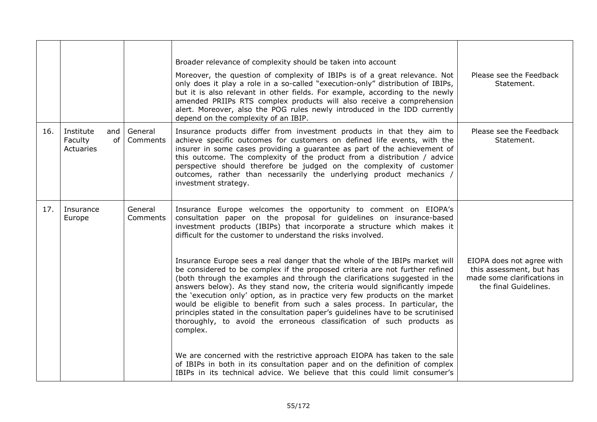|     |                                                |                     | Broader relevance of complexity should be taken into account<br>Moreover, the question of complexity of IBIPs is of a great relevance. Not<br>only does it play a role in a so-called "execution-only" distribution of IBIPs,<br>but it is also relevant in other fields. For example, according to the newly<br>amended PRIIPs RTS complex products will also receive a comprehension<br>alert. Moreover, also the POG rules newly introduced in the IDD currently<br>depend on the complexity of an IBIP.                                                                                                                                                  | Please see the Feedback<br>Statement.                                                                         |
|-----|------------------------------------------------|---------------------|--------------------------------------------------------------------------------------------------------------------------------------------------------------------------------------------------------------------------------------------------------------------------------------------------------------------------------------------------------------------------------------------------------------------------------------------------------------------------------------------------------------------------------------------------------------------------------------------------------------------------------------------------------------|---------------------------------------------------------------------------------------------------------------|
| 16. | Institute<br>and<br>of<br>Faculty<br>Actuaries | General<br>Comments | Insurance products differ from investment products in that they aim to<br>achieve specific outcomes for customers on defined life events, with the<br>insurer in some cases providing a guarantee as part of the achievement of<br>this outcome. The complexity of the product from a distribution / advice<br>perspective should therefore be judged on the complexity of customer<br>outcomes, rather than necessarily the underlying product mechanics /<br>investment strategy.                                                                                                                                                                          | Please see the Feedback<br>Statement.                                                                         |
| 17. | Insurance<br>Europe                            | General<br>Comments | Insurance Europe welcomes the opportunity to comment on EIOPA's<br>consultation paper on the proposal for guidelines on insurance-based<br>investment products (IBIPs) that incorporate a structure which makes it<br>difficult for the customer to understand the risks involved.                                                                                                                                                                                                                                                                                                                                                                           |                                                                                                               |
|     |                                                |                     | Insurance Europe sees a real danger that the whole of the IBIPs market will<br>be considered to be complex if the proposed criteria are not further refined<br>(both through the examples and through the clarifications suggested in the<br>answers below). As they stand now, the criteria would significantly impede<br>the 'execution only' option, as in practice very few products on the market<br>would be eligible to benefit from such a sales process. In particular, the<br>principles stated in the consultation paper's guidelines have to be scrutinised<br>thoroughly, to avoid the erroneous classification of such products as<br>complex. | EIOPA does not agree with<br>this assessment, but has<br>made some clarifications in<br>the final Guidelines. |
|     |                                                |                     | We are concerned with the restrictive approach EIOPA has taken to the sale<br>of IBIPs in both in its consultation paper and on the definition of complex<br>IBIPs in its technical advice. We believe that this could limit consumer's                                                                                                                                                                                                                                                                                                                                                                                                                      |                                                                                                               |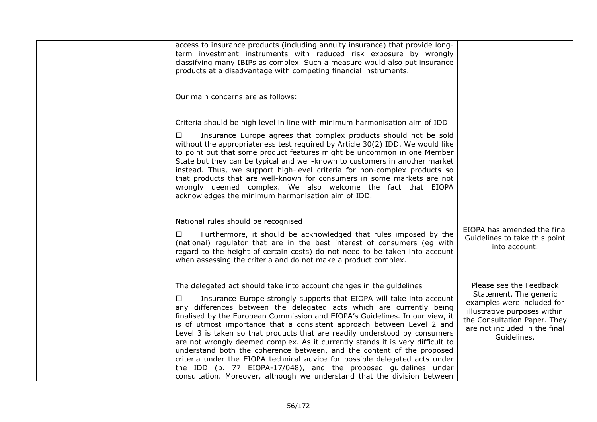|  | access to insurance products (including annuity insurance) that provide long-<br>term investment instruments with reduced risk exposure by wrongly<br>classifying many IBIPs as complex. Such a measure would also put insurance<br>products at a disadvantage with competing financial instruments.                                                                                                                                                                                                                                                                                                                                                                                                                                                                                                                                                         |                                                                                                                                                                                                 |
|--|--------------------------------------------------------------------------------------------------------------------------------------------------------------------------------------------------------------------------------------------------------------------------------------------------------------------------------------------------------------------------------------------------------------------------------------------------------------------------------------------------------------------------------------------------------------------------------------------------------------------------------------------------------------------------------------------------------------------------------------------------------------------------------------------------------------------------------------------------------------|-------------------------------------------------------------------------------------------------------------------------------------------------------------------------------------------------|
|  | Our main concerns are as follows:                                                                                                                                                                                                                                                                                                                                                                                                                                                                                                                                                                                                                                                                                                                                                                                                                            |                                                                                                                                                                                                 |
|  | Criteria should be high level in line with minimum harmonisation aim of IDD                                                                                                                                                                                                                                                                                                                                                                                                                                                                                                                                                                                                                                                                                                                                                                                  |                                                                                                                                                                                                 |
|  | Insurance Europe agrees that complex products should not be sold<br>□<br>without the appropriateness test required by Article 30(2) IDD. We would like<br>to point out that some product features might be uncommon in one Member<br>State but they can be typical and well-known to customers in another market<br>instead. Thus, we support high-level criteria for non-complex products so<br>that products that are well-known for consumers in some markets are not<br>wrongly deemed complex. We also welcome the fact that EIOPA<br>acknowledges the minimum harmonisation aim of IDD.                                                                                                                                                                                                                                                                |                                                                                                                                                                                                 |
|  | National rules should be recognised<br>Furthermore, it should be acknowledged that rules imposed by the<br>□<br>(national) regulator that are in the best interest of consumers (eg with<br>regard to the height of certain costs) do not need to be taken into account<br>when assessing the criteria and do not make a product complex.                                                                                                                                                                                                                                                                                                                                                                                                                                                                                                                    | EIOPA has amended the final<br>Guidelines to take this point<br>into account.                                                                                                                   |
|  | The delegated act should take into account changes in the guidelines<br>П.<br>Insurance Europe strongly supports that EIOPA will take into account<br>any differences between the delegated acts which are currently being<br>finalised by the European Commission and EIOPA's Guidelines. In our view, it<br>is of utmost importance that a consistent approach between Level 2 and<br>Level 3 is taken so that products that are readily understood by consumers<br>are not wrongly deemed complex. As it currently stands it is very difficult to<br>understand both the coherence between, and the content of the proposed<br>criteria under the EIOPA technical advice for possible delegated acts under<br>the IDD (p. 77 EIOPA-17/048), and the proposed guidelines under<br>consultation. Moreover, although we understand that the division between | Please see the Feedback<br>Statement. The generic<br>examples were included for<br>illustrative purposes within<br>the Consultation Paper. They<br>are not included in the final<br>Guidelines. |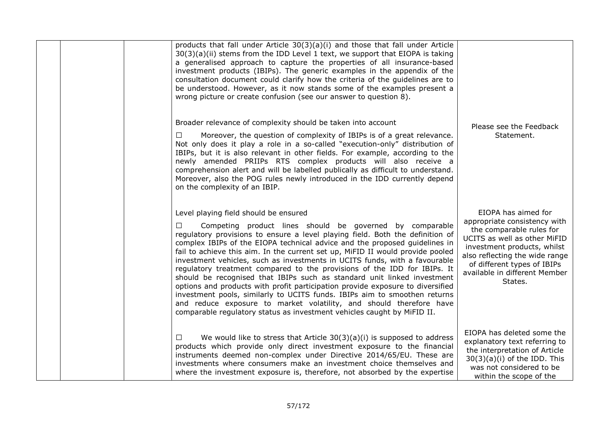|  | products that fall under Article $30(3)(a)(i)$ and those that fall under Article<br>30(3)(a)(ii) stems from the IDD Level 1 text, we support that EIOPA is taking<br>a generalised approach to capture the properties of all insurance-based<br>investment products (IBIPs). The generic examples in the appendix of the<br>consultation document could clarify how the criteria of the guidelines are to<br>be understood. However, as it now stands some of the examples present a<br>wrong picture or create confusion (see our answer to question 8).                                                                                                                                                                                                                                                                                                                                                     |                                                                                                                                                                                                                                                             |
|--|---------------------------------------------------------------------------------------------------------------------------------------------------------------------------------------------------------------------------------------------------------------------------------------------------------------------------------------------------------------------------------------------------------------------------------------------------------------------------------------------------------------------------------------------------------------------------------------------------------------------------------------------------------------------------------------------------------------------------------------------------------------------------------------------------------------------------------------------------------------------------------------------------------------|-------------------------------------------------------------------------------------------------------------------------------------------------------------------------------------------------------------------------------------------------------------|
|  | Broader relevance of complexity should be taken into account<br>Moreover, the question of complexity of IBIPs is of a great relevance.<br>$\Box$<br>Not only does it play a role in a so-called "execution-only" distribution of<br>IBIPs, but it is also relevant in other fields. For example, according to the<br>newly amended PRIIPs RTS complex products will also receive a<br>comprehension alert and will be labelled publically as difficult to understand.<br>Moreover, also the POG rules newly introduced in the IDD currently depend<br>on the complexity of an IBIP.                                                                                                                                                                                                                                                                                                                           | Please see the Feedback<br>Statement.                                                                                                                                                                                                                       |
|  | Level playing field should be ensured<br>Competing product lines should be governed by comparable<br>П<br>regulatory provisions to ensure a level playing field. Both the definition of<br>complex IBIPs of the EIOPA technical advice and the proposed guidelines in<br>fail to achieve this aim. In the current set up, MiFID II would provide pooled<br>investment vehicles, such as investments in UCITS funds, with a favourable<br>regulatory treatment compared to the provisions of the IDD for IBIPs. It<br>should be recognised that IBIPs such as standard unit linked investment<br>options and products with profit participation provide exposure to diversified<br>investment pools, similarly to UCITS funds. IBIPs aim to smoothen returns<br>and reduce exposure to market volatility, and should therefore have<br>comparable regulatory status as investment vehicles caught by MiFID II. | EIOPA has aimed for<br>appropriate consistency with<br>the comparable rules for<br>UCITS as well as other MiFID<br>investment products, whilst<br>also reflecting the wide range<br>of different types of IBIPs<br>available in different Member<br>States. |
|  | We would like to stress that Article $30(3)(a)(i)$ is supposed to address<br>$\Box$<br>products which provide only direct investment exposure to the financial<br>instruments deemed non-complex under Directive 2014/65/EU. These are<br>investments where consumers make an investment choice themselves and<br>where the investment exposure is, therefore, not absorbed by the expertise                                                                                                                                                                                                                                                                                                                                                                                                                                                                                                                  | EIOPA has deleted some the<br>explanatory text referring to<br>the interpretation of Article<br>$30(3)(a)(i)$ of the IDD. This<br>was not considered to be<br>within the scope of the                                                                       |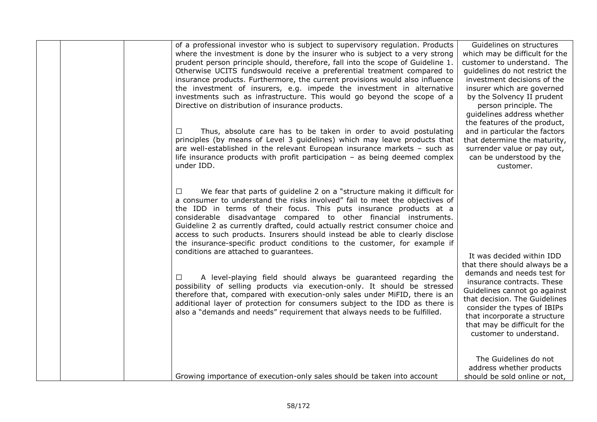| of a professional investor who is subject to supervisory regulation. Products<br>where the investment is done by the insurer who is subject to a very strong<br>prudent person principle should, therefore, fall into the scope of Guideline 1.<br>Otherwise UCITS fundswould receive a preferential treatment compared to<br>insurance products. Furthermore, the current provisions would also influence<br>the investment of insurers, e.g. impede the investment in alternative<br>investments such as infrastructure. This would go beyond the scope of a<br>Directive on distribution of insurance products.<br>Thus, absolute care has to be taken in order to avoid postulating<br>$\Box$<br>principles (by means of Level 3 guidelines) which may leave products that<br>are well-established in the relevant European insurance markets - such as<br>life insurance products with profit participation $-$ as being deemed complex<br>under IDD.                                             | Guidelines on structures<br>which may be difficult for the<br>customer to understand. The<br>quidelines do not restrict the<br>investment decisions of the<br>insurer which are governed<br>by the Solvency II prudent<br>person principle. The<br>quidelines address whether<br>the features of the product,<br>and in particular the factors<br>that determine the maturity,<br>surrender value or pay out,<br>can be understood by the<br>customer. |
|--------------------------------------------------------------------------------------------------------------------------------------------------------------------------------------------------------------------------------------------------------------------------------------------------------------------------------------------------------------------------------------------------------------------------------------------------------------------------------------------------------------------------------------------------------------------------------------------------------------------------------------------------------------------------------------------------------------------------------------------------------------------------------------------------------------------------------------------------------------------------------------------------------------------------------------------------------------------------------------------------------|--------------------------------------------------------------------------------------------------------------------------------------------------------------------------------------------------------------------------------------------------------------------------------------------------------------------------------------------------------------------------------------------------------------------------------------------------------|
| We fear that parts of guideline 2 on a "structure making it difficult for<br>$\Box$<br>a consumer to understand the risks involved" fail to meet the objectives of<br>the IDD in terms of their focus. This puts insurance products at a<br>considerable disadvantage compared to other financial instruments.<br>Guideline 2 as currently drafted, could actually restrict consumer choice and<br>access to such products. Insurers should instead be able to clearly disclose<br>the insurance-specific product conditions to the customer, for example if<br>conditions are attached to guarantees.<br>A level-playing field should always be guaranteed regarding the<br>П<br>possibility of selling products via execution-only. It should be stressed<br>therefore that, compared with execution-only sales under MiFID, there is an<br>additional layer of protection for consumers subject to the IDD as there is<br>also a "demands and needs" requirement that always needs to be fulfilled. | It was decided within IDD<br>that there should always be a<br>demands and needs test for<br>insurance contracts. These<br>Guidelines cannot go against<br>that decision. The Guidelines<br>consider the types of IBIPs<br>that incorporate a structure<br>that may be difficult for the<br>customer to understand.                                                                                                                                     |
| Growing importance of execution-only sales should be taken into account                                                                                                                                                                                                                                                                                                                                                                                                                                                                                                                                                                                                                                                                                                                                                                                                                                                                                                                                | The Guidelines do not<br>address whether products<br>should be sold online or not,                                                                                                                                                                                                                                                                                                                                                                     |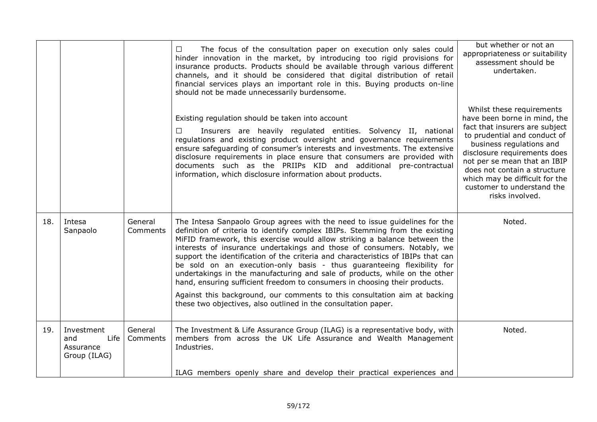|     |                                                        |                     | The focus of the consultation paper on execution only sales could<br>$\Box$<br>hinder innovation in the market, by introducing too rigid provisions for<br>insurance products. Products should be available through various different<br>channels, and it should be considered that digital distribution of retail<br>financial services plays an important role in this. Buying products on-line<br>should not be made unnecessarily burdensome.                                                                                                                                                                                                                                                                                                                                           | but whether or not an<br>appropriateness or suitability<br>assessment should be<br>undertaken.                                                                                                                                                                                                                                             |
|-----|--------------------------------------------------------|---------------------|---------------------------------------------------------------------------------------------------------------------------------------------------------------------------------------------------------------------------------------------------------------------------------------------------------------------------------------------------------------------------------------------------------------------------------------------------------------------------------------------------------------------------------------------------------------------------------------------------------------------------------------------------------------------------------------------------------------------------------------------------------------------------------------------|--------------------------------------------------------------------------------------------------------------------------------------------------------------------------------------------------------------------------------------------------------------------------------------------------------------------------------------------|
|     |                                                        |                     | Existing regulation should be taken into account<br>Insurers are heavily regulated entities. Solvency II, national<br>П.<br>regulations and existing product oversight and governance requirements<br>ensure safeguarding of consumer's interests and investments. The extensive<br>disclosure requirements in place ensure that consumers are provided with<br>documents such as the PRIIPs KID and additional pre-contractual<br>information, which disclosure information about products.                                                                                                                                                                                                                                                                                                | Whilst these requirements<br>have been borne in mind, the<br>fact that insurers are subject<br>to prudential and conduct of<br>business regulations and<br>disclosure requirements does<br>not per se mean that an IBIP<br>does not contain a structure<br>which may be difficult for the<br>customer to understand the<br>risks involved. |
| 18. | Intesa<br>Sanpaolo                                     | General<br>Comments | The Intesa Sanpaolo Group agrees with the need to issue guidelines for the<br>definition of criteria to identify complex IBIPs. Stemming from the existing<br>MiFID framework, this exercise would allow striking a balance between the<br>interests of insurance undertakings and those of consumers. Notably, we<br>support the identification of the criteria and characteristics of IBIPs that can<br>be sold on an execution-only basis - thus guaranteeing flexibility for<br>undertakings in the manufacturing and sale of products, while on the other<br>hand, ensuring sufficient freedom to consumers in choosing their products.<br>Against this background, our comments to this consultation aim at backing<br>these two objectives, also outlined in the consultation paper. | Noted.                                                                                                                                                                                                                                                                                                                                     |
| 19. | Investment<br>Life<br>and<br>Assurance<br>Group (ILAG) | General<br>Comments | The Investment & Life Assurance Group (ILAG) is a representative body, with<br>members from across the UK Life Assurance and Wealth Management<br>Industries.                                                                                                                                                                                                                                                                                                                                                                                                                                                                                                                                                                                                                               | Noted.                                                                                                                                                                                                                                                                                                                                     |
|     |                                                        |                     | ILAG members openly share and develop their practical experiences and                                                                                                                                                                                                                                                                                                                                                                                                                                                                                                                                                                                                                                                                                                                       |                                                                                                                                                                                                                                                                                                                                            |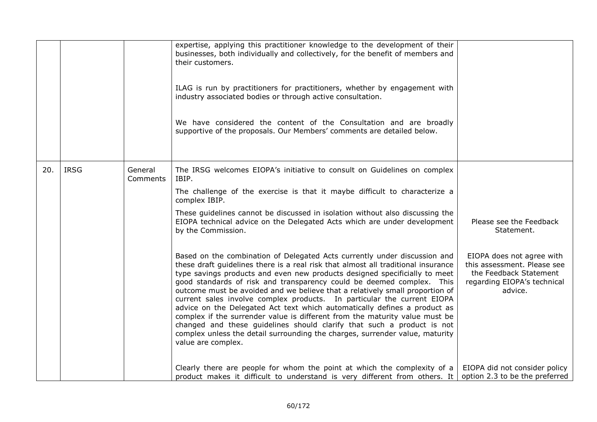|     |             |                     | expertise, applying this practitioner knowledge to the development of their<br>businesses, both individually and collectively, for the benefit of members and<br>their customers.<br>ILAG is run by practitioners for practitioners, whether by engagement with<br>industry associated bodies or through active consultation.                                                                                                                                                                                                                                                                                                                                                                                                                                                                                                                                                                                                                                                                                                                                                                                                                                                                       |                                                                                                                                                                       |
|-----|-------------|---------------------|-----------------------------------------------------------------------------------------------------------------------------------------------------------------------------------------------------------------------------------------------------------------------------------------------------------------------------------------------------------------------------------------------------------------------------------------------------------------------------------------------------------------------------------------------------------------------------------------------------------------------------------------------------------------------------------------------------------------------------------------------------------------------------------------------------------------------------------------------------------------------------------------------------------------------------------------------------------------------------------------------------------------------------------------------------------------------------------------------------------------------------------------------------------------------------------------------------|-----------------------------------------------------------------------------------------------------------------------------------------------------------------------|
|     |             |                     | We have considered the content of the Consultation and are broadly<br>supportive of the proposals. Our Members' comments are detailed below.                                                                                                                                                                                                                                                                                                                                                                                                                                                                                                                                                                                                                                                                                                                                                                                                                                                                                                                                                                                                                                                        |                                                                                                                                                                       |
| 20. | <b>IRSG</b> | General<br>Comments | The IRSG welcomes EIOPA's initiative to consult on Guidelines on complex<br>IBIP.<br>The challenge of the exercise is that it maybe difficult to characterize a<br>complex IBIP.<br>These guidelines cannot be discussed in isolation without also discussing the<br>EIOPA technical advice on the Delegated Acts which are under development<br>by the Commission.<br>Based on the combination of Delegated Acts currently under discussion and<br>these draft guidelines there is a real risk that almost all traditional insurance<br>type savings products and even new products designed specificially to meet<br>good standards of risk and transparency could be deemed complex. This<br>outcome must be avoided and we believe that a relatively small proportion of<br>current sales involve complex products. In particular the current EIOPA<br>advice on the Delegated Act text which automatically defines a product as<br>complex if the surrender value is different from the maturity value must be<br>changed and these guidelines should clarify that such a product is not<br>complex unless the detail surrounding the charges, surrender value, maturity<br>value are complex. | Please see the Feedback<br>Statement.<br>EIOPA does not agree with<br>this assessment. Please see<br>the Feedback Statement<br>regarding EIOPA's technical<br>advice. |
|     |             |                     | Clearly there are people for whom the point at which the complexity of a<br>product makes it difficult to understand is very different from others. It                                                                                                                                                                                                                                                                                                                                                                                                                                                                                                                                                                                                                                                                                                                                                                                                                                                                                                                                                                                                                                              | EIOPA did not consider policy<br>option 2.3 to be the preferred                                                                                                       |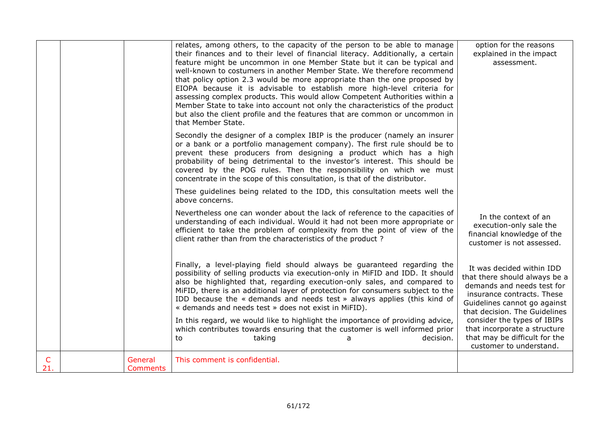|          |                            | relates, among others, to the capacity of the person to be able to manage<br>their finances and to their level of financial literacy. Additionally, a certain<br>feature might be uncommon in one Member State but it can be typical and<br>well-known to costumers in another Member State. We therefore recommend<br>that policy option 2.3 would be more appropriate than the one proposed by<br>EIOPA because it is advisable to establish more high-level criteria for<br>assessing complex products. This would allow Competent Authorities within a<br>Member State to take into account not only the characteristics of the product<br>but also the client profile and the features that are common or uncommon in<br>that Member State. | option for the reasons<br>explained in the impact<br>assessment.                                                                                                                        |
|----------|----------------------------|--------------------------------------------------------------------------------------------------------------------------------------------------------------------------------------------------------------------------------------------------------------------------------------------------------------------------------------------------------------------------------------------------------------------------------------------------------------------------------------------------------------------------------------------------------------------------------------------------------------------------------------------------------------------------------------------------------------------------------------------------|-----------------------------------------------------------------------------------------------------------------------------------------------------------------------------------------|
|          |                            | Secondly the designer of a complex IBIP is the producer (namely an insurer<br>or a bank or a portfolio management company). The first rule should be to<br>prevent these producers from designing a product which has a high<br>probability of being detrimental to the investor's interest. This should be<br>covered by the POG rules. Then the responsibility on which we must<br>concentrate in the scope of this consultation, is that of the distributor.                                                                                                                                                                                                                                                                                  |                                                                                                                                                                                         |
|          |                            | These guidelines being related to the IDD, this consultation meets well the<br>above concerns.                                                                                                                                                                                                                                                                                                                                                                                                                                                                                                                                                                                                                                                   |                                                                                                                                                                                         |
|          |                            | Nevertheless one can wonder about the lack of reference to the capacities of<br>understanding of each individual. Would it had not been more appropriate or<br>efficient to take the problem of complexity from the point of view of the<br>client rather than from the characteristics of the product?                                                                                                                                                                                                                                                                                                                                                                                                                                          | In the context of an<br>execution-only sale the<br>financial knowledge of the<br>customer is not assessed.                                                                              |
|          |                            | Finally, a level-playing field should always be guaranteed regarding the<br>possibility of selling products via execution-only in MiFID and IDD. It should<br>also be highlighted that, regarding execution-only sales, and compared to<br>MiFID, there is an additional layer of protection for consumers subject to the<br>IDD because the « demands and needs test » always applies (this kind of<br>« demands and needs test » does not exist in MiFID).                                                                                                                                                                                                                                                                                     | It was decided within IDD<br>that there should always be a<br>demands and needs test for<br>insurance contracts. These<br>Guidelines cannot go against<br>that decision. The Guidelines |
|          |                            | In this regard, we would like to highlight the importance of providing advice,<br>which contributes towards ensuring that the customer is well informed prior<br>taking<br>decision.<br>to<br>a                                                                                                                                                                                                                                                                                                                                                                                                                                                                                                                                                  | consider the types of IBIPs<br>that incorporate a structure<br>that may be difficult for the<br>customer to understand.                                                                 |
| C<br>21. | General<br><b>Comments</b> | This comment is confidential.                                                                                                                                                                                                                                                                                                                                                                                                                                                                                                                                                                                                                                                                                                                    |                                                                                                                                                                                         |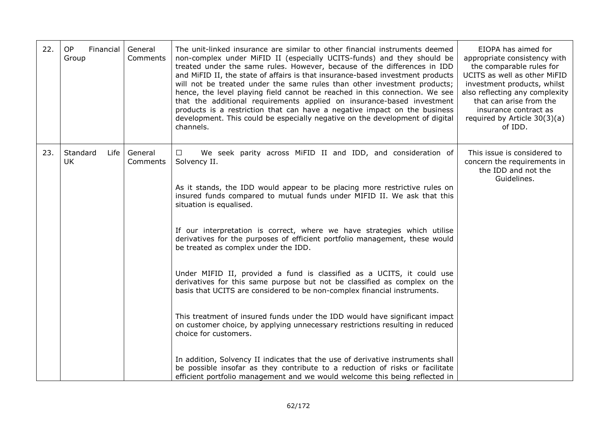| 22. | <b>OP</b><br>Financial<br>Group | General<br>Comments | The unit-linked insurance are similar to other financial instruments deemed<br>non-complex under MiFID II (especially UCITS-funds) and they should be<br>treated under the same rules. However, because of the differences in IDD<br>and MiFID II, the state of affairs is that insurance-based investment products<br>will not be treated under the same rules than other investment products;<br>hence, the level playing field cannot be reached in this connection. We see<br>that the additional requirements applied on insurance-based investment<br>products is a restriction that can have a negative impact on the business<br>development. This could be especially negative on the development of digital<br>channels.                                                                                                                                                                        | EIOPA has aimed for<br>appropriate consistency with<br>the comparable rules for<br>UCITS as well as other MiFID<br>investment products, whilst<br>also reflecting any complexity<br>that can arise from the<br>insurance contract as<br>required by Article 30(3)(a)<br>of IDD. |
|-----|---------------------------------|---------------------|-----------------------------------------------------------------------------------------------------------------------------------------------------------------------------------------------------------------------------------------------------------------------------------------------------------------------------------------------------------------------------------------------------------------------------------------------------------------------------------------------------------------------------------------------------------------------------------------------------------------------------------------------------------------------------------------------------------------------------------------------------------------------------------------------------------------------------------------------------------------------------------------------------------|---------------------------------------------------------------------------------------------------------------------------------------------------------------------------------------------------------------------------------------------------------------------------------|
| 23. | Standard<br>Life<br><b>UK</b>   | General<br>Comments | We seek parity across MiFID II and IDD, and consideration of<br>$\Box$<br>Solvency II.<br>As it stands, the IDD would appear to be placing more restrictive rules on<br>insured funds compared to mutual funds under MIFID II. We ask that this<br>situation is equalised.<br>If our interpretation is correct, where we have strategies which utilise<br>derivatives for the purposes of efficient portfolio management, these would<br>be treated as complex under the IDD.<br>Under MIFID II, provided a fund is classified as a UCITS, it could use<br>derivatives for this same purpose but not be classified as complex on the<br>basis that UCITS are considered to be non-complex financial instruments.<br>This treatment of insured funds under the IDD would have significant impact<br>on customer choice, by applying unnecessary restrictions resulting in reduced<br>choice for customers. | This issue is considered to<br>concern the requirements in<br>the IDD and not the<br>Guidelines.                                                                                                                                                                                |
|     |                                 |                     | In addition, Solvency II indicates that the use of derivative instruments shall<br>be possible insofar as they contribute to a reduction of risks or facilitate<br>efficient portfolio management and we would welcome this being reflected in                                                                                                                                                                                                                                                                                                                                                                                                                                                                                                                                                                                                                                                            |                                                                                                                                                                                                                                                                                 |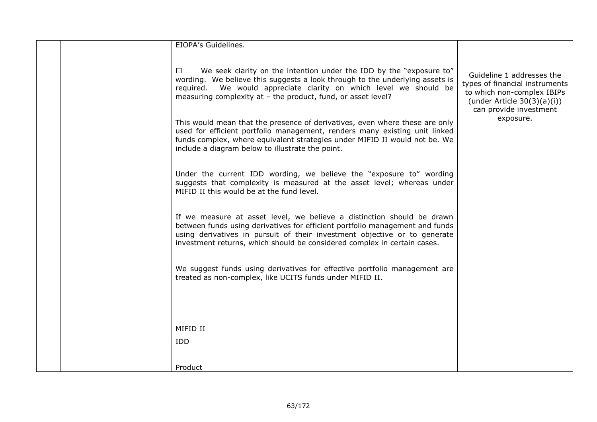|  | EIOPA's Guidelines.                                                                                                                                                                                                                                                                                             |                                                                                                                                                       |
|--|-----------------------------------------------------------------------------------------------------------------------------------------------------------------------------------------------------------------------------------------------------------------------------------------------------------------|-------------------------------------------------------------------------------------------------------------------------------------------------------|
|  | We seek clarity on the intention under the IDD by the "exposure to"<br>$\Box$<br>wording. We believe this suggests a look through to the underlying assets is<br>We would appreciate clarity on which level we should be<br>reguired.<br>measuring complexity at - the product, fund, or asset level?           | Guideline 1 addresses the<br>types of financial instruments<br>to which non-complex IBIPs<br>(under Article $30(3)(a)(i)$ )<br>can provide investment |
|  | This would mean that the presence of derivatives, even where these are only<br>used for efficient portfolio management, renders many existing unit linked<br>funds complex, where equivalent strategies under MIFID II would not be. We<br>include a diagram below to illustrate the point.                     | exposure.                                                                                                                                             |
|  | Under the current IDD wording, we believe the "exposure to" wording<br>suggests that complexity is measured at the asset level; whereas under<br>MIFID II this would be at the fund level.                                                                                                                      |                                                                                                                                                       |
|  | If we measure at asset level, we believe a distinction should be drawn<br>between funds using derivatives for efficient portfolio management and funds<br>using derivatives in pursuit of their investment objective or to generate<br>investment returns, which should be considered complex in certain cases. |                                                                                                                                                       |
|  | We suggest funds using derivatives for effective portfolio management are<br>treated as non-complex, like UCITS funds under MIFID II.                                                                                                                                                                           |                                                                                                                                                       |
|  | MIFID II<br><b>IDD</b>                                                                                                                                                                                                                                                                                          |                                                                                                                                                       |
|  | Product                                                                                                                                                                                                                                                                                                         |                                                                                                                                                       |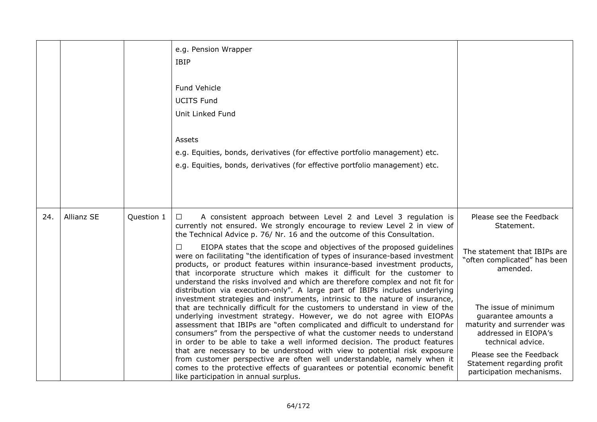|     |            |            | e.g. Pension Wrapper<br><b>IBIP</b>                                                                                                                                                                                                                                                                                                                                                                                                                                                                                                                                                                                                                                                                                                                                                                                                                                                                                                                                                                                                                                                                                                                                                                                                                                                                                                                                                                                                                                                           |                                                                                                                                                                                                                                                                                                                                   |
|-----|------------|------------|-----------------------------------------------------------------------------------------------------------------------------------------------------------------------------------------------------------------------------------------------------------------------------------------------------------------------------------------------------------------------------------------------------------------------------------------------------------------------------------------------------------------------------------------------------------------------------------------------------------------------------------------------------------------------------------------------------------------------------------------------------------------------------------------------------------------------------------------------------------------------------------------------------------------------------------------------------------------------------------------------------------------------------------------------------------------------------------------------------------------------------------------------------------------------------------------------------------------------------------------------------------------------------------------------------------------------------------------------------------------------------------------------------------------------------------------------------------------------------------------------|-----------------------------------------------------------------------------------------------------------------------------------------------------------------------------------------------------------------------------------------------------------------------------------------------------------------------------------|
|     |            |            | Fund Vehicle<br><b>UCITS Fund</b><br>Unit Linked Fund<br>Assets<br>e.g. Equities, bonds, derivatives (for effective portfolio management) etc.<br>e.g. Equities, bonds, derivatives (for effective portfolio management) etc.                                                                                                                                                                                                                                                                                                                                                                                                                                                                                                                                                                                                                                                                                                                                                                                                                                                                                                                                                                                                                                                                                                                                                                                                                                                                 |                                                                                                                                                                                                                                                                                                                                   |
| 24. | Allianz SE | Question 1 | A consistent approach between Level 2 and Level 3 regulation is<br>$\Box$<br>currently not ensured. We strongly encourage to review Level 2 in view of<br>the Technical Advice p. 76/ Nr. 16 and the outcome of this Consultation.<br>EIOPA states that the scope and objectives of the proposed guidelines<br>□<br>were on facilitating "the identification of types of insurance-based investment<br>products, or product features within insurance-based investment products,<br>that incorporate structure which makes it difficult for the customer to<br>understand the risks involved and which are therefore complex and not fit for<br>distribution via execution-only". A large part of IBIPs includes underlying<br>investment strategies and instruments, intrinsic to the nature of insurance,<br>that are technically difficult for the customers to understand in view of the<br>underlying investment strategy. However, we do not agree with EIOPAs<br>assessment that IBIPs are "often complicated and difficult to understand for<br>consumers" from the perspective of what the customer needs to understand<br>in order to be able to take a well informed decision. The product features<br>that are necessary to be understood with view to potential risk exposure<br>from customer perspective are often well understandable, namely when it<br>comes to the protective effects of guarantees or potential economic benefit<br>like participation in annual surplus. | Please see the Feedback<br>Statement.<br>The statement that IBIPs are<br>"often complicated" has been<br>amended.<br>The issue of minimum<br>guarantee amounts a<br>maturity and surrender was<br>addressed in EIOPA's<br>technical advice.<br>Please see the Feedback<br>Statement regarding profit<br>participation mechanisms. |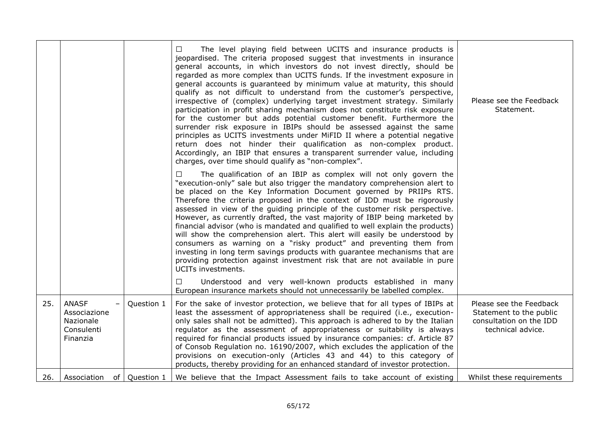|     |                                                                     |            | The level playing field between UCITS and insurance products is<br>$\Box$<br>jeopardised. The criteria proposed suggest that investments in insurance<br>general accounts, in which investors do not invest directly, should be<br>regarded as more complex than UCITS funds. If the investment exposure in<br>general accounts is guaranteed by minimum value at maturity, this should<br>qualify as not difficult to understand from the customer's perspective,<br>irrespective of (complex) underlying target investment strategy. Similarly<br>participation in profit sharing mechanism does not constitute risk exposure<br>for the customer but adds potential customer benefit. Furthermore the<br>surrender risk exposure in IBIPs should be assessed against the same<br>principles as UCITS investments under MiFID II where a potential negative<br>return does not hinder their qualification as non-complex product.<br>Accordingly, an IBIP that ensures a transparent surrender value, including<br>charges, over time should qualify as "non-complex". | Please see the Feedback<br>Statement.                                                              |
|-----|---------------------------------------------------------------------|------------|--------------------------------------------------------------------------------------------------------------------------------------------------------------------------------------------------------------------------------------------------------------------------------------------------------------------------------------------------------------------------------------------------------------------------------------------------------------------------------------------------------------------------------------------------------------------------------------------------------------------------------------------------------------------------------------------------------------------------------------------------------------------------------------------------------------------------------------------------------------------------------------------------------------------------------------------------------------------------------------------------------------------------------------------------------------------------|----------------------------------------------------------------------------------------------------|
|     |                                                                     |            | The qualification of an IBIP as complex will not only govern the<br>$\Box$<br>"execution-only" sale but also trigger the mandatory comprehension alert to<br>be placed on the Key Information Document governed by PRIIPs RTS.<br>Therefore the criteria proposed in the context of IDD must be rigorously<br>assessed in view of the guiding principle of the customer risk perspective.<br>However, as currently drafted, the vast majority of IBIP being marketed by<br>financial advisor (who is mandated and qualified to well explain the products)<br>will show the comprehension alert. This alert will easily be understood by<br>consumers as warning on a "risky product" and preventing them from<br>investing in long term savings products with guarantee mechanisms that are<br>providing protection against investment risk that are not available in pure<br>UCITs investments.<br>Understood and very well-known products established in many<br>$\Box$                                                                                                |                                                                                                    |
| 25. | <b>ANASF</b><br>Associazione<br>Nazionale<br>Consulenti<br>Finanzia | Question 1 | European insurance markets should not unnecessarily be labelled complex.<br>For the sake of investor protection, we believe that for all types of IBIPs at<br>least the assessment of appropriateness shall be required (i.e., execution-<br>only sales shall not be admitted). This approach is adhered to by the Italian<br>regulator as the assessment of appropriateness or suitability is always<br>required for financial products issued by insurance companies: cf. Article 87<br>of Consob Regulation no. 16190/2007, which excludes the application of the<br>provisions on execution-only (Articles 43 and 44) to this category of<br>products, thereby providing for an enhanced standard of investor protection.                                                                                                                                                                                                                                                                                                                                            | Please see the Feedback<br>Statement to the public<br>consultation on the IDD<br>technical advice. |
| 26. | Association of Question 1                                           |            | We believe that the Impact Assessment fails to take account of existing                                                                                                                                                                                                                                                                                                                                                                                                                                                                                                                                                                                                                                                                                                                                                                                                                                                                                                                                                                                                  | Whilst these requirements                                                                          |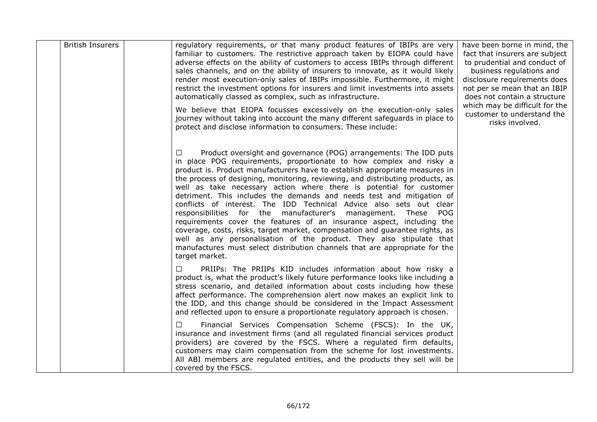| <b>British Insurers</b> | regulatory requirements, or that many product features of IBIPs are very<br>familiar to customers. The restrictive approach taken by EIOPA could have<br>adverse effects on the ability of customers to access IBIPs through different<br>sales channels, and on the ability of insurers to innovate, as it would likely<br>render most execution-only sales of IBIPs impossible. Furthermore, it might<br>restrict the investment options for insurers and limit investments into assets<br>automatically classed as complex, such as infrastructure.<br>We believe that EIOPA focusses excessively on the execution-only sales<br>journey without taking into account the many different safeguards in place to<br>protect and disclose information to consumers. These include:                                                                                                                                                               | have been borne in mind, the<br>fact that insurers are subject<br>to prudential and conduct of<br>business regulations and<br>disclosure requirements does<br>not per se mean that an IBIP<br>does not contain a structure<br>which may be difficult for the<br>customer to understand the<br>risks involved. |
|-------------------------|--------------------------------------------------------------------------------------------------------------------------------------------------------------------------------------------------------------------------------------------------------------------------------------------------------------------------------------------------------------------------------------------------------------------------------------------------------------------------------------------------------------------------------------------------------------------------------------------------------------------------------------------------------------------------------------------------------------------------------------------------------------------------------------------------------------------------------------------------------------------------------------------------------------------------------------------------|---------------------------------------------------------------------------------------------------------------------------------------------------------------------------------------------------------------------------------------------------------------------------------------------------------------|
|                         | Product oversight and governance (POG) arrangements: The IDD puts<br>$\Box$<br>in place POG requirements, proportionate to how complex and risky a<br>product is. Product manufacturers have to establish appropriate measures in<br>the process of designing, monitoring, reviewing, and distributing products, as<br>well as take necessary action where there is potential for customer<br>detriment. This includes the demands and needs test and mitigation of<br>conflicts of interest. The IDD Technical Advice also sets out clear<br>responsibilities for the manufacturer's management. These<br>POG<br>requirements cover the features of an insurance aspect, including the<br>coverage, costs, risks, target market, compensation and guarantee rights, as<br>well as any personalisation of the product. They also stipulate that<br>manufactures must select distribution channels that are appropriate for the<br>target market. |                                                                                                                                                                                                                                                                                                               |
|                         | PRIIPs: The PRIIPs KID includes information about how risky a<br>product is, what the product's likely future performance looks like including a<br>stress scenario, and detailed information about costs including how these<br>affect performance. The comprehension alert now makes an explicit link to<br>the IDD, and this change should be considered in the Impact Assessment<br>and reflected upon to ensure a proportionate regulatory approach is chosen.                                                                                                                                                                                                                                                                                                                                                                                                                                                                              |                                                                                                                                                                                                                                                                                                               |
|                         | Financial Services Compensation Scheme (FSCS): In the UK,<br>$\Box$<br>insurance and investment firms (and all regulated financial services product<br>providers) are covered by the FSCS. Where a regulated firm defaults,<br>customers may claim compensation from the scheme for lost investments.<br>All ABI members are regulated entities, and the products they sell will be<br>covered by the FSCS.                                                                                                                                                                                                                                                                                                                                                                                                                                                                                                                                      |                                                                                                                                                                                                                                                                                                               |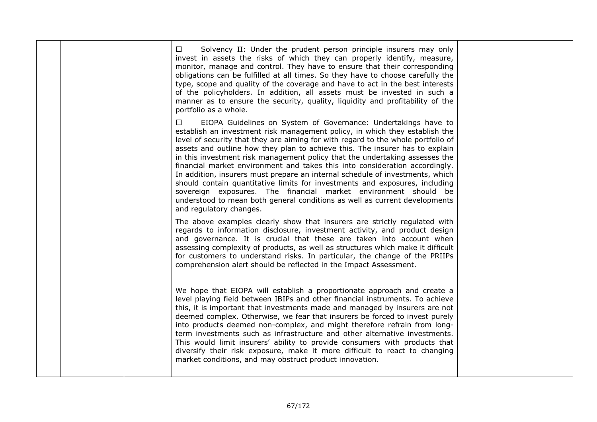|  | Solvency II: Under the prudent person principle insurers may only<br>$\Box$<br>invest in assets the risks of which they can properly identify, measure,<br>monitor, manage and control. They have to ensure that their corresponding<br>obligations can be fulfilled at all times. So they have to choose carefully the<br>type, scope and quality of the coverage and have to act in the best interests<br>of the policyholders. In addition, all assets must be invested in such a<br>manner as to ensure the security, quality, liquidity and profitability of the<br>portfolio as a whole.                                                                                                                                                                                                                                   |  |
|--|----------------------------------------------------------------------------------------------------------------------------------------------------------------------------------------------------------------------------------------------------------------------------------------------------------------------------------------------------------------------------------------------------------------------------------------------------------------------------------------------------------------------------------------------------------------------------------------------------------------------------------------------------------------------------------------------------------------------------------------------------------------------------------------------------------------------------------|--|
|  | EIOPA Guidelines on System of Governance: Undertakings have to<br>□<br>establish an investment risk management policy, in which they establish the<br>level of security that they are aiming for with regard to the whole portfolio of<br>assets and outline how they plan to achieve this. The insurer has to explain<br>in this investment risk management policy that the undertaking assesses the<br>financial market environment and takes this into consideration accordingly.<br>In addition, insurers must prepare an internal schedule of investments, which<br>should contain quantitative limits for investments and exposures, including<br>sovereign exposures. The financial market environment should be<br>understood to mean both general conditions as well as current developments<br>and regulatory changes. |  |
|  | The above examples clearly show that insurers are strictly regulated with<br>regards to information disclosure, investment activity, and product design<br>and governance. It is crucial that these are taken into account when<br>assessing complexity of products, as well as structures which make it difficult<br>for customers to understand risks. In particular, the change of the PRIIPs<br>comprehension alert should be reflected in the Impact Assessment.                                                                                                                                                                                                                                                                                                                                                            |  |
|  | We hope that EIOPA will establish a proportionate approach and create a<br>level playing field between IBIPs and other financial instruments. To achieve<br>this, it is important that investments made and managed by insurers are not<br>deemed complex. Otherwise, we fear that insurers be forced to invest purely<br>into products deemed non-complex, and might therefore refrain from long-<br>term investments such as infrastructure and other alternative investments.<br>This would limit insurers' ability to provide consumers with products that<br>diversify their risk exposure, make it more difficult to react to changing<br>market conditions, and may obstruct product innovation.                                                                                                                          |  |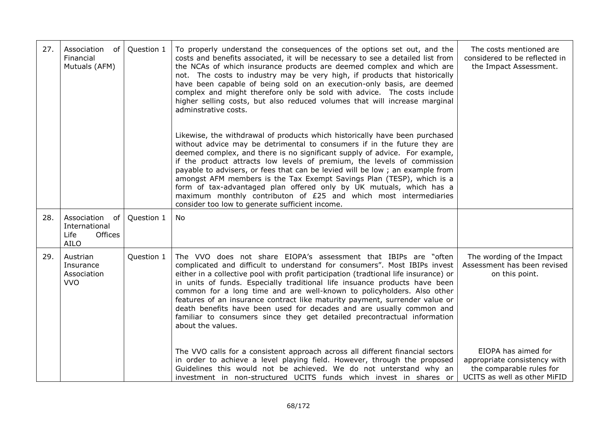| 27. | Association<br>of<br>Financial<br>Mutuals (AFM)                      | Question 1 | To properly understand the consequences of the options set out, and the<br>costs and benefits associated, it will be necessary to see a detailed list from<br>the NCAs of which insurance products are deemed complex and which are<br>not. The costs to industry may be very high, if products that historically<br>have been capable of being sold on an execution-only basis, are deemed<br>complex and might therefore only be sold with advice. The costs include<br>higher selling costs, but also reduced volumes that will increase marginal<br>adminstrative costs.<br>Likewise, the withdrawal of products which historically have been purchased<br>without advice may be detrimental to consumers if in the future they are<br>deemed complex, and there is no significant supply of advice. For example,<br>if the product attracts low levels of premium, the levels of commission<br>payable to advisers, or fees that can be levied will be low; an example from<br>amongst AFM members is the Tax Exempt Savings Plan (TESP), which is a<br>form of tax-advantaged plan offered only by UK mutuals, which has a<br>maximum monthly contributon of £25 and which most intermediaries<br>consider too low to generate sufficient income. | The costs mentioned are<br>considered to be reflected in<br>the Impact Assessment.                                                                                                            |
|-----|----------------------------------------------------------------------|------------|---------------------------------------------------------------------------------------------------------------------------------------------------------------------------------------------------------------------------------------------------------------------------------------------------------------------------------------------------------------------------------------------------------------------------------------------------------------------------------------------------------------------------------------------------------------------------------------------------------------------------------------------------------------------------------------------------------------------------------------------------------------------------------------------------------------------------------------------------------------------------------------------------------------------------------------------------------------------------------------------------------------------------------------------------------------------------------------------------------------------------------------------------------------------------------------------------------------------------------------------------------|-----------------------------------------------------------------------------------------------------------------------------------------------------------------------------------------------|
| 28. | Association<br>of<br>International<br>Offices<br>Life<br><b>AILO</b> | Question 1 | <b>No</b>                                                                                                                                                                                                                                                                                                                                                                                                                                                                                                                                                                                                                                                                                                                                                                                                                                                                                                                                                                                                                                                                                                                                                                                                                                               |                                                                                                                                                                                               |
| 29. | Austrian<br>Insurance<br>Association<br><b>VVO</b>                   | Question 1 | The VVO does not share EIOPA's assessment that IBIPs are "often<br>complicated and difficult to understand for consumers". Most IBIPs invest<br>either in a collective pool with profit participation (tradtional life insurance) or<br>in units of funds. Especially traditional life insuance products have been<br>common for a long time and are well-known to policyholders. Also other<br>features of an insurance contract like maturity payment, surrender value or<br>death benefits have been used for decades and are usually common and<br>familiar to consumers since they get detailed precontractual information<br>about the values.<br>The VVO calls for a consistent approach across all different financial sectors<br>in order to achieve a level playing field. However, through the proposed<br>Guidelines this would not be achieved. We do not unterstand why an<br>investment in non-structured UCITS funds which invest in shares or                                                                                                                                                                                                                                                                                          | The wording of the Impact<br>Assessment has been revised<br>on this point.<br>EIOPA has aimed for<br>appropriate consistency with<br>the comparable rules for<br>UCITS as well as other MiFID |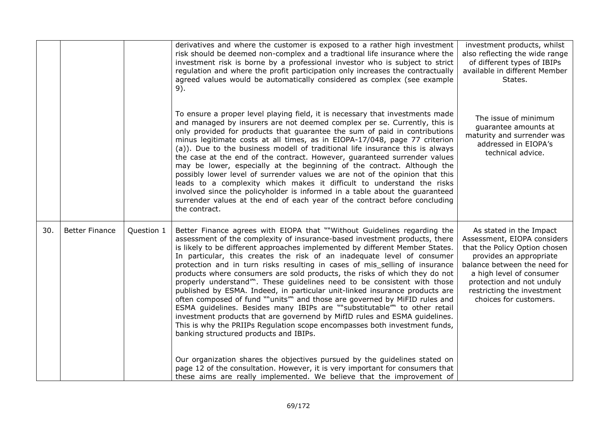|     |                       |            | derivatives and where the customer is exposed to a rather high investment                                                                                                                                                                                                                                                                                                                                                                                                                                                                                                                                                                                                                                                                                                                                                                                                                                                                                                                               | investment products, whilst                                                                                                                                                                                                                                         |
|-----|-----------------------|------------|---------------------------------------------------------------------------------------------------------------------------------------------------------------------------------------------------------------------------------------------------------------------------------------------------------------------------------------------------------------------------------------------------------------------------------------------------------------------------------------------------------------------------------------------------------------------------------------------------------------------------------------------------------------------------------------------------------------------------------------------------------------------------------------------------------------------------------------------------------------------------------------------------------------------------------------------------------------------------------------------------------|---------------------------------------------------------------------------------------------------------------------------------------------------------------------------------------------------------------------------------------------------------------------|
|     |                       |            | risk should be deemed non-complex and a tradtional life insurance where the<br>investment risk is borne by a professional investor who is subject to strict<br>regulation and where the profit participation only increases the contractually<br>agreed values would be automatically considered as complex (see example<br>9).                                                                                                                                                                                                                                                                                                                                                                                                                                                                                                                                                                                                                                                                         | also reflecting the wide range<br>of different types of IBIPs<br>available in different Member<br>States.                                                                                                                                                           |
|     |                       |            | To ensure a proper level playing field, it is necessary that investments made<br>and managed by insurers are not deemed complex per se. Currently, this is<br>only provided for products that guarantee the sum of paid in contributions<br>minus legitimate costs at all times, as in EIOPA-17/048, page 77 criterion<br>(a)). Due to the business modell of traditional life insurance this is always<br>the case at the end of the contract. However, guaranteed surrender values<br>may be lower, especially at the beginning of the contract. Although the<br>possibly lower level of surrender values we are not of the opinion that this<br>leads to a complexity which makes it difficult to understand the risks<br>involved since the policyholder is informed in a table about the guaranteed<br>surrender values at the end of each year of the contract before concluding<br>the contract.                                                                                                 | The issue of minimum<br>quarantee amounts at<br>maturity and surrender was<br>addressed in EIOPA's<br>technical advice.                                                                                                                                             |
| 30. | <b>Better Finance</b> | Question 1 | Better Finance agrees with EIOPA that ""Without Guidelines regarding the<br>assessment of the complexity of insurance-based investment products, there<br>is likely to be different approaches implemented by different Member States.<br>In particular, this creates the risk of an inadequate level of consumer<br>protection and in turn risks resulting in cases of mis selling of insurance<br>products where consumers are sold products, the risks of which they do not<br>properly understand". These guidelines need to be consistent with those<br>published by ESMA. Indeed, in particular unit-linked insurance products are<br>often composed of fund ""units" and those are governed by MiFID rules and<br>ESMA guidelines. Besides many IBIPs are ""substitutable" to other retail<br>investment products that are governend by MifID rules and ESMA guidelines.<br>This is why the PRIIPs Regulation scope encompasses both investment funds,<br>banking structured products and IBIPs. | As stated in the Impact<br>Assessment, EIOPA considers<br>that the Policy Option chosen<br>provides an appropriate<br>balance between the need for<br>a high level of consumer<br>protection and not unduly<br>restricting the investment<br>choices for customers. |
|     |                       |            | Our organization shares the objectives pursued by the guidelines stated on<br>page 12 of the consultation. However, it is very important for consumers that<br>these aims are really implemented. We believe that the improvement of                                                                                                                                                                                                                                                                                                                                                                                                                                                                                                                                                                                                                                                                                                                                                                    |                                                                                                                                                                                                                                                                     |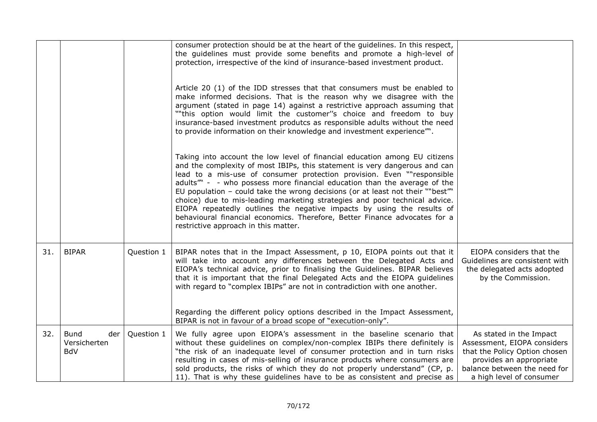|     |                                                  |            | consumer protection should be at the heart of the guidelines. In this respect,<br>the guidelines must provide some benefits and promote a high-level of<br>protection, irrespective of the kind of insurance-based investment product.                                                                                                                                                                                                                                                                                                                                                                                                                                         |                                                                                                                                                                                |
|-----|--------------------------------------------------|------------|--------------------------------------------------------------------------------------------------------------------------------------------------------------------------------------------------------------------------------------------------------------------------------------------------------------------------------------------------------------------------------------------------------------------------------------------------------------------------------------------------------------------------------------------------------------------------------------------------------------------------------------------------------------------------------|--------------------------------------------------------------------------------------------------------------------------------------------------------------------------------|
|     |                                                  |            | Article 20 (1) of the IDD stresses that that consumers must be enabled to<br>make informed decisions. That is the reason why we disagree with the<br>argument (stated in page 14) against a restrictive approach assuming that<br>""this option would limit the customer"s choice and freedom to buy<br>insurance-based investment produtcs as responsible adults without the need<br>to provide information on their knowledge and investment experience".                                                                                                                                                                                                                    |                                                                                                                                                                                |
|     |                                                  |            | Taking into account the low level of financial education among EU citizens<br>and the complexity of most IBIPs, this statement is very dangerous and can<br>lead to a mis-use of consumer protection provision. Even ""responsible<br>adults" - - who possess more financial education than the average of the<br>EU population - could take the wrong decisions (or at least not their ""best""<br>choice) due to mis-leading marketing strategies and poor technical advice.<br>EIOPA repeatedly outlines the negative impacts by using the results of<br>behavioural financial economics. Therefore, Better Finance advocates for a<br>restrictive approach in this matter. |                                                                                                                                                                                |
| 31. | <b>BIPAR</b>                                     | Question 1 | BIPAR notes that in the Impact Assessment, p 10, EIOPA points out that it<br>will take into account any differences between the Delegated Acts and<br>EIOPA's technical advice, prior to finalising the Guidelines. BIPAR believes<br>that it is important that the final Delegated Acts and the EIOPA guidelines<br>with regard to "complex IBIPs" are not in contradiction with one another.<br>Regarding the different policy options described in the Impact Assessment,<br>BIPAR is not in favour of a broad scope of "execution-only".                                                                                                                                   | EIOPA considers that the<br>Guidelines are consistent with<br>the delegated acts adopted<br>by the Commission.                                                                 |
| 32. | <b>Bund</b><br>der<br>Versicherten<br><b>BdV</b> | Question 1 | We fully agree upon EIOPA's assessment in the baseline scenario that<br>without these guidelines on complex/non-complex IBIPs there definitely is<br>"the risk of an inadequate level of consumer protection and in turn risks<br>resulting in cases of mis-selling of insurance products where consumers are<br>sold products, the risks of which they do not properly understand" (CP, p.<br>11). That is why these guidelines have to be as consistent and precise as                                                                                                                                                                                                       | As stated in the Impact<br>Assessment, EIOPA considers<br>that the Policy Option chosen<br>provides an appropriate<br>balance between the need for<br>a high level of consumer |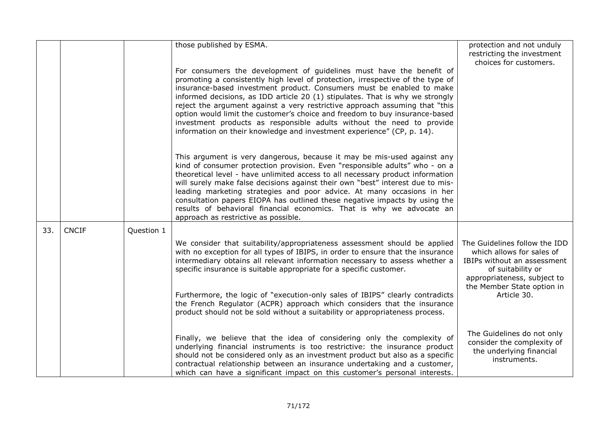|     |              |            | those published by ESMA.                                                                                                                                                                                                                                                                                                                                                                                                                                                                                                                                                                                                          | protection and not unduly<br>restricting the investment<br>choices for customers.                                                             |
|-----|--------------|------------|-----------------------------------------------------------------------------------------------------------------------------------------------------------------------------------------------------------------------------------------------------------------------------------------------------------------------------------------------------------------------------------------------------------------------------------------------------------------------------------------------------------------------------------------------------------------------------------------------------------------------------------|-----------------------------------------------------------------------------------------------------------------------------------------------|
|     |              |            | For consumers the development of guidelines must have the benefit of<br>promoting a consistently high level of protection, irrespective of the type of<br>insurance-based investment product. Consumers must be enabled to make<br>informed decisions, as IDD article 20 (1) stipulates. That is why we strongly<br>reject the argument against a very restrictive approach assuming that "this<br>option would limit the customer's choice and freedom to buy insurance-based<br>investment products as responsible adults without the need to provide<br>information on their knowledge and investment experience" (CP, p. 14). |                                                                                                                                               |
|     |              |            | This argument is very dangerous, because it may be mis-used against any<br>kind of consumer protection provision. Even "responsible adults" who - on a<br>theoretical level - have unlimited access to all necessary product information<br>will surely make false decisions against their own "best" interest due to mis-<br>leading marketing strategies and poor advice. At many occasions in her<br>consultation papers EIOPA has outlined these negative impacts by using the<br>results of behavioral financial economics. That is why we advocate an<br>approach as restrictive as possible.                               |                                                                                                                                               |
| 33. | <b>CNCIF</b> | Question 1 |                                                                                                                                                                                                                                                                                                                                                                                                                                                                                                                                                                                                                                   |                                                                                                                                               |
|     |              |            | We consider that suitability/appropriateness assessment should be applied<br>with no exception for all types of IBIPS, in order to ensure that the insurance<br>intermediary obtains all relevant information necessary to assess whether a<br>specific insurance is suitable appropriate for a specific customer.                                                                                                                                                                                                                                                                                                                | The Guidelines follow the IDD<br>which allows for sales of<br>IBIPs without an assessment<br>of suitability or<br>appropriateness, subject to |
|     |              |            | Furthermore, the logic of "execution-only sales of IBIPS" clearly contradicts<br>the French Regulator (ACPR) approach which considers that the insurance<br>product should not be sold without a suitability or appropriateness process.                                                                                                                                                                                                                                                                                                                                                                                          | the Member State option in<br>Article 30.                                                                                                     |
|     |              |            | Finally, we believe that the idea of considering only the complexity of<br>underlying financial instruments is too restrictive: the insurance product<br>should not be considered only as an investment product but also as a specific<br>contractual relationship between an insurance undertaking and a customer,<br>which can have a significant impact on this customer's personal interests.                                                                                                                                                                                                                                 | The Guidelines do not only<br>consider the complexity of<br>the underlying financial<br>instruments.                                          |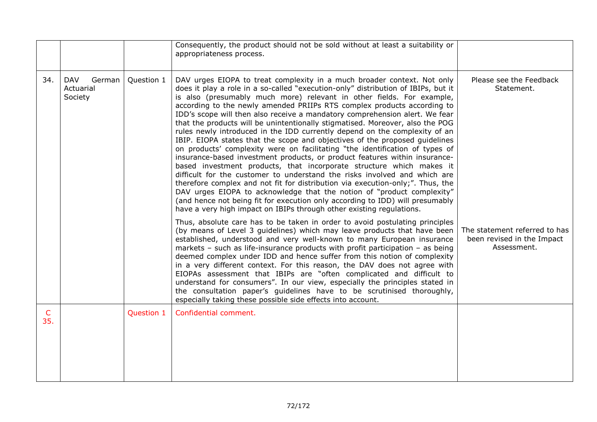|                     |                                              |            | Consequently, the product should not be sold without at least a suitability or<br>appropriateness process.                                                                                                                                                                                                                                                                                                                                                                                                                                                                                                                                                                                                                                                                                                                                                                                                                                                                                                                                                                                                                                                                                                                                                                            |                                                                            |
|---------------------|----------------------------------------------|------------|---------------------------------------------------------------------------------------------------------------------------------------------------------------------------------------------------------------------------------------------------------------------------------------------------------------------------------------------------------------------------------------------------------------------------------------------------------------------------------------------------------------------------------------------------------------------------------------------------------------------------------------------------------------------------------------------------------------------------------------------------------------------------------------------------------------------------------------------------------------------------------------------------------------------------------------------------------------------------------------------------------------------------------------------------------------------------------------------------------------------------------------------------------------------------------------------------------------------------------------------------------------------------------------|----------------------------------------------------------------------------|
| 34.                 | <b>DAV</b><br>German<br>Actuarial<br>Society | Question 1 | DAV urges EIOPA to treat complexity in a much broader context. Not only<br>does it play a role in a so-called "execution-only" distribution of IBIPs, but it<br>is also (presumably much more) relevant in other fields. For example,<br>according to the newly amended PRIIPs RTS complex products according to<br>IDD's scope will then also receive a mandatory comprehension alert. We fear<br>that the products will be unintentionally stigmatised. Moreover, also the POG<br>rules newly introduced in the IDD currently depend on the complexity of an<br>IBIP. EIOPA states that the scope and objectives of the proposed guidelines<br>on products' complexity were on facilitating "the identification of types of<br>insurance-based investment products, or product features within insurance-<br>based investment products, that incorporate structure which makes it<br>difficult for the customer to understand the risks involved and which are<br>therefore complex and not fit for distribution via execution-only;". Thus, the<br>DAV urges EIOPA to acknowledge that the notion of "product complexity"<br>(and hence not being fit for execution only according to IDD) will presumably<br>have a very high impact on IBIPs through other existing regulations. | Please see the Feedback<br>Statement.                                      |
|                     |                                              |            | Thus, absolute care has to be taken in order to avoid postulating principles<br>(by means of Level 3 guidelines) which may leave products that have been<br>established, understood and very well-known to many European insurance<br>markets - such as life-insurance products with profit participation - as being<br>deemed complex under IDD and hence suffer from this notion of complexity<br>in a very different context. For this reason, the DAV does not agree with<br>EIOPAs assessment that IBIPs are "often complicated and difficult to<br>understand for consumers". In our view, especially the principles stated in<br>the consultation paper's guidelines have to be scrutinised thoroughly,<br>especially taking these possible side effects into account.                                                                                                                                                                                                                                                                                                                                                                                                                                                                                                         | The statement referred to has<br>been revised in the Impact<br>Assessment. |
| $\mathsf{C}$<br>35. |                                              | Question 1 | Confidential comment.                                                                                                                                                                                                                                                                                                                                                                                                                                                                                                                                                                                                                                                                                                                                                                                                                                                                                                                                                                                                                                                                                                                                                                                                                                                                 |                                                                            |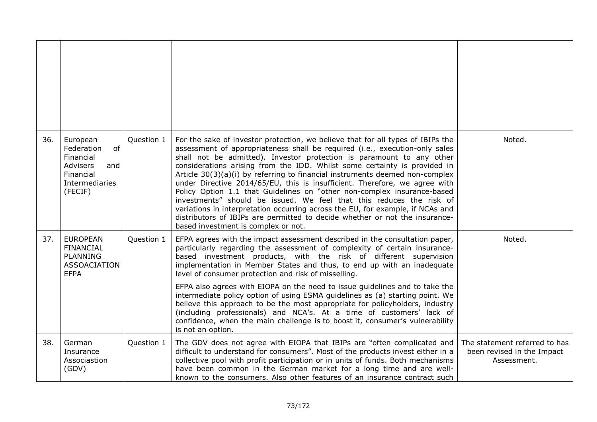| 36. | European<br>Federation<br>of<br>Financial<br>Advisers<br>and<br>Financial<br>Intermediaries<br>(FECIF) | Question 1 | For the sake of investor protection, we believe that for all types of IBIPs the<br>assessment of appropriateness shall be required (i.e., execution-only sales<br>shall not be admitted). Investor protection is paramount to any other<br>considerations arising from the IDD. Whilst some certainty is provided in<br>Article 30(3)(a)(i) by referring to financial instruments deemed non-complex<br>under Directive 2014/65/EU, this is insufficient. Therefore, we agree with<br>Policy Option 1.1 that Guidelines on "other non-complex insurance-based<br>investments" should be issued. We feel that this reduces the risk of<br>variations in interpretation occurring across the EU, for example, if NCAs and<br>distributors of IBIPs are permitted to decide whether or not the insurance-<br>based investment is complex or not. | Noted.                                                                     |
|-----|--------------------------------------------------------------------------------------------------------|------------|-----------------------------------------------------------------------------------------------------------------------------------------------------------------------------------------------------------------------------------------------------------------------------------------------------------------------------------------------------------------------------------------------------------------------------------------------------------------------------------------------------------------------------------------------------------------------------------------------------------------------------------------------------------------------------------------------------------------------------------------------------------------------------------------------------------------------------------------------|----------------------------------------------------------------------------|
| 37. | <b>EUROPEAN</b><br><b>FINANCIAL</b><br><b>PLANNING</b><br><b>ASSOACIATION</b><br><b>EFPA</b>           | Question 1 | EFPA agrees with the impact assessment described in the consultation paper,<br>particularly regarding the assessment of complexity of certain insurance-<br>based investment products, with the risk of different supervision<br>implementation in Member States and thus, to end up with an inadequate<br>level of consumer protection and risk of misselling.<br>EFPA also agrees with EIOPA on the need to issue guidelines and to take the<br>intermediate policy option of using ESMA guidelines as (a) starting point. We<br>believe this approach to be the most appropriate for policyholders, industry<br>(including professionals) and NCA's. At a time of customers' lack of<br>confidence, when the main challenge is to boost it, consumer's vulnerability<br>is not an option.                                                  | Noted.                                                                     |
| 38. | German<br>Insurance<br>Associastion<br>(GDV)                                                           | Question 1 | The GDV does not agree with EIOPA that IBIPs are "often complicated and<br>difficult to understand for consumers". Most of the products invest either in a<br>collective pool with profit participation or in units of funds. Both mechanisms<br>have been common in the German market for a long time and are well-<br>known to the consumers. Also other features of an insurance contract such                                                                                                                                                                                                                                                                                                                                                                                                                                             | The statement referred to has<br>been revised in the Impact<br>Assessment. |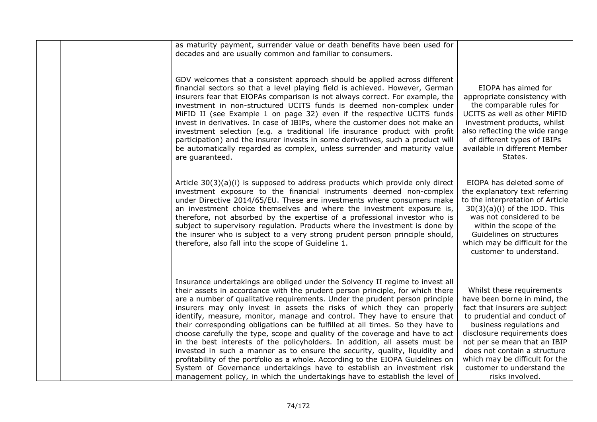|  | as maturity payment, surrender value or death benefits have been used for<br>decades and are usually common and familiar to consumers.                                                                                                                                                                                                                                                                                                                                                                                                                                                                                                                                                                                                                                                                                                                                                                                                                                            |                                                                                                                                                                                                                                                                                                                                            |
|--|-----------------------------------------------------------------------------------------------------------------------------------------------------------------------------------------------------------------------------------------------------------------------------------------------------------------------------------------------------------------------------------------------------------------------------------------------------------------------------------------------------------------------------------------------------------------------------------------------------------------------------------------------------------------------------------------------------------------------------------------------------------------------------------------------------------------------------------------------------------------------------------------------------------------------------------------------------------------------------------|--------------------------------------------------------------------------------------------------------------------------------------------------------------------------------------------------------------------------------------------------------------------------------------------------------------------------------------------|
|  | GDV welcomes that a consistent approach should be applied across different<br>financial sectors so that a level playing field is achieved. However, German<br>insurers fear that EIOPAs comparison is not always correct. For example, the<br>investment in non-structured UCITS funds is deemed non-complex under<br>MiFID II (see Example 1 on page 32) even if the respective UCITS funds<br>invest in derivatives. In case of IBIPs, where the customer does not make an<br>investment selection (e.g. a traditional life insurance product with profit<br>participation) and the insurer invests in some derivatives, such a product will<br>be automatically regarded as complex, unless surrender and maturity value<br>are guaranteed.                                                                                                                                                                                                                                    | EIOPA has aimed for<br>appropriate consistency with<br>the comparable rules for<br>UCITS as well as other MiFID<br>investment products, whilst<br>also reflecting the wide range<br>of different types of IBIPs<br>available in different Member<br>States.                                                                                |
|  | Article $30(3)(a)(i)$ is supposed to address products which provide only direct<br>investment exposure to the financial instruments deemed non-complex<br>under Directive 2014/65/EU. These are investments where consumers make<br>an investment choice themselves and where the investment exposure is,<br>therefore, not absorbed by the expertise of a professional investor who is<br>subject to supervisory regulation. Products where the investment is done by<br>the insurer who is subject to a very strong prudent person principle should,<br>therefore, also fall into the scope of Guideline 1.                                                                                                                                                                                                                                                                                                                                                                     | EIOPA has deleted some of<br>the explanatory text referring<br>to the interpretation of Article<br>$30(3)(a)(i)$ of the IDD. This<br>was not considered to be<br>within the scope of the<br>Guidelines on structures<br>which may be difficult for the<br>customer to understand.                                                          |
|  | Insurance undertakings are obliged under the Solvency II regime to invest all<br>their assets in accordance with the prudent person principle, for which there<br>are a number of qualitative requirements. Under the prudent person principle<br>insurers may only invest in assets the risks of which they can properly<br>identify, measure, monitor, manage and control. They have to ensure that<br>their corresponding obligations can be fulfilled at all times. So they have to<br>choose carefully the type, scope and quality of the coverage and have to act<br>in the best interests of the policyholders. In addition, all assets must be<br>invested in such a manner as to ensure the security, quality, liquidity and<br>profitability of the portfolio as a whole. According to the EIOPA Guidelines on<br>System of Governance undertakings have to establish an investment risk<br>management policy, in which the undertakings have to establish the level of | Whilst these requirements<br>have been borne in mind, the<br>fact that insurers are subject<br>to prudential and conduct of<br>business regulations and<br>disclosure requirements does<br>not per se mean that an IBIP<br>does not contain a structure<br>which may be difficult for the<br>customer to understand the<br>risks involved. |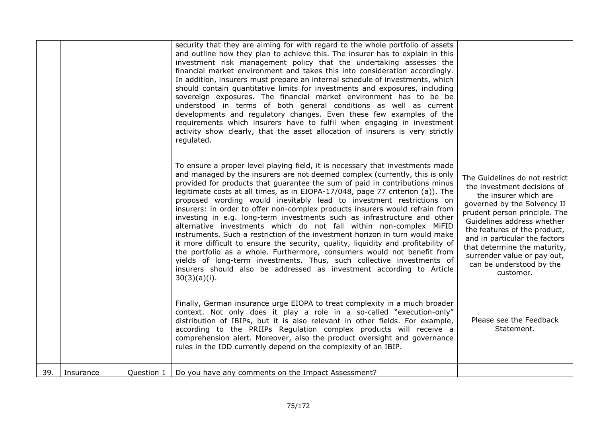|     |           |            | security that they are aiming for with regard to the whole portfolio of assets<br>and outline how they plan to achieve this. The insurer has to explain in this<br>investment risk management policy that the undertaking assesses the<br>financial market environment and takes this into consideration accordingly.<br>In addition, insurers must prepare an internal schedule of investments, which<br>should contain quantitative limits for investments and exposures, including<br>sovereign exposures. The financial market environment has to be be<br>understood in terms of both general conditions as well as current<br>developments and regulatory changes. Even these few examples of the<br>requirements which insurers have to fulfil when engaging in investment<br>activity show clearly, that the asset allocation of insurers is very strictly<br>regulated.                                                                                                                                                                            |                                                                                                                                                                                                                                                                                                                                                               |
|-----|-----------|------------|-------------------------------------------------------------------------------------------------------------------------------------------------------------------------------------------------------------------------------------------------------------------------------------------------------------------------------------------------------------------------------------------------------------------------------------------------------------------------------------------------------------------------------------------------------------------------------------------------------------------------------------------------------------------------------------------------------------------------------------------------------------------------------------------------------------------------------------------------------------------------------------------------------------------------------------------------------------------------------------------------------------------------------------------------------------|---------------------------------------------------------------------------------------------------------------------------------------------------------------------------------------------------------------------------------------------------------------------------------------------------------------------------------------------------------------|
|     |           |            | To ensure a proper level playing field, it is necessary that investments made<br>and managed by the insurers are not deemed complex (currently, this is only<br>provided for products that guarantee the sum of paid in contributions minus<br>legitimate costs at all times, as in EIOPA-17/048, page 77 criterion (a)). The<br>proposed wording would inevitably lead to investment restrictions on<br>insurers: in order to offer non-complex products insurers would refrain from<br>investing in e.g. long-term investments such as infrastructure and other<br>alternative investments which do not fall within non-complex MiFID<br>instruments. Such a restriction of the investment horizon in turn would make<br>it more difficult to ensure the security, quality, liquidity and profitability of<br>the portfolio as a whole. Furthermore, consumers would not benefit from<br>yields of long-term investments. Thus, such collective investments of<br>insurers should also be addressed as investment according to Article<br>$30(3)(a)(i)$ . | The Guidelines do not restrict<br>the investment decisions of<br>the insurer which are<br>governed by the Solvency II<br>prudent person principle. The<br>Guidelines address whether<br>the features of the product,<br>and in particular the factors<br>that determine the maturity,<br>surrender value or pay out,<br>can be understood by the<br>customer. |
|     |           |            | Finally, German insurance urge EIOPA to treat complexity in a much broader<br>context. Not only does it play a role in a so-called "execution-only"<br>distribution of IBIPs, but it is also relevant in other fields. For example,<br>according to the PRIIPs Regulation complex products will receive a<br>comprehension alert. Moreover, also the product oversight and governance<br>rules in the IDD currently depend on the complexity of an IBIP.                                                                                                                                                                                                                                                                                                                                                                                                                                                                                                                                                                                                    | Please see the Feedback<br>Statement.                                                                                                                                                                                                                                                                                                                         |
| 39. | Insurance | Question 1 | Do you have any comments on the Impact Assessment?                                                                                                                                                                                                                                                                                                                                                                                                                                                                                                                                                                                                                                                                                                                                                                                                                                                                                                                                                                                                          |                                                                                                                                                                                                                                                                                                                                                               |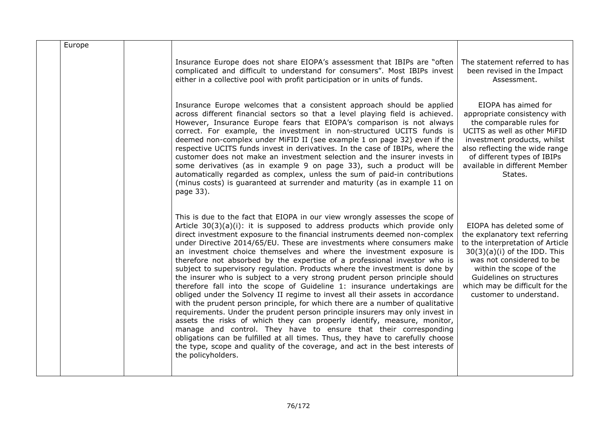| Europe |                                                                                                                                                                                                                                                                                                                                                                                                                                                                                                                                                                                                                                                                                                                                                                                                                                                                                                                                                                                                                                                                                                                                                                                                                                                                                                                 |                                                                                                                                                                                                                                                                                   |
|--------|-----------------------------------------------------------------------------------------------------------------------------------------------------------------------------------------------------------------------------------------------------------------------------------------------------------------------------------------------------------------------------------------------------------------------------------------------------------------------------------------------------------------------------------------------------------------------------------------------------------------------------------------------------------------------------------------------------------------------------------------------------------------------------------------------------------------------------------------------------------------------------------------------------------------------------------------------------------------------------------------------------------------------------------------------------------------------------------------------------------------------------------------------------------------------------------------------------------------------------------------------------------------------------------------------------------------|-----------------------------------------------------------------------------------------------------------------------------------------------------------------------------------------------------------------------------------------------------------------------------------|
|        | Insurance Europe does not share EIOPA's assessment that IBIPs are "often<br>complicated and difficult to understand for consumers". Most IBIPs invest<br>either in a collective pool with profit participation or in units of funds.                                                                                                                                                                                                                                                                                                                                                                                                                                                                                                                                                                                                                                                                                                                                                                                                                                                                                                                                                                                                                                                                            | The statement referred to has<br>been revised in the Impact<br>Assessment.                                                                                                                                                                                                        |
|        | Insurance Europe welcomes that a consistent approach should be applied<br>across different financial sectors so that a level playing field is achieved.<br>However, Insurance Europe fears that EIOPA's comparison is not always<br>correct. For example, the investment in non-structured UCITS funds is<br>deemed non-complex under MiFID II (see example 1 on page 32) even if the<br>respective UCITS funds invest in derivatives. In the case of IBIPs, where the<br>customer does not make an investment selection and the insurer invests in<br>some derivatives (as in example 9 on page 33), such a product will be<br>automatically regarded as complex, unless the sum of paid-in contributions<br>(minus costs) is guaranteed at surrender and maturity (as in example 11 on<br>page 33).                                                                                                                                                                                                                                                                                                                                                                                                                                                                                                           | EIOPA has aimed for<br>appropriate consistency with<br>the comparable rules for<br>UCITS as well as other MiFID<br>investment products, whilst<br>also reflecting the wide range<br>of different types of IBIPs<br>available in different Member<br>States.                       |
|        | This is due to the fact that EIOPA in our view wrongly assesses the scope of<br>Article $30(3)(a)(i)$ : it is supposed to address products which provide only<br>direct investment exposure to the financial instruments deemed non-complex<br>under Directive 2014/65/EU. These are investments where consumers make<br>an investment choice themselves and where the investment exposure is<br>therefore not absorbed by the expertise of a professional investor who is<br>subject to supervisory regulation. Products where the investment is done by<br>the insurer who is subject to a very strong prudent person principle should<br>therefore fall into the scope of Guideline 1: insurance undertakings are<br>obliged under the Solvency II regime to invest all their assets in accordance<br>with the prudent person principle, for which there are a number of qualitative<br>requirements. Under the prudent person principle insurers may only invest in<br>assets the risks of which they can properly identify, measure, monitor,<br>manage and control. They have to ensure that their corresponding<br>obligations can be fulfilled at all times. Thus, they have to carefully choose<br>the type, scope and quality of the coverage, and act in the best interests of<br>the policyholders. | EIOPA has deleted some of<br>the explanatory text referring<br>to the interpretation of Article<br>$30(3)(a)(i)$ of the IDD. This<br>was not considered to be<br>within the scope of the<br>Guidelines on structures<br>which may be difficult for the<br>customer to understand. |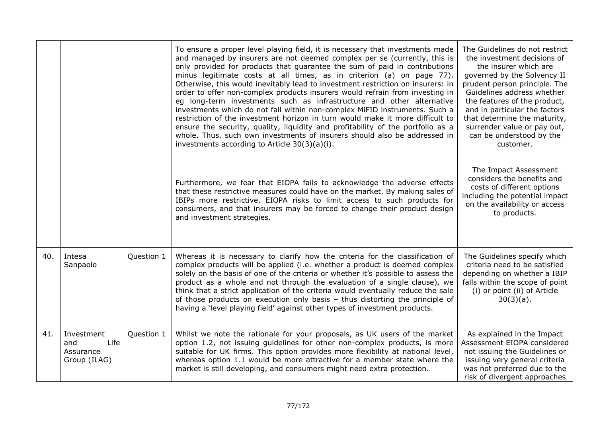|     |                                                        |            | To ensure a proper level playing field, it is necessary that investments made<br>and managed by insurers are not deemed complex per se (currently, this is<br>only provided for products that guarantee the sum of paid in contributions<br>minus legitimate costs at all times, as in criterion (a) on page 77).<br>Otherwise, this would inevitably lead to investment restriction on insurers: in<br>order to offer non-complex products insurers would refrain from investing in<br>eg long-term investments such as infrastructure and other alternative<br>investments which do not fall within non-complex MiFID instruments. Such a<br>restriction of the investment horizon in turn would make it more difficult to<br>ensure the security, quality, liquidity and profitability of the portfolio as a<br>whole. Thus, such own investments of insurers should also be addressed in<br>investments according to Article 30(3)(a)(i). | The Guidelines do not restrict<br>the investment decisions of<br>the insurer which are<br>governed by the Solvency II<br>prudent person principle. The<br>Guidelines address whether<br>the features of the product,<br>and in particular the factors<br>that determine the maturity,<br>surrender value or pay out,<br>can be understood by the<br>customer. |
|-----|--------------------------------------------------------|------------|-----------------------------------------------------------------------------------------------------------------------------------------------------------------------------------------------------------------------------------------------------------------------------------------------------------------------------------------------------------------------------------------------------------------------------------------------------------------------------------------------------------------------------------------------------------------------------------------------------------------------------------------------------------------------------------------------------------------------------------------------------------------------------------------------------------------------------------------------------------------------------------------------------------------------------------------------|---------------------------------------------------------------------------------------------------------------------------------------------------------------------------------------------------------------------------------------------------------------------------------------------------------------------------------------------------------------|
|     |                                                        |            | Furthermore, we fear that EIOPA fails to acknowledge the adverse effects<br>that these restrictive measures could have on the market. By making sales of<br>IBIPs more restrictive, EIOPA risks to limit access to such products for<br>consumers, and that insurers may be forced to change their product design<br>and investment strategies.                                                                                                                                                                                                                                                                                                                                                                                                                                                                                                                                                                                               | The Impact Assessment<br>considers the benefits and<br>costs of different options<br>including the potential impact<br>on the availability or access<br>to products.                                                                                                                                                                                          |
| 40. | Intesa<br>Sanpaolo                                     | Question 1 | Whereas it is necessary to clarify how the criteria for the classification of<br>complex products will be applied (i.e. whether a product is deemed complex<br>solely on the basis of one of the criteria or whether it's possible to assess the<br>product as a whole and not through the evaluation of a single clause), we<br>think that a strict application of the criteria would eventually reduce the sale<br>of those products on execution only basis - thus distorting the principle of<br>having a 'level playing field' against other types of investment products.                                                                                                                                                                                                                                                                                                                                                               | The Guidelines specify which<br>criteria need to be satisfied<br>depending on whether a IBIP<br>falls within the scope of point<br>(i) or point (ii) of Article<br>$30(3)(a)$ .                                                                                                                                                                               |
| 41. | Investment<br>Life<br>and<br>Assurance<br>Group (ILAG) | Question 1 | Whilst we note the rationale for your proposals, as UK users of the market<br>option 1.2, not issuing guidelines for other non-complex products, is more<br>suitable for UK firms. This option provides more flexibility at national level,<br>whereas option 1.1 would be more attractive for a member state where the<br>market is still developing, and consumers might need extra protection.                                                                                                                                                                                                                                                                                                                                                                                                                                                                                                                                             | As explained in the Impact<br>Assessment EIOPA considered<br>not issuing the Guidelines or<br>issuing very general criteria<br>was not preferred due to the<br>risk of divergent approaches                                                                                                                                                                   |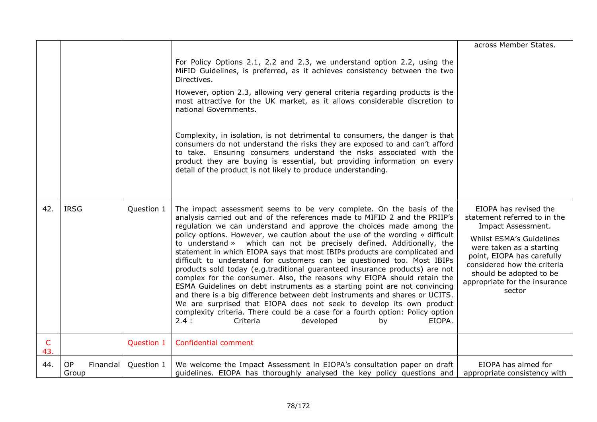|                     |                          |            |                                                                                                                                                                                                                                                                                                                                                                                                                                                                                                                                                                                                                                                                                                                                                                                                                                                                                                                                                                                                                                                                              | across Member States.                                                                                                                                                                                                                                                  |
|---------------------|--------------------------|------------|------------------------------------------------------------------------------------------------------------------------------------------------------------------------------------------------------------------------------------------------------------------------------------------------------------------------------------------------------------------------------------------------------------------------------------------------------------------------------------------------------------------------------------------------------------------------------------------------------------------------------------------------------------------------------------------------------------------------------------------------------------------------------------------------------------------------------------------------------------------------------------------------------------------------------------------------------------------------------------------------------------------------------------------------------------------------------|------------------------------------------------------------------------------------------------------------------------------------------------------------------------------------------------------------------------------------------------------------------------|
|                     |                          |            | For Policy Options 2.1, 2.2 and 2.3, we understand option 2.2, using the<br>MiFID Guidelines, is preferred, as it achieves consistency between the two<br>Directives.                                                                                                                                                                                                                                                                                                                                                                                                                                                                                                                                                                                                                                                                                                                                                                                                                                                                                                        |                                                                                                                                                                                                                                                                        |
|                     |                          |            | However, option 2.3, allowing very general criteria regarding products is the<br>most attractive for the UK market, as it allows considerable discretion to<br>national Governments.                                                                                                                                                                                                                                                                                                                                                                                                                                                                                                                                                                                                                                                                                                                                                                                                                                                                                         |                                                                                                                                                                                                                                                                        |
|                     |                          |            | Complexity, in isolation, is not detrimental to consumers, the danger is that<br>consumers do not understand the risks they are exposed to and can't afford<br>to take. Ensuring consumers understand the risks associated with the<br>product they are buying is essential, but providing information on every<br>detail of the product is not likely to produce understanding.                                                                                                                                                                                                                                                                                                                                                                                                                                                                                                                                                                                                                                                                                             |                                                                                                                                                                                                                                                                        |
| 42.                 | <b>IRSG</b>              | Question 1 | The impact assessment seems to be very complete. On the basis of the<br>analysis carried out and of the references made to MIFID 2 and the PRIIP's<br>regulation we can understand and approve the choices made among the<br>policy options. However, we caution about the use of the wording « difficult<br>to understand » which can not be precisely defined. Additionally, the<br>statement in which EIOPA says that most IBIPs products are complicated and<br>difficult to understand for customers can be questioned too. Most IBIPs<br>products sold today (e.g.traditional guaranteed insurance products) are not<br>complex for the consumer. Also, the reasons why EIOPA should retain the<br>ESMA Guidelines on debt instruments as a starting point are not convincing<br>and there is a big difference between debt instruments and shares or UCITS.<br>We are surprised that EIOPA does not seek to develop its own product<br>complexity criteria. There could be a case for a fourth option: Policy option<br>2.4:<br>Criteria<br>developed<br>EIOPA.<br>by | EIOPA has revised the<br>statement referred to in the<br>Impact Assessment.<br>Whilst ESMA's Guidelines<br>were taken as a starting<br>point, EIOPA has carefully<br>considered how the criteria<br>should be adopted to be<br>appropriate for the insurance<br>sector |
| $\mathsf{C}$<br>43. |                          | Question 1 | Confidential comment                                                                                                                                                                                                                                                                                                                                                                                                                                                                                                                                                                                                                                                                                                                                                                                                                                                                                                                                                                                                                                                         |                                                                                                                                                                                                                                                                        |
| 44.                 | OP<br>Financial<br>Group | Question 1 | We welcome the Impact Assessment in EIOPA's consultation paper on draft<br>guidelines. EIOPA has thoroughly analysed the key policy questions and                                                                                                                                                                                                                                                                                                                                                                                                                                                                                                                                                                                                                                                                                                                                                                                                                                                                                                                            | EIOPA has aimed for<br>appropriate consistency with                                                                                                                                                                                                                    |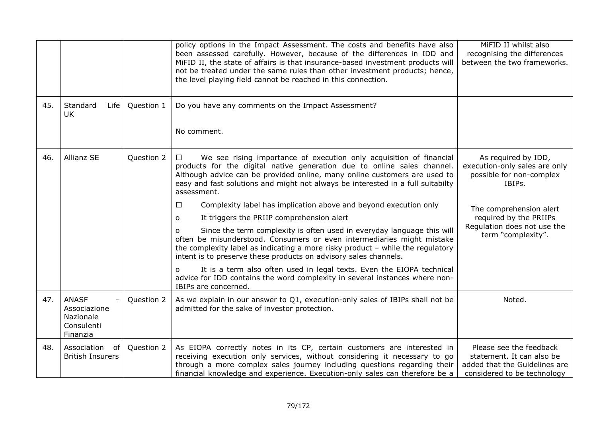|     |                                                                     |            | policy options in the Impact Assessment. The costs and benefits have also<br>been assessed carefully. However, because of the differences in IDD and<br>MiFID II, the state of affairs is that insurance-based investment products will<br>not be treated under the same rules than other investment products; hence,<br>the level playing field cannot be reached in this connection.                                                                                                                                                                                                                                                                                                                                                                                                                                                                                                                                                                                                        | MiFID II whilst also<br>recognising the differences<br>between the two frameworks.                                                                                                                   |
|-----|---------------------------------------------------------------------|------------|-----------------------------------------------------------------------------------------------------------------------------------------------------------------------------------------------------------------------------------------------------------------------------------------------------------------------------------------------------------------------------------------------------------------------------------------------------------------------------------------------------------------------------------------------------------------------------------------------------------------------------------------------------------------------------------------------------------------------------------------------------------------------------------------------------------------------------------------------------------------------------------------------------------------------------------------------------------------------------------------------|------------------------------------------------------------------------------------------------------------------------------------------------------------------------------------------------------|
| 45. | Standard<br>Life<br><b>UK</b>                                       | Question 1 | Do you have any comments on the Impact Assessment?<br>No comment.                                                                                                                                                                                                                                                                                                                                                                                                                                                                                                                                                                                                                                                                                                                                                                                                                                                                                                                             |                                                                                                                                                                                                      |
| 46. | <b>Allianz SE</b>                                                   | Question 2 | We see rising importance of execution only acquisition of financial<br>□<br>products for the digital native generation due to online sales channel.<br>Although advice can be provided online, many online customers are used to<br>easy and fast solutions and might not always be interested in a full suitabilty<br>assessment.<br>Complexity label has implication above and beyond execution only<br>$\Box$<br>It triggers the PRIIP comprehension alert<br>$\Omega$<br>Since the term complexity is often used in everyday language this will<br>$\Omega$<br>often be misunderstood. Consumers or even intermediaries might mistake<br>the complexity label as indicating a more risky product $-$ while the regulatory<br>intent is to preserve these products on advisory sales channels.<br>It is a term also often used in legal texts. Even the EIOPA technical<br>$\Omega$<br>advice for IDD contains the word complexity in several instances where non-<br>IBIPs are concerned. | As required by IDD,<br>execution-only sales are only<br>possible for non-complex<br>IBIPs.<br>The comprehension alert<br>required by the PRIIPs<br>Regulation does not use the<br>term "complexity". |
| 47. | <b>ANASF</b><br>Associazione<br>Nazionale<br>Consulenti<br>Finanzia | Question 2 | As we explain in our answer to Q1, execution-only sales of IBIPs shall not be<br>admitted for the sake of investor protection.                                                                                                                                                                                                                                                                                                                                                                                                                                                                                                                                                                                                                                                                                                                                                                                                                                                                | Noted.                                                                                                                                                                                               |
| 48. | Association<br>0f<br><b>British Insurers</b>                        | Question 2 | As EIOPA correctly notes in its CP, certain customers are interested in<br>receiving execution only services, without considering it necessary to go<br>through a more complex sales journey including questions regarding their<br>financial knowledge and experience. Execution-only sales can therefore be a                                                                                                                                                                                                                                                                                                                                                                                                                                                                                                                                                                                                                                                                               | Please see the feedback<br>statement. It can also be<br>added that the Guidelines are<br>considered to be technology                                                                                 |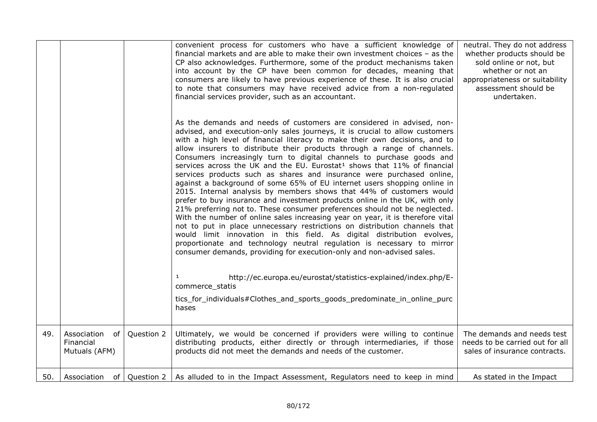|     |                                                 |            | convenient process for customers who have a sufficient knowledge of<br>financial markets and are able to make their own investment choices - as the<br>CP also acknowledges. Furthermore, some of the product mechanisms taken<br>into account by the CP have been common for decades, meaning that<br>consumers are likely to have previous experience of these. It is also crucial<br>to note that consumers may have received advice from a non-regulated<br>financial services provider, such as an accountant.<br>As the demands and needs of customers are considered in advised, non-<br>advised, and execution-only sales journeys, it is crucial to allow customers<br>with a high level of financial literacy to make their own decisions, and to<br>allow insurers to distribute their products through a range of channels.<br>Consumers increasingly turn to digital channels to purchase goods and<br>services across the UK and the EU. Eurostat <sup>1</sup> shows that 11% of financial<br>services products such as shares and insurance were purchased online,<br>against a background of some 65% of EU internet users shopping online in<br>2015. Internal analysis by members shows that 44% of customers would<br>prefer to buy insurance and investment products online in the UK, with only<br>21% preferring not to. These consumer preferences should not be neglected.<br>With the number of online sales increasing year on year, it is therefore vital<br>not to put in place unnecessary restrictions on distribution channels that<br>would limit innovation in this field. As digital distribution evolves,<br>proportionate and technology neutral regulation is necessary to mirror<br>consumer demands, providing for execution-only and non-advised sales.<br>http://ec.europa.eu/eurostat/statistics-explained/index.php/E-<br>1<br>commerce_statis<br>tics_for_individuals#Clothes_and_sports_goods_predominate_in_online_purc<br>hases | neutral. They do not address<br>whether products should be<br>sold online or not, but<br>whether or not an<br>appropriateness or suitability<br>assessment should be<br>undertaken. |
|-----|-------------------------------------------------|------------|--------------------------------------------------------------------------------------------------------------------------------------------------------------------------------------------------------------------------------------------------------------------------------------------------------------------------------------------------------------------------------------------------------------------------------------------------------------------------------------------------------------------------------------------------------------------------------------------------------------------------------------------------------------------------------------------------------------------------------------------------------------------------------------------------------------------------------------------------------------------------------------------------------------------------------------------------------------------------------------------------------------------------------------------------------------------------------------------------------------------------------------------------------------------------------------------------------------------------------------------------------------------------------------------------------------------------------------------------------------------------------------------------------------------------------------------------------------------------------------------------------------------------------------------------------------------------------------------------------------------------------------------------------------------------------------------------------------------------------------------------------------------------------------------------------------------------------------------------------------------------------------------------------------------------------------------------------------------------------|-------------------------------------------------------------------------------------------------------------------------------------------------------------------------------------|
| 49. | Association<br>of<br>Financial<br>Mutuals (AFM) | Question 2 | Ultimately, we would be concerned if providers were willing to continue<br>distributing products, either directly or through intermediaries, if those<br>products did not meet the demands and needs of the customer.                                                                                                                                                                                                                                                                                                                                                                                                                                                                                                                                                                                                                                                                                                                                                                                                                                                                                                                                                                                                                                                                                                                                                                                                                                                                                                                                                                                                                                                                                                                                                                                                                                                                                                                                                          | The demands and needs test<br>needs to be carried out for all<br>sales of insurance contracts.                                                                                      |
| 50. | Association of Question 2                       |            | As alluded to in the Impact Assessment, Regulators need to keep in mind                                                                                                                                                                                                                                                                                                                                                                                                                                                                                                                                                                                                                                                                                                                                                                                                                                                                                                                                                                                                                                                                                                                                                                                                                                                                                                                                                                                                                                                                                                                                                                                                                                                                                                                                                                                                                                                                                                        | As stated in the Impact                                                                                                                                                             |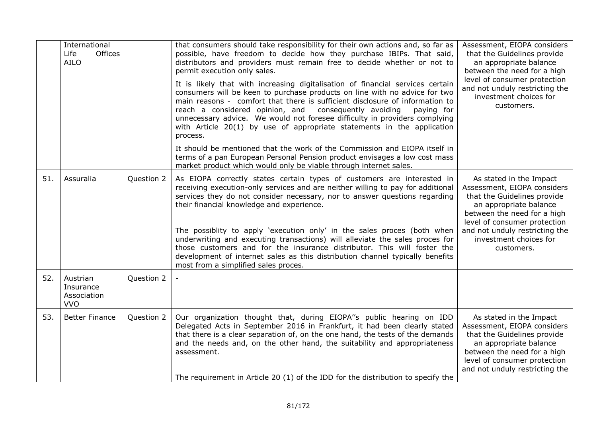|     | International<br>Offices<br>Life<br><b>AILO</b>    |            | that consumers should take responsibility for their own actions and, so far as<br>possible, have freedom to decide how they purchase IBIPs. That said,<br>distributors and providers must remain free to decide whether or not to<br>permit execution only sales.                                                                                                                                                                                                                                                                                                                                                                                   | Assessment, EIOPA considers<br>that the Guidelines provide<br>an appropriate balance<br>between the need for a high                                                                                                                                      |
|-----|----------------------------------------------------|------------|-----------------------------------------------------------------------------------------------------------------------------------------------------------------------------------------------------------------------------------------------------------------------------------------------------------------------------------------------------------------------------------------------------------------------------------------------------------------------------------------------------------------------------------------------------------------------------------------------------------------------------------------------------|----------------------------------------------------------------------------------------------------------------------------------------------------------------------------------------------------------------------------------------------------------|
|     |                                                    |            | It is likely that with increasing digitalisation of financial services certain<br>consumers will be keen to purchase products on line with no advice for two<br>main reasons - comfort that there is sufficient disclosure of information to<br>reach a considered opinion, and<br>consequently avoiding<br>paying for<br>unnecessary advice. We would not foresee difficulty in providers complying<br>with Article 20(1) by use of appropriate statements in the application<br>process.                                                                                                                                                          | level of consumer protection<br>and not unduly restricting the<br>investment choices for<br>customers.                                                                                                                                                   |
|     |                                                    |            | It should be mentioned that the work of the Commission and EIOPA itself in<br>terms of a pan European Personal Pension product envisages a low cost mass<br>market product which would only be viable through internet sales.                                                                                                                                                                                                                                                                                                                                                                                                                       |                                                                                                                                                                                                                                                          |
| 51. | Assuralia                                          | Question 2 | As EIOPA correctly states certain types of customers are interested in<br>receiving execution-only services and are neither willing to pay for additional<br>services they do not consider necessary, nor to answer questions regarding<br>their financial knowledge and experience.<br>The possiblity to apply 'execution only' in the sales proces (both when<br>underwriting and executing transactions) will alleviate the sales proces for<br>those customers and for the insurance distributor. This will foster the<br>development of internet sales as this distribution channel typically benefits<br>most from a simplified sales proces. | As stated in the Impact<br>Assessment, EIOPA considers<br>that the Guidelines provide<br>an appropriate balance<br>between the need for a high<br>level of consumer protection<br>and not unduly restricting the<br>investment choices for<br>customers. |
| 52. | Austrian<br>Insurance<br>Association<br><b>VVO</b> | Question 2 |                                                                                                                                                                                                                                                                                                                                                                                                                                                                                                                                                                                                                                                     |                                                                                                                                                                                                                                                          |
| 53. | <b>Better Finance</b>                              | Question 2 | Our organization thought that, during EIOPA"s public hearing on IDD<br>Delegated Acts in September 2016 in Frankfurt, it had been clearly stated<br>that there is a clear separation of, on the one hand, the tests of the demands<br>and the needs and, on the other hand, the suitability and appropriateness<br>assessment.<br>The requirement in Article 20 $(1)$ of the IDD for the distribution to specify the                                                                                                                                                                                                                                | As stated in the Impact<br>Assessment, EIOPA considers<br>that the Guidelines provide<br>an appropriate balance<br>between the need for a high<br>level of consumer protection<br>and not unduly restricting the                                         |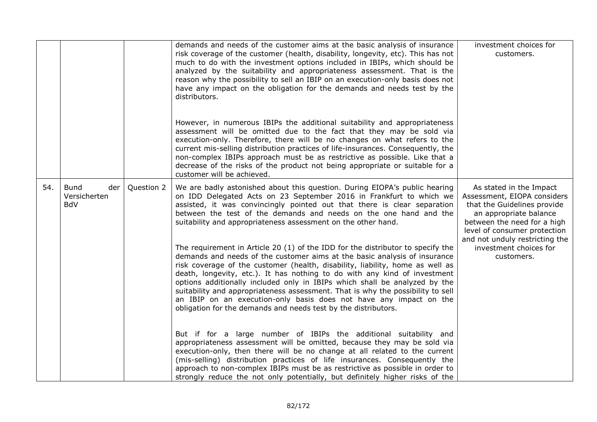|     |                                           |            |                                                                                                                                                                                                                                                                                                                                                                                                                                                                                                                                                                                  | investment choices for                                                                                                                                                                                                                     |
|-----|-------------------------------------------|------------|----------------------------------------------------------------------------------------------------------------------------------------------------------------------------------------------------------------------------------------------------------------------------------------------------------------------------------------------------------------------------------------------------------------------------------------------------------------------------------------------------------------------------------------------------------------------------------|--------------------------------------------------------------------------------------------------------------------------------------------------------------------------------------------------------------------------------------------|
|     |                                           |            | demands and needs of the customer aims at the basic analysis of insurance<br>risk coverage of the customer (health, disability, longevity, etc). This has not<br>much to do with the investment options included in IBIPs, which should be<br>analyzed by the suitability and appropriateness assessment. That is the<br>reason why the possibility to sell an IBIP on an execution-only basis does not<br>have any impact on the obligation for the demands and needs test by the<br>distributors.<br>However, in numerous IBIPs the additional suitability and appropriateness | customers.                                                                                                                                                                                                                                 |
|     |                                           |            | assessment will be omitted due to the fact that they may be sold via<br>execution-only. Therefore, there will be no changes on what refers to the<br>current mis-selling distribution practices of life-insurances. Consequently, the<br>non-complex IBIPs approach must be as restrictive as possible. Like that a<br>decrease of the risks of the product not being appropriate or suitable for a<br>customer will be achieved.                                                                                                                                                |                                                                                                                                                                                                                                            |
| 54. | Bund<br>der<br>Versicherten<br><b>BdV</b> | Question 2 | We are badly astonished about this question. During EIOPA's public hearing<br>on IDD Delegated Acts on 23 September 2016 in Frankfurt to which we<br>assisted, it was convincingly pointed out that there is clear separation<br>between the test of the demands and needs on the one hand and the<br>suitability and appropriateness assessment on the other hand.<br>The requirement in Article 20 $(1)$ of the IDD for the distributor to specify the                                                                                                                         | As stated in the Impact<br>Assessment, EIOPA considers<br>that the Guidelines provide<br>an appropriate balance<br>between the need for a high<br>level of consumer protection<br>and not unduly restricting the<br>investment choices for |
|     |                                           |            | demands and needs of the customer aims at the basic analysis of insurance<br>risk coverage of the customer (health, disability, liability, home as well as<br>death, longevity, etc.). It has nothing to do with any kind of investment<br>options additionally included only in IBIPs which shall be analyzed by the<br>suitability and appropriateness assessment. That is why the possibility to sell<br>an IBIP on an execution-only basis does not have any impact on the<br>obligation for the demands and needs test by the distributors.                                 | customers.                                                                                                                                                                                                                                 |
|     |                                           |            | But if for a large number of IBIPs the additional suitability and<br>appropriateness assessment will be omitted, because they may be sold via<br>execution-only, then there will be no change at all related to the current<br>(mis-selling) distribution practices of life insurances. Consequently the<br>approach to non-complex IBIPs must be as restrictive as possible in order to<br>strongly reduce the not only potentially, but definitely higher risks of the                                                                                                         |                                                                                                                                                                                                                                            |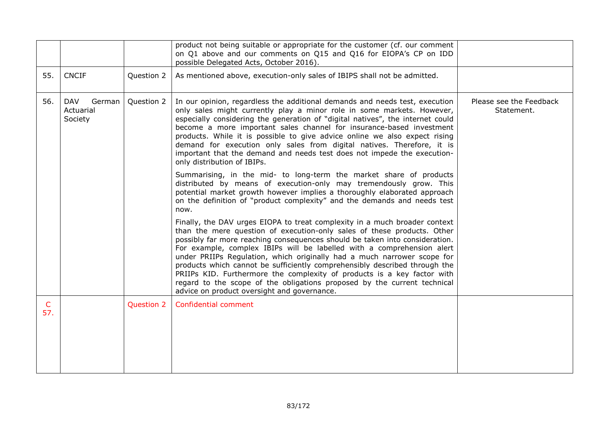|          |                                              |                   | product not being suitable or appropriate for the customer (cf. our comment<br>on Q1 above and our comments on Q15 and Q16 for EIOPA's CP on IDD<br>possible Delegated Acts, October 2016).                                                                                                                                                                                                                                                                                                                                                                                                                                                                                   |                                       |
|----------|----------------------------------------------|-------------------|-------------------------------------------------------------------------------------------------------------------------------------------------------------------------------------------------------------------------------------------------------------------------------------------------------------------------------------------------------------------------------------------------------------------------------------------------------------------------------------------------------------------------------------------------------------------------------------------------------------------------------------------------------------------------------|---------------------------------------|
| 55.      | <b>CNCIF</b>                                 | Question 2        | As mentioned above, execution-only sales of IBIPS shall not be admitted.                                                                                                                                                                                                                                                                                                                                                                                                                                                                                                                                                                                                      |                                       |
| 56.      | <b>DAV</b><br>German<br>Actuarial<br>Society | Question 2        | In our opinion, regardless the additional demands and needs test, execution<br>only sales might currently play a minor role in some markets. However,<br>especially considering the generation of "digital natives", the internet could<br>become a more important sales channel for insurance-based investment<br>products. While it is possible to give advice online we also expect rising<br>demand for execution only sales from digital natives. Therefore, it is<br>important that the demand and needs test does not impede the execution-<br>only distribution of IBIPs.                                                                                             | Please see the Feedback<br>Statement. |
|          |                                              |                   | Summarising, in the mid- to long-term the market share of products<br>distributed by means of execution-only may tremendously grow. This<br>potential market growth however implies a thoroughly elaborated approach<br>on the definition of "product complexity" and the demands and needs test<br>now.                                                                                                                                                                                                                                                                                                                                                                      |                                       |
|          |                                              |                   | Finally, the DAV urges EIOPA to treat complexity in a much broader context<br>than the mere question of execution-only sales of these products. Other<br>possibly far more reaching consequences should be taken into consideration.<br>For example, complex IBIPs will be labelled with a comprehension alert<br>under PRIIPs Regulation, which originally had a much narrower scope for<br>products which cannot be sufficiently comprehensibly described through the<br>PRIIPs KID. Furthermore the complexity of products is a key factor with<br>regard to the scope of the obligations proposed by the current technical<br>advice on product oversight and governance. |                                       |
| C<br>57. |                                              | <b>Question 2</b> | Confidential comment                                                                                                                                                                                                                                                                                                                                                                                                                                                                                                                                                                                                                                                          |                                       |
|          |                                              |                   |                                                                                                                                                                                                                                                                                                                                                                                                                                                                                                                                                                                                                                                                               |                                       |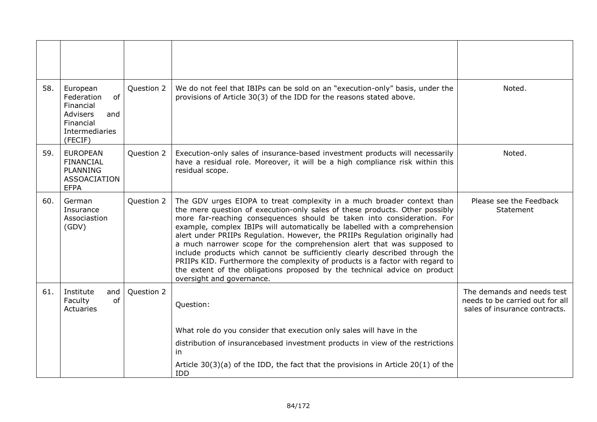| 58. | European<br>of<br>Federation<br>Financial<br>Advisers<br>and<br>Financial<br>Intermediaries<br>(FECIF) | Question 2 | We do not feel that IBIPs can be sold on an "execution-only" basis, under the<br>provisions of Article 30(3) of the IDD for the reasons stated above.                                                                                                                                                                                                                                                                                                                                                                                                                                                                                                                                                                                             | Noted.                                                                                         |
|-----|--------------------------------------------------------------------------------------------------------|------------|---------------------------------------------------------------------------------------------------------------------------------------------------------------------------------------------------------------------------------------------------------------------------------------------------------------------------------------------------------------------------------------------------------------------------------------------------------------------------------------------------------------------------------------------------------------------------------------------------------------------------------------------------------------------------------------------------------------------------------------------------|------------------------------------------------------------------------------------------------|
| 59. | <b>EUROPEAN</b><br><b>FINANCIAL</b><br><b>PLANNING</b><br><b>ASSOACIATION</b><br><b>EFPA</b>           | Question 2 | Execution-only sales of insurance-based investment products will necessarily<br>have a residual role. Moreover, it will be a high compliance risk within this<br>residual scope.                                                                                                                                                                                                                                                                                                                                                                                                                                                                                                                                                                  | Noted.                                                                                         |
| 60. | German<br>Insurance<br>Associastion<br>(GDV)                                                           | Question 2 | The GDV urges EIOPA to treat complexity in a much broader context than<br>the mere question of execution-only sales of these products. Other possibly<br>more far-reaching consequences should be taken into consideration. For<br>example, complex IBIPs will automatically be labelled with a comprehension<br>alert under PRIIPs Regulation. However, the PRIIPs Regulation originally had<br>a much narrower scope for the comprehension alert that was supposed to<br>include products which cannot be sufficiently clearly described through the<br>PRIIPs KID. Furthermore the complexity of products is a factor with regard to<br>the extent of the obligations proposed by the technical advice on product<br>oversight and governance. | Please see the Feedback<br>Statement                                                           |
| 61. | Institute<br>and<br>of<br>Faculty<br>Actuaries                                                         | Question 2 | Question:                                                                                                                                                                                                                                                                                                                                                                                                                                                                                                                                                                                                                                                                                                                                         | The demands and needs test<br>needs to be carried out for all<br>sales of insurance contracts. |
|     |                                                                                                        |            | What role do you consider that execution only sales will have in the<br>distribution of insurancebased investment products in view of the restrictions<br>in<br>Article $30(3)(a)$ of the IDD, the fact that the provisions in Article 20(1) of the<br><b>IDD</b>                                                                                                                                                                                                                                                                                                                                                                                                                                                                                 |                                                                                                |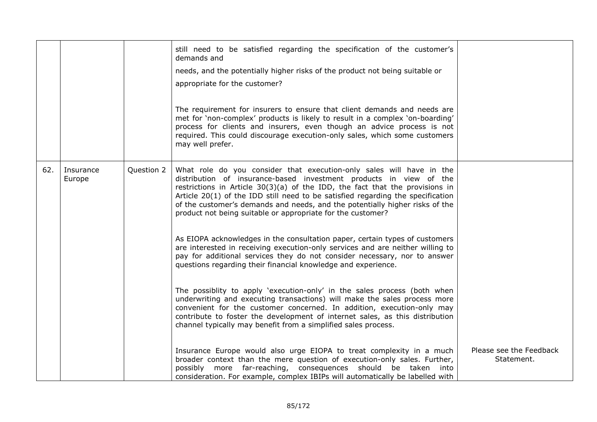|     |                     |            | still need to be satisfied regarding the specification of the customer's<br>demands and                                                                                                                                                                                                                                                                                                                                                                        |                                       |
|-----|---------------------|------------|----------------------------------------------------------------------------------------------------------------------------------------------------------------------------------------------------------------------------------------------------------------------------------------------------------------------------------------------------------------------------------------------------------------------------------------------------------------|---------------------------------------|
|     |                     |            | needs, and the potentially higher risks of the product not being suitable or                                                                                                                                                                                                                                                                                                                                                                                   |                                       |
|     |                     |            | appropriate for the customer?                                                                                                                                                                                                                                                                                                                                                                                                                                  |                                       |
|     |                     |            |                                                                                                                                                                                                                                                                                                                                                                                                                                                                |                                       |
|     |                     |            | The requirement for insurers to ensure that client demands and needs are<br>met for 'non-complex' products is likely to result in a complex 'on-boarding'<br>process for clients and insurers, even though an advice process is not<br>required. This could discourage execution-only sales, which some customers<br>may well prefer.                                                                                                                          |                                       |
| 62. | Insurance<br>Europe | Question 2 | What role do you consider that execution-only sales will have in the<br>distribution of insurance-based investment products in view of the<br>restrictions in Article $30(3)(a)$ of the IDD, the fact that the provisions in<br>Article 20(1) of the IDD still need to be satisfied regarding the specification<br>of the customer's demands and needs, and the potentially higher risks of the<br>product not being suitable or appropriate for the customer? |                                       |
|     |                     |            | As EIOPA acknowledges in the consultation paper, certain types of customers<br>are interested in receiving execution-only services and are neither willing to<br>pay for additional services they do not consider necessary, nor to answer<br>questions regarding their financial knowledge and experience.                                                                                                                                                    |                                       |
|     |                     |            | The possiblity to apply 'execution-only' in the sales process (both when<br>underwriting and executing transactions) will make the sales process more<br>convenient for the customer concerned. In addition, execution-only may<br>contribute to foster the development of internet sales, as this distribution<br>channel typically may benefit from a simplified sales process.                                                                              |                                       |
|     |                     |            | Insurance Europe would also urge EIOPA to treat complexity in a much<br>broader context than the mere question of execution-only sales. Further,<br>possibly more far-reaching, consequences should be taken into<br>consideration. For example, complex IBIPs will automatically be labelled with                                                                                                                                                             | Please see the Feedback<br>Statement. |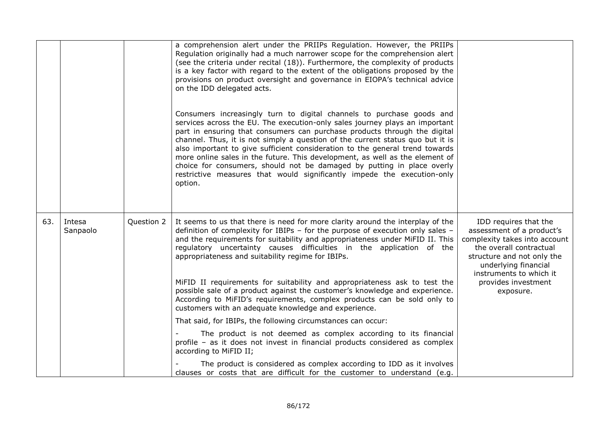|     |                    |            | a comprehension alert under the PRIIPs Regulation. However, the PRIIPs<br>Regulation originally had a much narrower scope for the comprehension alert<br>(see the criteria under recital (18)). Furthermore, the complexity of products<br>is a key factor with regard to the extent of the obligations proposed by the<br>provisions on product oversight and governance in EIOPA's technical advice<br>on the IDD delegated acts.                                                                                                                                                                                                                                           |                                                                                                                                                                                                                                     |
|-----|--------------------|------------|-------------------------------------------------------------------------------------------------------------------------------------------------------------------------------------------------------------------------------------------------------------------------------------------------------------------------------------------------------------------------------------------------------------------------------------------------------------------------------------------------------------------------------------------------------------------------------------------------------------------------------------------------------------------------------|-------------------------------------------------------------------------------------------------------------------------------------------------------------------------------------------------------------------------------------|
|     |                    |            | Consumers increasingly turn to digital channels to purchase goods and<br>services across the EU. The execution-only sales journey plays an important<br>part in ensuring that consumers can purchase products through the digital<br>channel. Thus, it is not simply a question of the current status quo but it is<br>also important to give sufficient consideration to the general trend towards<br>more online sales in the future. This development, as well as the element of<br>choice for consumers, should not be damaged by putting in place overly<br>restrictive measures that would significantly impede the execution-only<br>option.                           |                                                                                                                                                                                                                                     |
| 63. | Intesa<br>Sanpaolo | Question 2 | It seems to us that there is need for more clarity around the interplay of the<br>definition of complexity for IBIPs - for the purpose of execution only sales -<br>and the requirements for suitability and appropriateness under MiFID II. This<br>regulatory uncertainty causes difficulties in the application of the<br>appropriateness and suitability regime for IBIPs.<br>MiFID II requirements for suitability and appropriateness ask to test the<br>possible sale of a product against the customer's knowledge and experience.<br>According to MiFID's requirements, complex products can be sold only to<br>customers with an adequate knowledge and experience. | IDD requires that the<br>assessment of a product's<br>complexity takes into account<br>the overall contractual<br>structure and not only the<br>underlying financial<br>instruments to which it<br>provides investment<br>exposure. |
|     |                    |            | That said, for IBIPs, the following circumstances can occur:<br>The product is not deemed as complex according to its financial<br>profile - as it does not invest in financial products considered as complex<br>according to MiFID II;                                                                                                                                                                                                                                                                                                                                                                                                                                      |                                                                                                                                                                                                                                     |
|     |                    |            | The product is considered as complex according to IDD as it involves<br>clauses or costs that are difficult for the customer to understand (e.g.                                                                                                                                                                                                                                                                                                                                                                                                                                                                                                                              |                                                                                                                                                                                                                                     |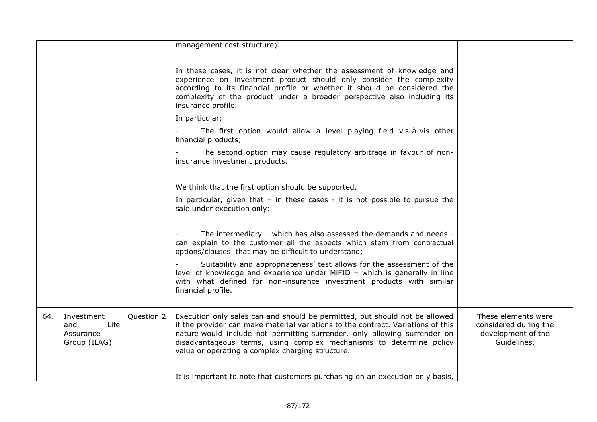|     |                                                        |            | management cost structure).                                                                                                                                                                                                                                                                                                                                             |                                                                                   |
|-----|--------------------------------------------------------|------------|-------------------------------------------------------------------------------------------------------------------------------------------------------------------------------------------------------------------------------------------------------------------------------------------------------------------------------------------------------------------------|-----------------------------------------------------------------------------------|
|     |                                                        |            | In these cases, it is not clear whether the assessment of knowledge and<br>experience on investment product should only consider the complexity<br>according to its financial profile or whether it should be considered the<br>complexity of the product under a broader perspective also including its<br>insurance profile.                                          |                                                                                   |
|     |                                                        |            | In particular:                                                                                                                                                                                                                                                                                                                                                          |                                                                                   |
|     |                                                        |            | The first option would allow a level playing field vis-à-vis other<br>financial products;                                                                                                                                                                                                                                                                               |                                                                                   |
|     |                                                        |            | The second option may cause regulatory arbitrage in favour of non-<br>insurance investment products.                                                                                                                                                                                                                                                                    |                                                                                   |
|     |                                                        |            | We think that the first option should be supported.                                                                                                                                                                                                                                                                                                                     |                                                                                   |
|     |                                                        |            | In particular, given that $-$ in these cases $-$ it is not possible to pursue the<br>sale under execution only:                                                                                                                                                                                                                                                         |                                                                                   |
|     |                                                        |            | The intermediary - which has also assessed the demands and needs -<br>can explain to the customer all the aspects which stem from contractual<br>options/clauses that may be difficult to understand;                                                                                                                                                                   |                                                                                   |
|     |                                                        |            | Suitability and appropriateness' test allows for the assessment of the<br>level of knowledge and experience under MiFID - which is generally in line<br>with what defined for non-insurance investment products with similar<br>financial profile.                                                                                                                      |                                                                                   |
| 64. | Investment<br>and<br>Life<br>Assurance<br>Group (ILAG) | Question 2 | Execution only sales can and should be permitted, but should not be allowed<br>if the provider can make material variations to the contract. Variations of this<br>nature would include not permitting surrender, only allowing surrender on<br>disadvantageous terms, using complex mechanisms to determine policy<br>value or operating a complex charging structure. | These elements were<br>considered during the<br>development of the<br>Guidelines. |
|     |                                                        |            | It is important to note that customers purchasing on an execution only basis,                                                                                                                                                                                                                                                                                           |                                                                                   |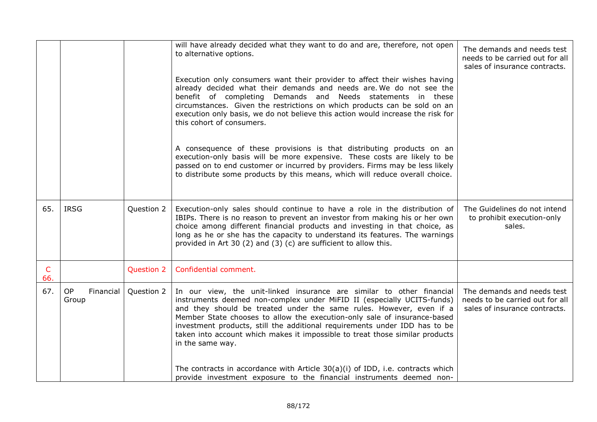|          |                          |            | will have already decided what they want to do and are, therefore, not open<br>to alternative options.                                                                                                                                                                                                                                                                                                                                                                               | The demands and needs test<br>needs to be carried out for all<br>sales of insurance contracts. |
|----------|--------------------------|------------|--------------------------------------------------------------------------------------------------------------------------------------------------------------------------------------------------------------------------------------------------------------------------------------------------------------------------------------------------------------------------------------------------------------------------------------------------------------------------------------|------------------------------------------------------------------------------------------------|
|          |                          |            | Execution only consumers want their provider to affect their wishes having<br>already decided what their demands and needs are. We do not see the<br>benefit of completing Demands and Needs statements in these<br>circumstances. Given the restrictions on which products can be sold on an<br>execution only basis, we do not believe this action would increase the risk for<br>this cohort of consumers.                                                                        |                                                                                                |
|          |                          |            | A consequence of these provisions is that distributing products on an<br>execution-only basis will be more expensive. These costs are likely to be<br>passed on to end customer or incurred by providers. Firms may be less likely<br>to distribute some products by this means, which will reduce overall choice.                                                                                                                                                                   |                                                                                                |
| 65.      | <b>IRSG</b>              | Question 2 | Execution-only sales should continue to have a role in the distribution of<br>IBIPs. There is no reason to prevent an investor from making his or her own<br>choice among different financial products and investing in that choice, as<br>long as he or she has the capacity to understand its features. The warnings<br>provided in Art 30 (2) and (3) (c) are sufficient to allow this.                                                                                           | The Guidelines do not intend<br>to prohibit execution-only<br>sales.                           |
| C<br>66. |                          | Question 2 | Confidential comment.                                                                                                                                                                                                                                                                                                                                                                                                                                                                |                                                                                                |
| 67.      | OP<br>Financial<br>Group | Question 2 | In our view, the unit-linked insurance are similar to other financial<br>instruments deemed non-complex under MiFID II (especially UCITS-funds)<br>and they should be treated under the same rules. However, even if a<br>Member State chooses to allow the execution-only sale of insurance-based<br>investment products, still the additional requirements under IDD has to be<br>taken into account which makes it impossible to treat those similar products<br>in the same way. | The demands and needs test<br>needs to be carried out for all<br>sales of insurance contracts. |
|          |                          |            | The contracts in accordance with Article $30(a)(i)$ of IDD, i.e. contracts which<br>provide investment exposure to the financial instruments deemed non-                                                                                                                                                                                                                                                                                                                             |                                                                                                |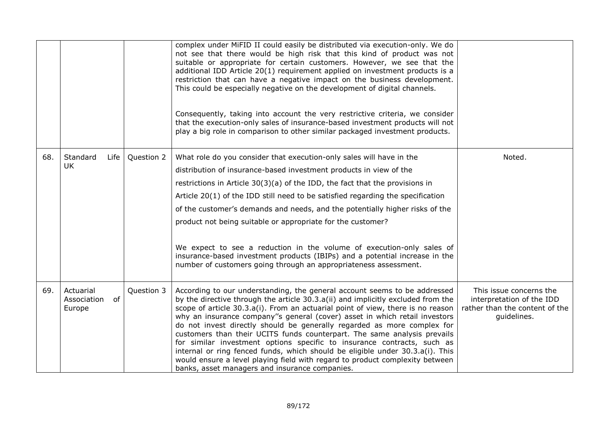|     |                                          |            | complex under MiFID II could easily be distributed via execution-only. We do<br>not see that there would be high risk that this kind of product was not<br>suitable or appropriate for certain customers. However, we see that the<br>additional IDD Article 20(1) requirement applied on investment products is a<br>restriction that can have a negative impact on the business development.<br>This could be especially negative on the development of digital channels.<br>Consequently, taking into account the very restrictive criteria, we consider<br>that the execution-only sales of insurance-based investment products will not                                                                                                                                        |                                                                                                       |
|-----|------------------------------------------|------------|-------------------------------------------------------------------------------------------------------------------------------------------------------------------------------------------------------------------------------------------------------------------------------------------------------------------------------------------------------------------------------------------------------------------------------------------------------------------------------------------------------------------------------------------------------------------------------------------------------------------------------------------------------------------------------------------------------------------------------------------------------------------------------------|-------------------------------------------------------------------------------------------------------|
|     |                                          |            | play a big role in comparison to other similar packaged investment products.                                                                                                                                                                                                                                                                                                                                                                                                                                                                                                                                                                                                                                                                                                        |                                                                                                       |
| 68. | Standard<br>Life                         | Question 2 | What role do you consider that execution-only sales will have in the                                                                                                                                                                                                                                                                                                                                                                                                                                                                                                                                                                                                                                                                                                                | Noted.                                                                                                |
|     | <b>UK</b>                                |            | distribution of insurance-based investment products in view of the                                                                                                                                                                                                                                                                                                                                                                                                                                                                                                                                                                                                                                                                                                                  |                                                                                                       |
|     |                                          |            | restrictions in Article $30(3)(a)$ of the IDD, the fact that the provisions in                                                                                                                                                                                                                                                                                                                                                                                                                                                                                                                                                                                                                                                                                                      |                                                                                                       |
|     |                                          |            | Article $20(1)$ of the IDD still need to be satisfied regarding the specification                                                                                                                                                                                                                                                                                                                                                                                                                                                                                                                                                                                                                                                                                                   |                                                                                                       |
|     |                                          |            | of the customer's demands and needs, and the potentially higher risks of the                                                                                                                                                                                                                                                                                                                                                                                                                                                                                                                                                                                                                                                                                                        |                                                                                                       |
|     |                                          |            | product not being suitable or appropriate for the customer?                                                                                                                                                                                                                                                                                                                                                                                                                                                                                                                                                                                                                                                                                                                         |                                                                                                       |
|     |                                          |            | We expect to see a reduction in the volume of execution-only sales of<br>insurance-based investment products (IBIPs) and a potential increase in the<br>number of customers going through an appropriateness assessment.                                                                                                                                                                                                                                                                                                                                                                                                                                                                                                                                                            |                                                                                                       |
| 69. | Actuarial<br>Association<br>of<br>Europe | Question 3 | According to our understanding, the general account seems to be addressed<br>by the directive through the article 30.3.a(ii) and implicitly excluded from the<br>scope of article 30.3.a(i). From an actuarial point of view, there is no reason<br>why an insurance company"s general (cover) asset in which retail investors<br>do not invest directly should be generally regarded as more complex for<br>customers than their UCITS funds counterpart. The same analysis prevails<br>for similar investment options specific to insurance contracts, such as<br>internal or ring fenced funds, which should be eligible under 30.3.a(i). This<br>would ensure a level playing field with regard to product complexity between<br>banks, asset managers and insurance companies. | This issue concerns the<br>interpretation of the IDD<br>rather than the content of the<br>guidelines. |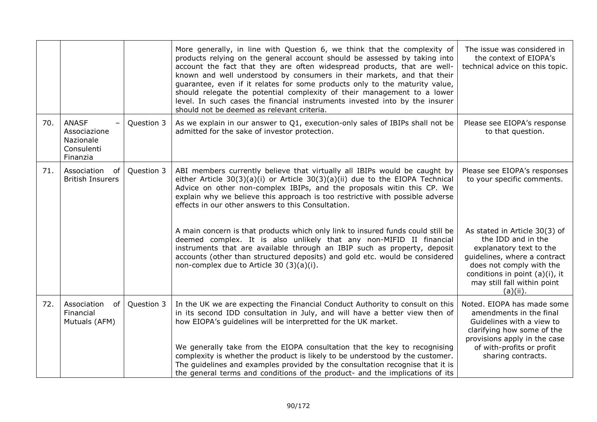|     |                                                                     |            | More generally, in line with Question 6, we think that the complexity of<br>products relying on the general account should be assessed by taking into<br>account the fact that they are often widespread products, that are well-<br>known and well understood by consumers in their markets, and that their<br>guarantee, even if it relates for some products only to the maturity value,<br>should relegate the potential complexity of their management to a lower<br>level. In such cases the financial instruments invested into by the insurer<br>should not be deemed as relevant criteria. | The issue was considered in<br>the context of EIOPA's<br>technical advice on this topic.                                                                                                                                   |
|-----|---------------------------------------------------------------------|------------|-----------------------------------------------------------------------------------------------------------------------------------------------------------------------------------------------------------------------------------------------------------------------------------------------------------------------------------------------------------------------------------------------------------------------------------------------------------------------------------------------------------------------------------------------------------------------------------------------------|----------------------------------------------------------------------------------------------------------------------------------------------------------------------------------------------------------------------------|
| 70. | <b>ANASF</b><br>Associazione<br>Nazionale<br>Consulenti<br>Finanzia | Question 3 | As we explain in our answer to Q1, execution-only sales of IBIPs shall not be<br>admitted for the sake of investor protection.                                                                                                                                                                                                                                                                                                                                                                                                                                                                      | Please see EIOPA's response<br>to that question.                                                                                                                                                                           |
| 71. | Association<br>of<br><b>British Insurers</b>                        | Question 3 | ABI members currently believe that virtually all IBIPs would be caught by<br>either Article $30(3)(a)(i)$ or Article $30(3)(a)(ii)$ due to the EIOPA Technical<br>Advice on other non-complex IBIPs, and the proposals witin this CP. We<br>explain why we believe this approach is too restrictive with possible adverse<br>effects in our other answers to this Consultation.                                                                                                                                                                                                                     | Please see EIOPA's responses<br>to your specific comments.                                                                                                                                                                 |
|     |                                                                     |            | A main concern is that products which only link to insured funds could still be<br>deemed complex. It is also unlikely that any non-MIFID II financial<br>instruments that are available through an IBIP such as property, deposit<br>accounts (other than structured deposits) and gold etc. would be considered<br>non-complex due to Article 30 (3)(a)(i).                                                                                                                                                                                                                                       | As stated in Article 30(3) of<br>the IDD and in the<br>explanatory text to the<br>guidelines, where a contract<br>does not comply with the<br>conditions in point (a)(i), it<br>may still fall within point<br>$(a)(ii)$ . |
| 72. | Association<br>0f<br>Financial<br>Mutuals (AFM)                     | Question 3 | In the UK we are expecting the Financial Conduct Authority to consult on this<br>in its second IDD consultation in July, and will have a better view then of<br>how EIOPA's guidelines will be interpretted for the UK market.<br>We generally take from the EIOPA consultation that the key to recognising                                                                                                                                                                                                                                                                                         | Noted. EIOPA has made some<br>amendments in the final<br>Guidelines with a view to<br>clarifying how some of the<br>provisions apply in the case<br>of with-profits or profit                                              |
|     |                                                                     |            | complexity is whether the product is likely to be understood by the customer.<br>The guidelines and examples provided by the consultation recognise that it is<br>the general terms and conditions of the product- and the implications of its                                                                                                                                                                                                                                                                                                                                                      | sharing contracts.                                                                                                                                                                                                         |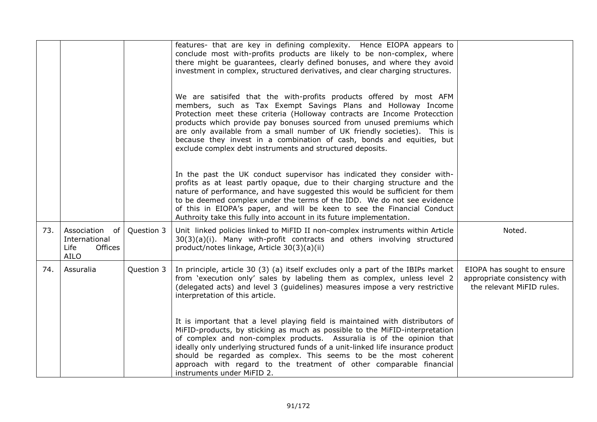|     |                                                                             |            | features- that are key in defining complexity. Hence EIOPA appears to<br>conclude most with-profits products are likely to be non-complex, where<br>there might be guarantees, clearly defined bonuses, and where they avoid<br>investment in complex, structured derivatives, and clear charging structures.<br>We are satisifed that the with-profits products offered by most AFM<br>members, such as Tax Exempt Savings Plans and Holloway Income<br>Protection meet these criteria (Holloway contracts are Income Protecction<br>products which provide pay bonuses sourced from unused premiums which<br>are only available from a small number of UK friendly societies). This is<br>because they invest in a combination of cash, bonds and equities, but<br>exclude complex debt instruments and structured deposits.<br>In the past the UK conduct supervisor has indicated they consider with-<br>profits as at least partly opaque, due to their charging structure and the<br>nature of performance, and have suggested this would be sufficient for them<br>to be deemed complex under the terms of the IDD. We do not see evidence<br>of this in EIOPA's paper, and will be keen to see the Financial Conduct<br>Authroity take this fully into account in its future implementation. |                                                                                         |
|-----|-----------------------------------------------------------------------------|------------|------------------------------------------------------------------------------------------------------------------------------------------------------------------------------------------------------------------------------------------------------------------------------------------------------------------------------------------------------------------------------------------------------------------------------------------------------------------------------------------------------------------------------------------------------------------------------------------------------------------------------------------------------------------------------------------------------------------------------------------------------------------------------------------------------------------------------------------------------------------------------------------------------------------------------------------------------------------------------------------------------------------------------------------------------------------------------------------------------------------------------------------------------------------------------------------------------------------------------------------------------------------------------------------------------|-----------------------------------------------------------------------------------------|
| 73. | Association<br>of<br>International<br>Life<br><b>Offices</b><br><b>AILO</b> | Question 3 | Unit linked policies linked to MiFID II non-complex instruments within Article<br>30(3)(a)(i). Many with-profit contracts and others involving structured<br>product/notes linkage, Article 30(3)(a)(ii)                                                                                                                                                                                                                                                                                                                                                                                                                                                                                                                                                                                                                                                                                                                                                                                                                                                                                                                                                                                                                                                                                             | Noted.                                                                                  |
| 74. | Assuralia                                                                   | Question 3 | In principle, article 30 (3) (a) itself excludes only a part of the IBIPs market<br>from 'execution only' sales by labeling them as complex, unless level 2<br>(delegated acts) and level 3 (guidelines) measures impose a very restrictive<br>interpretation of this article.<br>It is important that a level playing field is maintained with distributors of<br>MiFID-products, by sticking as much as possible to the MiFID-interpretation<br>of complex and non-complex products. Assuralia is of the opinion that<br>ideally only underlying structured funds of a unit-linked life insurance product<br>should be regarded as complex. This seems to be the most coherent<br>approach with regard to the treatment of other comparable financial<br>instruments under MiFID 2.                                                                                                                                                                                                                                                                                                                                                                                                                                                                                                                | EIOPA has sought to ensure<br>appropriate consistency with<br>the relevant MiFID rules. |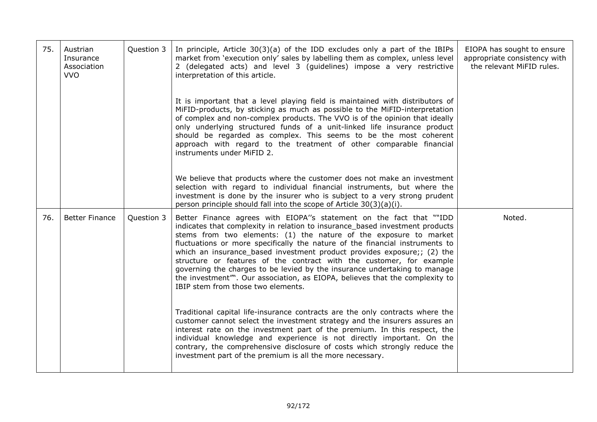| 75. | Austrian<br>Insurance<br>Association<br><b>VVO</b> | Question 3 | In principle, Article $30(3)(a)$ of the IDD excludes only a part of the IBIPs<br>market from 'execution only' sales by labelling them as complex, unless level<br>2 (delegated acts) and level 3 (guidelines) impose a very restrictive<br>interpretation of this article.                                                                                                                                                                                                                                                                                                                                                                                     | EIOPA has sought to ensure<br>appropriate consistency with<br>the relevant MiFID rules. |
|-----|----------------------------------------------------|------------|----------------------------------------------------------------------------------------------------------------------------------------------------------------------------------------------------------------------------------------------------------------------------------------------------------------------------------------------------------------------------------------------------------------------------------------------------------------------------------------------------------------------------------------------------------------------------------------------------------------------------------------------------------------|-----------------------------------------------------------------------------------------|
|     |                                                    |            | It is important that a level playing field is maintained with distributors of<br>MiFID-products, by sticking as much as possible to the MiFID-interpretation<br>of complex and non-complex products. The VVO is of the opinion that ideally<br>only underlying structured funds of a unit-linked life insurance product<br>should be regarded as complex. This seems to be the most coherent<br>approach with regard to the treatment of other comparable financial<br>instruments under MiFID 2.                                                                                                                                                              |                                                                                         |
|     |                                                    |            | We believe that products where the customer does not make an investment<br>selection with regard to individual financial instruments, but where the<br>investment is done by the insurer who is subject to a very strong prudent<br>person principle should fall into the scope of Article 30(3)(a)(i).                                                                                                                                                                                                                                                                                                                                                        |                                                                                         |
| 76. | <b>Better Finance</b>                              | Question 3 | Better Finance agrees with EIOPA"s statement on the fact that ""IDD<br>indicates that complexity in relation to insurance_based investment products<br>stems from two elements: (1) the nature of the exposure to market<br>fluctuations or more specifically the nature of the financial instruments to<br>which an insurance based investment product provides exposure;; (2) the<br>structure or features of the contract with the customer, for example<br>governing the charges to be levied by the insurance undertaking to manage<br>the investment"". Our association, as EIOPA, believes that the complexity to<br>IBIP stem from those two elements. | Noted.                                                                                  |
|     |                                                    |            | Traditional capital life-insurance contracts are the only contracts where the<br>customer cannot select the investment strategy and the insurers assures an<br>interest rate on the investment part of the premium. In this respect, the<br>individual knowledge and experience is not directly important. On the<br>contrary, the comprehensive disclosure of costs which strongly reduce the<br>investment part of the premium is all the more necessary.                                                                                                                                                                                                    |                                                                                         |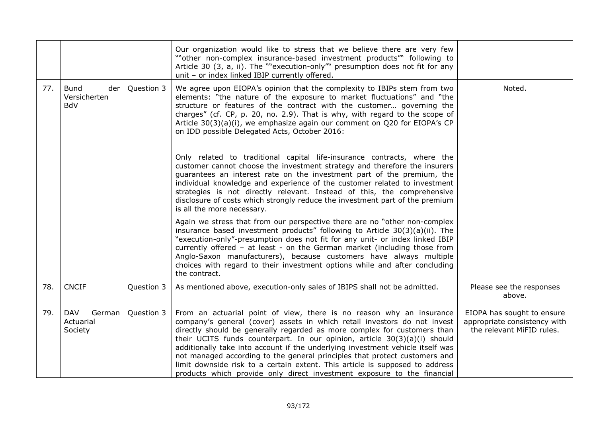|     |                                                  |            | Our organization would like to stress that we believe there are very few<br>""other non-complex insurance-based investment products" following to<br>Article 30 (3, a, ii). The ""execution-only"" presumption does not fit for any<br>unit - or index linked IBIP currently offered.                                                                                                                                                                                                                                                                                                                                                |                                                                                         |
|-----|--------------------------------------------------|------------|--------------------------------------------------------------------------------------------------------------------------------------------------------------------------------------------------------------------------------------------------------------------------------------------------------------------------------------------------------------------------------------------------------------------------------------------------------------------------------------------------------------------------------------------------------------------------------------------------------------------------------------|-----------------------------------------------------------------------------------------|
| 77. | <b>Bund</b><br>der<br>Versicherten<br><b>BdV</b> | Question 3 | We agree upon EIOPA's opinion that the complexity to IBIPs stem from two<br>elements: "the nature of the exposure to market fluctuations" and "the<br>structure or features of the contract with the customer governing the<br>charges" (cf. CP, p. 20, no. 2.9). That is why, with regard to the scope of<br>Article $30(3)(a)(i)$ , we emphasize again our comment on Q20 for EIOPA's CP<br>on IDD possible Delegated Acts, October 2016:                                                                                                                                                                                          | Noted.                                                                                  |
|     |                                                  |            | Only related to traditional capital life-insurance contracts, where the<br>customer cannot choose the investment strategy and therefore the insurers<br>guarantees an interest rate on the investment part of the premium, the<br>individual knowledge and experience of the customer related to investment<br>strategies is not directly relevant. Instead of this, the comprehensive<br>disclosure of costs which strongly reduce the investment part of the premium<br>is all the more necessary.                                                                                                                                 |                                                                                         |
|     |                                                  |            | Again we stress that from our perspective there are no "other non-complex<br>insurance based investment products" following to Article $30(3)(a)(ii)$ . The<br>"execution-only"-presumption does not fit for any unit- or index linked IBIP<br>currently offered - at least - on the German market (including those from<br>Anglo-Saxon manufacturers), because customers have always multiple<br>choices with regard to their investment options while and after concluding<br>the contract.                                                                                                                                        |                                                                                         |
| 78. | <b>CNCIF</b>                                     | Question 3 | As mentioned above, execution-only sales of IBIPS shall not be admitted.                                                                                                                                                                                                                                                                                                                                                                                                                                                                                                                                                             | Please see the responses<br>above.                                                      |
| 79. | <b>DAV</b><br>German<br>Actuarial<br>Society     | Question 3 | From an actuarial point of view, there is no reason why an insurance<br>company's general (cover) assets in which retail investors do not invest<br>directly should be generally regarded as more complex for customers than<br>their UCITS funds counterpart. In our opinion, article 30(3)(a)(i) should<br>additionally take into account if the underlying investment vehicle itself was<br>not managed according to the general principles that protect customers and<br>limit downside risk to a certain extent. This article is supposed to address<br>products which provide only direct investment exposure to the financial | EIOPA has sought to ensure<br>appropriate consistency with<br>the relevant MiFID rules. |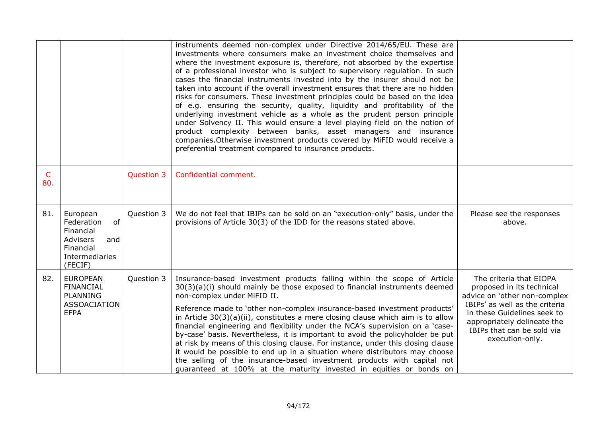|                     |                                                                                                        |            | instruments deemed non-complex under Directive 2014/65/EU. These are<br>investments where consumers make an investment choice themselves and<br>where the investment exposure is, therefore, not absorbed by the expertise<br>of a professional investor who is subject to supervisory regulation. In such<br>cases the financial instruments invested into by the insurer should not be<br>taken into account if the overall investment ensures that there are no hidden<br>risks for consumers. These investment principles could be based on the idea<br>of e.g. ensuring the security, quality, liquidity and profitability of the<br>underlying investment vehicle as a whole as the prudent person principle<br>under Solvency II. This would ensure a level playing field on the notion of<br>product complexity between banks, asset managers and insurance<br>companies. Otherwise investment products covered by MiFID would receive a<br>preferential treatment compared to insurance products. |                                                                                                                                                                                                                                       |
|---------------------|--------------------------------------------------------------------------------------------------------|------------|------------------------------------------------------------------------------------------------------------------------------------------------------------------------------------------------------------------------------------------------------------------------------------------------------------------------------------------------------------------------------------------------------------------------------------------------------------------------------------------------------------------------------------------------------------------------------------------------------------------------------------------------------------------------------------------------------------------------------------------------------------------------------------------------------------------------------------------------------------------------------------------------------------------------------------------------------------------------------------------------------------|---------------------------------------------------------------------------------------------------------------------------------------------------------------------------------------------------------------------------------------|
| $\mathsf{C}$<br>80. |                                                                                                        | Question 3 | Confidential comment.                                                                                                                                                                                                                                                                                                                                                                                                                                                                                                                                                                                                                                                                                                                                                                                                                                                                                                                                                                                      |                                                                                                                                                                                                                                       |
| 81.                 | European<br>of<br>Federation<br>Financial<br>Advisers<br>and<br>Financial<br>Intermediaries<br>(FECIF) | Question 3 | We do not feel that IBIPs can be sold on an "execution-only" basis, under the<br>provisions of Article 30(3) of the IDD for the reasons stated above.                                                                                                                                                                                                                                                                                                                                                                                                                                                                                                                                                                                                                                                                                                                                                                                                                                                      | Please see the responses<br>above.                                                                                                                                                                                                    |
| 82.                 | <b>EUROPEAN</b><br><b>FINANCIAL</b><br><b>PLANNING</b><br>ASSOACIATION<br><b>EFPA</b>                  | Question 3 | Insurance-based investment products falling within the scope of Article<br>30(3)(a)(i) should mainly be those exposed to financial instruments deemed<br>non-complex under MiFID II.<br>Reference made to 'other non-complex insurance-based investment products'<br>in Article 30(3)(a)(ii), constitutes a mere closing clause which aim is to allow<br>financial engineering and flexibility under the NCA's supervision on a 'case-<br>by-case' basis. Nevertheless, it is important to avoid the policyholder be put<br>at risk by means of this closing clause. For instance, under this closing clause<br>it would be possible to end up in a situation where distributors may choose<br>the selling of the insurance-based investment products with capital not<br>guaranteed at 100% at the maturity invested in equities or bonds on                                                                                                                                                              | The criteria that EIOPA<br>proposed in its technical<br>advice on 'other non-complex<br>IBIPs' as well as the criteria<br>in these Guidelines seek to<br>appropriately delineate the<br>IBIPs that can be sold via<br>execution-only. |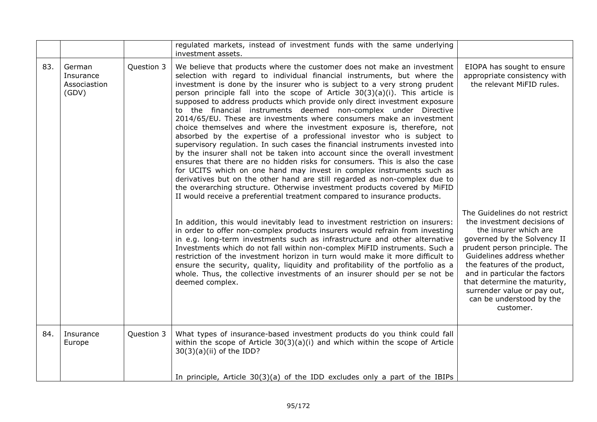|     |                                              |            | regulated markets, instead of investment funds with the same underlying<br>investment assets.                                                                                                                                                                                                                                                                                                                                                                                                                                                                                                                                                                                                                                                                                                                                                                                                                                                                                                                                                                                                                                                                                                                                                                    |                                                                                                                                                                                                                                                                                                                                                               |
|-----|----------------------------------------------|------------|------------------------------------------------------------------------------------------------------------------------------------------------------------------------------------------------------------------------------------------------------------------------------------------------------------------------------------------------------------------------------------------------------------------------------------------------------------------------------------------------------------------------------------------------------------------------------------------------------------------------------------------------------------------------------------------------------------------------------------------------------------------------------------------------------------------------------------------------------------------------------------------------------------------------------------------------------------------------------------------------------------------------------------------------------------------------------------------------------------------------------------------------------------------------------------------------------------------------------------------------------------------|---------------------------------------------------------------------------------------------------------------------------------------------------------------------------------------------------------------------------------------------------------------------------------------------------------------------------------------------------------------|
| 83. | German<br>Insurance<br>Associastion<br>(GDV) | Question 3 | We believe that products where the customer does not make an investment<br>selection with regard to individual financial instruments, but where the<br>investment is done by the insurer who is subject to a very strong prudent<br>person principle fall into the scope of Article $30(3)(a)(i)$ . This article is<br>supposed to address products which provide only direct investment exposure<br>to the financial instruments deemed non-complex under Directive<br>2014/65/EU. These are investments where consumers make an investment<br>choice themselves and where the investment exposure is, therefore, not<br>absorbed by the expertise of a professional investor who is subject to<br>supervisory regulation. In such cases the financial instruments invested into<br>by the insurer shall not be taken into account since the overall investment<br>ensures that there are no hidden risks for consumers. This is also the case<br>for UCITS which on one hand may invest in complex instruments such as<br>derivatives but on the other hand are still regarded as non-complex due to<br>the overarching structure. Otherwise investment products covered by MiFID<br>II would receive a preferential treatment compared to insurance products. | EIOPA has sought to ensure<br>appropriate consistency with<br>the relevant MiFID rules.                                                                                                                                                                                                                                                                       |
|     |                                              |            | In addition, this would inevitably lead to investment restriction on insurers:<br>in order to offer non-complex products insurers would refrain from investing<br>in e.g. long-term investments such as infrastructure and other alternative<br>Investments which do not fall within non-complex MiFID instruments. Such a<br>restriction of the investment horizon in turn would make it more difficult to<br>ensure the security, quality, liquidity and profitability of the portfolio as a<br>whole. Thus, the collective investments of an insurer should per se not be<br>deemed complex.                                                                                                                                                                                                                                                                                                                                                                                                                                                                                                                                                                                                                                                                  | The Guidelines do not restrict<br>the investment decisions of<br>the insurer which are<br>governed by the Solvency II<br>prudent person principle. The<br>Guidelines address whether<br>the features of the product,<br>and in particular the factors<br>that determine the maturity,<br>surrender value or pay out,<br>can be understood by the<br>customer. |
| 84. | Insurance<br>Europe                          | Question 3 | What types of insurance-based investment products do you think could fall<br>within the scope of Article 30(3)(a)(i) and which within the scope of Article<br>$30(3)(a)(ii)$ of the IDD?                                                                                                                                                                                                                                                                                                                                                                                                                                                                                                                                                                                                                                                                                                                                                                                                                                                                                                                                                                                                                                                                         |                                                                                                                                                                                                                                                                                                                                                               |
|     |                                              |            | In principle, Article $30(3)(a)$ of the IDD excludes only a part of the IBIPs                                                                                                                                                                                                                                                                                                                                                                                                                                                                                                                                                                                                                                                                                                                                                                                                                                                                                                                                                                                                                                                                                                                                                                                    |                                                                                                                                                                                                                                                                                                                                                               |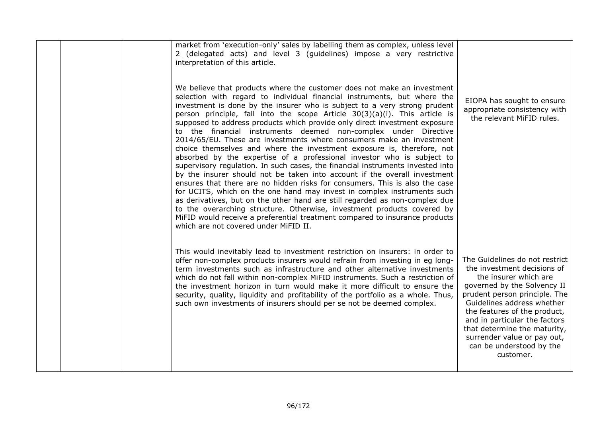| market from 'execution-only' sales by labelling them as complex, unless level<br>2 (delegated acts) and level 3 (guidelines) impose a very restrictive<br>interpretation of this article.<br>We believe that products where the customer does not make an investment<br>selection with regard to individual financial instruments, but where the<br>investment is done by the insurer who is subject to a very strong prudent<br>person principle, fall into the scope Article $30(3)(a)(i)$ . This article is<br>supposed to address products which provide only direct investment exposure<br>to the financial instruments deemed non-complex under Directive<br>2014/65/EU. These are investments where consumers make an investment<br>choice themselves and where the investment exposure is, therefore, not<br>absorbed by the expertise of a professional investor who is subject to<br>supervisory regulation. In such cases, the financial instruments invested into<br>by the insurer should not be taken into account if the overall investment<br>ensures that there are no hidden risks for consumers. This is also the case<br>for UCITS, which on the one hand may invest in complex instruments such<br>as derivatives, but on the other hand are still regarded as non-complex due<br>to the overarching structure. Otherwise, investment products covered by<br>MiFID would receive a preferential treatment compared to insurance products<br>which are not covered under MiFID II. | EIOPA has sought to ensure<br>appropriate consistency with<br>the relevant MiFID rules.                                                                                                                                                                                                                                                                       |
|--------------------------------------------------------------------------------------------------------------------------------------------------------------------------------------------------------------------------------------------------------------------------------------------------------------------------------------------------------------------------------------------------------------------------------------------------------------------------------------------------------------------------------------------------------------------------------------------------------------------------------------------------------------------------------------------------------------------------------------------------------------------------------------------------------------------------------------------------------------------------------------------------------------------------------------------------------------------------------------------------------------------------------------------------------------------------------------------------------------------------------------------------------------------------------------------------------------------------------------------------------------------------------------------------------------------------------------------------------------------------------------------------------------------------------------------------------------------------------------------------------|---------------------------------------------------------------------------------------------------------------------------------------------------------------------------------------------------------------------------------------------------------------------------------------------------------------------------------------------------------------|
| This would inevitably lead to investment restriction on insurers: in order to<br>offer non-complex products insurers would refrain from investing in eg long-<br>term investments such as infrastructure and other alternative investments<br>which do not fall within non-complex MiFID instruments. Such a restriction of<br>the investment horizon in turn would make it more difficult to ensure the<br>security, quality, liquidity and profitability of the portfolio as a whole. Thus,<br>such own investments of insurers should per se not be deemed complex.                                                                                                                                                                                                                                                                                                                                                                                                                                                                                                                                                                                                                                                                                                                                                                                                                                                                                                                                 | The Guidelines do not restrict<br>the investment decisions of<br>the insurer which are<br>governed by the Solvency II<br>prudent person principle. The<br>Guidelines address whether<br>the features of the product,<br>and in particular the factors<br>that determine the maturity,<br>surrender value or pay out,<br>can be understood by the<br>customer. |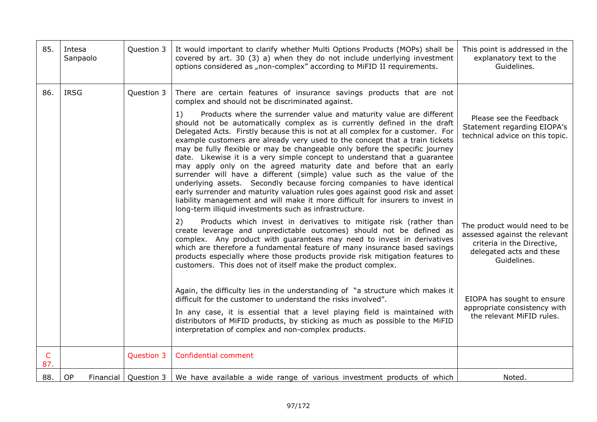| 85.                 | Intesa<br>Sanpaolo | Question 3             | It would important to clarify whether Multi Options Products (MOPs) shall be<br>covered by art. 30 (3) a) when they do not include underlying investment<br>options considered as "non-complex" according to MiFID II requirements.                                                                                                                                                                                                                                                                                                                                                                                                                                                                                                                                                                                                                                                                                                          | This point is addressed in the<br>explanatory text to the<br>Guidelines.                                                               |
|---------------------|--------------------|------------------------|----------------------------------------------------------------------------------------------------------------------------------------------------------------------------------------------------------------------------------------------------------------------------------------------------------------------------------------------------------------------------------------------------------------------------------------------------------------------------------------------------------------------------------------------------------------------------------------------------------------------------------------------------------------------------------------------------------------------------------------------------------------------------------------------------------------------------------------------------------------------------------------------------------------------------------------------|----------------------------------------------------------------------------------------------------------------------------------------|
| 86.                 | <b>IRSG</b>        | Question 3             | There are certain features of insurance savings products that are not<br>complex and should not be discriminated against.                                                                                                                                                                                                                                                                                                                                                                                                                                                                                                                                                                                                                                                                                                                                                                                                                    |                                                                                                                                        |
|                     |                    |                        | Products where the surrender value and maturity value are different<br>1)<br>should not be automatically complex as is currently defined in the draft<br>Delegated Acts. Firstly because this is not at all complex for a customer. For<br>example customers are already very used to the concept that a train tickets<br>may be fully flexible or may be changeable only before the specific journey<br>date. Likewise it is a very simple concept to understand that a guarantee<br>may apply only on the agreed maturity date and before that an early<br>surrender will have a different (simple) value such as the value of the<br>underlying assets. Secondly because forcing companies to have identical<br>early surrender and maturity valuation rules goes against good risk and asset<br>liability management and will make it more difficult for insurers to invest in<br>long-term illiquid investments such as infrastructure. | Please see the Feedback<br>Statement regarding EIOPA's<br>technical advice on this topic.                                              |
|                     |                    |                        | 2)<br>Products which invest in derivatives to mitigate risk (rather than<br>create leverage and unpredictable outcomes) should not be defined as<br>complex. Any product with guarantees may need to invest in derivatives<br>which are therefore a fundamental feature of many insurance based savings<br>products especially where those products provide risk mitigation features to<br>customers. This does not of itself make the product complex.                                                                                                                                                                                                                                                                                                                                                                                                                                                                                      | The product would need to be<br>assessed against the relevant<br>criteria in the Directive,<br>delegated acts and these<br>Guidelines. |
|                     |                    |                        | Again, the difficulty lies in the understanding of "a structure which makes it<br>difficult for the customer to understand the risks involved".<br>In any case, it is essential that a level playing field is maintained with<br>distributors of MiFID products, by sticking as much as possible to the MiFID<br>interpretation of complex and non-complex products.                                                                                                                                                                                                                                                                                                                                                                                                                                                                                                                                                                         | EIOPA has sought to ensure<br>appropriate consistency with<br>the relevant MiFID rules.                                                |
| $\mathsf{C}$<br>87. |                    | Question 3             | Confidential comment                                                                                                                                                                                                                                                                                                                                                                                                                                                                                                                                                                                                                                                                                                                                                                                                                                                                                                                         |                                                                                                                                        |
| 88.                 | OP                 | Financial   Question 3 | We have available a wide range of various investment products of which                                                                                                                                                                                                                                                                                                                                                                                                                                                                                                                                                                                                                                                                                                                                                                                                                                                                       | Noted.                                                                                                                                 |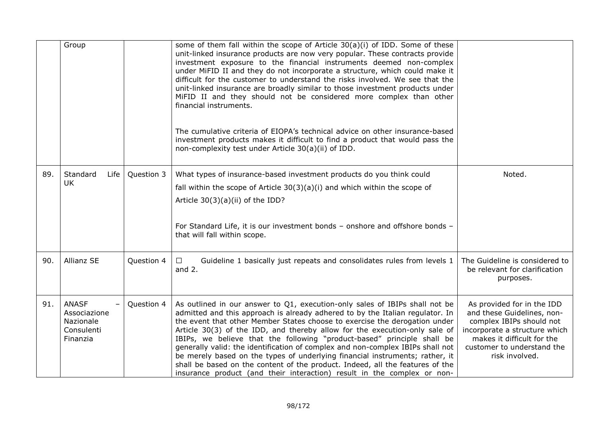|     | Group                                                               |            | some of them fall within the scope of Article $30(a)(i)$ of IDD. Some of these<br>unit-linked insurance products are now very popular. These contracts provide<br>investment exposure to the financial instruments deemed non-complex<br>under MiFID II and they do not incorporate a structure, which could make it<br>difficult for the customer to understand the risks involved. We see that the<br>unit-linked insurance are broadly similar to those investment products under<br>MiFID II and they should not be considered more complex than other<br>financial instruments.<br>The cumulative criteria of EIOPA's technical advice on other insurance-based<br>investment products makes it difficult to find a product that would pass the<br>non-complexity test under Article 30(a)(ii) of IDD. |                                                                                                                                                                                                     |
|-----|---------------------------------------------------------------------|------------|-------------------------------------------------------------------------------------------------------------------------------------------------------------------------------------------------------------------------------------------------------------------------------------------------------------------------------------------------------------------------------------------------------------------------------------------------------------------------------------------------------------------------------------------------------------------------------------------------------------------------------------------------------------------------------------------------------------------------------------------------------------------------------------------------------------|-----------------------------------------------------------------------------------------------------------------------------------------------------------------------------------------------------|
| 89. | Standard<br>Life<br><b>UK</b>                                       | Question 3 | What types of insurance-based investment products do you think could<br>fall within the scope of Article 30(3)(a)(i) and which within the scope of<br>Article 30(3)(a)(ii) of the IDD?<br>For Standard Life, it is our investment bonds - onshore and offshore bonds -<br>that will fall within scope.                                                                                                                                                                                                                                                                                                                                                                                                                                                                                                      | Noted.                                                                                                                                                                                              |
| 90. | Allianz SE                                                          | Question 4 | Guideline 1 basically just repeats and consolidates rules from levels 1<br>$\Box$<br>and $2.$                                                                                                                                                                                                                                                                                                                                                                                                                                                                                                                                                                                                                                                                                                               | The Guideline is considered to<br>be relevant for clarification<br>purposes.                                                                                                                        |
| 91. | <b>ANASF</b><br>Associazione<br>Nazionale<br>Consulenti<br>Finanzia | Question 4 | As outlined in our answer to Q1, execution-only sales of IBIPs shall not be<br>admitted and this approach is already adhered to by the Italian regulator. In<br>the event that other Member States choose to exercise the derogation under<br>Article 30(3) of the IDD, and thereby allow for the execution-only sale of<br>IBIPs, we believe that the following "product-based" principle shall be<br>generally valid: the identification of complex and non-complex IBIPs shall not<br>be merely based on the types of underlying financial instruments; rather, it<br>shall be based on the content of the product. Indeed, all the features of the<br>insurance product (and their interaction) result in the complex or non-                                                                           | As provided for in the IDD<br>and these Guidelines, non-<br>complex IBIPs should not<br>incorporate a structure which<br>makes it difficult for the<br>customer to understand the<br>risk involved. |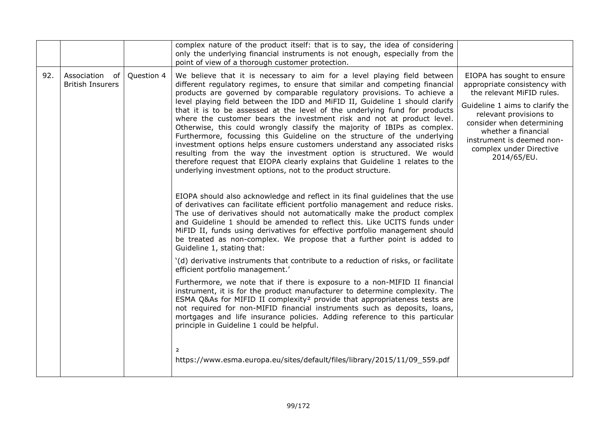|     |                                              |            | complex nature of the product itself: that is to say, the idea of considering<br>only the underlying financial instruments is not enough, especially from the<br>point of view of a thorough customer protection.                                                                                                                                                                                                                                                                                                                                                                                                                                                                                                                                                                                                                                                                                                                                                                                                                                                                                                                                                                                                                                                                                                                                                                                                                                                                                                                                                                                                                                                                                                                                                                                                                                                                                                                                                                                                                                                                                                                                     |                                                                                                                                                                                                                                                                                 |
|-----|----------------------------------------------|------------|-------------------------------------------------------------------------------------------------------------------------------------------------------------------------------------------------------------------------------------------------------------------------------------------------------------------------------------------------------------------------------------------------------------------------------------------------------------------------------------------------------------------------------------------------------------------------------------------------------------------------------------------------------------------------------------------------------------------------------------------------------------------------------------------------------------------------------------------------------------------------------------------------------------------------------------------------------------------------------------------------------------------------------------------------------------------------------------------------------------------------------------------------------------------------------------------------------------------------------------------------------------------------------------------------------------------------------------------------------------------------------------------------------------------------------------------------------------------------------------------------------------------------------------------------------------------------------------------------------------------------------------------------------------------------------------------------------------------------------------------------------------------------------------------------------------------------------------------------------------------------------------------------------------------------------------------------------------------------------------------------------------------------------------------------------------------------------------------------------------------------------------------------------|---------------------------------------------------------------------------------------------------------------------------------------------------------------------------------------------------------------------------------------------------------------------------------|
| 92. | Association<br>of<br><b>British Insurers</b> | Question 4 | We believe that it is necessary to aim for a level playing field between<br>different regulatory regimes, to ensure that similar and competing financial<br>products are governed by comparable regulatory provisions. To achieve a<br>level playing field between the IDD and MiFID II, Guideline 1 should clarify<br>that it is to be assessed at the level of the underlying fund for products<br>where the customer bears the investment risk and not at product level.<br>Otherwise, this could wrongly classify the majority of IBIPs as complex.<br>Furthermore, focussing this Guideline on the structure of the underlying<br>investment options helps ensure customers understand any associated risks<br>resulting from the way the investment option is structured. We would<br>therefore request that EIOPA clearly explains that Guideline 1 relates to the<br>underlying investment options, not to the product structure.<br>EIOPA should also acknowledge and reflect in its final guidelines that the use<br>of derivatives can facilitate efficient portfolio management and reduce risks.<br>The use of derivatives should not automatically make the product complex<br>and Guideline 1 should be amended to reflect this. Like UCITS funds under<br>MiFID II, funds using derivatives for effective portfolio management should<br>be treated as non-complex. We propose that a further point is added to<br>Guideline 1, stating that:<br>'(d) derivative instruments that contribute to a reduction of risks, or facilitate<br>efficient portfolio management.'<br>Furthermore, we note that if there is exposure to a non-MIFID II financial<br>instrument, it is for the product manufacturer to determine complexity. The<br>ESMA Q&As for MIFID II complexity <sup>2</sup> provide that appropriateness tests are<br>not required for non-MIFID financial instruments such as deposits, loans,<br>mortgages and life insurance policies. Adding reference to this particular<br>principle in Guideline 1 could be helpful.<br>$\overline{2}$<br>https://www.esma.europa.eu/sites/default/files/library/2015/11/09_559.pdf | EIOPA has sought to ensure<br>appropriate consistency with<br>the relevant MiFID rules.<br>Guideline 1 aims to clarify the<br>relevant provisions to<br>consider when determining<br>whether a financial<br>instrument is deemed non-<br>complex under Directive<br>2014/65/EU. |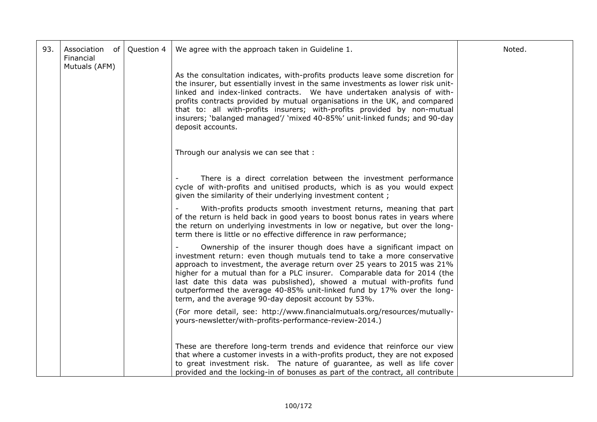| 93. | Association<br>of<br>Financial<br>Mutuals (AFM) | Question 4 | We agree with the approach taken in Guideline 1.                                                                                                                                                                                                                                                                                                                                                                                                                                                                  | Noted. |
|-----|-------------------------------------------------|------------|-------------------------------------------------------------------------------------------------------------------------------------------------------------------------------------------------------------------------------------------------------------------------------------------------------------------------------------------------------------------------------------------------------------------------------------------------------------------------------------------------------------------|--------|
|     |                                                 |            | As the consultation indicates, with-profits products leave some discretion for<br>the insurer, but essentially invest in the same investments as lower risk unit-<br>linked and index-linked contracts. We have undertaken analysis of with-<br>profits contracts provided by mutual organisations in the UK, and compared<br>that to: all with-profits insurers; with-profits provided by non-mutual<br>insurers; 'balanged managed'/ 'mixed 40-85%' unit-linked funds; and 90-day<br>deposit accounts.          |        |
|     |                                                 |            | Through our analysis we can see that :                                                                                                                                                                                                                                                                                                                                                                                                                                                                            |        |
|     |                                                 |            | There is a direct correlation between the investment performance<br>cycle of with-profits and unitised products, which is as you would expect<br>given the similarity of their underlying investment content;                                                                                                                                                                                                                                                                                                     |        |
|     |                                                 |            | With-profits products smooth investment returns, meaning that part<br>of the return is held back in good years to boost bonus rates in years where<br>the return on underlying investments in low or negative, but over the long-<br>term there is little or no effective difference in raw performance;                                                                                                                                                                                                          |        |
|     |                                                 |            | Ownership of the insurer though does have a significant impact on<br>investment return: even though mutuals tend to take a more conservative<br>approach to investment, the average return over 25 years to 2015 was 21%<br>higher for a mutual than for a PLC insurer. Comparable data for 2014 (the<br>last date this data was pubslished), showed a mutual with-profits fund<br>outperformed the average 40-85% unit-linked fund by 17% over the long-<br>term, and the average 90-day deposit account by 53%. |        |
|     |                                                 |            | (For more detail, see: http://www.financialmutuals.org/resources/mutually-<br>yours-newsletter/with-profits-performance-review-2014.)                                                                                                                                                                                                                                                                                                                                                                             |        |
|     |                                                 |            | These are therefore long-term trends and evidence that reinforce our view<br>that where a customer invests in a with-profits product, they are not exposed<br>to great investment risk. The nature of guarantee, as well as life cover<br>provided and the locking-in of bonuses as part of the contract, all contribute                                                                                                                                                                                          |        |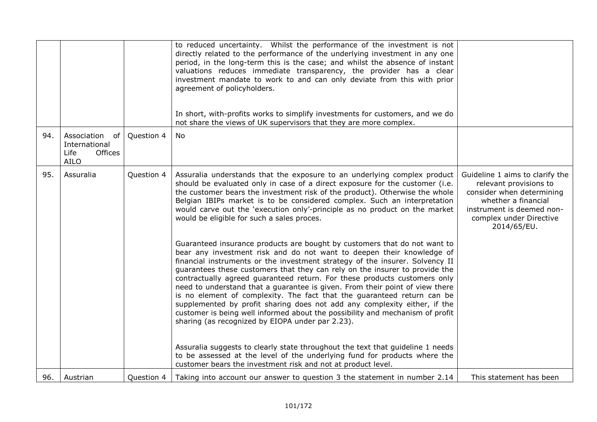|     |                                                                             |            | to reduced uncertainty. Whilst the performance of the investment is not<br>directly related to the performance of the underlying investment in any one<br>period, in the long-term this is the case; and whilst the absence of instant<br>valuations reduces immediate transparency, the provider has a clear<br>investment mandate to work to and can only deviate from this with prior<br>agreement of policyholders.<br>In short, with-profits works to simplify investments for customers, and we do<br>not share the views of UK supervisors that they are more complex.                                                                                                                                                                                               |                                                                                                                                                                                      |
|-----|-----------------------------------------------------------------------------|------------|-----------------------------------------------------------------------------------------------------------------------------------------------------------------------------------------------------------------------------------------------------------------------------------------------------------------------------------------------------------------------------------------------------------------------------------------------------------------------------------------------------------------------------------------------------------------------------------------------------------------------------------------------------------------------------------------------------------------------------------------------------------------------------|--------------------------------------------------------------------------------------------------------------------------------------------------------------------------------------|
| 94. | Association<br>of<br>International<br><b>Offices</b><br>Life<br><b>AILO</b> | Question 4 | No.                                                                                                                                                                                                                                                                                                                                                                                                                                                                                                                                                                                                                                                                                                                                                                         |                                                                                                                                                                                      |
| 95. | Assuralia                                                                   | Question 4 | Assuralia understands that the exposure to an underlying complex product<br>should be evaluated only in case of a direct exposure for the customer (i.e.<br>the customer bears the investment risk of the product). Otherwise the whole<br>Belgian IBIPs market is to be considered complex. Such an interpretation<br>would carve out the 'execution only'-principle as no product on the market<br>would be eligible for such a sales proces.                                                                                                                                                                                                                                                                                                                             | Guideline 1 aims to clarify the<br>relevant provisions to<br>consider when determining<br>whether a financial<br>instrument is deemed non-<br>complex under Directive<br>2014/65/EU. |
|     |                                                                             |            | Guaranteed insurance products are bought by customers that do not want to<br>bear any investment risk and do not want to deepen their knowledge of<br>financial instruments or the investment strategy of the insurer. Solvency II<br>guarantees these customers that they can rely on the insurer to provide the<br>contractually agreed guaranteed return. For these products customers only<br>need to understand that a guarantee is given. From their point of view there<br>is no element of complexity. The fact that the guaranteed return can be<br>supplemented by profit sharing does not add any complexity either, if the<br>customer is being well informed about the possibility and mechanism of profit<br>sharing (as recognized by EIOPA under par 2.23). |                                                                                                                                                                                      |
|     |                                                                             |            | Assuralia suggests to clearly state throughout the text that guideline 1 needs<br>to be assessed at the level of the underlying fund for products where the<br>customer bears the investment risk and not at product level.                                                                                                                                                                                                                                                                                                                                                                                                                                                                                                                                                 |                                                                                                                                                                                      |
| 96. | Austrian                                                                    | Question 4 | Taking into account our answer to question 3 the statement in number 2.14                                                                                                                                                                                                                                                                                                                                                                                                                                                                                                                                                                                                                                                                                                   | This statement has been                                                                                                                                                              |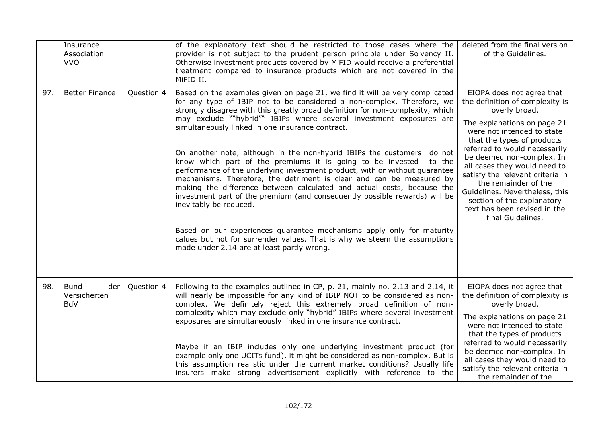|     | Insurance<br>Association<br><b>VVO</b>    |            | of the explanatory text should be restricted to those cases where the<br>provider is not subject to the prudent person principle under Solvency II.<br>Otherwise investment products covered by MiFID would receive a preferential<br>treatment compared to insurance products which are not covered in the<br>MiFID II.                                                                                                                                                                                                                                                                                                                                                                                                                                                                                                                                                                                                                                                                                                                                          | deleted from the final version<br>of the Guidelines.                                                                                                                                                                                                                                                                                                                                                                                                    |
|-----|-------------------------------------------|------------|-------------------------------------------------------------------------------------------------------------------------------------------------------------------------------------------------------------------------------------------------------------------------------------------------------------------------------------------------------------------------------------------------------------------------------------------------------------------------------------------------------------------------------------------------------------------------------------------------------------------------------------------------------------------------------------------------------------------------------------------------------------------------------------------------------------------------------------------------------------------------------------------------------------------------------------------------------------------------------------------------------------------------------------------------------------------|---------------------------------------------------------------------------------------------------------------------------------------------------------------------------------------------------------------------------------------------------------------------------------------------------------------------------------------------------------------------------------------------------------------------------------------------------------|
| 97. | <b>Better Finance</b>                     | Question 4 | Based on the examples given on page 21, we find it will be very complicated<br>for any type of IBIP not to be considered a non-complex. Therefore, we<br>strongly disagree with this greatly broad definition for non-complexity, which<br>may exclude ""hybrid"" IBIPs where several investment exposures are<br>simultaneously linked in one insurance contract.<br>On another note, although in the non-hybrid IBIPs the customers do not<br>know which part of the premiums it is going to be invested<br>to the<br>performance of the underlying investment product, with or without guarantee<br>mechanisms. Therefore, the detriment is clear and can be measured by<br>making the difference between calculated and actual costs, because the<br>investment part of the premium (and consequently possible rewards) will be<br>inevitably be reduced.<br>Based on our experiences guarantee mechanisms apply only for maturity<br>calues but not for surrender values. That is why we steem the assumptions<br>made under 2.14 are at least partly wrong. | EIOPA does not agree that<br>the definition of complexity is<br>overly broad.<br>The explanations on page 21<br>were not intended to state<br>that the types of products<br>referred to would necessarily<br>be deemed non-complex. In<br>all cases they would need to<br>satisfy the relevant criteria in<br>the remainder of the<br>Guidelines. Nevertheless, this<br>section of the explanatory<br>text has been revised in the<br>final Guidelines. |
| 98. | Bund<br>der<br>Versicherten<br><b>BdV</b> | Question 4 | Following to the examples outlined in CP, p. 21, mainly no. 2.13 and 2.14, it<br>will nearly be impossible for any kind of IBIP NOT to be considered as non-<br>complex. We definitely reject this extremely broad definition of non-<br>complexity which may exclude only "hybrid" IBIPs where several investment<br>exposures are simultaneously linked in one insurance contract.<br>Maybe if an IBIP includes only one underlying investment product (for<br>example only one UCITs fund), it might be considered as non-complex. But is<br>this assumption realistic under the current market conditions? Usually life<br>insurers make strong advertisement explicitly with reference to the                                                                                                                                                                                                                                                                                                                                                                | EIOPA does not agree that<br>the definition of complexity is<br>overly broad.<br>The explanations on page 21<br>were not intended to state<br>that the types of products<br>referred to would necessarily<br>be deemed non-complex. In<br>all cases they would need to<br>satisfy the relevant criteria in<br>the remainder of the                                                                                                                      |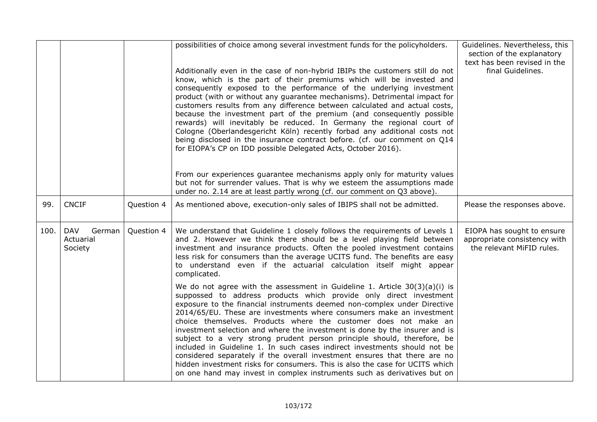|      |                                              |            | possibilities of choice among several investment funds for the policyholders.<br>Additionally even in the case of non-hybrid IBIPs the customers still do not<br>know, which is the part of their premiums which will be invested and<br>consequently exposed to the performance of the underlying investment<br>product (with or without any guarantee mechanisms). Detrimental impact for<br>customers results from any difference between calculated and actual costs,<br>because the investment part of the premium (and consequently possible<br>rewards) will inevitably be reduced. In Germany the regional court of<br>Cologne (Oberlandesgericht Köln) recently forbad any additional costs not<br>being disclosed in the insurance contract before. (cf. our comment on Q14<br>for EIOPA's CP on IDD possible Delegated Acts, October 2016).<br>From our experiences guarantee mechanisms apply only for maturity values<br>but not for surrender values. That is why we esteem the assumptions made | Guidelines. Nevertheless, this<br>section of the explanatory<br>text has been revised in the<br>final Guidelines. |
|------|----------------------------------------------|------------|----------------------------------------------------------------------------------------------------------------------------------------------------------------------------------------------------------------------------------------------------------------------------------------------------------------------------------------------------------------------------------------------------------------------------------------------------------------------------------------------------------------------------------------------------------------------------------------------------------------------------------------------------------------------------------------------------------------------------------------------------------------------------------------------------------------------------------------------------------------------------------------------------------------------------------------------------------------------------------------------------------------|-------------------------------------------------------------------------------------------------------------------|
|      |                                              |            | under no. 2.14 are at least partly wrong (cf. our comment on Q3 above).                                                                                                                                                                                                                                                                                                                                                                                                                                                                                                                                                                                                                                                                                                                                                                                                                                                                                                                                        |                                                                                                                   |
| 99.  | <b>CNCIF</b>                                 | Question 4 | As mentioned above, execution-only sales of IBIPS shall not be admitted.                                                                                                                                                                                                                                                                                                                                                                                                                                                                                                                                                                                                                                                                                                                                                                                                                                                                                                                                       | Please the responses above.                                                                                       |
| 100. | <b>DAV</b><br>German<br>Actuarial<br>Society | Question 4 | We understand that Guideline 1 closely follows the requirements of Levels 1<br>and 2. However we think there should be a level playing field between<br>investment and insurance products. Often the pooled investment contains<br>less risk for consumers than the average UCITS fund. The benefits are easy<br>to understand even if the actuarial calculation itself might appear<br>complicated.                                                                                                                                                                                                                                                                                                                                                                                                                                                                                                                                                                                                           | EIOPA has sought to ensure<br>appropriate consistency with<br>the relevant MiFID rules.                           |
|      |                                              |            | We do not agree with the assessment in Guideline 1. Article $30(3)(a)(i)$ is<br>suppossed to address products which provide only direct investment<br>exposure to the financial instruments deemed non-complex under Directive<br>2014/65/EU. These are investments where consumers make an investment<br>choice themselves. Products where the customer does not make an<br>investment selection and where the investment is done by the insurer and is<br>subject to a very strong prudent person principle should, therefore, be<br>included in Guideline 1. In such cases indirect investments should not be<br>considered separately if the overall investment ensures that there are no<br>hidden investment risks for consumers. This is also the case for UCITS which<br>on one hand may invest in complex instruments such as derivatives but on                                                                                                                                                      |                                                                                                                   |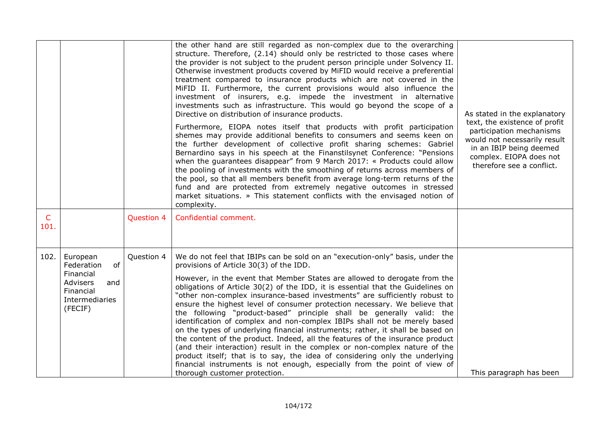|                      |                                                                                                               |                   | the other hand are still regarded as non-complex due to the overarching<br>structure. Therefore, (2.14) should only be restricted to those cases where<br>the provider is not subject to the prudent person principle under Solvency II.<br>Otherwise investment products covered by MiFID would receive a preferential<br>treatment compared to insurance products which are not covered in the<br>MiFID II. Furthermore, the current provisions would also influence the<br>investment of insurers, e.g. impede the investment in alternative<br>investments such as infrastructure. This would go beyond the scope of a<br>Directive on distribution of insurance products.<br>Furthermore, EIOPA notes itself that products with profit participation<br>shemes may provide additional benefits to consumers and seems keen on<br>the further development of collective profit sharing schemes: Gabriel<br>Bernardino says in his speech at the Finanstilsynet Conference: "Pensions<br>when the guarantees disappear" from 9 March 2017: « Products could allow<br>the pooling of investments with the smoothing of returns across members of<br>the pool, so that all members benefit from average long-term returns of the<br>fund and are protected from extremely negative outcomes in stressed<br>market situations. » This statement conflicts with the envisaged notion of<br>complexity. | As stated in the explanatory<br>text, the existence of profit<br>participation mechanisms<br>would not necessarily result<br>in an IBIP being deemed<br>complex. EIOPA does not<br>therefore see a conflict. |
|----------------------|---------------------------------------------------------------------------------------------------------------|-------------------|-------------------------------------------------------------------------------------------------------------------------------------------------------------------------------------------------------------------------------------------------------------------------------------------------------------------------------------------------------------------------------------------------------------------------------------------------------------------------------------------------------------------------------------------------------------------------------------------------------------------------------------------------------------------------------------------------------------------------------------------------------------------------------------------------------------------------------------------------------------------------------------------------------------------------------------------------------------------------------------------------------------------------------------------------------------------------------------------------------------------------------------------------------------------------------------------------------------------------------------------------------------------------------------------------------------------------------------------------------------------------------------------------------|--------------------------------------------------------------------------------------------------------------------------------------------------------------------------------------------------------------|
| $\mathsf{C}$<br>101. |                                                                                                               | <b>Question 4</b> | Confidential comment.                                                                                                                                                                                                                                                                                                                                                                                                                                                                                                                                                                                                                                                                                                                                                                                                                                                                                                                                                                                                                                                                                                                                                                                                                                                                                                                                                                                 |                                                                                                                                                                                                              |
| 102.                 | European<br>of<br>Federation<br>Financial<br><b>Advisers</b><br>and<br>Financial<br>Intermediaries<br>(FECIF) | Question 4        | We do not feel that IBIPs can be sold on an "execution-only" basis, under the<br>provisions of Article 30(3) of the IDD.<br>However, in the event that Member States are allowed to derogate from the<br>obligations of Article 30(2) of the IDD, it is essential that the Guidelines on<br>"other non-complex insurance-based investments" are sufficiently robust to<br>ensure the highest level of consumer protection necessary. We believe that<br>the following "product-based" principle shall be generally valid: the<br>identification of complex and non-complex IBIPs shall not be merely based<br>on the types of underlying financial instruments; rather, it shall be based on<br>the content of the product. Indeed, all the features of the insurance product<br>(and their interaction) result in the complex or non-complex nature of the<br>product itself; that is to say, the idea of considering only the underlying<br>financial instruments is not enough, especially from the point of view of<br>thorough customer protection.                                                                                                                                                                                                                                                                                                                                              | This paragraph has been                                                                                                                                                                                      |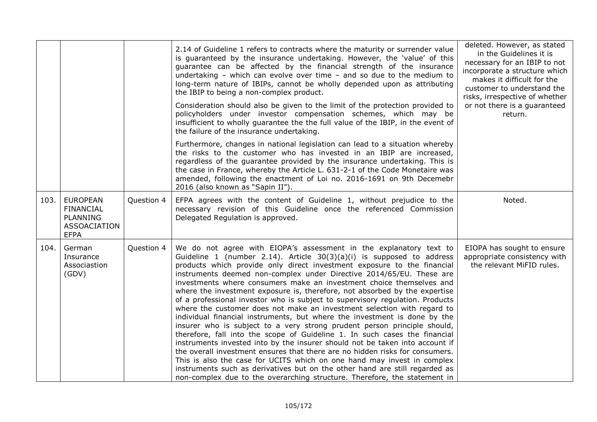|      |                                                                                              |            | 2.14 of Guideline 1 refers to contracts where the maturity or surrender value<br>is guaranteed by the insurance undertaking. However, the 'value' of this<br>guarantee can be affected by the financial strength of the insurance<br>undertaking $-$ which can evolve over time $-$ and so due to the medium to<br>long-term nature of IBIPs, cannot be wholly depended upon as attributing<br>the IBIP to being a non-complex product.<br>Consideration should also be given to the limit of the protection provided to<br>policyholders under investor compensation schemes, which may be<br>insufficient to wholly guarantee the the full value of the IBIP, in the event of<br>the failure of the insurance undertaking.<br>Furthermore, changes in national legislation can lead to a situation whereby<br>the risks to the customer who has invested in an IBIP are increased,<br>regardless of the guarantee provided by the insurance undertaking. This is<br>the case in France, whereby the Article L. 631-2-1 of the Code Monetaire was<br>amended, following the enactment of Loi no. 2016-1691 on 9th Decemebr<br>2016 (also known as "Sapin II").                                                                                                  | deleted. However, as stated<br>in the Guidelines it is<br>necessary for an IBIP to not<br>incorporate a structure which<br>makes it difficult for the<br>customer to understand the<br>risks, irrespective of whether<br>or not there is a guaranteed<br>return. |
|------|----------------------------------------------------------------------------------------------|------------|------------------------------------------------------------------------------------------------------------------------------------------------------------------------------------------------------------------------------------------------------------------------------------------------------------------------------------------------------------------------------------------------------------------------------------------------------------------------------------------------------------------------------------------------------------------------------------------------------------------------------------------------------------------------------------------------------------------------------------------------------------------------------------------------------------------------------------------------------------------------------------------------------------------------------------------------------------------------------------------------------------------------------------------------------------------------------------------------------------------------------------------------------------------------------------------------------------------------------------------------------------------|------------------------------------------------------------------------------------------------------------------------------------------------------------------------------------------------------------------------------------------------------------------|
| 103. | <b>EUROPEAN</b><br><b>FINANCIAL</b><br><b>PLANNING</b><br><b>ASSOACIATION</b><br><b>EFPA</b> | Question 4 | EFPA agrees with the content of Guideline 1, without prejudice to the<br>necessary revision of this Guideline once the referenced Commission<br>Delegated Regulation is approved.                                                                                                                                                                                                                                                                                                                                                                                                                                                                                                                                                                                                                                                                                                                                                                                                                                                                                                                                                                                                                                                                                | Noted.                                                                                                                                                                                                                                                           |
| 104. | German<br>Insurance<br>Associastion<br>(GDV)                                                 | Question 4 | We do not agree with EIOPA's assessment in the explanatory text to<br>Guideline 1 (number 2.14). Article $30(3)(a)(i)$ is supposed to address<br>products which provide only direct investment exposure to the financial<br>instruments deemed non-complex under Directive 2014/65/EU. These are<br>investments where consumers make an investment choice themselves and<br>where the investment exposure is, therefore, not absorbed by the expertise<br>of a professional investor who is subject to supervisory regulation. Products<br>where the customer does not make an investment selection with regard to<br>individual financial instruments, but where the investment is done by the<br>insurer who is subject to a very strong prudent person principle should,<br>therefore, fall into the scope of Guideline 1. In such cases the financial<br>instruments invested into by the insurer should not be taken into account if<br>the overall investment ensures that there are no hidden risks for consumers.<br>This is also the case for UCITS which on one hand may invest in complex<br>instruments such as derivatives but on the other hand are still regarded as<br>non-complex due to the overarching structure. Therefore, the statement in | EIOPA has sought to ensure<br>appropriate consistency with<br>the relevant MiFID rules.                                                                                                                                                                          |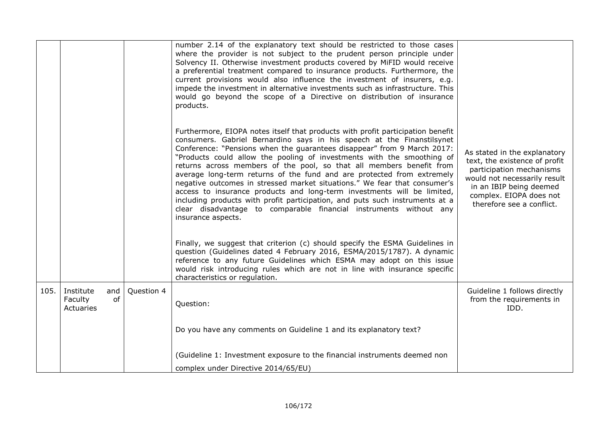|      |                                                |            | number 2.14 of the explanatory text should be restricted to those cases<br>where the provider is not subject to the prudent person principle under<br>Solvency II. Otherwise investment products covered by MiFID would receive<br>a preferential treatment compared to insurance products. Furthermore, the<br>current provisions would also influence the investment of insurers, e.g.<br>impede the investment in alternative investments such as infrastructure. This<br>would go beyond the scope of a Directive on distribution of insurance<br>products.                                                                                                                                                                                                                                      |                                                                                                                                                                                                              |
|------|------------------------------------------------|------------|------------------------------------------------------------------------------------------------------------------------------------------------------------------------------------------------------------------------------------------------------------------------------------------------------------------------------------------------------------------------------------------------------------------------------------------------------------------------------------------------------------------------------------------------------------------------------------------------------------------------------------------------------------------------------------------------------------------------------------------------------------------------------------------------------|--------------------------------------------------------------------------------------------------------------------------------------------------------------------------------------------------------------|
|      |                                                |            | Furthermore, EIOPA notes itself that products with profit participation benefit<br>consumers. Gabriel Bernardino says in his speech at the Finanstilsynet<br>Conference: "Pensions when the guarantees disappear" from 9 March 2017:<br>"Products could allow the pooling of investments with the smoothing of<br>returns across members of the pool, so that all members benefit from<br>average long-term returns of the fund and are protected from extremely<br>negative outcomes in stressed market situations." We fear that consumer's<br>access to insurance products and long-term investments will be limited,<br>including products with profit participation, and puts such instruments at a<br>clear disadvantage to comparable financial instruments without any<br>insurance aspects. | As stated in the explanatory<br>text, the existence of profit<br>participation mechanisms<br>would not necessarily result<br>in an IBIP being deemed<br>complex. EIOPA does not<br>therefore see a conflict. |
|      |                                                |            | Finally, we suggest that criterion (c) should specify the ESMA Guidelines in<br>question (Guidelines dated 4 February 2016, ESMA/2015/1787). A dynamic<br>reference to any future Guidelines which ESMA may adopt on this issue<br>would risk introducing rules which are not in line with insurance specific<br>characteristics or regulation.                                                                                                                                                                                                                                                                                                                                                                                                                                                      |                                                                                                                                                                                                              |
| 105. | Institute<br>and<br>of<br>Faculty<br>Actuaries | Question 4 | Question:                                                                                                                                                                                                                                                                                                                                                                                                                                                                                                                                                                                                                                                                                                                                                                                            | Guideline 1 follows directly<br>from the requirements in<br>IDD.                                                                                                                                             |
|      |                                                |            | Do you have any comments on Guideline 1 and its explanatory text?                                                                                                                                                                                                                                                                                                                                                                                                                                                                                                                                                                                                                                                                                                                                    |                                                                                                                                                                                                              |
|      |                                                |            | (Guideline 1: Investment exposure to the financial instruments deemed non<br>complex under Directive 2014/65/EU)                                                                                                                                                                                                                                                                                                                                                                                                                                                                                                                                                                                                                                                                                     |                                                                                                                                                                                                              |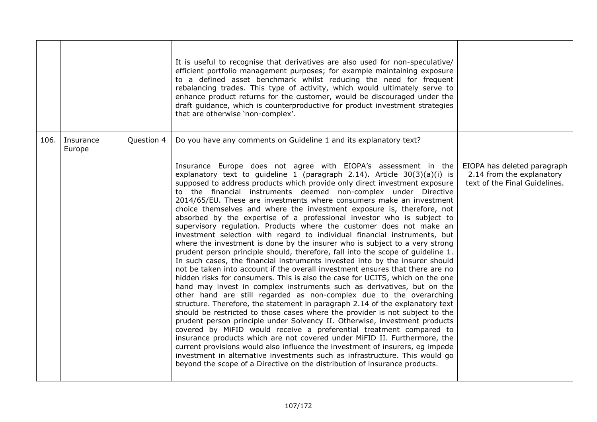|      |                     |            | It is useful to recognise that derivatives are also used for non-speculative/<br>efficient portfolio management purposes; for example maintaining exposure<br>to a defined asset benchmark whilst reducing the need for frequent<br>rebalancing trades. This type of activity, which would ultimately serve to<br>enhance product returns for the customer, would be discouraged under the<br>draft guidance, which is counterproductive for product investment strategies<br>that are otherwise 'non-complex'.                                                                                                                                                                                                                                                                                                                                                                                                                                                                                                                                                                                                                                                                                                                                                                                                                                                                                                                                                                                                                                                                                                                                                                                                                                                                                                                                                                                      |                                                                                           |
|------|---------------------|------------|------------------------------------------------------------------------------------------------------------------------------------------------------------------------------------------------------------------------------------------------------------------------------------------------------------------------------------------------------------------------------------------------------------------------------------------------------------------------------------------------------------------------------------------------------------------------------------------------------------------------------------------------------------------------------------------------------------------------------------------------------------------------------------------------------------------------------------------------------------------------------------------------------------------------------------------------------------------------------------------------------------------------------------------------------------------------------------------------------------------------------------------------------------------------------------------------------------------------------------------------------------------------------------------------------------------------------------------------------------------------------------------------------------------------------------------------------------------------------------------------------------------------------------------------------------------------------------------------------------------------------------------------------------------------------------------------------------------------------------------------------------------------------------------------------------------------------------------------------------------------------------------------------|-------------------------------------------------------------------------------------------|
| 106. | Insurance<br>Europe | Question 4 | Do you have any comments on Guideline 1 and its explanatory text?                                                                                                                                                                                                                                                                                                                                                                                                                                                                                                                                                                                                                                                                                                                                                                                                                                                                                                                                                                                                                                                                                                                                                                                                                                                                                                                                                                                                                                                                                                                                                                                                                                                                                                                                                                                                                                    |                                                                                           |
|      |                     |            | Insurance Europe does not agree with EIOPA's assessment in the<br>explanatory text to guideline 1 (paragraph 2.14). Article $30(3)(a)(i)$ is<br>supposed to address products which provide only direct investment exposure<br>to the financial instruments deemed non-complex under Directive<br>2014/65/EU. These are investments where consumers make an investment<br>choice themselves and where the investment exposure is, therefore, not<br>absorbed by the expertise of a professional investor who is subject to<br>supervisory regulation. Products where the customer does not make an<br>investment selection with regard to individual financial instruments, but<br>where the investment is done by the insurer who is subject to a very strong<br>prudent person principle should, therefore, fall into the scope of guideline 1.<br>In such cases, the financial instruments invested into by the insurer should<br>not be taken into account if the overall investment ensures that there are no<br>hidden risks for consumers. This is also the case for UCITS, which on the one<br>hand may invest in complex instruments such as derivatives, but on the<br>other hand are still regarded as non-complex due to the overarching<br>structure. Therefore, the statement in paragraph 2.14 of the explanatory text<br>should be restricted to those cases where the provider is not subject to the<br>prudent person principle under Solvency II. Otherwise, investment products<br>covered by MiFID would receive a preferential treatment compared to<br>insurance products which are not covered under MiFID II. Furthermore, the<br>current provisions would also influence the investment of insurers, eg impede<br>investment in alternative investments such as infrastructure. This would go<br>beyond the scope of a Directive on the distribution of insurance products. | EIOPA has deleted paragraph<br>2.14 from the explanatory<br>text of the Final Guidelines. |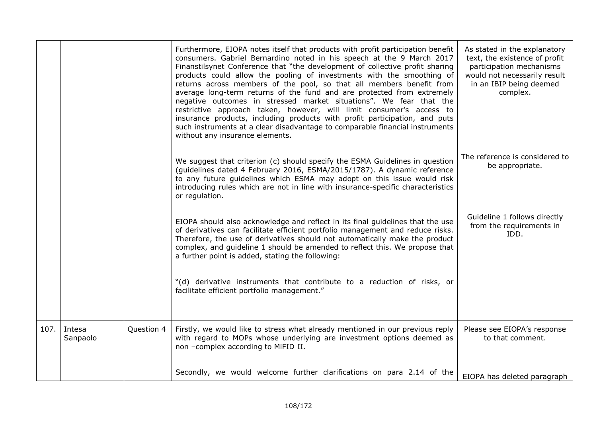|      |                    |            | Furthermore, EIOPA notes itself that products with profit participation benefit<br>consumers. Gabriel Bernardino noted in his speech at the 9 March 2017<br>Finanstilsynet Conference that "the development of collective profit sharing<br>products could allow the pooling of investments with the smoothing of<br>returns across members of the pool, so that all members benefit from<br>average long-term returns of the fund and are protected from extremely<br>negative outcomes in stressed market situations". We fear that the<br>restrictive approach taken, however, will limit consumer's access to<br>insurance products, including products with profit participation, and puts<br>such instruments at a clear disadvantage to comparable financial instruments<br>without any insurance elements. | As stated in the explanatory<br>text, the existence of profit<br>participation mechanisms<br>would not necessarily result<br>in an IBIP being deemed<br>complex. |
|------|--------------------|------------|--------------------------------------------------------------------------------------------------------------------------------------------------------------------------------------------------------------------------------------------------------------------------------------------------------------------------------------------------------------------------------------------------------------------------------------------------------------------------------------------------------------------------------------------------------------------------------------------------------------------------------------------------------------------------------------------------------------------------------------------------------------------------------------------------------------------|------------------------------------------------------------------------------------------------------------------------------------------------------------------|
|      |                    |            | We suggest that criterion (c) should specify the ESMA Guidelines in question<br>(guidelines dated 4 February 2016, ESMA/2015/1787). A dynamic reference<br>to any future guidelines which ESMA may adopt on this issue would risk<br>introducing rules which are not in line with insurance-specific characteristics<br>or regulation.                                                                                                                                                                                                                                                                                                                                                                                                                                                                             | The reference is considered to<br>be appropriate.                                                                                                                |
|      |                    |            | EIOPA should also acknowledge and reflect in its final guidelines that the use<br>of derivatives can facilitate efficient portfolio management and reduce risks.<br>Therefore, the use of derivatives should not automatically make the product<br>complex, and guideline 1 should be amended to reflect this. We propose that<br>a further point is added, stating the following:                                                                                                                                                                                                                                                                                                                                                                                                                                 | Guideline 1 follows directly<br>from the requirements in<br>IDD.                                                                                                 |
|      |                    |            | "(d) derivative instruments that contribute to a reduction of risks, or<br>facilitate efficient portfolio management."                                                                                                                                                                                                                                                                                                                                                                                                                                                                                                                                                                                                                                                                                             |                                                                                                                                                                  |
| 107. | Intesa<br>Sanpaolo | Question 4 | Firstly, we would like to stress what already mentioned in our previous reply<br>with regard to MOPs whose underlying are investment options deemed as<br>non -complex according to MiFID II.                                                                                                                                                                                                                                                                                                                                                                                                                                                                                                                                                                                                                      | Please see EIOPA's response<br>to that comment.                                                                                                                  |
|      |                    |            | Secondly, we would welcome further clarifications on para 2.14 of the                                                                                                                                                                                                                                                                                                                                                                                                                                                                                                                                                                                                                                                                                                                                              | EIOPA has deleted paragraph                                                                                                                                      |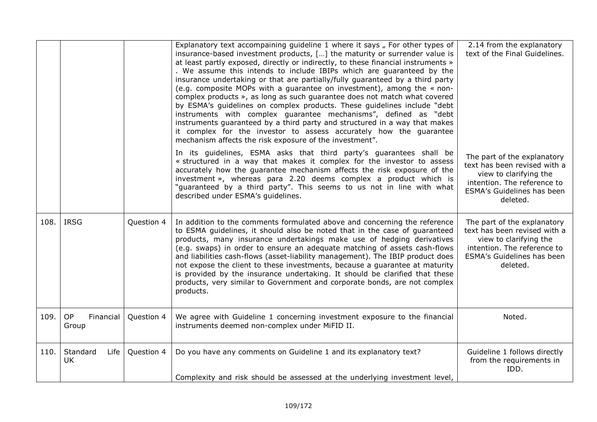|      |                               |            | Explanatory text accompaining guideline 1 where it says " For other types of<br>insurance-based investment products, [] the maturity or surrender value is<br>at least partly exposed, directly or indirectly, to these financial instruments »<br>. We assume this intends to include IBIPs which are guaranteed by the<br>insurance undertaking or that are partially/fully guaranteed by a third party<br>(e.g. composite MOPs with a guarantee on investment), among the « non-<br>complex products », as long as such guarantee does not match what covered<br>by ESMA's guidelines on complex products. These guidelines include "debt<br>instruments with complex guarantee mechanisms", defined as "debt<br>instruments guaranteed by a third party and structured in a way that makes<br>it complex for the investor to assess accurately how the guarantee<br>mechanism affects the risk exposure of the investment". | 2.14 from the explanatory<br>text of the Final Guidelines.                                                                                                     |
|------|-------------------------------|------------|---------------------------------------------------------------------------------------------------------------------------------------------------------------------------------------------------------------------------------------------------------------------------------------------------------------------------------------------------------------------------------------------------------------------------------------------------------------------------------------------------------------------------------------------------------------------------------------------------------------------------------------------------------------------------------------------------------------------------------------------------------------------------------------------------------------------------------------------------------------------------------------------------------------------------------|----------------------------------------------------------------------------------------------------------------------------------------------------------------|
|      |                               |            | In its guidelines, ESMA asks that third party's guarantees shall be<br>« structured in a way that makes it complex for the investor to assess<br>accurately how the guarantee mechanism affects the risk exposure of the<br>investment », whereas para 2.20 deems complex a product which is<br>"guaranteed by a third party". This seems to us not in line with what<br>described under ESMA's guidelines.                                                                                                                                                                                                                                                                                                                                                                                                                                                                                                                     | The part of the explanatory<br>text has been revised with a<br>view to clarifying the<br>intention. The reference to<br>ESMA's Guidelines has been<br>deleted. |
| 108. | <b>IRSG</b>                   | Question 4 | In addition to the comments formulated above and concerning the reference<br>to ESMA guidelines, it should also be noted that in the case of guaranteed<br>products, many insurance undertakings make use of hedging derivatives<br>(e.g. swaps) in order to ensure an adequate matching of assets cash-flows<br>and liabilities cash-flows (asset-liability management). The IBIP product does<br>not expose the client to these investments, because a guarantee at maturity<br>is provided by the insurance undertaking. It should be clarified that these<br>products, very similar to Government and corporate bonds, are not complex<br>products.                                                                                                                                                                                                                                                                         | The part of the explanatory<br>text has been revised with a<br>view to clarifying the<br>intention. The reference to<br>ESMA's Guidelines has been<br>deleted. |
| 109. | OP<br>Financial<br>Group      | Question 4 | We agree with Guideline 1 concerning investment exposure to the financial<br>instruments deemed non-complex under MiFID II.                                                                                                                                                                                                                                                                                                                                                                                                                                                                                                                                                                                                                                                                                                                                                                                                     | Noted.                                                                                                                                                         |
| 110. | Standard<br>Life<br><b>UK</b> | Question 4 | Do you have any comments on Guideline 1 and its explanatory text?<br>Complexity and risk should be assessed at the underlying investment level,                                                                                                                                                                                                                                                                                                                                                                                                                                                                                                                                                                                                                                                                                                                                                                                 | Guideline 1 follows directly<br>from the requirements in<br>IDD.                                                                                               |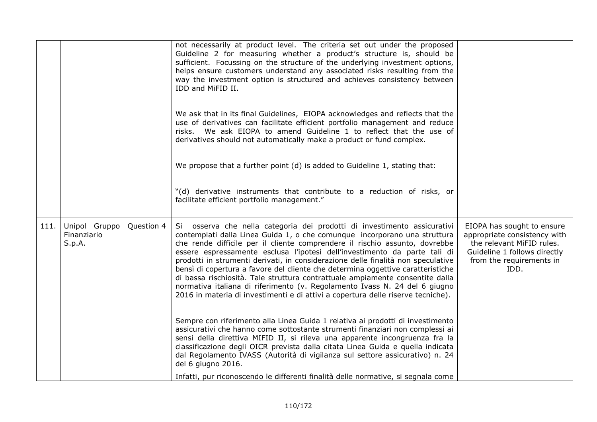|      |                                        |            | not necessarily at product level. The criteria set out under the proposed                                                                                                                                                                                                                                                                                                                                                                                                                                                                                                                                                                                                                                                                   |                                                                                                                                                             |
|------|----------------------------------------|------------|---------------------------------------------------------------------------------------------------------------------------------------------------------------------------------------------------------------------------------------------------------------------------------------------------------------------------------------------------------------------------------------------------------------------------------------------------------------------------------------------------------------------------------------------------------------------------------------------------------------------------------------------------------------------------------------------------------------------------------------------|-------------------------------------------------------------------------------------------------------------------------------------------------------------|
|      |                                        |            | Guideline 2 for measuring whether a product's structure is, should be<br>sufficient. Focussing on the structure of the underlying investment options,<br>helps ensure customers understand any associated risks resulting from the<br>way the investment option is structured and achieves consistency between<br>IDD and MiFID II.                                                                                                                                                                                                                                                                                                                                                                                                         |                                                                                                                                                             |
|      |                                        |            | We ask that in its final Guidelines, EIOPA acknowledges and reflects that the<br>use of derivatives can facilitate efficient portfolio management and reduce<br>risks. We ask EIOPA to amend Guideline 1 to reflect that the use of<br>derivatives should not automatically make a product or fund complex.                                                                                                                                                                                                                                                                                                                                                                                                                                 |                                                                                                                                                             |
|      |                                        |            | We propose that a further point (d) is added to Guideline 1, stating that:                                                                                                                                                                                                                                                                                                                                                                                                                                                                                                                                                                                                                                                                  |                                                                                                                                                             |
|      |                                        |            | "(d) derivative instruments that contribute to a reduction of risks, or<br>facilitate efficient portfolio management."                                                                                                                                                                                                                                                                                                                                                                                                                                                                                                                                                                                                                      |                                                                                                                                                             |
| 111. | Unipol Gruppo<br>Finanziario<br>S.p.A. | Question 4 | Si osserva che nella categoria dei prodotti di investimento assicurativi<br>contemplati dalla Linea Guida 1, o che comunque incorporano una struttura<br>che rende difficile per il cliente comprendere il rischio assunto, dovrebbe<br>essere espressamente esclusa l'ipotesi dell'investimento da parte tali di<br>prodotti in strumenti derivati, in considerazione delle finalità non speculative<br>bensì di copertura a favore del cliente che determina oggettive caratteristiche<br>di bassa rischiosità. Tale struttura contrattuale ampiamente consentite dalla<br>normativa italiana di riferimento (v. Regolamento Ivass N. 24 del 6 giugno<br>2016 in materia di investimenti e di attivi a copertura delle riserve tecniche). | EIOPA has sought to ensure<br>appropriate consistency with<br>the relevant MiFID rules.<br>Guideline 1 follows directly<br>from the requirements in<br>IDD. |
|      |                                        |            | Sempre con riferimento alla Linea Guida 1 relativa ai prodotti di investimento<br>assicurativi che hanno come sottostante strumenti finanziari non complessi ai<br>sensi della direttiva MIFID II, si rileva una apparente incongruenza fra la<br>classificazione degli OICR prevista dalla citata Linea Guida e quella indicata<br>dal Regolamento IVASS (Autorità di vigilanza sul settore assicurativo) n. 24<br>del 6 giugno 2016.<br>Infatti, pur riconoscendo le differenti finalità delle normative, si segnala come                                                                                                                                                                                                                 |                                                                                                                                                             |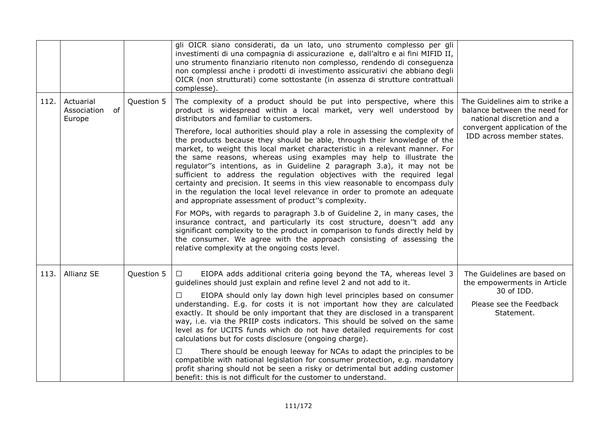|      |                                          |            | gli OICR siano considerati, da un lato, uno strumento complesso per gli<br>investimenti di una compagnia di assicurazione e, dall'altro e ai fini MIFID II,<br>uno strumento finanziario ritenuto non complesso, rendendo di conseguenza<br>non complessi anche i prodotti di investimento assicurativi che abbiano degli<br>OICR (non strutturati) come sottostante (in assenza di strutture contrattuali<br>complesse).                                                                                                                                                                                                                                                                                                                                                                                                                                                                                                                                                                                                                                                                                                                                                                                                                                        |                                                                                                                                                           |
|------|------------------------------------------|------------|------------------------------------------------------------------------------------------------------------------------------------------------------------------------------------------------------------------------------------------------------------------------------------------------------------------------------------------------------------------------------------------------------------------------------------------------------------------------------------------------------------------------------------------------------------------------------------------------------------------------------------------------------------------------------------------------------------------------------------------------------------------------------------------------------------------------------------------------------------------------------------------------------------------------------------------------------------------------------------------------------------------------------------------------------------------------------------------------------------------------------------------------------------------------------------------------------------------------------------------------------------------|-----------------------------------------------------------------------------------------------------------------------------------------------------------|
| 112. | Actuarial<br>of<br>Association<br>Europe | Question 5 | The complexity of a product should be put into perspective, where this<br>product is widespread within a local market, very well understood by<br>distributors and familiar to customers.<br>Therefore, local authorities should play a role in assessing the complexity of<br>the products because they should be able, through their knowledge of the<br>market, to weight this local market characteristic in a relevant manner. For<br>the same reasons, whereas using examples may help to illustrate the<br>regulator"s intentions, as in Guideline 2 paragraph 3.a), it may not be<br>sufficient to address the regulation objectives with the required legal<br>certainty and precision. It seems in this view reasonable to encompass duly<br>in the regulation the local level relevance in order to promote an adequate<br>and appropriate assessment of product"s complexity.<br>For MOPs, with regards to paragraph 3.b of Guideline 2, in many cases, the<br>insurance contract, and particularly its cost structure, doesn''t add any<br>significant complexity to the product in comparison to funds directly held by<br>the consumer. We agree with the approach consisting of assessing the<br>relative complexity at the ongoing costs level. | The Guidelines aim to strike a<br>balance between the need for<br>national discretion and a<br>convergent application of the<br>IDD across member states. |
| 113. | Allianz SE                               | Question 5 | EIOPA adds additional criteria going beyond the TA, whereas level 3<br>$\Box$<br>guidelines should just explain and refine level 2 and not add to it.<br>EIOPA should only lay down high level principles based on consumer<br>understanding. E.g. for costs it is not important how they are calculated<br>exactly. It should be only important that they are disclosed in a transparent<br>way, i.e. via the PRIIP costs indicators. This should be solved on the same<br>level as for UCITS funds which do not have detailed requirements for cost<br>calculations but for costs disclosure (ongoing charge).<br>There should be enough leeway for NCAs to adapt the principles to be<br>□<br>compatible with national legislation for consumer protection, e.g. mandatory<br>profit sharing should not be seen a risky or detrimental but adding customer<br>benefit: this is not difficult for the customer to understand.                                                                                                                                                                                                                                                                                                                                  | The Guidelines are based on<br>the empowerments in Article<br>30 of IDD.<br>Please see the Feedback<br>Statement.                                         |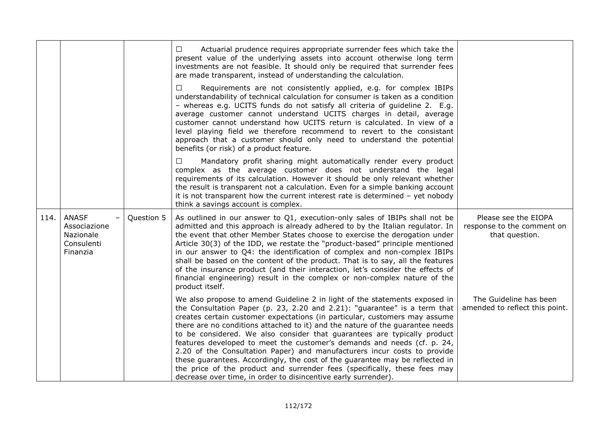|      |                                                                     |            | Actuarial prudence requires appropriate surrender fees which take the<br>⊔<br>present value of the underlying assets into account otherwise long term<br>investments are not feasible. It should only be required that surrender fees<br>are made transparent, instead of understanding the calculation.                                                                                                                                                                                                                                                                                                                                                                                                                                                                                 |                                                                      |
|------|---------------------------------------------------------------------|------------|------------------------------------------------------------------------------------------------------------------------------------------------------------------------------------------------------------------------------------------------------------------------------------------------------------------------------------------------------------------------------------------------------------------------------------------------------------------------------------------------------------------------------------------------------------------------------------------------------------------------------------------------------------------------------------------------------------------------------------------------------------------------------------------|----------------------------------------------------------------------|
|      |                                                                     |            | Requirements are not consistently applied, e.g. for complex IBIPs<br>$\Box$<br>understandability of technical calculation for consumer is taken as a condition<br>- whereas e.g. UCITS funds do not satisfy all criteria of guideline 2. E.g.<br>average customer cannot understand UCITS charges in detail, average<br>customer cannot understand how UCITS return is calculated. In view of a<br>level playing field we therefore recommend to revert to the consistant<br>approach that a customer should only need to understand the potential<br>benefits (or risk) of a product feature.                                                                                                                                                                                           |                                                                      |
|      |                                                                     |            | Mandatory profit sharing might automatically render every product<br>$\Box$<br>complex as the average customer does not understand the legal<br>requirements of its calculation. However it should be only relevant whether<br>the result is transparent not a calculation. Even for a simple banking account<br>it is not transparent how the current interest rate is determined - yet nobody<br>think a savings account is complex.                                                                                                                                                                                                                                                                                                                                                   |                                                                      |
| 114. | <b>ANASF</b><br>Associazione<br>Nazionale<br>Consulenti<br>Finanzia | Question 5 | As outlined in our answer to Q1, execution-only sales of IBIPs shall not be<br>admitted and this approach is already adhered to by the Italian regulator. In<br>the event that other Member States choose to exercise the derogation under<br>Article 30(3) of the IDD, we restate the "product-based" principle mentioned<br>in our answer to Q4: the identification of complex and non-complex IBIPs<br>shall be based on the content of the product. That is to say, all the features<br>of the insurance product (and their interaction, let's consider the effects of<br>financial engineering) result in the complex or non-complex nature of the<br>product itself.                                                                                                               | Please see the EIOPA<br>response to the comment on<br>that question. |
|      |                                                                     |            | We also propose to amend Guideline 2 in light of the statements exposed in<br>the Consultation Paper (p. 23, 2.20 and 2.21): "guarantee" is a term that<br>creates certain customer expectations (in particular, customers may assume<br>there are no conditions attached to it) and the nature of the guarantee needs<br>to be considered. We also consider that guarantees are typically product<br>features developed to meet the customer's demands and needs (cf. p. 24,<br>2.20 of the Consultation Paper) and manufacturers incur costs to provide<br>these guarantees. Accordingly, the cost of the guarantee may be reflected in<br>the price of the product and surrender fees (specifically, these fees may<br>decrease over time, in order to disincentive early surrender). | The Guideline has been<br>amended to reflect this point.             |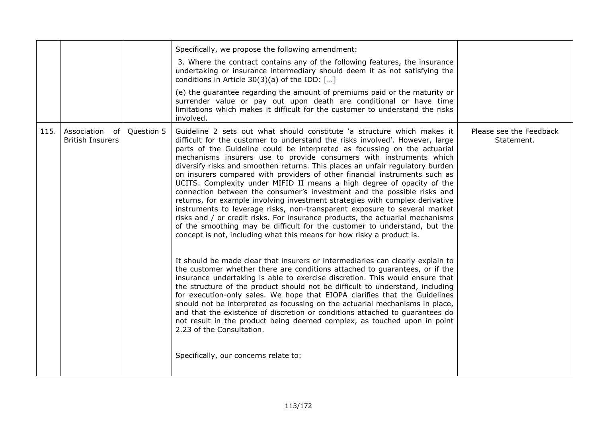|      |                                              |            | Specifically, we propose the following amendment:                                                                                                                                                                                                                                                                                                                                                                                                                                                                                                                                                                                                                                                                                                                                                                                                                                                                                                                                                                                                                                                                                                                                                                                                                                                                                                                                                                                                                                                                                                                                                                                                                                                                                                                     |                                       |
|------|----------------------------------------------|------------|-----------------------------------------------------------------------------------------------------------------------------------------------------------------------------------------------------------------------------------------------------------------------------------------------------------------------------------------------------------------------------------------------------------------------------------------------------------------------------------------------------------------------------------------------------------------------------------------------------------------------------------------------------------------------------------------------------------------------------------------------------------------------------------------------------------------------------------------------------------------------------------------------------------------------------------------------------------------------------------------------------------------------------------------------------------------------------------------------------------------------------------------------------------------------------------------------------------------------------------------------------------------------------------------------------------------------------------------------------------------------------------------------------------------------------------------------------------------------------------------------------------------------------------------------------------------------------------------------------------------------------------------------------------------------------------------------------------------------------------------------------------------------|---------------------------------------|
|      |                                              |            | 3. Where the contract contains any of the following features, the insurance<br>undertaking or insurance intermediary should deem it as not satisfying the<br>conditions in Article $30(3)(a)$ of the IDD: []                                                                                                                                                                                                                                                                                                                                                                                                                                                                                                                                                                                                                                                                                                                                                                                                                                                                                                                                                                                                                                                                                                                                                                                                                                                                                                                                                                                                                                                                                                                                                          |                                       |
|      |                                              |            | (e) the guarantee regarding the amount of premiums paid or the maturity or<br>surrender value or pay out upon death are conditional or have time<br>limitations which makes it difficult for the customer to understand the risks<br>involved.                                                                                                                                                                                                                                                                                                                                                                                                                                                                                                                                                                                                                                                                                                                                                                                                                                                                                                                                                                                                                                                                                                                                                                                                                                                                                                                                                                                                                                                                                                                        |                                       |
| 115. | Association<br>0f<br><b>British Insurers</b> | Question 5 | Guideline 2 sets out what should constitute 'a structure which makes it<br>difficult for the customer to understand the risks involved'. However, large<br>parts of the Guideline could be interpreted as focussing on the actuarial<br>mechanisms insurers use to provide consumers with instruments which<br>diversify risks and smoothen returns. This places an unfair regulatory burden<br>on insurers compared with providers of other financial instruments such as<br>UCITS. Complexity under MIFID II means a high degree of opacity of the<br>connection between the consumer's investment and the possible risks and<br>returns, for example involving investment strategies with complex derivative<br>instruments to leverage risks, non-transparent exposure to several market<br>risks and / or credit risks. For insurance products, the actuarial mechanisms<br>of the smoothing may be difficult for the customer to understand, but the<br>concept is not, including what this means for how risky a product is.<br>It should be made clear that insurers or intermediaries can clearly explain to<br>the customer whether there are conditions attached to guarantees, or if the<br>insurance undertaking is able to exercise discretion. This would ensure that<br>the structure of the product should not be difficult to understand, including<br>for execution-only sales. We hope that EIOPA clarifies that the Guidelines<br>should not be interpreted as focussing on the actuarial mechanisms in place,<br>and that the existence of discretion or conditions attached to guarantees do<br>not result in the product being deemed complex, as touched upon in point<br>2.23 of the Consultation.<br>Specifically, our concerns relate to: | Please see the Feedback<br>Statement. |
|      |                                              |            |                                                                                                                                                                                                                                                                                                                                                                                                                                                                                                                                                                                                                                                                                                                                                                                                                                                                                                                                                                                                                                                                                                                                                                                                                                                                                                                                                                                                                                                                                                                                                                                                                                                                                                                                                                       |                                       |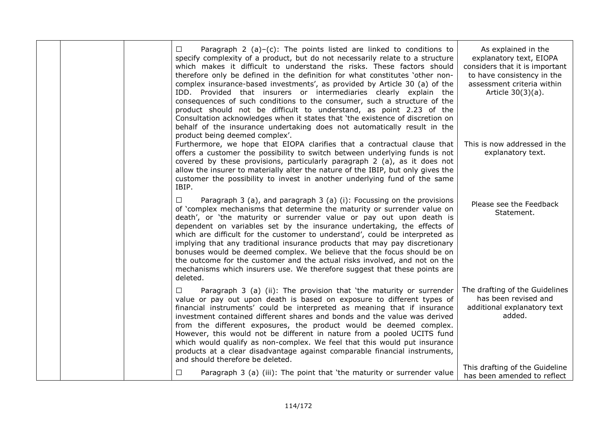|  | $\Box$             | Paragraph 2 (a)-(c): The points listed are linked to conditions to<br>specify complexity of a product, but do not necessarily relate to a structure<br>which makes it difficult to understand the risks. These factors should<br>therefore only be defined in the definition for what constitutes 'other non-<br>complex insurance-based investments', as provided by Article 30 (a) of the<br>IDD. Provided that insurers or intermediaries clearly explain the<br>consequences of such conditions to the consumer, such a structure of the<br>product should not be difficult to understand, as point 2.23 of the<br>Consultation acknowledges when it states that 'the existence of discretion on<br>behalf of the insurance undertaking does not automatically result in the<br>product being deemed complex'. | As explained in the<br>explanatory text, EIOPA<br>considers that it is important<br>to have consistency in the<br>assessment criteria within<br>Article 30(3)(a). |
|--|--------------------|--------------------------------------------------------------------------------------------------------------------------------------------------------------------------------------------------------------------------------------------------------------------------------------------------------------------------------------------------------------------------------------------------------------------------------------------------------------------------------------------------------------------------------------------------------------------------------------------------------------------------------------------------------------------------------------------------------------------------------------------------------------------------------------------------------------------|-------------------------------------------------------------------------------------------------------------------------------------------------------------------|
|  | IBIP.              | Furthermore, we hope that EIOPA clarifies that a contractual clause that<br>offers a customer the possibility to switch between underlying funds is not<br>covered by these provisions, particularly paragraph 2 (a), as it does not<br>allow the insurer to materially alter the nature of the IBIP, but only gives the<br>customer the possibility to invest in another underlying fund of the same                                                                                                                                                                                                                                                                                                                                                                                                              | This is now addressed in the<br>explanatory text.                                                                                                                 |
|  | $\Box$<br>deleted. | Paragraph 3 (a), and paragraph 3 (a) (i): Focussing on the provisions<br>of 'complex mechanisms that determine the maturity or surrender value on<br>death', or 'the maturity or surrender value or pay out upon death is<br>dependent on variables set by the insurance undertaking, the effects of<br>which are difficult for the customer to understand', could be interpreted as<br>implying that any traditional insurance products that may pay discretionary<br>bonuses would be deemed complex. We believe that the focus should be on<br>the outcome for the customer and the actual risks involved, and not on the<br>mechanisms which insurers use. We therefore suggest that these points are                                                                                                          | Please see the Feedback<br>Statement.                                                                                                                             |
|  | ⊔                  | Paragraph 3 (a) (ii): The provision that 'the maturity or surrender<br>value or pay out upon death is based on exposure to different types of<br>financial instruments' could be interpreted as meaning that if insurance<br>investment contained different shares and bonds and the value was derived<br>from the different exposures, the product would be deemed complex.<br>However, this would not be different in nature from a pooled UCITS fund<br>which would qualify as non-complex. We feel that this would put insurance<br>products at a clear disadvantage against comparable financial instruments,<br>and should therefore be deleted.                                                                                                                                                             | The drafting of the Guidelines<br>has been revised and<br>additional explanatory text<br>added.                                                                   |
|  | $\Box$             | Paragraph 3 (a) (iii): The point that 'the maturity or surrender value                                                                                                                                                                                                                                                                                                                                                                                                                                                                                                                                                                                                                                                                                                                                             | This drafting of the Guideline<br>has been amended to reflect                                                                                                     |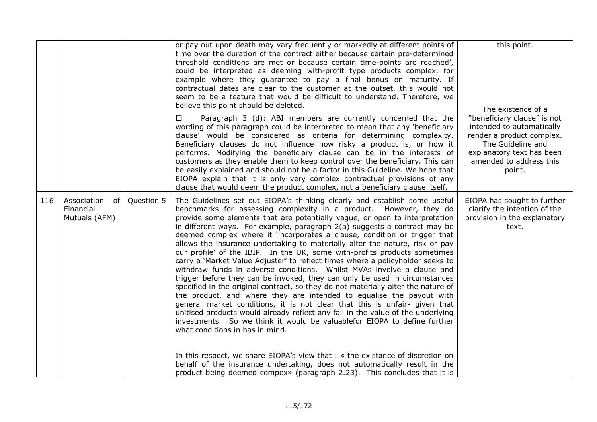|      |                                                 |            | or pay out upon death may vary frequently or markedly at different points of<br>time over the duration of the contract either because certain pre-determined<br>threshold conditions are met or because certain time-points are reached',<br>could be interpreted as deeming with-profit type products complex, for<br>example where they guarantee to pay a final bonus on maturity. If<br>contractual dates are clear to the customer at the outset, this would not<br>seem to be a feature that would be difficult to understand. Therefore, we<br>believe this point should be deleted.                                                                                                                                                                                                                                                                                                                                                                                                                                                                                                                                                                                                                                                                                                                                                                                                                                                                                               | this point.<br>The existence of a                                                                                                                                            |
|------|-------------------------------------------------|------------|-------------------------------------------------------------------------------------------------------------------------------------------------------------------------------------------------------------------------------------------------------------------------------------------------------------------------------------------------------------------------------------------------------------------------------------------------------------------------------------------------------------------------------------------------------------------------------------------------------------------------------------------------------------------------------------------------------------------------------------------------------------------------------------------------------------------------------------------------------------------------------------------------------------------------------------------------------------------------------------------------------------------------------------------------------------------------------------------------------------------------------------------------------------------------------------------------------------------------------------------------------------------------------------------------------------------------------------------------------------------------------------------------------------------------------------------------------------------------------------------|------------------------------------------------------------------------------------------------------------------------------------------------------------------------------|
|      |                                                 |            | Paragraph 3 (d): ABI members are currently concerned that the<br>□<br>wording of this paragraph could be interpreted to mean that any 'beneficiary<br>clause' would be considered as criteria for determining complexity.<br>Beneficiary clauses do not influence how risky a product is, or how it<br>performs. Modifying the beneficiary clause can be in the interests of<br>customers as they enable them to keep control over the beneficiary. This can<br>be easily explained and should not be a factor in this Guideline. We hope that<br>EIOPA explain that it is only very complex contractual provisions of any<br>clause that would deem the product complex, not a beneficiary clause itself.                                                                                                                                                                                                                                                                                                                                                                                                                                                                                                                                                                                                                                                                                                                                                                                | "beneficiary clause" is not<br>intended to automatically<br>render a product complex.<br>The Guideline and<br>explanatory text has been<br>amended to address this<br>point. |
| 116. | Association<br>of<br>Financial<br>Mutuals (AFM) | Question 5 | The Guidelines set out EIOPA's thinking clearly and establish some useful<br>benchmarks for assessing complexity in a product. However, they do<br>provide some elements that are potentially vague, or open to interpretation<br>in different ways. For example, paragraph $2(a)$ suggests a contract may be<br>deemed complex where it 'incorporates a clause, condition or trigger that<br>allows the insurance undertaking to materially alter the nature, risk or pay<br>our profile' of the IBIP. In the UK, some with-profits products sometimes<br>carry a 'Market Value Adjuster' to reflect times where a policyholder seeks to<br>withdraw funds in adverse conditions. Whilst MVAs involve a clause and<br>trigger before they can be invoked, they can only be used in circumstances<br>specified in the original contract, so they do not materially alter the nature of<br>the product, and where they are intended to equalise the payout with<br>general market conditions, it is not clear that this is unfair- given that<br>unitised products would already reflect any fall in the value of the underlying<br>investments. So we think it would be valuablefor EIOPA to define further<br>what conditions in has in mind.<br>In this respect, we share EIOPA's view that : « the existance of discretion on<br>behalf of the insurance undertaking, does not automatically result in the<br>product being deemed compex» (paragraph 2.23). This concludes that it is | EIOPA has sought to further<br>clarify the intention of the<br>provision in the explanatory<br>text.                                                                         |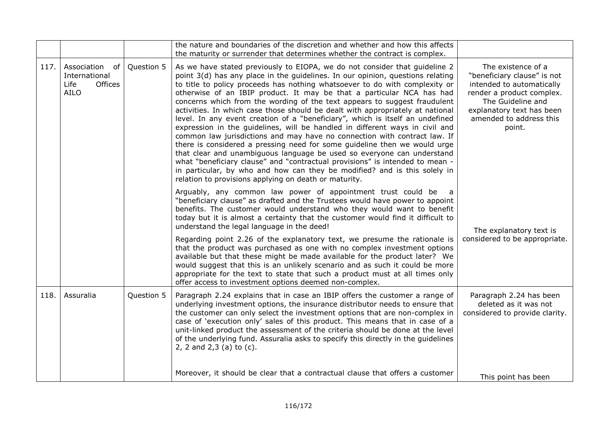|      |                                                                   |            | the nature and boundaries of the discretion and whether and how this affects<br>the maturity or surrender that determines whether the contract is complex.                                                                                                                                                                                                                                                                                                                                                                                                                                                                                                                                                                                                                                                                                                                                                                                                                                                                                                                                                     |                                                                                                                                                                                                    |
|------|-------------------------------------------------------------------|------------|----------------------------------------------------------------------------------------------------------------------------------------------------------------------------------------------------------------------------------------------------------------------------------------------------------------------------------------------------------------------------------------------------------------------------------------------------------------------------------------------------------------------------------------------------------------------------------------------------------------------------------------------------------------------------------------------------------------------------------------------------------------------------------------------------------------------------------------------------------------------------------------------------------------------------------------------------------------------------------------------------------------------------------------------------------------------------------------------------------------|----------------------------------------------------------------------------------------------------------------------------------------------------------------------------------------------------|
| 117. | Association of<br>International<br>Offices<br>Life<br><b>AILO</b> | Question 5 | As we have stated previously to EIOPA, we do not consider that guideline 2<br>point 3(d) has any place in the guidelines. In our opinion, questions relating<br>to title to policy proceeds has nothing whatsoever to do with complexity or<br>otherwise of an IBIP product. It may be that a particular NCA has had<br>concerns which from the wording of the text appears to suggest fraudulent<br>activities. In which case those should be dealt with appropriately at national<br>level. In any event creation of a "beneficiary", which is itself an undefined<br>expression in the guidelines, will be handled in different ways in civil and<br>common law jurisdictions and may have no connection with contract law. If<br>there is considered a pressing need for some guideline then we would urge<br>that clear and unambiguous language be used so everyone can understand<br>what "beneficiary clause" and "contractual provisions" is intended to mean -<br>in particular, by who and how can they be modified? and is this solely in<br>relation to provisions applying on death or maturity. | The existence of a<br>"beneficiary clause" is not<br>intended to automatically<br>render a product complex.<br>The Guideline and<br>explanatory text has been<br>amended to address this<br>point. |
|      |                                                                   |            | Arguably, any common law power of appointment trust could be<br>"beneficiary clause" as drafted and the Trustees would have power to appoint<br>benefits. The customer would understand who they would want to benefit<br>today but it is almost a certainty that the customer would find it difficult to<br>understand the legal language in the deed!<br>Regarding point 2.26 of the explanatory text, we presume the rationale is<br>that the product was purchased as one with no complex investment options<br>available but that these might be made available for the product later? We<br>would suggest that this is an unlikely scenario and as such it could be more<br>appropriate for the text to state that such a product must at all times only<br>offer access to investment options deemed non-complex.                                                                                                                                                                                                                                                                                       | The explanatory text is<br>considered to be appropriate.                                                                                                                                           |
| 118. | Assuralia                                                         | Question 5 | Paragraph 2.24 explains that in case an IBIP offers the customer a range of<br>underlying investment options, the insurance distributor needs to ensure that<br>the customer can only select the investment options that are non-complex in<br>case of 'execution only' sales of this product. This means that in case of a<br>unit-linked product the assessment of the criteria should be done at the level<br>of the underlying fund. Assuralia asks to specify this directly in the guidelines<br>2, 2 and $2,3$ (a) to (c).                                                                                                                                                                                                                                                                                                                                                                                                                                                                                                                                                                               | Paragraph 2.24 has been<br>deleted as it was not<br>considered to provide clarity.                                                                                                                 |
|      |                                                                   |            | Moreover, it should be clear that a contractual clause that offers a customer                                                                                                                                                                                                                                                                                                                                                                                                                                                                                                                                                                                                                                                                                                                                                                                                                                                                                                                                                                                                                                  | This point has been                                                                                                                                                                                |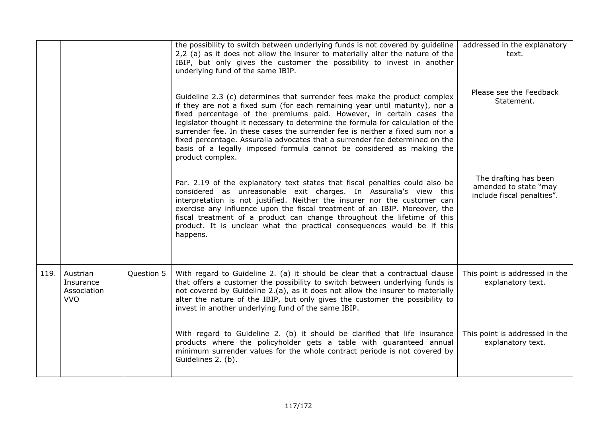|      |                                                    |            | the possibility to switch between underlying funds is not covered by guideline<br>2,2 (a) as it does not allow the insurer to materially alter the nature of the<br>IBIP, but only gives the customer the possibility to invest in another<br>underlying fund of the same IBIP.                                                                                                                                                                                                                                                                                                  | addressed in the explanatory<br>text.                                        |
|------|----------------------------------------------------|------------|----------------------------------------------------------------------------------------------------------------------------------------------------------------------------------------------------------------------------------------------------------------------------------------------------------------------------------------------------------------------------------------------------------------------------------------------------------------------------------------------------------------------------------------------------------------------------------|------------------------------------------------------------------------------|
|      |                                                    |            | Guideline 2.3 (c) determines that surrender fees make the product complex<br>if they are not a fixed sum (for each remaining year until maturity), nor a<br>fixed percentage of the premiums paid. However, in certain cases the<br>legislator thought it necessary to determine the formula for calculation of the<br>surrender fee. In these cases the surrender fee is neither a fixed sum nor a<br>fixed percentage. Assuralia advocates that a surrender fee determined on the<br>basis of a legally imposed formula cannot be considered as making the<br>product complex. | Please see the Feedback<br>Statement.                                        |
|      |                                                    |            | Par. 2.19 of the explanatory text states that fiscal penalties could also be<br>considered as unreasonable exit charges. In Assuralia's view this<br>interpretation is not justified. Neither the insurer nor the customer can<br>exercise any influence upon the fiscal treatment of an IBIP. Moreover, the<br>fiscal treatment of a product can change throughout the lifetime of this<br>product. It is unclear what the practical consequences would be if this<br>happens.                                                                                                  | The drafting has been<br>amended to state "may<br>include fiscal penalties". |
| 119. | Austrian<br>Insurance<br>Association<br><b>VVO</b> | Question 5 | With regard to Guideline 2. (a) it should be clear that a contractual clause<br>that offers a customer the possibility to switch between underlying funds is<br>not covered by Guideline 2.(a), as it does not allow the insurer to materially<br>alter the nature of the IBIP, but only gives the customer the possibility to<br>invest in another underlying fund of the same IBIP.                                                                                                                                                                                            | This point is addressed in the<br>explanatory text.                          |
|      |                                                    |            | With regard to Guideline 2. (b) it should be clarified that life insurance<br>products where the policyholder gets a table with guaranteed annual<br>minimum surrender values for the whole contract periode is not covered by<br>Guidelines 2. (b).                                                                                                                                                                                                                                                                                                                             | This point is addressed in the<br>explanatory text.                          |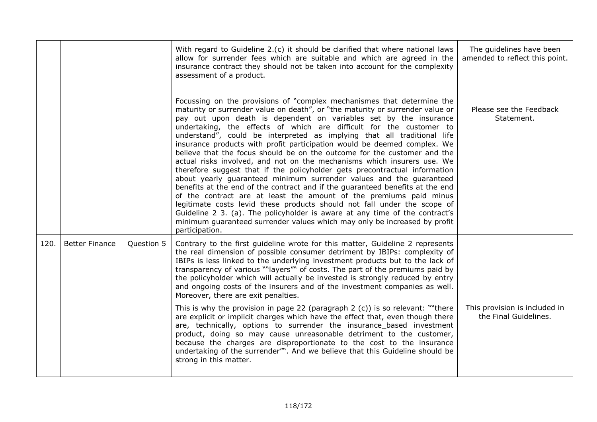|      |                       |            | With regard to Guideline 2.(c) it should be clarified that where national laws<br>allow for surrender fees which are suitable and which are agreed in the<br>insurance contract they should not be taken into account for the complexity<br>assessment of a product.                                                                                                                                                                                                                                                                                                                                                                                                                                                                                                                                                                                                                                                                                                                                                                                                                                                                                                                    | The guidelines have been<br>amended to reflect this point. |
|------|-----------------------|------------|-----------------------------------------------------------------------------------------------------------------------------------------------------------------------------------------------------------------------------------------------------------------------------------------------------------------------------------------------------------------------------------------------------------------------------------------------------------------------------------------------------------------------------------------------------------------------------------------------------------------------------------------------------------------------------------------------------------------------------------------------------------------------------------------------------------------------------------------------------------------------------------------------------------------------------------------------------------------------------------------------------------------------------------------------------------------------------------------------------------------------------------------------------------------------------------------|------------------------------------------------------------|
|      |                       |            | Focussing on the provisions of "complex mechanismes that determine the<br>maturity or surrender value on death", or "the maturity or surrender value or<br>pay out upon death is dependent on variables set by the insurance<br>undertaking, the effects of which are difficult for the customer to<br>understand", could be interpreted as implying that all traditional life<br>insurance products with profit participation would be deemed complex. We<br>believe that the focus should be on the outcome for the customer and the<br>actual risks involved, and not on the mechanisms which insurers use. We<br>therefore suggest that if the policyholder gets precontractual information<br>about yearly guaranteed minimum surrender values and the guaranteed<br>benefits at the end of the contract and if the guaranteed benefits at the end<br>of the contract are at least the amount of the premiums paid minus<br>legitimate costs levid these products should not fall under the scope of<br>Guideline 2 3. (a). The policyholder is aware at any time of the contract's<br>minimum guaranteed surrender values which may only be increased by profit<br>participation. | Please see the Feedback<br>Statement.                      |
| 120. | <b>Better Finance</b> | Question 5 | Contrary to the first guideline wrote for this matter, Guideline 2 represents<br>the real dimension of possible consumer detriment by IBIPs: complexity of<br>IBIPs is less linked to the underlying investment products but to the lack of<br>transparency of various ""layers" of costs. The part of the premiums paid by<br>the policyholder which will actually be invested is strongly reduced by entry<br>and ongoing costs of the insurers and of the investment companies as well.<br>Moreover, there are exit penalties.                                                                                                                                                                                                                                                                                                                                                                                                                                                                                                                                                                                                                                                       |                                                            |
|      |                       |            | This is why the provision in page 22 (paragraph $2$ (c)) is so relevant: ""there<br>are explicit or implicit charges which have the effect that, even though there<br>are, technically, options to surrender the insurance_based investment<br>product, doing so may cause unreasonable detriment to the customer,<br>because the charges are disproportionate to the cost to the insurance<br>undertaking of the surrender". And we believe that this Guideline should be<br>strong in this matter.                                                                                                                                                                                                                                                                                                                                                                                                                                                                                                                                                                                                                                                                                    | This provision is included in<br>the Final Guidelines.     |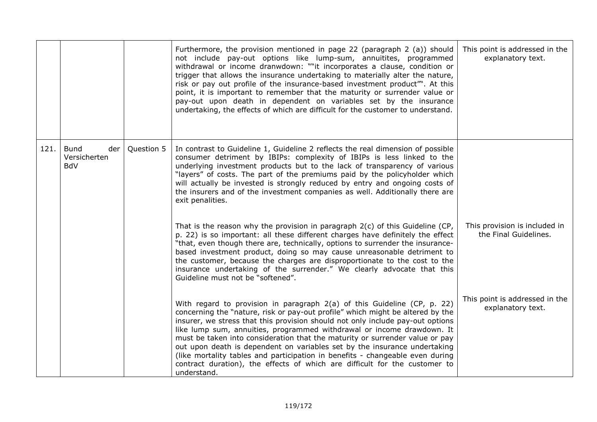|      |                                           |            | Furthermore, the provision mentioned in page 22 (paragraph 2 (a)) should<br>not include pay-out options like lump-sum, annuitites, programmed<br>withdrawal or income dranwdown: ""it incorporates a clause, condition or<br>trigger that allows the insurance undertaking to materially alter the nature,<br>risk or pay out profile of the insurance-based investment product". At this<br>point, it is important to remember that the maturity or surrender value or<br>pay-out upon death in dependent on variables set by the insurance<br>undertaking, the effects of which are difficult for the customer to understand.                                   | This point is addressed in the<br>explanatory text.    |
|------|-------------------------------------------|------------|-------------------------------------------------------------------------------------------------------------------------------------------------------------------------------------------------------------------------------------------------------------------------------------------------------------------------------------------------------------------------------------------------------------------------------------------------------------------------------------------------------------------------------------------------------------------------------------------------------------------------------------------------------------------|--------------------------------------------------------|
| 121. | Bund<br>der<br>Versicherten<br><b>BdV</b> | Question 5 | In contrast to Guideline 1, Guideline 2 reflects the real dimension of possible<br>consumer detriment by IBIPs: complexity of IBIPs is less linked to the<br>underlying investment products but to the lack of transparency of various<br>"layers" of costs. The part of the premiums paid by the policyholder which<br>will actually be invested is strongly reduced by entry and ongoing costs of<br>the insurers and of the investment companies as well. Additionally there are<br>exit penalities.                                                                                                                                                           |                                                        |
|      |                                           |            | That is the reason why the provision in paragraph $2(c)$ of this Guideline (CP,<br>p. 22) is so important: all these different charges have definitely the effect<br>"that, even though there are, technically, options to surrender the insurance-<br>based investment product, doing so may cause unreasonable detriment to<br>the customer, because the charges are disproportionate to the cost to the<br>insurance undertaking of the surrender." We clearly advocate that this<br>Guideline must not be "softened".                                                                                                                                         | This provision is included in<br>the Final Guidelines. |
|      |                                           |            | With regard to provision in paragraph 2(a) of this Guideline (CP, p. 22)<br>concerning the "nature, risk or pay-out profile" which might be altered by the<br>insurer, we stress that this provision should not only include pay-out options<br>like lump sum, annuities, programmed withdrawal or income drawdown. It<br>must be taken into consideration that the maturity or surrender value or pay<br>out upon death is dependent on variables set by the insurance undertaking<br>(like mortality tables and participation in benefits - changeable even during<br>contract duration), the effects of which are difficult for the customer to<br>understand. | This point is addressed in the<br>explanatory text.    |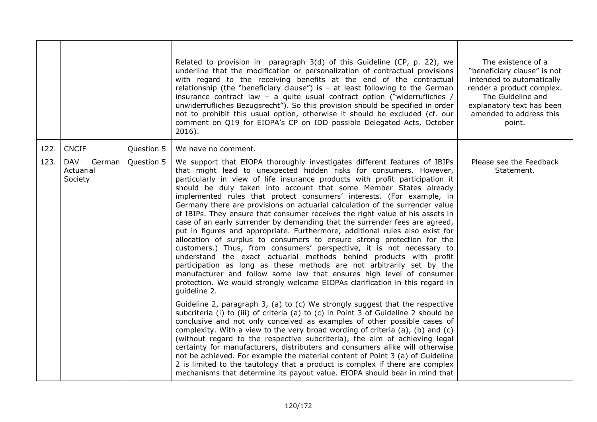|      |                                              |            | Related to provision in paragraph 3(d) of this Guideline (CP, p. 22), we<br>underline that the modification or personalization of contractual provisions<br>with regard to the receiving benefits at the end of the contractual<br>relationship (the "beneficiary clause") is $-$ at least following to the German<br>insurance contract law - a quite usual contract option ("widerrufliches /<br>unwiderrufliches Bezugsrecht"). So this provision should be specified in order<br>not to prohibit this usual option, otherwise it should be excluded (cf. our<br>comment on Q19 for EIOPA's CP on IDD possible Delegated Acts, October<br>$2016$ ).                                                                                                                                                                                                                                                                                                                                                                                                                                                                                                                                  | The existence of a<br>"beneficiary clause" is not<br>intended to automatically<br>render a product complex.<br>The Guideline and<br>explanatory text has been<br>amended to address this<br>point. |
|------|----------------------------------------------|------------|-----------------------------------------------------------------------------------------------------------------------------------------------------------------------------------------------------------------------------------------------------------------------------------------------------------------------------------------------------------------------------------------------------------------------------------------------------------------------------------------------------------------------------------------------------------------------------------------------------------------------------------------------------------------------------------------------------------------------------------------------------------------------------------------------------------------------------------------------------------------------------------------------------------------------------------------------------------------------------------------------------------------------------------------------------------------------------------------------------------------------------------------------------------------------------------------|----------------------------------------------------------------------------------------------------------------------------------------------------------------------------------------------------|
| 122. | <b>CNCIF</b>                                 | Question 5 | We have no comment.                                                                                                                                                                                                                                                                                                                                                                                                                                                                                                                                                                                                                                                                                                                                                                                                                                                                                                                                                                                                                                                                                                                                                                     |                                                                                                                                                                                                    |
| 123. | <b>DAV</b><br>German<br>Actuarial<br>Society | Question 5 | We support that EIOPA thoroughly investigates different features of IBIPs<br>that might lead to unexpected hidden risks for consumers. However,<br>particularly in view of life insurance products with profit participation it<br>should be duly taken into account that some Member States already<br>implemented rules that protect consumers' interests. (For example, in<br>Germany there are provisions on actuarial calculation of the surrender value<br>of IBIPs. They ensure that consumer receives the right value of his assets in<br>case of an early surrender by demanding that the surrender fees are agreed,<br>put in figures and appropriate. Furthermore, additional rules also exist for<br>allocation of surplus to consumers to ensure strong protection for the<br>customers.) Thus, from consumers' perspective, it is not necessary to<br>understand the exact actuarial methods behind products with profit<br>participation as long as these methods are not arbitrarily set by the<br>manufacturer and follow some law that ensures high level of consumer<br>protection. We would strongly welcome EIOPAs clarification in this regard in<br>guideline 2. | Please see the Feedback<br>Statement.                                                                                                                                                              |
|      |                                              |            | Guideline 2, paragraph 3, (a) to (c) We strongly suggest that the respective<br>subcriteria (i) to (iii) of criteria (a) to (c) in Point 3 of Guideline 2 should be<br>conclusive and not only conceived as examples of other possible cases of<br>complexity. With a view to the very broad wording of criteria (a), (b) and (c)<br>(without regard to the respective subcriteria), the aim of achieving legal<br>certainty for manufacturers, distributers and consumers alike will otherwise<br>not be achieved. For example the material content of Point 3 (a) of Guideline<br>2 is limited to the tautology that a product is complex if there are complex<br>mechanisms that determine its payout value. EIOPA should bear in mind that                                                                                                                                                                                                                                                                                                                                                                                                                                          |                                                                                                                                                                                                    |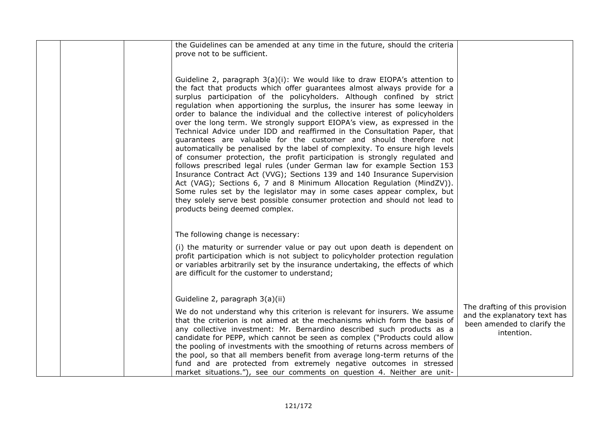| the Guidelines can be amended at any time in the future, should the criteria<br>prove not to be sufficient.<br>Guideline 2, paragraph 3(a)(i): We would like to draw EIOPA's attention to<br>the fact that products which offer guarantees almost always provide for a<br>surplus participation of the policyholders. Although confined by strict<br>regulation when apportioning the surplus, the insurer has some leeway in<br>order to balance the individual and the collective interest of policyholders<br>over the long term. We strongly support EIOPA's view, as expressed in the<br>Technical Advice under IDD and reaffirmed in the Consultation Paper, that<br>guarantees are valuable for the customer and should therefore not<br>automatically be penalised by the label of complexity. To ensure high levels<br>of consumer protection, the profit participation is strongly regulated and<br>follows prescribed legal rules (under German law for example Section 153<br>Insurance Contract Act (VVG); Sections 139 and 140 Insurance Supervision<br>Act (VAG); Sections 6, 7 and 8 Minimum Allocation Regulation (MindZV)). |                                                                                                             |
|-----------------------------------------------------------------------------------------------------------------------------------------------------------------------------------------------------------------------------------------------------------------------------------------------------------------------------------------------------------------------------------------------------------------------------------------------------------------------------------------------------------------------------------------------------------------------------------------------------------------------------------------------------------------------------------------------------------------------------------------------------------------------------------------------------------------------------------------------------------------------------------------------------------------------------------------------------------------------------------------------------------------------------------------------------------------------------------------------------------------------------------------------|-------------------------------------------------------------------------------------------------------------|
| Some rules set by the legislator may in some cases appear complex, but<br>they solely serve best possible consumer protection and should not lead to<br>products being deemed complex.                                                                                                                                                                                                                                                                                                                                                                                                                                                                                                                                                                                                                                                                                                                                                                                                                                                                                                                                                        |                                                                                                             |
| The following change is necessary:<br>(i) the maturity or surrender value or pay out upon death is dependent on<br>profit participation which is not subject to policyholder protection regulation<br>or variables arbitrarily set by the insurance undertaking, the effects of which<br>are difficult for the customer to understand;                                                                                                                                                                                                                                                                                                                                                                                                                                                                                                                                                                                                                                                                                                                                                                                                        |                                                                                                             |
| Guideline 2, paragraph 3(a)(ii)<br>We do not understand why this criterion is relevant for insurers. We assume<br>that the criterion is not aimed at the mechanisms which form the basis of<br>any collective investment: Mr. Bernardino described such products as a<br>candidate for PEPP, which cannot be seen as complex ("Products could allow<br>the pooling of investments with the smoothing of returns across members of<br>the pool, so that all members benefit from average long-term returns of the<br>fund and are protected from extremely negative outcomes in stressed<br>market situations."), see our comments on question 4. Neither are unit-                                                                                                                                                                                                                                                                                                                                                                                                                                                                            | The drafting of this provision<br>and the explanatory text has<br>been amended to clarify the<br>intention. |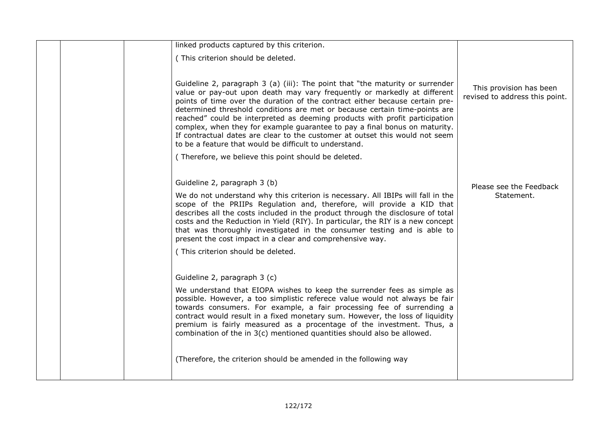|  | linked products captured by this criterion.                                                                                                                                                                                                                                                                                                                                                                                                                                                                                                                              |                                                           |
|--|--------------------------------------------------------------------------------------------------------------------------------------------------------------------------------------------------------------------------------------------------------------------------------------------------------------------------------------------------------------------------------------------------------------------------------------------------------------------------------------------------------------------------------------------------------------------------|-----------------------------------------------------------|
|  | (This criterion should be deleted.                                                                                                                                                                                                                                                                                                                                                                                                                                                                                                                                       |                                                           |
|  | Guideline 2, paragraph 3 (a) (iii): The point that "the maturity or surrender<br>value or pay-out upon death may vary frequently or markedly at different<br>points of time over the duration of the contract either because certain pre-<br>determined threshold conditions are met or because certain time-points are                                                                                                                                                                                                                                                  | This provision has been<br>revised to address this point. |
|  | reached" could be interpreted as deeming products with profit participation<br>complex, when they for example guarantee to pay a final bonus on maturity.<br>If contractual dates are clear to the customer at outset this would not seem<br>to be a feature that would be difficult to understand.                                                                                                                                                                                                                                                                      |                                                           |
|  | (Therefore, we believe this point should be deleted.                                                                                                                                                                                                                                                                                                                                                                                                                                                                                                                     |                                                           |
|  |                                                                                                                                                                                                                                                                                                                                                                                                                                                                                                                                                                          |                                                           |
|  | Guideline 2, paragraph 3 (b)                                                                                                                                                                                                                                                                                                                                                                                                                                                                                                                                             | Please see the Feedback                                   |
|  | We do not understand why this criterion is necessary. All IBIPs will fall in the<br>scope of the PRIIPs Regulation and, therefore, will provide a KID that<br>describes all the costs included in the product through the disclosure of total<br>costs and the Reduction in Yield (RIY). In particular, the RIY is a new concept<br>that was thoroughly investigated in the consumer testing and is able to<br>present the cost impact in a clear and comprehensive way.                                                                                                 | Statement.                                                |
|  | (This criterion should be deleted.                                                                                                                                                                                                                                                                                                                                                                                                                                                                                                                                       |                                                           |
|  | Guideline 2, paragraph 3 (c)<br>We understand that EIOPA wishes to keep the surrender fees as simple as<br>possible. However, a too simplistic referece value would not always be fair<br>towards consumers. For example, a fair processing fee of surrending a<br>contract would result in a fixed monetary sum. However, the loss of liquidity<br>premium is fairly measured as a procentage of the investment. Thus, a<br>combination of the in 3(c) mentioned quantities should also be allowed.<br>(Therefore, the criterion should be amended in the following way |                                                           |
|  |                                                                                                                                                                                                                                                                                                                                                                                                                                                                                                                                                                          |                                                           |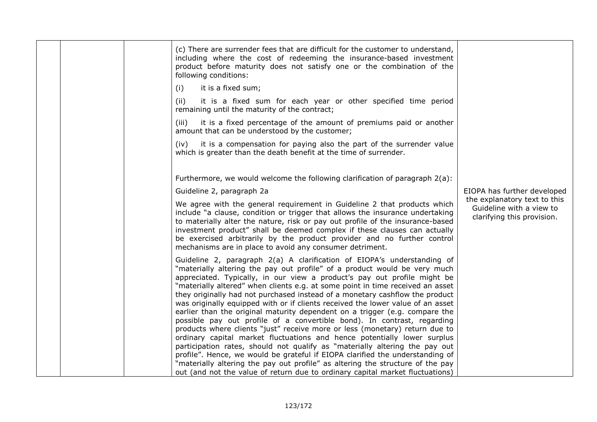| (c) There are surrender fees that are difficult for the customer to understand,<br>including where the cost of redeeming the insurance-based investment<br>product before maturity does not satisfy one or the combination of the<br>following conditions:                                                                                                                                                                                                                                                                                                                                                                                                                                                                                                                                                                                                                                                                                                                                                                                                                                                                                    |                                                                                        |
|-----------------------------------------------------------------------------------------------------------------------------------------------------------------------------------------------------------------------------------------------------------------------------------------------------------------------------------------------------------------------------------------------------------------------------------------------------------------------------------------------------------------------------------------------------------------------------------------------------------------------------------------------------------------------------------------------------------------------------------------------------------------------------------------------------------------------------------------------------------------------------------------------------------------------------------------------------------------------------------------------------------------------------------------------------------------------------------------------------------------------------------------------|----------------------------------------------------------------------------------------|
| it is a fixed sum;<br>(i)                                                                                                                                                                                                                                                                                                                                                                                                                                                                                                                                                                                                                                                                                                                                                                                                                                                                                                                                                                                                                                                                                                                     |                                                                                        |
| (ii)<br>it is a fixed sum for each year or other specified time period<br>remaining until the maturity of the contract;                                                                                                                                                                                                                                                                                                                                                                                                                                                                                                                                                                                                                                                                                                                                                                                                                                                                                                                                                                                                                       |                                                                                        |
| it is a fixed percentage of the amount of premiums paid or another<br>(iii)<br>amount that can be understood by the customer;                                                                                                                                                                                                                                                                                                                                                                                                                                                                                                                                                                                                                                                                                                                                                                                                                                                                                                                                                                                                                 |                                                                                        |
| it is a compensation for paying also the part of the surrender value<br>(iv)<br>which is greater than the death benefit at the time of surrender.                                                                                                                                                                                                                                                                                                                                                                                                                                                                                                                                                                                                                                                                                                                                                                                                                                                                                                                                                                                             |                                                                                        |
| Furthermore, we would welcome the following clarification of paragraph 2(a):                                                                                                                                                                                                                                                                                                                                                                                                                                                                                                                                                                                                                                                                                                                                                                                                                                                                                                                                                                                                                                                                  |                                                                                        |
| Guideline 2, paragraph 2a                                                                                                                                                                                                                                                                                                                                                                                                                                                                                                                                                                                                                                                                                                                                                                                                                                                                                                                                                                                                                                                                                                                     | EIOPA has further developed                                                            |
| We agree with the general requirement in Guideline 2 that products which<br>include "a clause, condition or trigger that allows the insurance undertaking<br>to materially alter the nature, risk or pay out profile of the insurance-based<br>investment product" shall be deemed complex if these clauses can actually<br>be exercised arbitrarily by the product provider and no further control<br>mechanisms are in place to avoid any consumer detriment.                                                                                                                                                                                                                                                                                                                                                                                                                                                                                                                                                                                                                                                                               | the explanatory text to this<br>Guideline with a view to<br>clarifying this provision. |
| Guideline 2, paragraph 2(a) A clarification of EIOPA's understanding of<br>"materially altering the pay out profile" of a product would be very much<br>appreciated. Typically, in our view a product's pay out profile might be<br>"materially altered" when clients e.g. at some point in time received an asset<br>they originally had not purchased instead of a monetary cashflow the product<br>was originally equipped with or if clients received the lower value of an asset<br>earlier than the original maturity dependent on a trigger (e.g. compare the<br>possible pay out profile of a convertible bond). In contrast, regarding<br>products where clients "just" receive more or less (monetary) return due to<br>ordinary capital market fluctuations and hence potentially lower surplus<br>participation rates, should not qualify as "materially altering the pay out<br>profile". Hence, we would be grateful if EIOPA clarified the understanding of<br>"materially altering the pay out profile" as altering the structure of the pay<br>out (and not the value of return due to ordinary capital market fluctuations) |                                                                                        |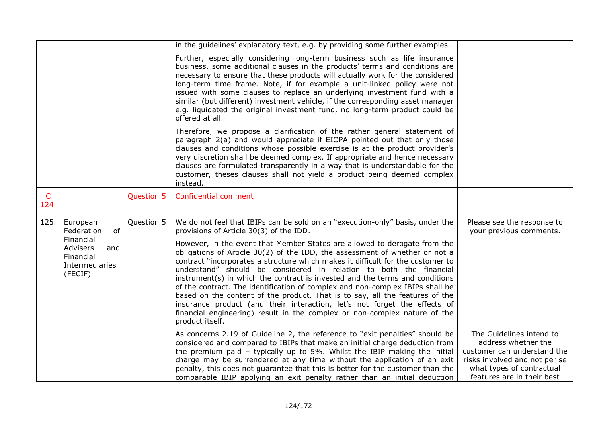|                      |                                                           |            | in the guidelines' explanatory text, e.g. by providing some further examples.                                                                                                                                                                                                                                                                                                                                                                                                                                                                                                                                                                                                                                                                     |                                                                                                                                                                            |
|----------------------|-----------------------------------------------------------|------------|---------------------------------------------------------------------------------------------------------------------------------------------------------------------------------------------------------------------------------------------------------------------------------------------------------------------------------------------------------------------------------------------------------------------------------------------------------------------------------------------------------------------------------------------------------------------------------------------------------------------------------------------------------------------------------------------------------------------------------------------------|----------------------------------------------------------------------------------------------------------------------------------------------------------------------------|
|                      |                                                           |            | Further, especially considering long-term business such as life insurance<br>business, some additional clauses in the products' terms and conditions are<br>necessary to ensure that these products will actually work for the considered<br>long-term time frame. Note, if for example a unit-linked policy were not<br>issued with some clauses to replace an underlying investment fund with a<br>similar (but different) investment vehicle, if the corresponding asset manager<br>e.g. liquidated the original investment fund, no long-term product could be<br>offered at all.                                                                                                                                                             |                                                                                                                                                                            |
|                      |                                                           |            | Therefore, we propose a clarification of the rather general statement of<br>paragraph 2(a) and would appreciate if EIOPA pointed out that only those<br>clauses and conditions whose possible exercise is at the product provider's<br>very discretion shall be deemed complex. If appropriate and hence necessary<br>clauses are formulated transparently in a way that is understandable for the<br>customer, theses clauses shall not yield a product being deemed complex<br>instead.                                                                                                                                                                                                                                                         |                                                                                                                                                                            |
| $\mathsf{C}$<br>124. |                                                           | Question 5 | Confidential comment                                                                                                                                                                                                                                                                                                                                                                                                                                                                                                                                                                                                                                                                                                                              |                                                                                                                                                                            |
| 125.                 | European<br>of<br>Federation<br>Financial                 | Question 5 | We do not feel that IBIPs can be sold on an "execution-only" basis, under the<br>provisions of Article 30(3) of the IDD.                                                                                                                                                                                                                                                                                                                                                                                                                                                                                                                                                                                                                          | Please see the response to<br>your previous comments.                                                                                                                      |
|                      | Advisers<br>and<br>Financial<br>Intermediaries<br>(FECIF) |            | However, in the event that Member States are allowed to derogate from the<br>obligations of Article $30(2)$ of the IDD, the assessment of whether or not a<br>contract "incorporates a structure which makes it difficult for the customer to<br>understand" should be considered in relation to both the financial<br>instrument(s) in which the contract is invested and the terms and conditions<br>of the contract. The identification of complex and non-complex IBIPs shall be<br>based on the content of the product. That is to say, all the features of the<br>insurance product (and their interaction, let's not forget the effects of<br>financial engineering) result in the complex or non-complex nature of the<br>product itself. |                                                                                                                                                                            |
|                      |                                                           |            | As concerns 2.19 of Guideline 2, the reference to "exit penalties" should be<br>considered and compared to IBIPs that make an initial charge deduction from<br>the premium paid - typically up to 5%. Whilst the IBIP making the initial<br>charge may be surrendered at any time without the application of an exit<br>penalty, this does not guarantee that this is better for the customer than the<br>comparable IBIP applying an exit penalty rather than an initial deduction                                                                                                                                                                                                                                                               | The Guidelines intend to<br>address whether the<br>customer can understand the<br>risks involved and not per se<br>what types of contractual<br>features are in their best |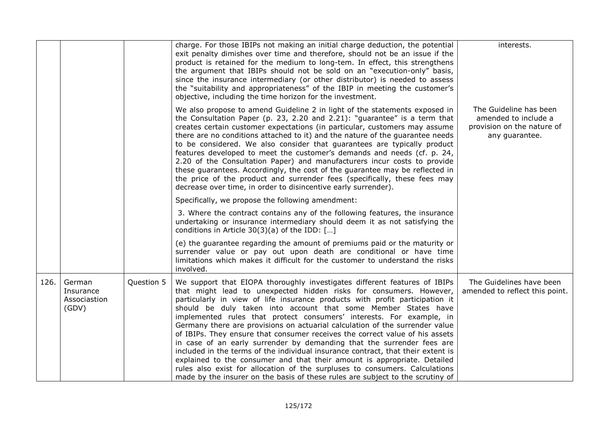|      |                                              |            | charge. For those IBIPs not making an initial charge deduction, the potential<br>exit penalty dimishes over time and therefore, should not be an issue if the<br>product is retained for the medium to long-tem. In effect, this strengthens<br>the argument that IBIPs should not be sold on an "execution-only" basis,<br>since the insurance intermediary (or other distributor) is needed to assess<br>the "suitability and appropriateness" of the IBIP in meeting the customer's<br>objective, including the time horizon for the investment.                                                                                                                                                                                                                                                                                                                                                                                                  | interests.                                                                                     |
|------|----------------------------------------------|------------|------------------------------------------------------------------------------------------------------------------------------------------------------------------------------------------------------------------------------------------------------------------------------------------------------------------------------------------------------------------------------------------------------------------------------------------------------------------------------------------------------------------------------------------------------------------------------------------------------------------------------------------------------------------------------------------------------------------------------------------------------------------------------------------------------------------------------------------------------------------------------------------------------------------------------------------------------|------------------------------------------------------------------------------------------------|
|      |                                              |            | We also propose to amend Guideline 2 in light of the statements exposed in<br>the Consultation Paper (p. 23, 2.20 and 2.21): "guarantee" is a term that<br>creates certain customer expectations (in particular, customers may assume<br>there are no conditions attached to it) and the nature of the guarantee needs<br>to be considered. We also consider that guarantees are typically product<br>features developed to meet the customer's demands and needs (cf. p. 24,<br>2.20 of the Consultation Paper) and manufacturers incur costs to provide<br>these guarantees. Accordingly, the cost of the guarantee may be reflected in<br>the price of the product and surrender fees (specifically, these fees may<br>decrease over time, in order to disincentive early surrender).                                                                                                                                                             | The Guideline has been<br>amended to include a<br>provision on the nature of<br>any guarantee. |
|      |                                              |            | Specifically, we propose the following amendment:                                                                                                                                                                                                                                                                                                                                                                                                                                                                                                                                                                                                                                                                                                                                                                                                                                                                                                    |                                                                                                |
|      |                                              |            | 3. Where the contract contains any of the following features, the insurance<br>undertaking or insurance intermediary should deem it as not satisfying the<br>conditions in Article $30(3)(a)$ of the IDD: []                                                                                                                                                                                                                                                                                                                                                                                                                                                                                                                                                                                                                                                                                                                                         |                                                                                                |
|      |                                              |            | (e) the guarantee regarding the amount of premiums paid or the maturity or<br>surrender value or pay out upon death are conditional or have time<br>limitations which makes it difficult for the customer to understand the risks<br>involved.                                                                                                                                                                                                                                                                                                                                                                                                                                                                                                                                                                                                                                                                                                       |                                                                                                |
| 126. | German<br>Insurance<br>Associastion<br>(GDV) | Question 5 | We support that EIOPA thoroughly investigates different features of IBIPs<br>that might lead to unexpected hidden risks for consumers. However,<br>particularly in view of life insurance products with profit participation it<br>should be duly taken into account that some Member States have<br>implemented rules that protect consumers' interests. For example, in<br>Germany there are provisions on actuarial calculation of the surrender value<br>of IBIPs. They ensure that consumer receives the correct value of his assets<br>in case of an early surrender by demanding that the surrender fees are<br>included in the terms of the individual insurance contract, that their extent is<br>explained to the consumer and that their amount is appropriate. Detailed<br>rules also exist for allocation of the surpluses to consumers. Calculations<br>made by the insurer on the basis of these rules are subject to the scrutiny of | The Guidelines have been<br>amended to reflect this point.                                     |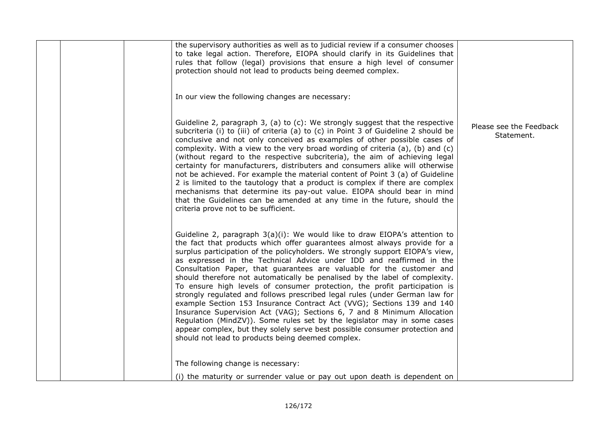|  | the supervisory authorities as well as to judicial review if a consumer chooses<br>to take legal action. Therefore, EIOPA should clarify in its Guidelines that<br>rules that follow (legal) provisions that ensure a high level of consumer<br>protection should not lead to products being deemed complex.                                                                                                                                                                                                                                                                                                                                                                                                                                                                                                                                                                                                                                                                                              |                                       |
|--|-----------------------------------------------------------------------------------------------------------------------------------------------------------------------------------------------------------------------------------------------------------------------------------------------------------------------------------------------------------------------------------------------------------------------------------------------------------------------------------------------------------------------------------------------------------------------------------------------------------------------------------------------------------------------------------------------------------------------------------------------------------------------------------------------------------------------------------------------------------------------------------------------------------------------------------------------------------------------------------------------------------|---------------------------------------|
|  | In our view the following changes are necessary:                                                                                                                                                                                                                                                                                                                                                                                                                                                                                                                                                                                                                                                                                                                                                                                                                                                                                                                                                          |                                       |
|  | Guideline 2, paragraph 3, (a) to (c): We strongly suggest that the respective<br>subcriteria (i) to (iii) of criteria (a) to (c) in Point 3 of Guideline 2 should be<br>conclusive and not only conceived as examples of other possible cases of<br>complexity. With a view to the very broad wording of criteria (a), (b) and (c)<br>(without regard to the respective subcriteria), the aim of achieving legal<br>certainty for manufacturers, distributers and consumers alike will otherwise<br>not be achieved. For example the material content of Point 3 (a) of Guideline<br>2 is limited to the tautology that a product is complex if there are complex<br>mechanisms that determine its pay-out value. EIOPA should bear in mind<br>that the Guidelines can be amended at any time in the future, should the<br>criteria prove not to be sufficient.                                                                                                                                           | Please see the Feedback<br>Statement. |
|  | Guideline 2, paragraph 3(a)(i): We would like to draw EIOPA's attention to<br>the fact that products which offer guarantees almost always provide for a<br>surplus participation of the policyholders. We strongly support EIOPA's view,<br>as expressed in the Technical Advice under IDD and reaffirmed in the<br>Consultation Paper, that guarantees are valuable for the customer and<br>should therefore not automatically be penalised by the label of complexity.<br>To ensure high levels of consumer protection, the profit participation is<br>strongly regulated and follows prescribed legal rules (under German law for<br>example Section 153 Insurance Contract Act (VVG); Sections 139 and 140<br>Insurance Supervision Act (VAG); Sections 6, 7 and 8 Minimum Allocation<br>Regulation (MindZV)). Some rules set by the legislator may in some cases<br>appear complex, but they solely serve best possible consumer protection and<br>should not lead to products being deemed complex. |                                       |
|  | The following change is necessary:                                                                                                                                                                                                                                                                                                                                                                                                                                                                                                                                                                                                                                                                                                                                                                                                                                                                                                                                                                        |                                       |
|  | (i) the maturity or surrender value or pay out upon death is dependent on                                                                                                                                                                                                                                                                                                                                                                                                                                                                                                                                                                                                                                                                                                                                                                                                                                                                                                                                 |                                       |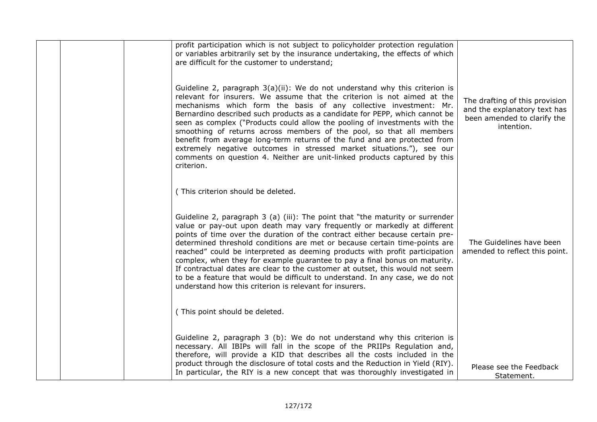|  | profit participation which is not subject to policyholder protection regulation<br>or variables arbitrarily set by the insurance undertaking, the effects of which<br>are difficult for the customer to understand;<br>Guideline 2, paragraph 3(a)(ii): We do not understand why this criterion is<br>relevant for insurers. We assume that the criterion is not aimed at the<br>mechanisms which form the basis of any collective investment: Mr.<br>Bernardino described such products as a candidate for PEPP, which cannot be<br>seen as complex ("Products could allow the pooling of investments with the<br>smoothing of returns across members of the pool, so that all members<br>benefit from average long-term returns of the fund and are protected from<br>extremely negative outcomes in stressed market situations."), see our<br>comments on question 4. Neither are unit-linked products captured by this<br>criterion. | The drafting of this provision<br>and the explanatory text has<br>been amended to clarify the<br>intention. |
|--|------------------------------------------------------------------------------------------------------------------------------------------------------------------------------------------------------------------------------------------------------------------------------------------------------------------------------------------------------------------------------------------------------------------------------------------------------------------------------------------------------------------------------------------------------------------------------------------------------------------------------------------------------------------------------------------------------------------------------------------------------------------------------------------------------------------------------------------------------------------------------------------------------------------------------------------|-------------------------------------------------------------------------------------------------------------|
|  | (This criterion should be deleted.                                                                                                                                                                                                                                                                                                                                                                                                                                                                                                                                                                                                                                                                                                                                                                                                                                                                                                       |                                                                                                             |
|  | Guideline 2, paragraph 3 (a) (iii): The point that "the maturity or surrender<br>value or pay-out upon death may vary frequently or markedly at different<br>points of time over the duration of the contract either because certain pre-<br>determined threshold conditions are met or because certain time-points are<br>reached" could be interpreted as deeming products with profit participation<br>complex, when they for example guarantee to pay a final bonus on maturity.<br>If contractual dates are clear to the customer at outset, this would not seem<br>to be a feature that would be difficult to understand. In any case, we do not<br>understand how this criterion is relevant for insurers.                                                                                                                                                                                                                        | The Guidelines have been<br>amended to reflect this point.                                                  |
|  | (This point should be deleted.                                                                                                                                                                                                                                                                                                                                                                                                                                                                                                                                                                                                                                                                                                                                                                                                                                                                                                           |                                                                                                             |
|  | Guideline 2, paragraph 3 (b): We do not understand why this criterion is<br>necessary. All IBIPs will fall in the scope of the PRIIPs Regulation and,<br>therefore, will provide a KID that describes all the costs included in the<br>product through the disclosure of total costs and the Reduction in Yield (RIY).<br>In particular, the RIY is a new concept that was thoroughly investigated in                                                                                                                                                                                                                                                                                                                                                                                                                                                                                                                                    | Please see the Feedback<br>Statement.                                                                       |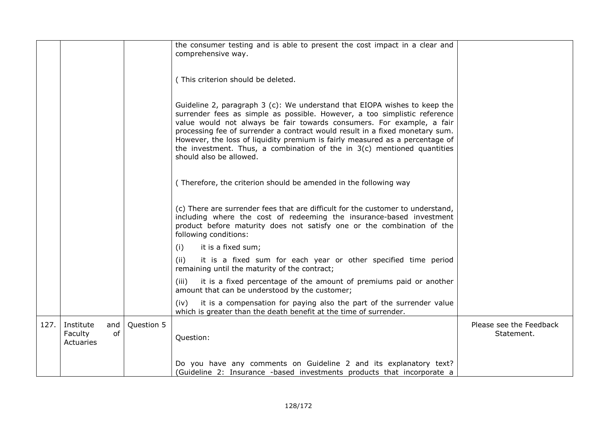|      |                                          |                  | the consumer testing and is able to present the cost impact in a clear and<br>comprehensive way.                                                                                                                                                                                                                                                                                                                                                                                                        |                                       |
|------|------------------------------------------|------------------|---------------------------------------------------------------------------------------------------------------------------------------------------------------------------------------------------------------------------------------------------------------------------------------------------------------------------------------------------------------------------------------------------------------------------------------------------------------------------------------------------------|---------------------------------------|
|      |                                          |                  | (This criterion should be deleted.                                                                                                                                                                                                                                                                                                                                                                                                                                                                      |                                       |
|      |                                          |                  | Guideline 2, paragraph 3 (c): We understand that EIOPA wishes to keep the<br>surrender fees as simple as possible. However, a too simplistic reference<br>value would not always be fair towards consumers. For example, a fair<br>processing fee of surrender a contract would result in a fixed monetary sum.<br>However, the loss of liquidity premium is fairly measured as a percentage of<br>the investment. Thus, a combination of the in $3(c)$ mentioned quantities<br>should also be allowed. |                                       |
|      |                                          |                  | (Therefore, the criterion should be amended in the following way                                                                                                                                                                                                                                                                                                                                                                                                                                        |                                       |
|      |                                          |                  | (c) There are surrender fees that are difficult for the customer to understand,<br>including where the cost of redeeming the insurance-based investment<br>product before maturity does not satisfy one or the combination of the<br>following conditions:                                                                                                                                                                                                                                              |                                       |
|      |                                          |                  | it is a fixed sum;<br>(i)                                                                                                                                                                                                                                                                                                                                                                                                                                                                               |                                       |
|      |                                          |                  | it is a fixed sum for each year or other specified time period<br>(ii)<br>remaining until the maturity of the contract;                                                                                                                                                                                                                                                                                                                                                                                 |                                       |
|      |                                          |                  | it is a fixed percentage of the amount of premiums paid or another<br>(iii)<br>amount that can be understood by the customer;                                                                                                                                                                                                                                                                                                                                                                           |                                       |
|      |                                          |                  | it is a compensation for paying also the part of the surrender value<br>(iv)<br>which is greater than the death benefit at the time of surrender.                                                                                                                                                                                                                                                                                                                                                       |                                       |
| 127. | Institute<br>and<br>Faculty<br>Actuaries | Question 5<br>of | Question:                                                                                                                                                                                                                                                                                                                                                                                                                                                                                               | Please see the Feedback<br>Statement. |
|      |                                          |                  | Do you have any comments on Guideline 2 and its explanatory text?<br>(Guideline 2: Insurance -based investments products that incorporate a                                                                                                                                                                                                                                                                                                                                                             |                                       |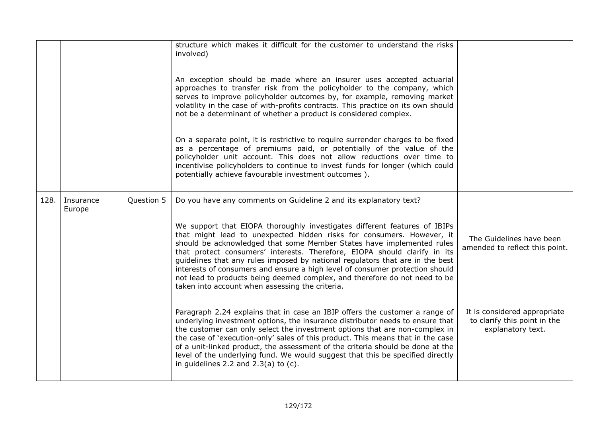|      |                     |            | structure which makes it difficult for the customer to understand the risks<br>involved)<br>An exception should be made where an insurer uses accepted actuarial<br>approaches to transfer risk from the policyholder to the company, which<br>serves to improve policyholder outcomes by, for example, removing market<br>volatility in the case of with-profits contracts. This practice on its own should<br>not be a determinant of whether a product is considered complex.<br>On a separate point, it is restrictive to require surrender charges to be fixed<br>as a percentage of premiums paid, or potentially of the value of the<br>policyholder unit account. This does not allow reductions over time to<br>incentivise policyholders to continue to invest funds for longer (which could<br>potentially achieve favourable investment outcomes). |                                                                                   |
|------|---------------------|------------|----------------------------------------------------------------------------------------------------------------------------------------------------------------------------------------------------------------------------------------------------------------------------------------------------------------------------------------------------------------------------------------------------------------------------------------------------------------------------------------------------------------------------------------------------------------------------------------------------------------------------------------------------------------------------------------------------------------------------------------------------------------------------------------------------------------------------------------------------------------|-----------------------------------------------------------------------------------|
| 128. | Insurance<br>Europe | Question 5 | Do you have any comments on Guideline 2 and its explanatory text?                                                                                                                                                                                                                                                                                                                                                                                                                                                                                                                                                                                                                                                                                                                                                                                              |                                                                                   |
|      |                     |            | We support that EIOPA thoroughly investigates different features of IBIPs<br>that might lead to unexpected hidden risks for consumers. However, it<br>should be acknowledged that some Member States have implemented rules<br>that protect consumers' interests. Therefore, EIOPA should clarify in its<br>guidelines that any rules imposed by national regulators that are in the best<br>interests of consumers and ensure a high level of consumer protection should<br>not lead to products being deemed complex, and therefore do not need to be<br>taken into account when assessing the criteria.                                                                                                                                                                                                                                                     | The Guidelines have been<br>amended to reflect this point.                        |
|      |                     |            | Paragraph 2.24 explains that in case an IBIP offers the customer a range of<br>underlying investment options, the insurance distributor needs to ensure that<br>the customer can only select the investment options that are non-complex in<br>the case of 'execution-only' sales of this product. This means that in the case<br>of a unit-linked product, the assessment of the criteria should be done at the<br>level of the underlying fund. We would suggest that this be specified directly<br>in guidelines 2.2 and $2.3(a)$ to $(c)$ .                                                                                                                                                                                                                                                                                                                | It is considered appropriate<br>to clarify this point in the<br>explanatory text. |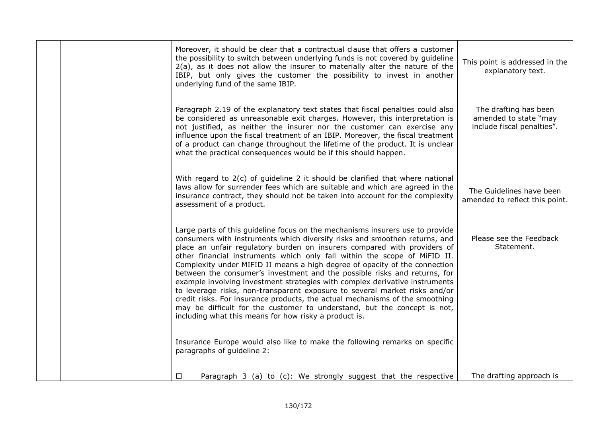|  | Moreover, it should be clear that a contractual clause that offers a customer<br>the possibility to switch between underlying funds is not covered by guideline<br>$2(a)$ , as it does not allow the insurer to materially alter the nature of the<br>IBIP, but only gives the customer the possibility to invest in another<br>underlying fund of the same IBIP.                                                                                                                                                                                                                                                                                                                                                                                                                                                                                                 | This point is addressed in the<br>explanatory text.                          |
|--|-------------------------------------------------------------------------------------------------------------------------------------------------------------------------------------------------------------------------------------------------------------------------------------------------------------------------------------------------------------------------------------------------------------------------------------------------------------------------------------------------------------------------------------------------------------------------------------------------------------------------------------------------------------------------------------------------------------------------------------------------------------------------------------------------------------------------------------------------------------------|------------------------------------------------------------------------------|
|  | Paragraph 2.19 of the explanatory text states that fiscal penalties could also<br>be considered as unreasonable exit charges. However, this interpretation is<br>not justified, as neither the insurer nor the customer can exercise any<br>influence upon the fiscal treatment of an IBIP. Moreover, the fiscal treatment<br>of a product can change throughout the lifetime of the product. It is unclear<br>what the practical consequences would be if this should happen.                                                                                                                                                                                                                                                                                                                                                                                    | The drafting has been<br>amended to state "may<br>include fiscal penalties". |
|  | With regard to 2(c) of guideline 2 it should be clarified that where national<br>laws allow for surrender fees which are suitable and which are agreed in the<br>insurance contract, they should not be taken into account for the complexity<br>assessment of a product.                                                                                                                                                                                                                                                                                                                                                                                                                                                                                                                                                                                         | The Guidelines have been<br>amended to reflect this point.                   |
|  | Large parts of this guideline focus on the mechanisms insurers use to provide<br>consumers with instruments which diversify risks and smoothen returns, and<br>place an unfair regulatory burden on insurers compared with providers of<br>other financial instruments which only fall within the scope of MiFID II.<br>Complexity under MIFID II means a high degree of opacity of the connection<br>between the consumer's investment and the possible risks and returns, for<br>example involving investment strategies with complex derivative instruments<br>to leverage risks, non-transparent exposure to several market risks and/or<br>credit risks. For insurance products, the actual mechanisms of the smoothing<br>may be difficult for the customer to understand, but the concept is not,<br>including what this means for how risky a product is. | Please see the Feedback<br>Statement.                                        |
|  | Insurance Europe would also like to make the following remarks on specific<br>paragraphs of guideline 2:                                                                                                                                                                                                                                                                                                                                                                                                                                                                                                                                                                                                                                                                                                                                                          |                                                                              |
|  | Paragraph 3 (a) to (c): We strongly suggest that the respective<br>$\Box$                                                                                                                                                                                                                                                                                                                                                                                                                                                                                                                                                                                                                                                                                                                                                                                         | The drafting approach is                                                     |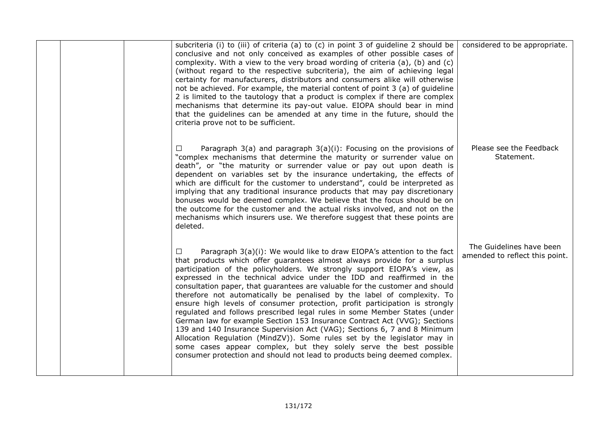|  | subcriteria (i) to (iii) of criteria (a) to (c) in point 3 of guideline 2 should be<br>conclusive and not only conceived as examples of other possible cases of<br>complexity. With a view to the very broad wording of criteria (a), (b) and (c)<br>(without regard to the respective subcriteria), the aim of achieving legal<br>certainty for manufacturers, distributors and consumers alike will otherwise<br>not be achieved. For example, the material content of point 3 (a) of guideline<br>2 is limited to the tautology that a product is complex if there are complex<br>mechanisms that determine its pay-out value. EIOPA should bear in mind<br>that the guidelines can be amended at any time in the future, should the<br>criteria prove not to be sufficient.                                                                                                                                                                                                                                                  | considered to be appropriate.                              |
|--|----------------------------------------------------------------------------------------------------------------------------------------------------------------------------------------------------------------------------------------------------------------------------------------------------------------------------------------------------------------------------------------------------------------------------------------------------------------------------------------------------------------------------------------------------------------------------------------------------------------------------------------------------------------------------------------------------------------------------------------------------------------------------------------------------------------------------------------------------------------------------------------------------------------------------------------------------------------------------------------------------------------------------------|------------------------------------------------------------|
|  | Paragraph $3(a)$ and paragraph $3(a)(i)$ : Focusing on the provisions of<br>$\Box$<br>"complex mechanisms that determine the maturity or surrender value on<br>death", or "the maturity or surrender value or pay out upon death is<br>dependent on variables set by the insurance undertaking, the effects of<br>which are difficult for the customer to understand", could be interpreted as<br>implying that any traditional insurance products that may pay discretionary<br>bonuses would be deemed complex. We believe that the focus should be on<br>the outcome for the customer and the actual risks involved, and not on the<br>mechanisms which insurers use. We therefore suggest that these points are<br>deleted.                                                                                                                                                                                                                                                                                                  | Please see the Feedback<br>Statement.                      |
|  | Paragraph 3(a)(i): We would like to draw EIOPA's attention to the fact<br>$\Box$<br>that products which offer guarantees almost always provide for a surplus<br>participation of the policyholders. We strongly support EIOPA's view, as<br>expressed in the technical advice under the IDD and reaffirmed in the<br>consultation paper, that guarantees are valuable for the customer and should<br>therefore not automatically be penalised by the label of complexity. To<br>ensure high levels of consumer protection, profit participation is strongly<br>regulated and follows prescribed legal rules in some Member States (under<br>German law for example Section 153 Insurance Contract Act (VVG); Sections<br>139 and 140 Insurance Supervision Act (VAG); Sections 6, 7 and 8 Minimum<br>Allocation Regulation (MindZV)). Some rules set by the legislator may in<br>some cases appear complex, but they solely serve the best possible<br>consumer protection and should not lead to products being deemed complex. | The Guidelines have been<br>amended to reflect this point. |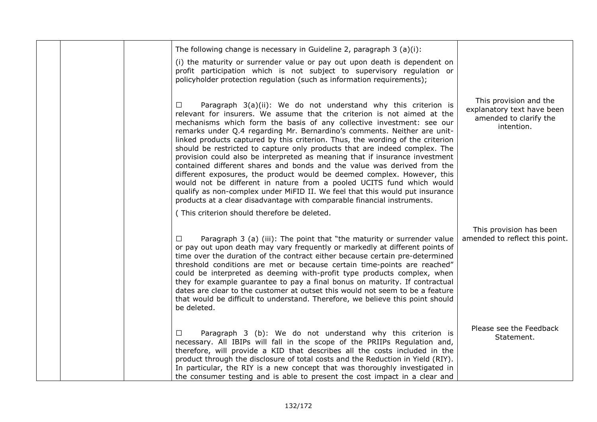|  | The following change is necessary in Guideline 2, paragraph 3 (a)(i):<br>(i) the maturity or surrender value or pay out upon death is dependent on<br>profit participation which is not subject to supervisory regulation or<br>policyholder protection regulation (such as information requirements);                                                                                                                                                                                                                                                                                                                                                                                                                                                                                                                                                                                                                                            |                                                                                              |
|--|---------------------------------------------------------------------------------------------------------------------------------------------------------------------------------------------------------------------------------------------------------------------------------------------------------------------------------------------------------------------------------------------------------------------------------------------------------------------------------------------------------------------------------------------------------------------------------------------------------------------------------------------------------------------------------------------------------------------------------------------------------------------------------------------------------------------------------------------------------------------------------------------------------------------------------------------------|----------------------------------------------------------------------------------------------|
|  | Paragraph 3(a)(ii): We do not understand why this criterion is<br>$\Box$<br>relevant for insurers. We assume that the criterion is not aimed at the<br>mechanisms which form the basis of any collective investment: see our<br>remarks under Q.4 regarding Mr. Bernardino's comments. Neither are unit-<br>linked products captured by this criterion. Thus, the wording of the criterion<br>should be restricted to capture only products that are indeed complex. The<br>provision could also be interpreted as meaning that if insurance investment<br>contained different shares and bonds and the value was derived from the<br>different exposures, the product would be deemed complex. However, this<br>would not be different in nature from a pooled UCITS fund which would<br>qualify as non-complex under MIFID II. We feel that this would put insurance<br>products at a clear disadvantage with comparable financial instruments. | This provision and the<br>explanatory text have been<br>amended to clarify the<br>intention. |
|  | (This criterion should therefore be deleted.                                                                                                                                                                                                                                                                                                                                                                                                                                                                                                                                                                                                                                                                                                                                                                                                                                                                                                      |                                                                                              |
|  | Paragraph 3 (a) (iii): The point that "the maturity or surrender value<br>$\Box$<br>or pay out upon death may vary frequently or markedly at different points of<br>time over the duration of the contract either because certain pre-determined<br>threshold conditions are met or because certain time-points are reached"<br>could be interpreted as deeming with-profit type products complex, when<br>they for example guarantee to pay a final bonus on maturity. If contractual<br>dates are clear to the customer at outset this would not seem to be a feature<br>that would be difficult to understand. Therefore, we believe this point should<br>be deleted.                                                                                                                                                                                                                                                                          | This provision has been<br>amended to reflect this point.                                    |
|  | Paragraph 3 (b): We do not understand why this criterion is<br>$\Box$<br>necessary. All IBIPs will fall in the scope of the PRIIPs Regulation and,<br>therefore, will provide a KID that describes all the costs included in the<br>product through the disclosure of total costs and the Reduction in Yield (RIY).<br>In particular, the RIY is a new concept that was thoroughly investigated in<br>the consumer testing and is able to present the cost impact in a clear and                                                                                                                                                                                                                                                                                                                                                                                                                                                                  | Please see the Feedback<br>Statement.                                                        |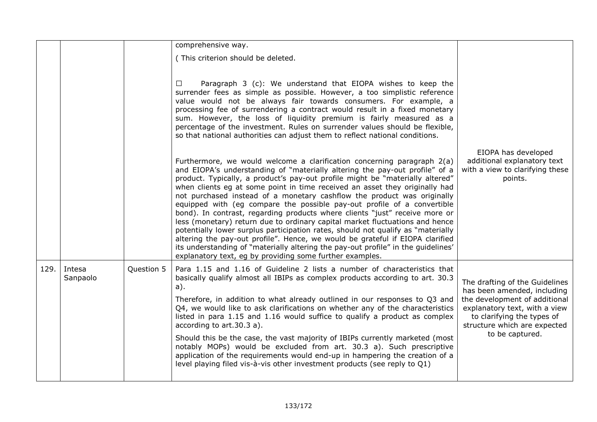|      |                    |            | comprehensive way.                                                                                                                                                                                                                                                                                                                                                                                                                                                                                                                                                                                                                                                                                                                                                                                                                                                                                                                                                |                                                                                                                                                                                                                  |
|------|--------------------|------------|-------------------------------------------------------------------------------------------------------------------------------------------------------------------------------------------------------------------------------------------------------------------------------------------------------------------------------------------------------------------------------------------------------------------------------------------------------------------------------------------------------------------------------------------------------------------------------------------------------------------------------------------------------------------------------------------------------------------------------------------------------------------------------------------------------------------------------------------------------------------------------------------------------------------------------------------------------------------|------------------------------------------------------------------------------------------------------------------------------------------------------------------------------------------------------------------|
|      |                    |            | (This criterion should be deleted.                                                                                                                                                                                                                                                                                                                                                                                                                                                                                                                                                                                                                                                                                                                                                                                                                                                                                                                                |                                                                                                                                                                                                                  |
|      |                    |            | Paragraph 3 (c): We understand that EIOPA wishes to keep the<br>⊔<br>surrender fees as simple as possible. However, a too simplistic reference<br>value would not be always fair towards consumers. For example, a<br>processing fee of surrendering a contract would result in a fixed monetary<br>sum. However, the loss of liquidity premium is fairly measured as a<br>percentage of the investment. Rules on surrender values should be flexible,<br>so that national authorities can adjust them to reflect national conditions.                                                                                                                                                                                                                                                                                                                                                                                                                            |                                                                                                                                                                                                                  |
|      |                    |            | Furthermore, we would welcome a clarification concerning paragraph 2(a)<br>and EIOPA's understanding of "materially altering the pay-out profile" of a<br>product. Typically, a product's pay-out profile might be "materially altered"<br>when clients eg at some point in time received an asset they originally had<br>not purchased instead of a monetary cashflow the product was originally<br>equipped with (eg compare the possible pay-out profile of a convertible<br>bond). In contrast, regarding products where clients "just" receive more or<br>less (monetary) return due to ordinary capital market fluctuations and hence<br>potentially lower surplus participation rates, should not qualify as "materially<br>altering the pay-out profile". Hence, we would be grateful if EIOPA clarified<br>its understanding of "materially altering the pay-out profile" in the guidelines'<br>explanatory text, eg by providing some further examples. | EIOPA has developed<br>additional explanatory text<br>with a view to clarifying these<br>points.                                                                                                                 |
| 129. | Intesa<br>Sanpaolo | Question 5 | Para 1.15 and 1.16 of Guideline 2 lists a number of characteristics that<br>basically qualify almost all IBIPs as complex products according to art. 30.3<br>a).<br>Therefore, in addition to what already outlined in our responses to Q3 and<br>Q4, we would like to ask clarifications on whether any of the characteristics<br>listed in para 1.15 and 1.16 would suffice to qualify a product as complex<br>according to art.30.3 a).<br>Should this be the case, the vast majority of IBIPs currently marketed (most<br>notably MOPs) would be excluded from art. 30.3 a). Such prescriptive<br>application of the requirements would end-up in hampering the creation of a<br>level playing filed vis-à-vis other investment products (see reply to Q1)                                                                                                                                                                                                    | The drafting of the Guidelines<br>has been amended, including<br>the development of additional<br>explanatory text, with a view<br>to clarifying the types of<br>structure which are expected<br>to be captured. |
|      |                    |            |                                                                                                                                                                                                                                                                                                                                                                                                                                                                                                                                                                                                                                                                                                                                                                                                                                                                                                                                                                   |                                                                                                                                                                                                                  |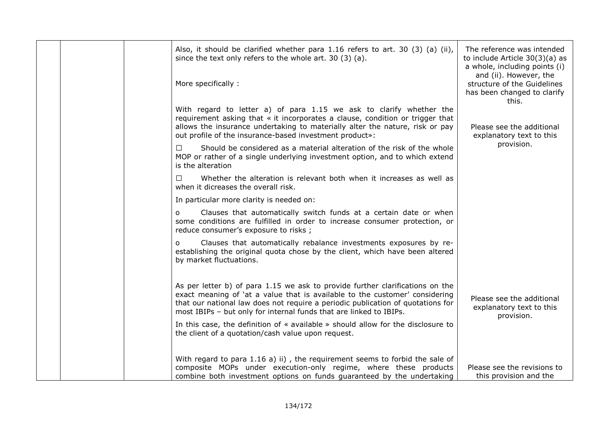|  | Also, it should be clarified whether para 1.16 refers to art. 30 (3) (a) (ii),<br>since the text only refers to the whole art. 30 (3) (a).<br>More specifically:                                                                                                                                                      | The reference was intended<br>to include Article 30(3)(a) as<br>a whole, including points (i)<br>and (ii). However, the<br>structure of the Guidelines<br>has been changed to clarify<br>this. |
|--|-----------------------------------------------------------------------------------------------------------------------------------------------------------------------------------------------------------------------------------------------------------------------------------------------------------------------|------------------------------------------------------------------------------------------------------------------------------------------------------------------------------------------------|
|  | With regard to letter a) of para 1.15 we ask to clarify whether the<br>requirement asking that « it incorporates a clause, condition or trigger that<br>allows the insurance undertaking to materially alter the nature, risk or pay<br>out profile of the insurance-based investment product»:                       | Please see the additional<br>explanatory text to this                                                                                                                                          |
|  | $\Box$<br>Should be considered as a material alteration of the risk of the whole<br>MOP or rather of a single underlying investment option, and to which extend<br>is the alteration                                                                                                                                  | provision.                                                                                                                                                                                     |
|  | Whether the alteration is relevant both when it increases as well as<br>$\Box$<br>when it dicreases the overall risk.                                                                                                                                                                                                 |                                                                                                                                                                                                |
|  | In particular more clarity is needed on:                                                                                                                                                                                                                                                                              |                                                                                                                                                                                                |
|  | Clauses that automatically switch funds at a certain date or when<br>$\circ$<br>some conditions are fulfilled in order to increase consumer protection, or<br>reduce consumer's exposure to risks ;                                                                                                                   |                                                                                                                                                                                                |
|  | Clauses that automatically rebalance investments exposures by re-<br>$\circ$<br>establishing the original quota chose by the client, which have been altered<br>by market fluctuations.                                                                                                                               |                                                                                                                                                                                                |
|  | As per letter b) of para 1.15 we ask to provide further clarifications on the<br>exact meaning of 'at a value that is available to the customer' considering<br>that our national law does not require a periodic publication of quotations for<br>most IBIPs - but only for internal funds that are linked to IBIPs. | Please see the additional<br>explanatory text to this<br>provision.                                                                                                                            |
|  | In this case, the definition of « available » should allow for the disclosure to<br>the client of a quotation/cash value upon request.                                                                                                                                                                                |                                                                                                                                                                                                |
|  | With regard to para 1.16 a) ii), the requirement seems to forbid the sale of<br>composite MOPs under execution-only regime, where these products<br>combine both investment options on funds guaranteed by the undertaking                                                                                            | Please see the revisions to<br>this provision and the                                                                                                                                          |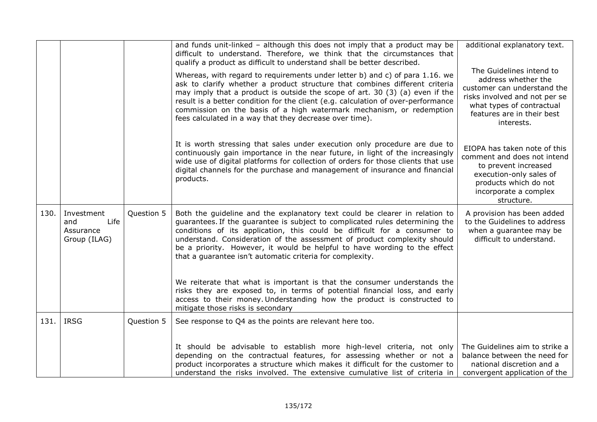|      |                                                        |            | and funds unit-linked $-$ although this does not imply that a product may be                                                                                                                                                                                                                                                                                                                                                                                                                                                                                                                                            | additional explanatory text.                                                                                                                                                             |
|------|--------------------------------------------------------|------------|-------------------------------------------------------------------------------------------------------------------------------------------------------------------------------------------------------------------------------------------------------------------------------------------------------------------------------------------------------------------------------------------------------------------------------------------------------------------------------------------------------------------------------------------------------------------------------------------------------------------------|------------------------------------------------------------------------------------------------------------------------------------------------------------------------------------------|
|      |                                                        |            | difficult to understand. Therefore, we think that the circumstances that<br>qualify a product as difficult to understand shall be better described.                                                                                                                                                                                                                                                                                                                                                                                                                                                                     |                                                                                                                                                                                          |
|      |                                                        |            | Whereas, with regard to requirements under letter b) and c) of para 1.16. we<br>ask to clarify whether a product structure that combines different criteria<br>may imply that a product is outside the scope of art. 30 (3) (a) even if the<br>result is a better condition for the client (e.g. calculation of over-performance<br>commission on the basis of a high watermark mechanism, or redemption<br>fees calculated in a way that they decrease over time).                                                                                                                                                     | The Guidelines intend to<br>address whether the<br>customer can understand the<br>risks involved and not per se<br>what types of contractual<br>features are in their best<br>interests. |
|      |                                                        |            | It is worth stressing that sales under execution only procedure are due to<br>continuously gain importance in the near future, in light of the increasingly<br>wide use of digital platforms for collection of orders for those clients that use<br>digital channels for the purchase and management of insurance and financial<br>products.                                                                                                                                                                                                                                                                            | EIOPA has taken note of this<br>comment and does not intend<br>to prevent increased<br>execution-only sales of<br>products which do not<br>incorporate a complex<br>structure.           |
| 130. | Investment<br>Life<br>and<br>Assurance<br>Group (ILAG) | Question 5 | Both the guideline and the explanatory text could be clearer in relation to<br>guarantees. If the guarantee is subject to complicated rules determining the<br>conditions of its application, this could be difficult for a consumer to<br>understand. Consideration of the assessment of product complexity should<br>be a priority. However, it would be helpful to have wording to the effect<br>that a guarantee isn't automatic criteria for complexity.<br>We reiterate that what is important is that the consumer understands the<br>risks they are exposed to, in terms of potential financial loss, and early | A provision has been added<br>to the Guidelines to address<br>when a quarantee may be<br>difficult to understand.                                                                        |
|      |                                                        |            | access to their money. Understanding how the product is constructed to<br>mitigate those risks is secondary                                                                                                                                                                                                                                                                                                                                                                                                                                                                                                             |                                                                                                                                                                                          |
| 131. | <b>IRSG</b>                                            | Question 5 | See response to Q4 as the points are relevant here too.                                                                                                                                                                                                                                                                                                                                                                                                                                                                                                                                                                 |                                                                                                                                                                                          |
|      |                                                        |            | It should be advisable to establish more high-level criteria, not only<br>depending on the contractual features, for assessing whether or not a<br>product incorporates a structure which makes it difficult for the customer to<br>understand the risks involved. The extensive cumulative list of criteria in                                                                                                                                                                                                                                                                                                         | The Guidelines aim to strike a<br>balance between the need for<br>national discretion and a<br>convergent application of the                                                             |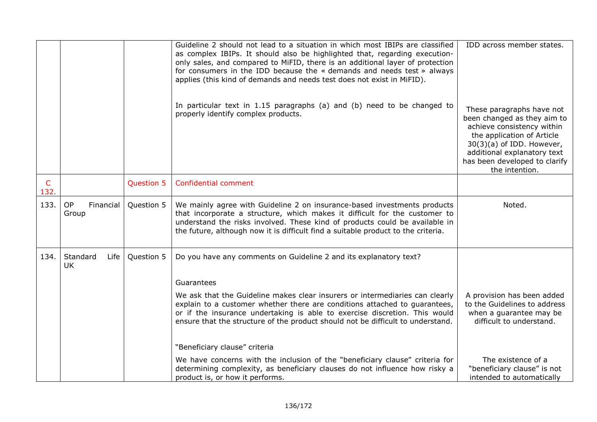|              |                                 |            | Guideline 2 should not lead to a situation in which most IBIPs are classified<br>as complex IBIPs. It should also be highlighted that, regarding execution-<br>only sales, and compared to MiFID, there is an additional layer of protection<br>for consumers in the IDD because the « demands and needs test » always<br>applies (this kind of demands and needs test does not exist in MiFID).<br>In particular text in $1.15$ paragraphs (a) and (b) need to be changed to<br>properly identify complex products. | IDD across member states.<br>These paragraphs have not<br>been changed as they aim to<br>achieve consistency within<br>the application of Article<br>$30(3)(a)$ of IDD. However,<br>additional explanatory text<br>has been developed to clarify |
|--------------|---------------------------------|------------|----------------------------------------------------------------------------------------------------------------------------------------------------------------------------------------------------------------------------------------------------------------------------------------------------------------------------------------------------------------------------------------------------------------------------------------------------------------------------------------------------------------------|--------------------------------------------------------------------------------------------------------------------------------------------------------------------------------------------------------------------------------------------------|
| $\mathsf{C}$ |                                 | Question 5 | Confidential comment                                                                                                                                                                                                                                                                                                                                                                                                                                                                                                 | the intention.                                                                                                                                                                                                                                   |
| 132.         |                                 |            |                                                                                                                                                                                                                                                                                                                                                                                                                                                                                                                      |                                                                                                                                                                                                                                                  |
| 133.         | <b>OP</b><br>Financial<br>Group | Question 5 | We mainly agree with Guideline 2 on insurance-based investments products<br>that incorporate a structure, which makes it difficult for the customer to<br>understand the risks involved. These kind of products could be available in<br>the future, although now it is difficult find a suitable product to the criteria.                                                                                                                                                                                           | Noted.                                                                                                                                                                                                                                           |
| 134.         | Standard<br>Life<br>UK          | Question 5 | Do you have any comments on Guideline 2 and its explanatory text?                                                                                                                                                                                                                                                                                                                                                                                                                                                    |                                                                                                                                                                                                                                                  |
|              |                                 |            | Guarantees                                                                                                                                                                                                                                                                                                                                                                                                                                                                                                           |                                                                                                                                                                                                                                                  |
|              |                                 |            | We ask that the Guideline makes clear insurers or intermediaries can clearly<br>explain to a customer whether there are conditions attached to quarantees,<br>or if the insurance undertaking is able to exercise discretion. This would<br>ensure that the structure of the product should not be difficult to understand.                                                                                                                                                                                          | A provision has been added<br>to the Guidelines to address<br>when a guarantee may be<br>difficult to understand.                                                                                                                                |
|              |                                 |            | "Beneficiary clause" criteria                                                                                                                                                                                                                                                                                                                                                                                                                                                                                        |                                                                                                                                                                                                                                                  |
|              |                                 |            | We have concerns with the inclusion of the "beneficiary clause" criteria for<br>determining complexity, as beneficiary clauses do not influence how risky a<br>product is, or how it performs.                                                                                                                                                                                                                                                                                                                       | The existence of a<br>"beneficiary clause" is not<br>intended to automatically                                                                                                                                                                   |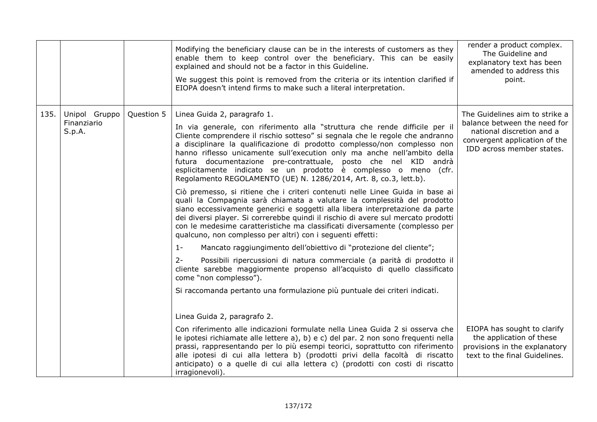|      |                                        |            | Modifying the beneficiary clause can be in the interests of customers as they<br>enable them to keep control over the beneficiary. This can be easily<br>explained and should not be a factor in this Guideline.<br>We suggest this point is removed from the criteria or its intention clarified if<br>EIOPA doesn't intend firms to make such a literal interpretation.                                                                                                                                                                                                                                                                                                                                                                                                                                                                                                                                                                                                                                                                                                                                                                                                                                                                                                                                                                                                                            | render a product complex.<br>The Guideline and<br>explanatory text has been<br>amended to address this<br>point.                                          |
|------|----------------------------------------|------------|------------------------------------------------------------------------------------------------------------------------------------------------------------------------------------------------------------------------------------------------------------------------------------------------------------------------------------------------------------------------------------------------------------------------------------------------------------------------------------------------------------------------------------------------------------------------------------------------------------------------------------------------------------------------------------------------------------------------------------------------------------------------------------------------------------------------------------------------------------------------------------------------------------------------------------------------------------------------------------------------------------------------------------------------------------------------------------------------------------------------------------------------------------------------------------------------------------------------------------------------------------------------------------------------------------------------------------------------------------------------------------------------------|-----------------------------------------------------------------------------------------------------------------------------------------------------------|
| 135. | Unipol Gruppo<br>Finanziario<br>S.p.A. | Question 5 | Linea Guida 2, paragrafo 1.<br>In via generale, con riferimento alla "struttura che rende difficile per il<br>Cliente comprendere il rischio sotteso" si segnala che le regole che andranno<br>a disciplinare la qualificazione di prodotto complesso/non complesso non<br>hanno riflesso unicamente sull'execution only ma anche nell'ambito della<br>futura documentazione pre-contrattuale, posto che nel KID andrà<br>esplicitamente indicato se un prodotto è complesso o meno (cfr.<br>Regolamento REGOLAMENTO (UE) N. 1286/2014, Art. 8, co.3, lett.b).<br>Ciò premesso, si ritiene che i criteri contenuti nelle Linee Guida in base ai<br>quali la Compagnia sarà chiamata a valutare la complessità del prodotto<br>siano eccessivamente generici e soggetti alla libera interpretazione da parte<br>dei diversi player. Si correrebbe quindi il rischio di avere sul mercato prodotti<br>con le medesime caratteristiche ma classificati diversamente (complesso per<br>qualcuno, non complesso per altri) con i sequenti effetti:<br>$1 -$<br>Mancato raggiungimento dell'obiettivo di "protezione del cliente";<br>$2 -$<br>Possibili ripercussioni di natura commerciale (a parità di prodotto il<br>cliente sarebbe maggiormente propenso all'acquisto di quello classificato<br>come "non complesso").<br>Si raccomanda pertanto una formulazione più puntuale dei criteri indicati. | The Guidelines aim to strike a<br>balance between the need for<br>national discretion and a<br>convergent application of the<br>IDD across member states. |
|      |                                        |            | Linea Guida 2, paragrafo 2.<br>Con riferimento alle indicazioni formulate nella Linea Guida 2 si osserva che<br>le ipotesi richiamate alle lettere a), b) e c) del par. 2 non sono frequenti nella<br>prassi, rappresentando per lo più esempi teorici, soprattutto con riferimento<br>alle ipotesi di cui alla lettera b) (prodotti privi della facoltà di riscatto<br>anticipato) o a quelle di cui alla lettera c) (prodotti con costi di riscatto<br>irragionevoli).                                                                                                                                                                                                                                                                                                                                                                                                                                                                                                                                                                                                                                                                                                                                                                                                                                                                                                                             | EIOPA has sought to clarify<br>the application of these<br>provisions in the explanatory<br>text to the final Guidelines.                                 |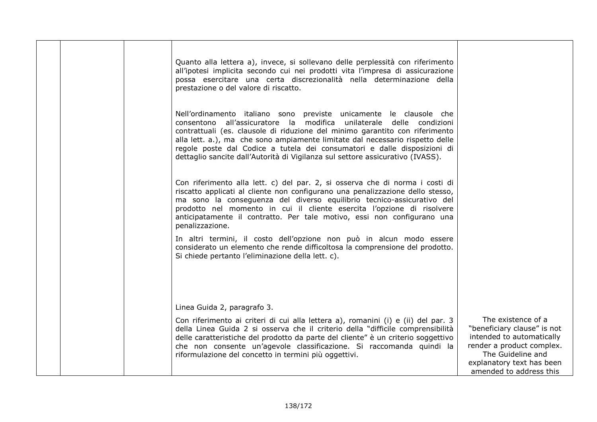|  | Quanto alla lettera a), invece, si sollevano delle perplessità con riferimento<br>all'ipotesi implicita secondo cui nei prodotti vita l'impresa di assicurazione<br>possa esercitare una certa discrezionalità nella determinazione della<br>prestazione o del valore di riscatto.                                                                                                                                                                                        |                                                                                                                                                                                          |
|--|---------------------------------------------------------------------------------------------------------------------------------------------------------------------------------------------------------------------------------------------------------------------------------------------------------------------------------------------------------------------------------------------------------------------------------------------------------------------------|------------------------------------------------------------------------------------------------------------------------------------------------------------------------------------------|
|  | Nell'ordinamento italiano sono previste unicamente le clausole che<br>consentono all'assicuratore la modifica unilaterale delle condizioni<br>contrattuali (es. clausole di riduzione del minimo garantito con riferimento<br>alla lett. a.), ma che sono ampiamente limitate dal necessario rispetto delle<br>regole poste dal Codice a tutela dei consumatori e dalle disposizioni di<br>dettaglio sancite dall'Autorità di Vigilanza sul settore assicurativo (IVASS). |                                                                                                                                                                                          |
|  | Con riferimento alla lett. c) del par. 2, si osserva che di norma i costi di<br>riscatto applicati al cliente non configurano una penalizzazione dello stesso,<br>ma sono la conseguenza del diverso equilibrio tecnico-assicurativo del<br>prodotto nel momento in cui il cliente esercita l'opzione di risolvere<br>anticipatamente il contratto. Per tale motivo, essi non configurano una<br>penalizzazione.                                                          |                                                                                                                                                                                          |
|  | In altri termini, il costo dell'opzione non può in alcun modo essere<br>considerato un elemento che rende difficoltosa la comprensione del prodotto.<br>Si chiede pertanto l'eliminazione della lett. c).                                                                                                                                                                                                                                                                 |                                                                                                                                                                                          |
|  | Linea Guida 2, paragrafo 3.                                                                                                                                                                                                                                                                                                                                                                                                                                               |                                                                                                                                                                                          |
|  | Con riferimento ai criteri di cui alla lettera a), romanini (i) e (ii) del par. 3<br>della Linea Guida 2 si osserva che il criterio della "difficile comprensibilità<br>delle caratteristiche del prodotto da parte del cliente" è un criterio soggettivo<br>che non consente un'agevole classificazione. Si raccomanda quindi la<br>riformulazione del concetto in termini più oggettivi.                                                                                | The existence of a<br>"beneficiary clause" is not<br>intended to automatically<br>render a product complex.<br>The Guideline and<br>explanatory text has been<br>amended to address this |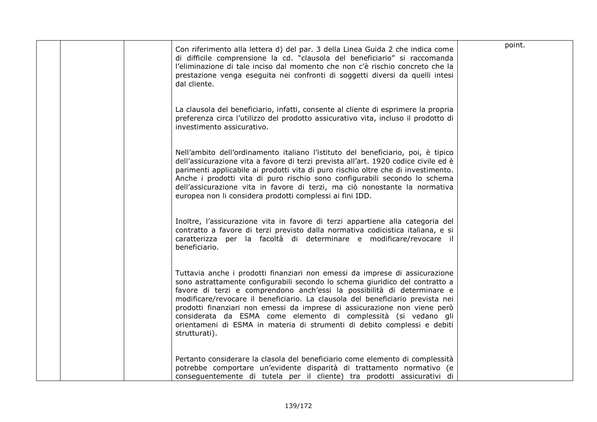|  | Con riferimento alla lettera d) del par. 3 della Linea Guida 2 che indica come<br>di difficile comprensione la cd. "clausola del beneficiario" si raccomanda<br>l'eliminazione di tale inciso dal momento che non c'è rischio concreto che la<br>prestazione venga eseguita nei confronti di soggetti diversi da quelli intesi<br>dal cliente.                                                                                                                                                                                                                        | point. |
|--|-----------------------------------------------------------------------------------------------------------------------------------------------------------------------------------------------------------------------------------------------------------------------------------------------------------------------------------------------------------------------------------------------------------------------------------------------------------------------------------------------------------------------------------------------------------------------|--------|
|  | La clausola del beneficiario, infatti, consente al cliente di esprimere la propria<br>preferenza circa l'utilizzo del prodotto assicurativo vita, incluso il prodotto di<br>investimento assicurativo.                                                                                                                                                                                                                                                                                                                                                                |        |
|  | Nell'ambito dell'ordinamento italiano l'istituto del beneficiario, poi, è tipico<br>dell'assicurazione vita a favore di terzi prevista all'art. 1920 codice civile ed è<br>parimenti applicabile ai prodotti vita di puro rischio oltre che di investimento.<br>Anche i prodotti vita di puro rischio sono configurabili secondo lo schema<br>dell'assicurazione vita in favore di terzi, ma ciò nonostante la normativa<br>europea non li considera prodotti complessi ai fini IDD.                                                                                  |        |
|  | Inoltre, l'assicurazione vita in favore di terzi appartiene alla categoria del<br>contratto a favore di terzi previsto dalla normativa codicistica italiana, e si<br>caratterizza per la facoltà di determinare e modificare/revocare il<br>beneficiario.                                                                                                                                                                                                                                                                                                             |        |
|  | Tuttavia anche i prodotti finanziari non emessi da imprese di assicurazione<br>sono astrattamente configurabili secondo lo schema giuridico del contratto a<br>favore di terzi e comprendono anch'essi la possibilità di determinare e<br>modificare/revocare il beneficiario. La clausola del beneficiario prevista nei<br>prodotti finanziari non emessi da imprese di assicurazione non viene però<br>considerata da ESMA come elemento di complessità (si vedano gli<br>orientameni di ESMA in materia di strumenti di debito complessi e debiti<br>strutturati). |        |
|  | Pertanto considerare la clasola del beneficiario come elemento di complessità<br>potrebbe comportare un'evidente disparità di trattamento normativo (e<br>conseguentemente di tutela per il cliente) tra prodotti assicurativi di                                                                                                                                                                                                                                                                                                                                     |        |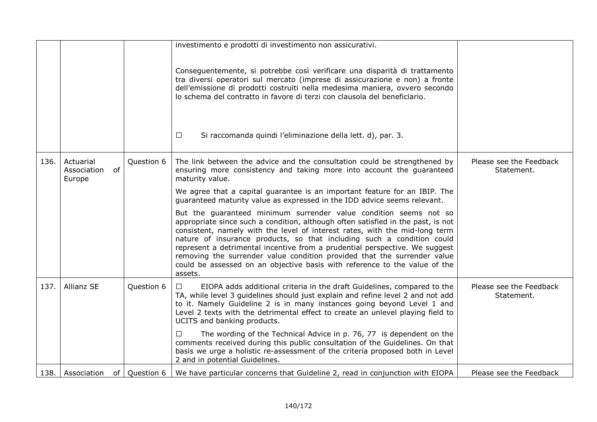|      |                                          |            | investimento e prodotti di investimento non assicurativi.                                                                                                                                                                                                                                                                                                                                                                                                                                                                                                          |                                       |
|------|------------------------------------------|------------|--------------------------------------------------------------------------------------------------------------------------------------------------------------------------------------------------------------------------------------------------------------------------------------------------------------------------------------------------------------------------------------------------------------------------------------------------------------------------------------------------------------------------------------------------------------------|---------------------------------------|
|      |                                          |            | Conseguentemente, si potrebbe così verificare una disparità di trattamento<br>tra diversi operatori sul mercato (imprese di assicurazione e non) a fronte<br>dell'emissione di prodotti costruiti nella medesima maniera, ovvero secondo<br>lo schema del contratto in favore di terzi con clausola del beneficiario.                                                                                                                                                                                                                                              |                                       |
|      |                                          |            | $\Box$<br>Si raccomanda quindi l'eliminazione della lett. d), par. 3.                                                                                                                                                                                                                                                                                                                                                                                                                                                                                              |                                       |
| 136. | Actuarial<br>of<br>Association<br>Europe | Question 6 | The link between the advice and the consultation could be strengthened by<br>ensuring more consistency and taking more into account the guaranteed<br>maturity value.                                                                                                                                                                                                                                                                                                                                                                                              | Please see the Feedback<br>Statement. |
|      |                                          |            | We agree that a capital guarantee is an important feature for an IBIP. The<br>guaranteed maturity value as expressed in the IDD advice seems relevant.                                                                                                                                                                                                                                                                                                                                                                                                             |                                       |
|      |                                          |            | But the guaranteed minimum surrender value condition seems not so<br>appropriate since such a condition, although often satisfied in the past, is not<br>consistent, namely with the level of interest rates, with the mid-long term<br>nature of insurance products, so that including such a condition could<br>represent a detrimental incentive from a prudential perspective. We suggest<br>removing the surrender value condition provided that the surrender value<br>could be assessed on an objective basis with reference to the value of the<br>assets. |                                       |
| 137. | Allianz SE                               | Question 6 | EIOPA adds additional criteria in the draft Guidelines, compared to the<br>П.<br>TA, while level 3 guidelines should just explain and refine level 2 and not add<br>to it. Namely Guideline 2 is in many instances going beyond Level 1 and<br>Level 2 texts with the detrimental effect to create an unlevel playing field to<br>UCITS and banking products.                                                                                                                                                                                                      | Please see the Feedback<br>Statement. |
|      |                                          |            | The wording of the Technical Advice in p. 76, 77 is dependent on the<br>□<br>comments received during this public consultation of the Guidelines. On that<br>basis we urge a holistic re-assessment of the criteria proposed both in Level<br>2 and in potential Guidelines.                                                                                                                                                                                                                                                                                       |                                       |
|      | 138. Association of Question 6           |            | We have particular concerns that Guideline 2, read in conjunction with EIOPA                                                                                                                                                                                                                                                                                                                                                                                                                                                                                       | Please see the Feedback               |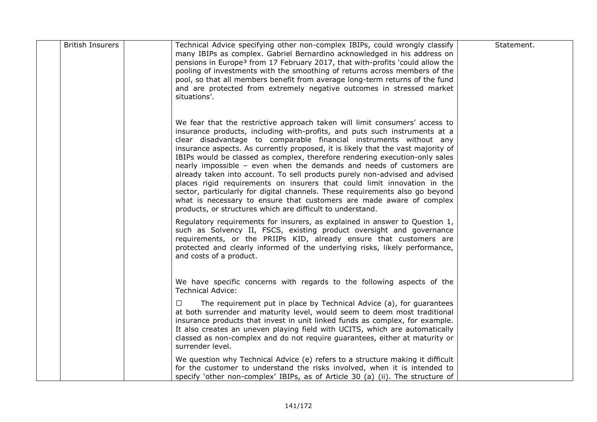| <b>British Insurers</b> | Technical Advice specifying other non-complex IBIPs, could wrongly classify<br>many IBIPs as complex. Gabriel Bernardino acknowledged in his address on<br>pensions in Europe <sup>3</sup> from 17 February 2017, that with-profits 'could allow the<br>pooling of investments with the smoothing of returns across members of the<br>pool, so that all members benefit from average long-term returns of the fund<br>and are protected from extremely negative outcomes in stressed market<br>situations'.                                                                                                                                                                                                                                                                                                                                                 | Statement. |
|-------------------------|-------------------------------------------------------------------------------------------------------------------------------------------------------------------------------------------------------------------------------------------------------------------------------------------------------------------------------------------------------------------------------------------------------------------------------------------------------------------------------------------------------------------------------------------------------------------------------------------------------------------------------------------------------------------------------------------------------------------------------------------------------------------------------------------------------------------------------------------------------------|------------|
|                         | We fear that the restrictive approach taken will limit consumers' access to<br>insurance products, including with-profits, and puts such instruments at a<br>clear disadvantage to comparable financial instruments without any<br>insurance aspects. As currently proposed, it is likely that the vast majority of<br>IBIPs would be classed as complex, therefore rendering execution-only sales<br>nearly impossible - even when the demands and needs of customers are<br>already taken into account. To sell products purely non-advised and advised<br>places rigid requirements on insurers that could limit innovation in the<br>sector, particularly for digital channels. These requirements also go beyond<br>what is necessary to ensure that customers are made aware of complex<br>products, or structures which are difficult to understand. |            |
|                         | Regulatory requirements for insurers, as explained in answer to Question 1,<br>such as Solvency II, FSCS, existing product oversight and governance<br>requirements, or the PRIIPs KID, already ensure that customers are<br>protected and clearly informed of the underlying risks, likely performance,<br>and costs of a product.                                                                                                                                                                                                                                                                                                                                                                                                                                                                                                                         |            |
|                         | We have specific concerns with regards to the following aspects of the<br><b>Technical Advice:</b>                                                                                                                                                                                                                                                                                                                                                                                                                                                                                                                                                                                                                                                                                                                                                          |            |
|                         | The requirement put in place by Technical Advice (a), for guarantees<br>□<br>at both surrender and maturity level, would seem to deem most traditional<br>insurance products that invest in unit linked funds as complex, for example.<br>It also creates an uneven playing field with UCITS, which are automatically<br>classed as non-complex and do not require guarantees, either at maturity or<br>surrender level.                                                                                                                                                                                                                                                                                                                                                                                                                                    |            |
|                         | We question why Technical Advice (e) refers to a structure making it difficult<br>for the customer to understand the risks involved, when it is intended to<br>specify 'other non-complex' IBIPs, as of Article 30 (a) (ii). The structure of                                                                                                                                                                                                                                                                                                                                                                                                                                                                                                                                                                                                               |            |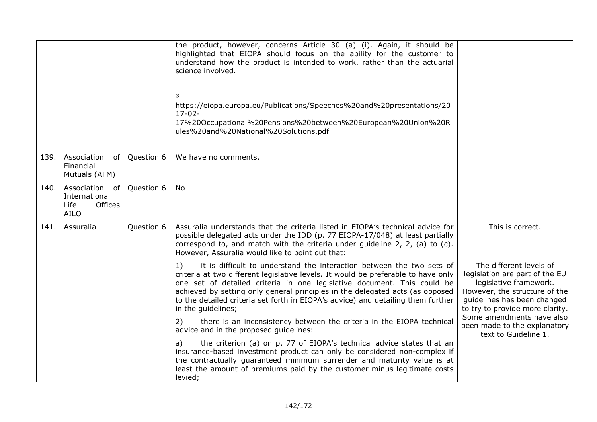|      |                                                                             |            | the product, however, concerns Article 30 (a) (i). Again, it should be<br>highlighted that EIOPA should focus on the ability for the customer to<br>understand how the product is intended to work, rather than the actuarial<br>science involved.<br>3<br>https://eiopa.europa.eu/Publications/Speeches%20and%20presentations/20<br>$17 - 02 -$<br>17%20Occupational%20Pensions%20between%20European%20Union%20R<br>ules%20and%20National%20Solutions.pdf |                                                                                                                                                                                        |
|------|-----------------------------------------------------------------------------|------------|------------------------------------------------------------------------------------------------------------------------------------------------------------------------------------------------------------------------------------------------------------------------------------------------------------------------------------------------------------------------------------------------------------------------------------------------------------|----------------------------------------------------------------------------------------------------------------------------------------------------------------------------------------|
| 139. | Association<br>of<br>Financial<br>Mutuals (AFM)                             | Question 6 | We have no comments.                                                                                                                                                                                                                                                                                                                                                                                                                                       |                                                                                                                                                                                        |
| 140. | Association<br>of<br>International<br>Life<br><b>Offices</b><br><b>AILO</b> | Question 6 | No.                                                                                                                                                                                                                                                                                                                                                                                                                                                        |                                                                                                                                                                                        |
| 141. | Assuralia                                                                   | Question 6 | Assuralia understands that the criteria listed in EIOPA's technical advice for<br>possible delegated acts under the IDD (p. 77 EIOPA-17/048) at least partially<br>correspond to, and match with the criteria under guideline 2, 2, (a) to (c).<br>However, Assuralia would like to point out that:                                                                                                                                                        | This is correct.                                                                                                                                                                       |
|      |                                                                             |            | it is difficult to understand the interaction between the two sets of<br>1)<br>criteria at two different legislative levels. It would be preferable to have only<br>one set of detailed criteria in one legislative document. This could be<br>achieved by setting only general principles in the delegated acts (as opposed<br>to the detailed criteria set forth in EIOPA's advice) and detailing them further<br>in the guidelines;                     | The different levels of<br>legislation are part of the EU<br>legislative framework.<br>However, the structure of the<br>guidelines has been changed<br>to try to provide more clarity. |
|      |                                                                             |            | there is an inconsistency between the criteria in the EIOPA technical<br>2)<br>advice and in the proposed guidelines:                                                                                                                                                                                                                                                                                                                                      | Some amendments have also<br>been made to the explanatory<br>text to Guideline 1.                                                                                                      |
|      |                                                                             |            | the criterion (a) on p. 77 of EIOPA's technical advice states that an<br>a)<br>insurance-based investment product can only be considered non-complex if<br>the contractually guaranteed minimum surrender and maturity value is at<br>least the amount of premiums paid by the customer minus legitimate costs<br>levied;                                                                                                                                  |                                                                                                                                                                                        |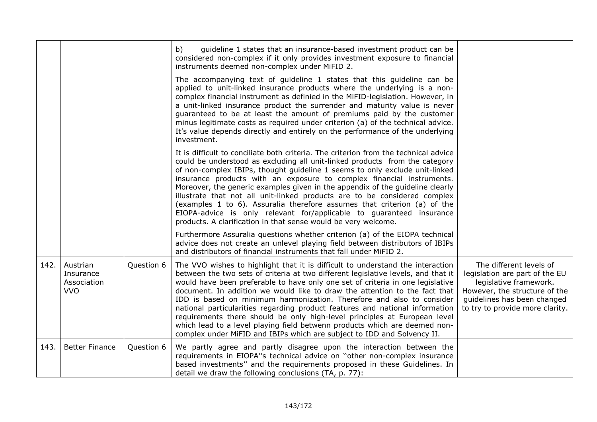|      |                                                    |            | guideline 1 states that an insurance-based investment product can be<br>b)<br>considered non-complex if it only provides investment exposure to financial<br>instruments deemed non-complex under MiFID 2.                                                                                                                                                                                                                                                                                                                                                                                                                                                                                                                         |                                                                                                                                                                                        |
|------|----------------------------------------------------|------------|------------------------------------------------------------------------------------------------------------------------------------------------------------------------------------------------------------------------------------------------------------------------------------------------------------------------------------------------------------------------------------------------------------------------------------------------------------------------------------------------------------------------------------------------------------------------------------------------------------------------------------------------------------------------------------------------------------------------------------|----------------------------------------------------------------------------------------------------------------------------------------------------------------------------------------|
|      |                                                    |            | The accompanying text of guideline 1 states that this guideline can be<br>applied to unit-linked insurance products where the underlying is a non-<br>complex financial instrument as definied in the MiFID-legislation. However, in<br>a unit-linked insurance product the surrender and maturity value is never<br>guaranteed to be at least the amount of premiums paid by the customer<br>minus legitimate costs as required under criterion (a) of the technical advice.<br>It's value depends directly and entirely on the performance of the underlying<br>investment.                                                                                                                                                      |                                                                                                                                                                                        |
|      |                                                    |            | It is difficult to conciliate both criteria. The criterion from the technical advice<br>could be understood as excluding all unit-linked products from the category<br>of non-complex IBIPs, thought guideline 1 seems to only exclude unit-linked<br>insurance products with an exposure to complex financial instruments.<br>Moreover, the generic examples given in the appendix of the guideline clearly<br>illustrate that not all unit-linked products are to be considered complex<br>(examples 1 to 6). Assuralia therefore assumes that criterion (a) of the<br>EIOPA-advice is only relevant for/applicable to guaranteed insurance<br>products. A clarification in that sense would be very welcome.                    |                                                                                                                                                                                        |
|      |                                                    |            | Furthermore Assuralia questions whether criterion (a) of the EIOPA technical<br>advice does not create an unlevel playing field between distributors of IBIPs<br>and distributors of financial instruments that fall under MiFID 2.                                                                                                                                                                                                                                                                                                                                                                                                                                                                                                |                                                                                                                                                                                        |
| 142. | Austrian<br>Insurance<br>Association<br><b>VVO</b> | Question 6 | The VVO wishes to highlight that it is difficult to understand the interaction<br>between the two sets of criteria at two different legislative levels, and that it<br>would have been preferable to have only one set of criteria in one legislative<br>document. In addition we would like to draw the attention to the fact that<br>IDD is based on minimum harmonization. Therefore and also to consider<br>national particularities regarding product features and national information<br>requirements there should be only high-level principles at European level<br>which lead to a level playing field betwenn products which are deemed non-<br>complex under MiFID and IBIPs which are subject to IDD and Solvency II. | The different levels of<br>legislation are part of the EU<br>legislative framework.<br>However, the structure of the<br>guidelines has been changed<br>to try to provide more clarity. |
| 143. | <b>Better Finance</b>                              | Question 6 | We partly agree and partly disagree upon the interaction between the<br>requirements in EIOPA"s technical advice on "other non-complex insurance<br>based investments" and the requirements proposed in these Guidelines. In<br>detail we draw the following conclusions (TA, p. 77):                                                                                                                                                                                                                                                                                                                                                                                                                                              |                                                                                                                                                                                        |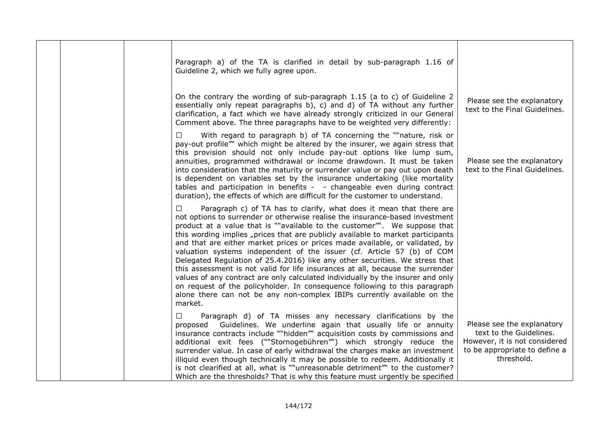|  | Paragraph a) of the TA is clarified in detail by sub-paragraph 1.16 of<br>Guideline 2, which we fully agree upon.                                                                                                                                                                                                                                                                                                                                                                                                                                                                                                                                                                                                                                                                                                                                                                                                |                                                                                                                                       |
|--|------------------------------------------------------------------------------------------------------------------------------------------------------------------------------------------------------------------------------------------------------------------------------------------------------------------------------------------------------------------------------------------------------------------------------------------------------------------------------------------------------------------------------------------------------------------------------------------------------------------------------------------------------------------------------------------------------------------------------------------------------------------------------------------------------------------------------------------------------------------------------------------------------------------|---------------------------------------------------------------------------------------------------------------------------------------|
|  | On the contrary the wording of sub-paragraph 1.15 (a to c) of Guideline 2<br>essentially only repeat paragraphs b), c) and d) of TA without any further<br>clarification, a fact which we have already strongly criticized in our General<br>Comment above. The three paragraphs have to be weighted very differently:                                                                                                                                                                                                                                                                                                                                                                                                                                                                                                                                                                                           | Please see the explanatory<br>text to the Final Guidelines.                                                                           |
|  | With regard to paragraph b) of TA concerning the ""nature, risk or<br>□<br>pay-out profile" which might be altered by the insurer, we again stress that<br>this provision should not only include pay-out options like lump sum,<br>annuities, programmed withdrawal or income drawdown. It must be taken<br>into consideration that the maturity or surrender value or pay out upon death<br>is dependent on variables set by the insurance undertaking (like mortality<br>tables and participation in benefits - - changeable even during contract<br>duration), the effects of which are difficult for the customer to understand.                                                                                                                                                                                                                                                                            | Please see the explanatory<br>text to the Final Guidelines.                                                                           |
|  | Paragraph c) of TA has to clarify, what does it mean that there are<br>$\Box$<br>not options to surrender or otherwise realise the insurance-based investment<br>product at a value that is ""available to the customer"". We suppose that<br>this wording implies "prices that are publicly available to market participants<br>and that are either market prices or prices made available, or validated, by<br>valuation systems independent of the issuer (cf. Article 57 (b) of COM<br>Delegated Regulation of 25.4.2016) like any other securities. We stress that<br>this assessment is not valid for life insurances at all, because the surrender<br>values of any contract are only calculated individually by the insurer and only<br>on request of the policyholder. In consequence following to this paragraph<br>alone there can not be any non-complex IBIPs currently available on the<br>market. |                                                                                                                                       |
|  | Paragraph d) of TA misses any necessary clarifications by the<br>$\Box$<br>proposed Guidelines. We underline again that usually life or annuity<br>insurance contracts include ""hidden" acquisition costs by commissions and<br>additional exit fees (""Stornogebühren"") which strongly reduce the<br>surrender value. In case of early withdrawal the charges make an investment<br>illiquid even though technically it may be possible to redeem. Additionally it<br>is not clearified at all, what is ""unreasonable detriment" to the customer?<br>Which are the thresholds? That is why this feature must urgently be specified                                                                                                                                                                                                                                                                           | Please see the explanatory<br>text to the Guidelines.<br>However, it is not considered<br>to be appropriate to define a<br>threshold. |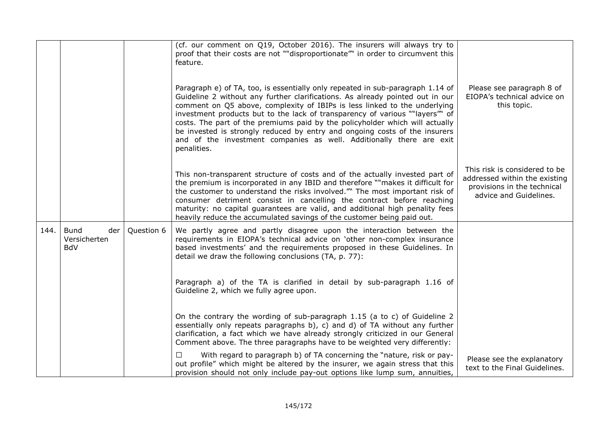|      |                                                  |            | (cf. our comment on Q19, October 2016). The insurers will always try to<br>proof that their costs are not ""disproportionate"" in order to circumvent this<br>feature.                                                                                                                                                                                                                                                                                                                                                                                                            |                                                                                                                         |
|------|--------------------------------------------------|------------|-----------------------------------------------------------------------------------------------------------------------------------------------------------------------------------------------------------------------------------------------------------------------------------------------------------------------------------------------------------------------------------------------------------------------------------------------------------------------------------------------------------------------------------------------------------------------------------|-------------------------------------------------------------------------------------------------------------------------|
|      |                                                  |            | Paragraph e) of TA, too, is essentially only repeated in sub-paragraph 1.14 of<br>Guideline 2 without any further clarifications. As already pointed out in our<br>comment on Q5 above, complexity of IBIPs is less linked to the underlying<br>investment products but to the lack of transparency of various ""layers"" of<br>costs. The part of the premiums paid by the policyholder which will actually<br>be invested is strongly reduced by entry and ongoing costs of the insurers<br>and of the investment companies as well. Additionally there are exit<br>penalities. | Please see paragraph 8 of<br>EIOPA's technical advice on<br>this topic.                                                 |
|      |                                                  |            | This non-transparent structure of costs and of the actually invested part of<br>the premium is incorporated in any IBID and therefore ""makes it difficult for<br>the customer to understand the risks involved." The most important risk of<br>consumer detriment consist in cancelling the contract before reaching<br>maturity: no capital guarantees are valid, and additional high penality fees<br>heavily reduce the accumulated savings of the customer being paid out.                                                                                                   | This risk is considered to be<br>addressed within the existing<br>provisions in the technical<br>advice and Guidelines. |
| 144. | <b>Bund</b><br>der<br>Versicherten<br><b>BdV</b> | Question 6 | We partly agree and partly disagree upon the interaction between the<br>requirements in EIOPA's technical advice on 'other non-complex insurance<br>based investments' and the requirements proposed in these Guidelines. In<br>detail we draw the following conclusions (TA, p. 77):                                                                                                                                                                                                                                                                                             |                                                                                                                         |
|      |                                                  |            | Paragraph a) of the TA is clarified in detail by sub-paragraph 1.16 of<br>Guideline 2, which we fully agree upon.                                                                                                                                                                                                                                                                                                                                                                                                                                                                 |                                                                                                                         |
|      |                                                  |            | On the contrary the wording of sub-paragraph 1.15 (a to c) of Guideline 2<br>essentially only repeats paragraphs $b$ ), c) and d) of TA without any further<br>clarification, a fact which we have already strongly criticized in our General<br>Comment above. The three paragraphs have to be weighted very differently:                                                                                                                                                                                                                                                        |                                                                                                                         |
|      |                                                  |            | $\Box$<br>With regard to paragraph b) of TA concerning the "nature, risk or pay-<br>out profile" which might be altered by the insurer, we again stress that this<br>provision should not only include pay-out options like lump sum, annuities,                                                                                                                                                                                                                                                                                                                                  | Please see the explanatory<br>text to the Final Guidelines.                                                             |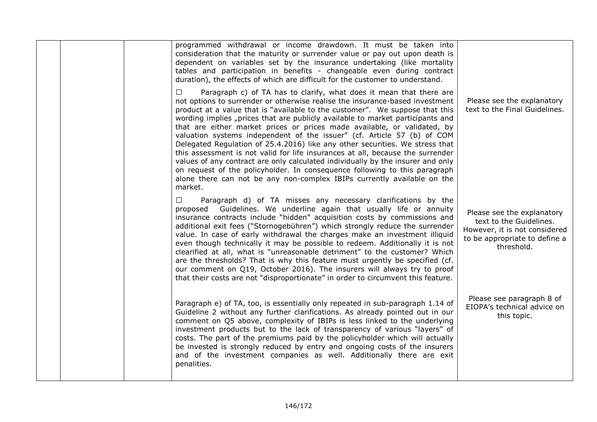| programmed withdrawal or income drawdown. It must be taken into<br>consideration that the maturity or surrender value or pay out upon death is<br>dependent on variables set by the insurance undertaking (like mortality<br>tables and participation in benefits - changeable even during contract<br>duration), the effects of which are difficult for the customer to understand.<br>$\Box$<br>Paragraph c) of TA has to clarify, what does it mean that there are<br>not options to surrender or otherwise realise the insurance-based investment<br>product at a value that is "available to the customer". We suppose that this<br>wording implies "prices that are publicly available to market participants and<br>that are either market prices or prices made available, or validated, by<br>valuation systems independent of the issuer" (cf. Article 57 (b) of COM<br>Delegated Regulation of 25.4.2016) like any other securities. We stress that<br>this assessment is not valid for life insurances at all, because the surrender<br>values of any contract are only calculated individually by the insurer and only | Please see the explanatory<br>text to the Final Guidelines.                                                                           |
|-------------------------------------------------------------------------------------------------------------------------------------------------------------------------------------------------------------------------------------------------------------------------------------------------------------------------------------------------------------------------------------------------------------------------------------------------------------------------------------------------------------------------------------------------------------------------------------------------------------------------------------------------------------------------------------------------------------------------------------------------------------------------------------------------------------------------------------------------------------------------------------------------------------------------------------------------------------------------------------------------------------------------------------------------------------------------------------------------------------------------------------|---------------------------------------------------------------------------------------------------------------------------------------|
| on request of the policyholder. In consequence following to this paragraph<br>alone there can not be any non-complex IBIPs currently available on the<br>market.<br>$\Box$<br>Paragraph d) of TA misses any necessary clarifications by the<br>proposed Guidelines. We underline again that usually life or annuity<br>insurance contracts include "hidden" acquisition costs by commissions and<br>additional exit fees ("Stornogebühren") which strongly reduce the surrender<br>value. In case of early withdrawal the charges make an investment illiquid<br>even though technically it may be possible to redeem. Additionally it is not<br>clearified at all, what is "unreasonable detriment" to the customer? Which<br>are the thresholds? That is why this feature must urgently be specified (cf.<br>our comment on Q19, October 2016). The insurers will always try to proof<br>that their costs are not "disproportionate" in order to circumvent this feature.                                                                                                                                                         | Please see the explanatory<br>text to the Guidelines.<br>However, it is not considered<br>to be appropriate to define a<br>threshold. |
| Paragraph e) of TA, too, is essentially only repeated in sub-paragraph 1.14 of<br>Guideline 2 without any further clarifications. As already pointed out in our<br>comment on Q5 above, complexity of IBIPs is less linked to the underlying<br>investment products but to the lack of transparency of various "layers" of<br>costs. The part of the premiums paid by the policyholder which will actually<br>be invested is strongly reduced by entry and ongoing costs of the insurers<br>and of the investment companies as well. Additionally there are exit<br>penalities.                                                                                                                                                                                                                                                                                                                                                                                                                                                                                                                                                     | Please see paragraph 8 of<br>EIOPA's technical advice on<br>this topic.                                                               |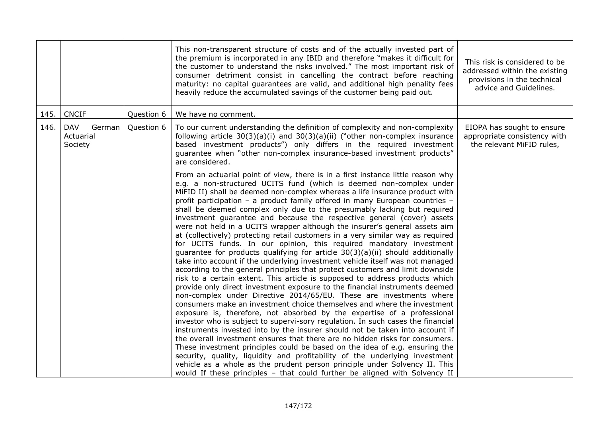|      |                                              |            | This non-transparent structure of costs and of the actually invested part of<br>the premium is incorporated in any IBID and therefore "makes it difficult for<br>the customer to understand the risks involved." The most important risk of<br>consumer detriment consist in cancelling the contract before reaching<br>maturity: no capital guarantees are valid, and additional high penality fees<br>heavily reduce the accumulated savings of the customer being paid out.                                                                                                                                                                                                                                                                                                                                                                                                                                                                                                                                                                                                                                                                                                                                                                                                                                                                                                                                                                                                                                                                                                                                                                                                                                                                                                                                                                                                                                                                    | This risk is considered to be<br>addressed within the existing<br>provisions in the technical<br>advice and Guidelines. |
|------|----------------------------------------------|------------|---------------------------------------------------------------------------------------------------------------------------------------------------------------------------------------------------------------------------------------------------------------------------------------------------------------------------------------------------------------------------------------------------------------------------------------------------------------------------------------------------------------------------------------------------------------------------------------------------------------------------------------------------------------------------------------------------------------------------------------------------------------------------------------------------------------------------------------------------------------------------------------------------------------------------------------------------------------------------------------------------------------------------------------------------------------------------------------------------------------------------------------------------------------------------------------------------------------------------------------------------------------------------------------------------------------------------------------------------------------------------------------------------------------------------------------------------------------------------------------------------------------------------------------------------------------------------------------------------------------------------------------------------------------------------------------------------------------------------------------------------------------------------------------------------------------------------------------------------------------------------------------------------------------------------------------------------|-------------------------------------------------------------------------------------------------------------------------|
| 145. | <b>CNCIF</b>                                 | Question 6 | We have no comment.                                                                                                                                                                                                                                                                                                                                                                                                                                                                                                                                                                                                                                                                                                                                                                                                                                                                                                                                                                                                                                                                                                                                                                                                                                                                                                                                                                                                                                                                                                                                                                                                                                                                                                                                                                                                                                                                                                                               |                                                                                                                         |
| 146. | <b>DAV</b><br>German<br>Actuarial<br>Society | Question 6 | To our current understanding the definition of complexity and non-complexity<br>following article $30(3)(a)(i)$ and $30(3)(a)(ii)$ ("other non-complex insurance<br>based investment products") only differs in the required investment<br>guarantee when "other non-complex insurance-based investment products"<br>are considered.                                                                                                                                                                                                                                                                                                                                                                                                                                                                                                                                                                                                                                                                                                                                                                                                                                                                                                                                                                                                                                                                                                                                                                                                                                                                                                                                                                                                                                                                                                                                                                                                              | EIOPA has sought to ensure<br>appropriate consistency with<br>the relevant MiFID rules,                                 |
|      |                                              |            | From an actuarial point of view, there is in a first instance little reason why<br>e.g. a non-structured UCITS fund (which is deemed non-complex under<br>MiFID II) shall be deemed non-complex whereas a life insurance product with<br>profit participation - a product family offered in many European countries -<br>shall be deemed complex only due to the presumably lacking but required<br>investment guarantee and because the respective general (cover) assets<br>were not held in a UCITS wrapper although the insurer's general assets aim<br>at (collectively) protecting retail customers in a very similar way as required<br>for UCITS funds. In our opinion, this required mandatory investment<br>guarantee for products qualifying for article $30(3)(a)(ii)$ should additionally<br>take into account if the underlying investment vehicle itself was not managed<br>according to the general principles that protect customers and limit downside<br>risk to a certain extent. This article is supposed to address products which<br>provide only direct investment exposure to the financial instruments deemed<br>non-complex under Directive 2014/65/EU. These are investments where<br>consumers make an investment choice themselves and where the investment<br>exposure is, therefore, not absorbed by the expertise of a professional<br>investor who is subject to supervi-sory regulation. In such cases the financial<br>instruments invested into by the insurer should not be taken into account if<br>the overall investment ensures that there are no hidden risks for consumers.<br>These investment principles could be based on the idea of e.g. ensuring the<br>security, quality, liquidity and profitability of the underlying investment<br>vehicle as a whole as the prudent person principle under Solvency II. This<br>would If these principles - that could further be aligned with Solvency II |                                                                                                                         |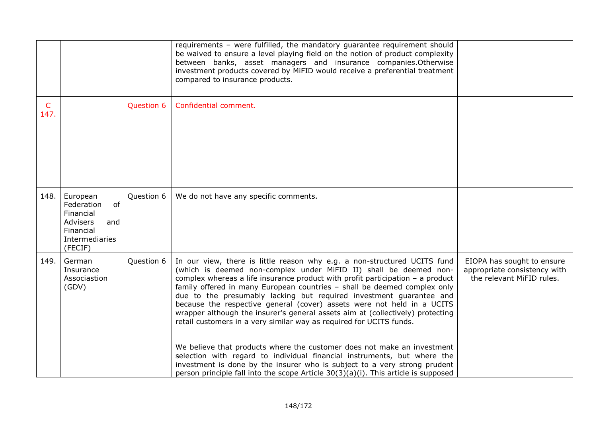|           |                                                                                                                      |            | requirements - were fulfilled, the mandatory guarantee requirement should<br>be waived to ensure a level playing field on the notion of product complexity<br>between banks, asset managers and insurance companies. Otherwise<br>investment products covered by MiFID would receive a preferential treatment<br>compared to insurance products.                                                                                                                                                                                                                                                                                                                                                                                                                                                                                                                                                                                                     |                                                                                         |
|-----------|----------------------------------------------------------------------------------------------------------------------|------------|------------------------------------------------------------------------------------------------------------------------------------------------------------------------------------------------------------------------------------------------------------------------------------------------------------------------------------------------------------------------------------------------------------------------------------------------------------------------------------------------------------------------------------------------------------------------------------------------------------------------------------------------------------------------------------------------------------------------------------------------------------------------------------------------------------------------------------------------------------------------------------------------------------------------------------------------------|-----------------------------------------------------------------------------------------|
| C<br>147. |                                                                                                                      | Question 6 | Confidential comment.                                                                                                                                                                                                                                                                                                                                                                                                                                                                                                                                                                                                                                                                                                                                                                                                                                                                                                                                |                                                                                         |
| 148.      | European<br>Federation<br>of<br>Financial<br><b>Advisers</b><br>and<br>Financial<br><b>Intermediaries</b><br>(FECIF) | Question 6 | We do not have any specific comments.                                                                                                                                                                                                                                                                                                                                                                                                                                                                                                                                                                                                                                                                                                                                                                                                                                                                                                                |                                                                                         |
| 149.      | German<br>Insurance<br>Associastion<br>(GDV)                                                                         | Question 6 | In our view, there is little reason why e.g. a non-structured UCITS fund<br>(which is deemed non-complex under MiFID II) shall be deemed non-<br>complex whereas a life insurance product with profit participation $-$ a product<br>family offered in many European countries - shall be deemed complex only<br>due to the presumably lacking but required investment guarantee and<br>because the respective general (cover) assets were not held in a UCITS<br>wrapper although the insurer's general assets aim at (collectively) protecting<br>retail customers in a very similar way as required for UCITS funds.<br>We believe that products where the customer does not make an investment<br>selection with regard to individual financial instruments, but where the<br>investment is done by the insurer who is subject to a very strong prudent<br>person principle fall into the scope Article $30(3)(a)(i)$ . This article is supposed | EIOPA has sought to ensure<br>appropriate consistency with<br>the relevant MiFID rules. |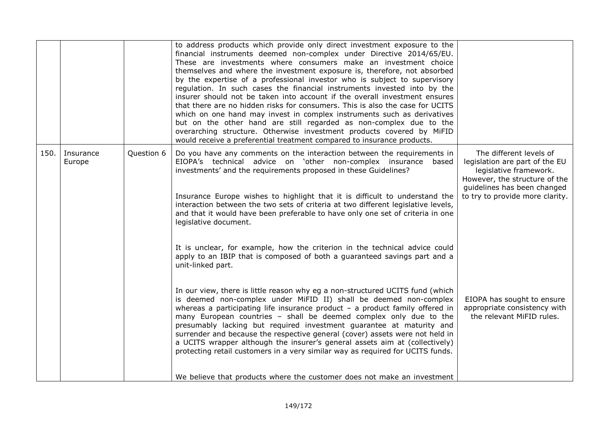|      |                     |            | to address products which provide only direct investment exposure to the<br>financial instruments deemed non-complex under Directive 2014/65/EU.<br>These are investments where consumers make an investment choice<br>themselves and where the investment exposure is, therefore, not absorbed<br>by the expertise of a professional investor who is subject to supervisory<br>regulation. In such cases the financial instruments invested into by the<br>insurer should not be taken into account if the overall investment ensures<br>that there are no hidden risks for consumers. This is also the case for UCITS<br>which on one hand may invest in complex instruments such as derivatives<br>but on the other hand are still regarded as non-complex due to the<br>overarching structure. Otherwise investment products covered by MiFID<br>would receive a preferential treatment compared to insurance products. |                                                                                                                                                                                        |
|------|---------------------|------------|-----------------------------------------------------------------------------------------------------------------------------------------------------------------------------------------------------------------------------------------------------------------------------------------------------------------------------------------------------------------------------------------------------------------------------------------------------------------------------------------------------------------------------------------------------------------------------------------------------------------------------------------------------------------------------------------------------------------------------------------------------------------------------------------------------------------------------------------------------------------------------------------------------------------------------|----------------------------------------------------------------------------------------------------------------------------------------------------------------------------------------|
| 150. | Insurance<br>Europe | Question 6 | Do you have any comments on the interaction between the requirements in<br>EIOPA's technical advice on 'other non-complex insurance based<br>investments' and the requirements proposed in these Guidelines?<br>Insurance Europe wishes to highlight that it is difficult to understand the<br>interaction between the two sets of criteria at two different legislative levels,<br>and that it would have been preferable to have only one set of criteria in one<br>legislative document.                                                                                                                                                                                                                                                                                                                                                                                                                                 | The different levels of<br>legislation are part of the EU<br>legislative framework.<br>However, the structure of the<br>guidelines has been changed<br>to try to provide more clarity. |
|      |                     |            | It is unclear, for example, how the criterion in the technical advice could<br>apply to an IBIP that is composed of both a guaranteed savings part and a<br>unit-linked part.<br>In our view, there is little reason why eg a non-structured UCITS fund (which<br>is deemed non-complex under MiFID II) shall be deemed non-complex<br>whereas a participating life insurance product $-$ a product family offered in<br>many European countries - shall be deemed complex only due to the<br>presumably lacking but required investment guarantee at maturity and<br>surrender and because the respective general (cover) assets were not held in<br>a UCITS wrapper although the insurer's general assets aim at (collectively)<br>protecting retail customers in a very similar way as required for UCITS funds.<br>We believe that products where the customer does not make an investment                              | EIOPA has sought to ensure<br>appropriate consistency with<br>the relevant MiFID rules.                                                                                                |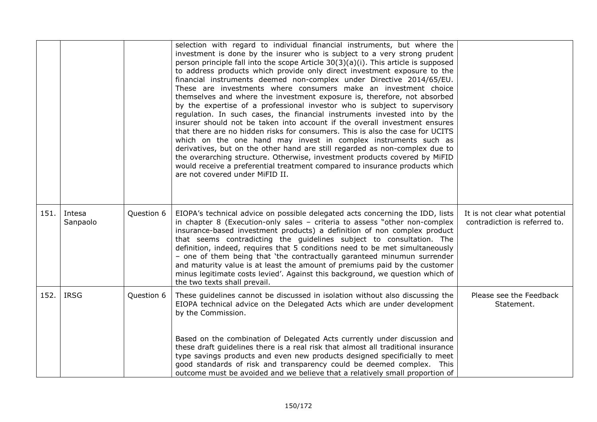|      |                    |            | selection with regard to individual financial instruments, but where the<br>investment is done by the insurer who is subject to a very strong prudent<br>person principle fall into the scope Article $30(3)(a)(i)$ . This article is supposed<br>to address products which provide only direct investment exposure to the<br>financial instruments deemed non-complex under Directive 2014/65/EU.<br>These are investments where consumers make an investment choice<br>themselves and where the investment exposure is, therefore, not absorbed<br>by the expertise of a professional investor who is subject to supervisory<br>regulation. In such cases, the financial instruments invested into by the<br>insurer should not be taken into account if the overall investment ensures<br>that there are no hidden risks for consumers. This is also the case for UCITS<br>which on the one hand may invest in complex instruments such as<br>derivatives, but on the other hand are still regarded as non-complex due to<br>the overarching structure. Otherwise, investment products covered by MiFID<br>would receive a preferential treatment compared to insurance products which<br>are not covered under MiFID II. |                                                                 |
|------|--------------------|------------|------------------------------------------------------------------------------------------------------------------------------------------------------------------------------------------------------------------------------------------------------------------------------------------------------------------------------------------------------------------------------------------------------------------------------------------------------------------------------------------------------------------------------------------------------------------------------------------------------------------------------------------------------------------------------------------------------------------------------------------------------------------------------------------------------------------------------------------------------------------------------------------------------------------------------------------------------------------------------------------------------------------------------------------------------------------------------------------------------------------------------------------------------------------------------------------------------------------------------|-----------------------------------------------------------------|
| 151. | Intesa<br>Sanpaolo | Question 6 | EIOPA's technical advice on possible delegated acts concerning the IDD, lists<br>in chapter 8 (Execution-only sales - criteria to assess "other non-complex<br>insurance-based investment products) a definition of non complex product<br>that seems contradicting the guidelines subject to consultation. The<br>definition, indeed, requires that 5 conditions need to be met simultaneously<br>- one of them being that 'the contractually garanteed minumun surrender<br>and maturity value is at least the amount of premiums paid by the customer<br>minus legitimate costs levied'. Against this background, we question which of<br>the two texts shall prevail.                                                                                                                                                                                                                                                                                                                                                                                                                                                                                                                                                    | It is not clear what potential<br>contradiction is referred to. |
| 152. | <b>IRSG</b>        | Question 6 | These guidelines cannot be discussed in isolation without also discussing the<br>EIOPA technical advice on the Delegated Acts which are under development<br>by the Commission.<br>Based on the combination of Delegated Acts currently under discussion and<br>these draft guidelines there is a real risk that almost all traditional insurance<br>type savings products and even new products designed specificially to meet<br>good standards of risk and transparency could be deemed complex. This<br>outcome must be avoided and we believe that a relatively small proportion of                                                                                                                                                                                                                                                                                                                                                                                                                                                                                                                                                                                                                                     | Please see the Feedback<br>Statement.                           |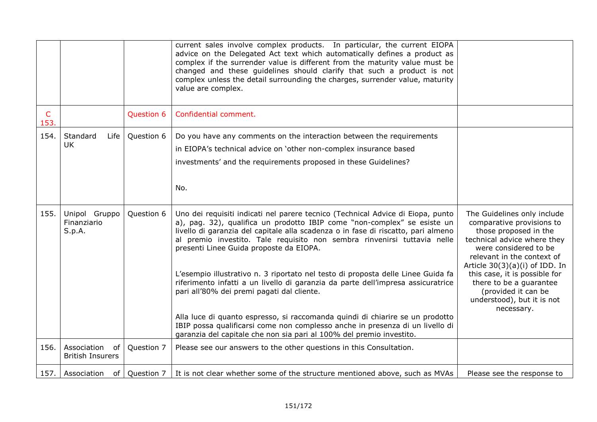|           |                                              |                 | current sales involve complex products. In particular, the current EIOPA<br>advice on the Delegated Act text which automatically defines a product as<br>complex if the surrender value is different from the maturity value must be<br>changed and these guidelines should clarify that such a product is not<br>complex unless the detail surrounding the charges, surrender value, maturity<br>value are complex.                                                                                                                                                                                                                                                                                                                                                                                                                    |                                                                                                                                                                                                                                                                                                                                            |
|-----------|----------------------------------------------|-----------------|-----------------------------------------------------------------------------------------------------------------------------------------------------------------------------------------------------------------------------------------------------------------------------------------------------------------------------------------------------------------------------------------------------------------------------------------------------------------------------------------------------------------------------------------------------------------------------------------------------------------------------------------------------------------------------------------------------------------------------------------------------------------------------------------------------------------------------------------|--------------------------------------------------------------------------------------------------------------------------------------------------------------------------------------------------------------------------------------------------------------------------------------------------------------------------------------------|
| C<br>153. |                                              | Question 6      | Confidential comment.                                                                                                                                                                                                                                                                                                                                                                                                                                                                                                                                                                                                                                                                                                                                                                                                                   |                                                                                                                                                                                                                                                                                                                                            |
| 154.      | Standard<br>Life  <br><b>UK</b>              | Question 6      | Do you have any comments on the interaction between the requirements<br>in EIOPA's technical advice on 'other non-complex insurance based<br>investments' and the requirements proposed in these Guidelines?<br>No.                                                                                                                                                                                                                                                                                                                                                                                                                                                                                                                                                                                                                     |                                                                                                                                                                                                                                                                                                                                            |
| 155.      | Unipol Gruppo<br>Finanziario<br>S.p.A.       | Question 6      | Uno dei requisiti indicati nel parere tecnico (Technical Advice di Eiopa, punto<br>a), pag. 32), qualifica un prodotto IBIP come "non-complex" se esiste un<br>livello di garanzia del capitale alla scadenza o in fase di riscatto, pari almeno<br>al premio investito. Tale requisito non sembra rinvenirsi tuttavia nelle<br>presenti Linee Guida proposte da EIOPA.<br>L'esempio illustrativo n. 3 riportato nel testo di proposta delle Linee Guida fa<br>riferimento infatti a un livello di garanzia da parte dell'impresa assicuratrice<br>pari all'80% dei premi pagati dal cliente.<br>Alla luce di quanto espresso, si raccomanda quindi di chiarire se un prodotto<br>IBIP possa qualificarsi come non complesso anche in presenza di un livello di<br>garanzia del capitale che non sia pari al 100% del premio investito. | The Guidelines only include<br>comparative provisions to<br>those proposed in the<br>technical advice where they<br>were considered to be<br>relevant in the context of<br>Article $30(3)(a)(i)$ of IDD. In<br>this case, it is possible for<br>there to be a guarantee<br>(provided it can be<br>understood), but it is not<br>necessary. |
| 156.      | Association<br>of<br><b>British Insurers</b> | Question 7      | Please see our answers to the other questions in this Consultation.                                                                                                                                                                                                                                                                                                                                                                                                                                                                                                                                                                                                                                                                                                                                                                     |                                                                                                                                                                                                                                                                                                                                            |
|           | 157. Association                             | of   Question 7 | It is not clear whether some of the structure mentioned above, such as MVAs                                                                                                                                                                                                                                                                                                                                                                                                                                                                                                                                                                                                                                                                                                                                                             | Please see the response to                                                                                                                                                                                                                                                                                                                 |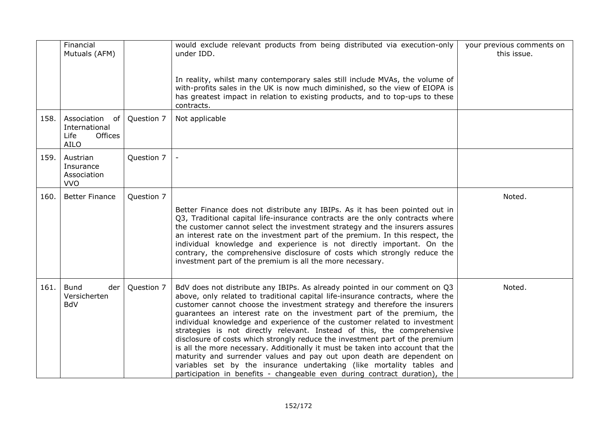|      | Financial<br>Mutuals (AFM)                                                  |            | would exclude relevant products from being distributed via execution-only<br>under IDD.<br>In reality, whilst many contemporary sales still include MVAs, the volume of<br>with-profits sales in the UK is now much diminished, so the view of EIOPA is<br>has greatest impact in relation to existing products, and to top-ups to these<br>contracts.                                                                                                                                                                                                                                                                                                                                                                                                                                                                                                                        | your previous comments on<br>this issue. |
|------|-----------------------------------------------------------------------------|------------|-------------------------------------------------------------------------------------------------------------------------------------------------------------------------------------------------------------------------------------------------------------------------------------------------------------------------------------------------------------------------------------------------------------------------------------------------------------------------------------------------------------------------------------------------------------------------------------------------------------------------------------------------------------------------------------------------------------------------------------------------------------------------------------------------------------------------------------------------------------------------------|------------------------------------------|
| 158. | Association<br>of<br>International<br><b>Offices</b><br>Life<br><b>AILO</b> | Question 7 | Not applicable                                                                                                                                                                                                                                                                                                                                                                                                                                                                                                                                                                                                                                                                                                                                                                                                                                                                |                                          |
| 159. | Austrian<br>Insurance<br>Association<br><b>VVO</b>                          | Question 7 |                                                                                                                                                                                                                                                                                                                                                                                                                                                                                                                                                                                                                                                                                                                                                                                                                                                                               |                                          |
| 160. | <b>Better Finance</b>                                                       | Question 7 | Better Finance does not distribute any IBIPs. As it has been pointed out in<br>Q3, Traditional capital life-insurance contracts are the only contracts where<br>the customer cannot select the investment strategy and the insurers assures<br>an interest rate on the investment part of the premium. In this respect, the<br>individual knowledge and experience is not directly important. On the<br>contrary, the comprehensive disclosure of costs which strongly reduce the<br>investment part of the premium is all the more necessary.                                                                                                                                                                                                                                                                                                                                | Noted.                                   |
| 161. | <b>Bund</b><br>der<br>Versicherten<br><b>BdV</b>                            | Question 7 | BdV does not distribute any IBIPs. As already pointed in our comment on Q3<br>above, only related to traditional capital life-insurance contracts, where the<br>customer cannot choose the investment strategy and therefore the insurers<br>guarantees an interest rate on the investment part of the premium, the<br>individual knowledge and experience of the customer related to investment<br>strategies is not directly relevant. Instead of this, the comprehensive<br>disclosure of costs which strongly reduce the investment part of the premium<br>is all the more necessary. Additionally it must be taken into account that the<br>maturity and surrender values and pay out upon death are dependent on<br>variables set by the insurance undertaking (like mortality tables and<br>participation in benefits - changeable even during contract duration), the | Noted.                                   |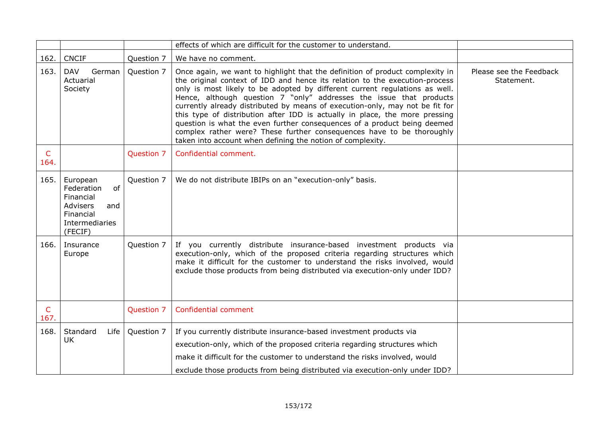|                      |                                                                                                               |            | effects of which are difficult for the customer to understand.                                                                                                                                                                                                                                                                                                                                                                                                                                                                                                                                                                                                                                       |                                       |
|----------------------|---------------------------------------------------------------------------------------------------------------|------------|------------------------------------------------------------------------------------------------------------------------------------------------------------------------------------------------------------------------------------------------------------------------------------------------------------------------------------------------------------------------------------------------------------------------------------------------------------------------------------------------------------------------------------------------------------------------------------------------------------------------------------------------------------------------------------------------------|---------------------------------------|
| 162.                 | <b>CNCIF</b>                                                                                                  | Question 7 | We have no comment.                                                                                                                                                                                                                                                                                                                                                                                                                                                                                                                                                                                                                                                                                  |                                       |
| 163.                 | <b>DAV</b><br>German<br>Actuarial<br>Society                                                                  | Question 7 | Once again, we want to highlight that the definition of product complexity in<br>the original context of IDD and hence its relation to the execution-process<br>only is most likely to be adopted by different current regulations as well.<br>Hence, although question 7 "only" addresses the issue that products<br>currently already distributed by means of execution-only, may not be fit for<br>this type of distribution after IDD is actually in place, the more pressing<br>question is what the even further consequences of a product being deemed<br>complex rather were? These further consequences have to be thoroughly<br>taken into account when defining the notion of complexity. | Please see the Feedback<br>Statement. |
| $\mathsf{C}$<br>164. |                                                                                                               | Question 7 | Confidential comment.                                                                                                                                                                                                                                                                                                                                                                                                                                                                                                                                                                                                                                                                                |                                       |
| 165.                 | European<br>of<br>Federation<br>Financial<br><b>Advisers</b><br>and<br>Financial<br>Intermediaries<br>(FECIF) | Question 7 | We do not distribute IBIPs on an "execution-only" basis.                                                                                                                                                                                                                                                                                                                                                                                                                                                                                                                                                                                                                                             |                                       |
| 166.                 | Insurance<br>Europe                                                                                           | Question 7 | If you currently distribute insurance-based investment products via<br>execution-only, which of the proposed criteria regarding structures which<br>make it difficult for the customer to understand the risks involved, would<br>exclude those products from being distributed via execution-only under IDD?                                                                                                                                                                                                                                                                                                                                                                                        |                                       |
| C<br>167.            |                                                                                                               | Question 7 | Confidential comment                                                                                                                                                                                                                                                                                                                                                                                                                                                                                                                                                                                                                                                                                 |                                       |
| 168.                 | Standard<br><b>Life</b><br><b>UK</b>                                                                          | Question 7 | If you currently distribute insurance-based investment products via<br>execution-only, which of the proposed criteria regarding structures which<br>make it difficult for the customer to understand the risks involved, would<br>exclude those products from being distributed via execution-only under IDD?                                                                                                                                                                                                                                                                                                                                                                                        |                                       |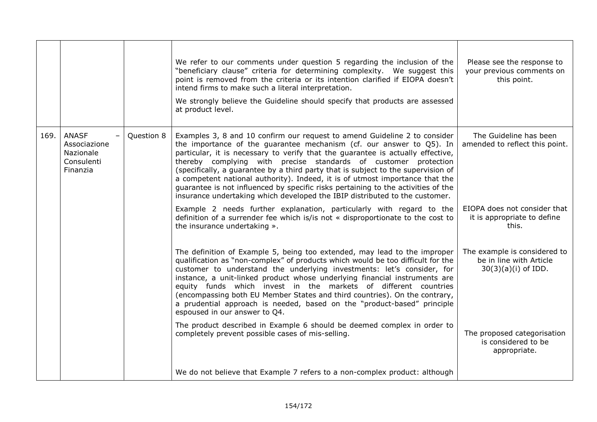|      |                                                                     |            | We refer to our comments under question 5 regarding the inclusion of the<br>"beneficiary clause" criteria for determining complexity. We suggest this<br>point is removed from the criteria or its intention clarified if EIOPA doesn't<br>intend firms to make such a literal interpretation.<br>We strongly believe the Guideline should specify that products are assessed<br>at product level.                                                                                                                                                                                                                                               | Please see the response to<br>your previous comments on<br>this point.           |
|------|---------------------------------------------------------------------|------------|--------------------------------------------------------------------------------------------------------------------------------------------------------------------------------------------------------------------------------------------------------------------------------------------------------------------------------------------------------------------------------------------------------------------------------------------------------------------------------------------------------------------------------------------------------------------------------------------------------------------------------------------------|----------------------------------------------------------------------------------|
| 169. | <b>ANASF</b><br>Associazione<br>Nazionale<br>Consulenti<br>Finanzia | Question 8 | Examples 3, 8 and 10 confirm our request to amend Guideline 2 to consider<br>the importance of the guarantee mechanism (cf. our answer to Q5). In<br>particular, it is necessary to verify that the guarantee is actually effective,<br>thereby complying with precise standards of customer protection<br>(specifically, a guarantee by a third party that is subject to the supervision of<br>a competent national authority). Indeed, it is of utmost importance that the<br>guarantee is not influenced by specific risks pertaining to the activities of the<br>insurance undertaking which developed the IBIP distributed to the customer. | The Guideline has been<br>amended to reflect this point.                         |
|      |                                                                     |            | Example 2 needs further explanation, particularly with regard to the<br>definition of a surrender fee which is/is not « disproportionate to the cost to<br>the insurance undertaking ».                                                                                                                                                                                                                                                                                                                                                                                                                                                          | EIOPA does not consider that<br>it is appropriate to define<br>this.             |
|      |                                                                     |            | The definition of Example 5, being too extended, may lead to the improper<br>qualification as "non-complex" of products which would be too difficult for the<br>customer to understand the underlying investments: let's consider, for<br>instance, a unit-linked product whose underlying financial instruments are<br>equity funds which invest in the markets of different countries<br>(encompassing both EU Member States and third countries). On the contrary,<br>a prudential approach is needed, based on the "product-based" principle<br>espoused in our answer to Q4.                                                                | The example is considered to<br>be in line with Article<br>$30(3)(a)(i)$ of IDD. |
|      |                                                                     |            | The product described in Example 6 should be deemed complex in order to<br>completely prevent possible cases of mis-selling.                                                                                                                                                                                                                                                                                                                                                                                                                                                                                                                     | The proposed categorisation<br>is considered to be<br>appropriate.               |
|      |                                                                     |            | We do not believe that Example 7 refers to a non-complex product: although                                                                                                                                                                                                                                                                                                                                                                                                                                                                                                                                                                       |                                                                                  |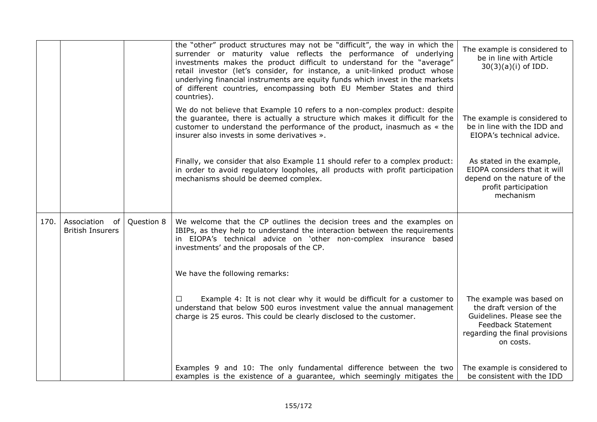|      |                                              |            | the "other" product structures may not be "difficult", the way in which the<br>surrender or maturity value reflects the performance of underlying<br>investments makes the product difficult to understand for the "average"<br>retail investor (let's consider, for instance, a unit-linked product whose<br>underlying financial instruments are equity funds which invest in the markets<br>of different countries, encompassing both EU Member States and third<br>countries). | The example is considered to<br>be in line with Article<br>$30(3)(a)(i)$ of IDD.                                                                               |
|------|----------------------------------------------|------------|------------------------------------------------------------------------------------------------------------------------------------------------------------------------------------------------------------------------------------------------------------------------------------------------------------------------------------------------------------------------------------------------------------------------------------------------------------------------------------|----------------------------------------------------------------------------------------------------------------------------------------------------------------|
|      |                                              |            | We do not believe that Example 10 refers to a non-complex product: despite<br>the guarantee, there is actually a structure which makes it difficult for the<br>customer to understand the performance of the product, inasmuch as « the<br>insurer also invests in some derivatives ».                                                                                                                                                                                             | The example is considered to<br>be in line with the IDD and<br>EIOPA's technical advice.                                                                       |
|      |                                              |            | Finally, we consider that also Example 11 should refer to a complex product:<br>in order to avoid regulatory loopholes, all products with profit participation<br>mechanisms should be deemed complex.                                                                                                                                                                                                                                                                             | As stated in the example,<br>EIOPA considers that it will<br>depend on the nature of the<br>profit participation<br>mechanism                                  |
| 170. | Association<br>of<br><b>British Insurers</b> | Question 8 | We welcome that the CP outlines the decision trees and the examples on<br>IBIPs, as they help to understand the interaction between the requirements<br>in EIOPA's technical advice on 'other non-complex insurance based<br>investments' and the proposals of the CP.                                                                                                                                                                                                             |                                                                                                                                                                |
|      |                                              |            | We have the following remarks:                                                                                                                                                                                                                                                                                                                                                                                                                                                     |                                                                                                                                                                |
|      |                                              |            | Example 4: It is not clear why it would be difficult for a customer to<br>$\Box$<br>understand that below 500 euros investment value the annual management<br>charge is 25 euros. This could be clearly disclosed to the customer.                                                                                                                                                                                                                                                 | The example was based on<br>the draft version of the<br>Guidelines. Please see the<br><b>Feedback Statement</b><br>regarding the final provisions<br>on costs. |
|      |                                              |            | Examples 9 and 10: The only fundamental difference between the two<br>examples is the existence of a guarantee, which seemingly mitigates the                                                                                                                                                                                                                                                                                                                                      | The example is considered to<br>be consistent with the IDD                                                                                                     |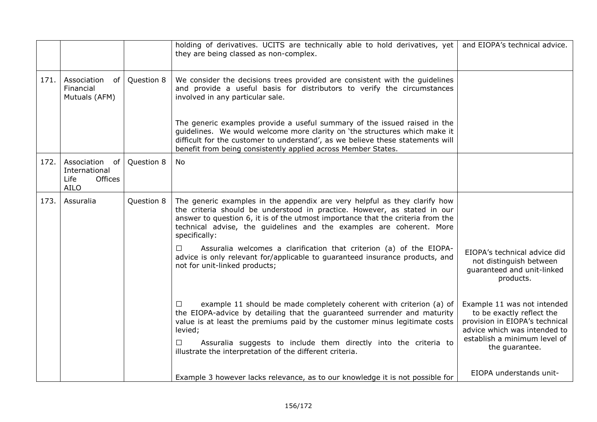|      |                                                                      |            | holding of derivatives. UCITS are technically able to hold derivatives, yet<br>they are being classed as non-complex.                                                                                                                                                                                                                                                                   | and EIOPA's technical advice.                                                                                                                                                |
|------|----------------------------------------------------------------------|------------|-----------------------------------------------------------------------------------------------------------------------------------------------------------------------------------------------------------------------------------------------------------------------------------------------------------------------------------------------------------------------------------------|------------------------------------------------------------------------------------------------------------------------------------------------------------------------------|
| 171. | Association<br>0f<br>Financial<br>Mutuals (AFM)                      | Question 8 | We consider the decisions trees provided are consistent with the guidelines<br>and provide a useful basis for distributors to verify the circumstances<br>involved in any particular sale.                                                                                                                                                                                              |                                                                                                                                                                              |
|      |                                                                      |            | The generic examples provide a useful summary of the issued raised in the<br>guidelines. We would welcome more clarity on 'the structures which make it<br>difficult for the customer to understand', as we believe these statements will<br>benefit from being consistently applied across Member States.                                                                              |                                                                                                                                                                              |
| 172. | Association<br>of<br>International<br>Offices<br>Life<br><b>AILO</b> | Question 8 | No.                                                                                                                                                                                                                                                                                                                                                                                     |                                                                                                                                                                              |
| 173. | Assuralia                                                            | Question 8 | The generic examples in the appendix are very helpful as they clarify how<br>the criteria should be understood in practice. However, as stated in our<br>answer to question 6, it is of the utmost importance that the criteria from the<br>technical advise, the guidelines and the examples are coherent. More<br>specifically:                                                       |                                                                                                                                                                              |
|      |                                                                      |            | Assuralia welcomes a clarification that criterion (a) of the EIOPA-<br>$\Box$<br>advice is only relevant for/applicable to guaranteed insurance products, and<br>not for unit-linked products;                                                                                                                                                                                          | EIOPA's technical advice did<br>not distinguish between<br>guaranteed and unit-linked<br>products.                                                                           |
|      |                                                                      |            | example 11 should be made completely coherent with criterion (a) of<br>$\Box$<br>the EIOPA-advice by detailing that the guaranteed surrender and maturity<br>value is at least the premiums paid by the customer minus legitimate costs<br>levied;<br>Assuralia suggests to include them directly into the criteria to<br>□<br>illustrate the interpretation of the different criteria. | Example 11 was not intended<br>to be exactly reflect the<br>provision in EIOPA's technical<br>advice which was intended to<br>establish a minimum level of<br>the guarantee. |
|      |                                                                      |            | Example 3 however lacks relevance, as to our knowledge it is not possible for                                                                                                                                                                                                                                                                                                           | EIOPA understands unit-                                                                                                                                                      |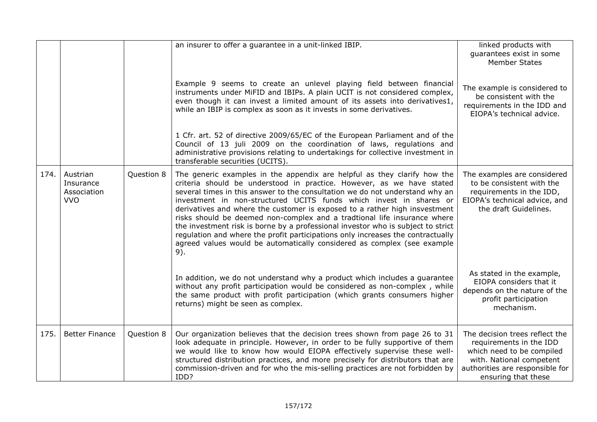|      |                                                    |            | an insurer to offer a guarantee in a unit-linked IBIP.                                                                                                                                                                                                                                                                                                                                                                                                                                                                                                                                                                                                                                                                     | linked products with<br>guarantees exist in some<br><b>Member States</b>                                                                                                     |
|------|----------------------------------------------------|------------|----------------------------------------------------------------------------------------------------------------------------------------------------------------------------------------------------------------------------------------------------------------------------------------------------------------------------------------------------------------------------------------------------------------------------------------------------------------------------------------------------------------------------------------------------------------------------------------------------------------------------------------------------------------------------------------------------------------------------|------------------------------------------------------------------------------------------------------------------------------------------------------------------------------|
|      |                                                    |            | Example 9 seems to create an unlevel playing field between financial<br>instruments under MiFID and IBIPs. A plain UCIT is not considered complex,<br>even though it can invest a limited amount of its assets into derivatives1,<br>while an IBIP is complex as soon as it invests in some derivatives.                                                                                                                                                                                                                                                                                                                                                                                                                   | The example is considered to<br>be consistent with the<br>requirements in the IDD and<br>EIOPA's technical advice.                                                           |
|      |                                                    |            | 1 Cfr. art. 52 of directive 2009/65/EC of the European Parliament and of the<br>Council of 13 juli 2009 on the coordination of laws, regulations and<br>administrative provisions relating to undertakings for collective investment in<br>transferable securities (UCITS).                                                                                                                                                                                                                                                                                                                                                                                                                                                |                                                                                                                                                                              |
| 174. | Austrian<br>Insurance<br>Association<br><b>VVO</b> | Question 8 | The generic examples in the appendix are helpful as they clarify how the<br>criteria should be understood in practice. However, as we have stated<br>several times in this answer to the consultation we do not understand why an<br>investment in non-structured UCITS funds which invest in shares or<br>derivatives and where the customer is exposed to a rather high insvestment<br>risks should be deemed non-complex and a tradtional life insurance where<br>the investment risk is borne by a professional investor who is subject to strict<br>regulation and where the profit participations only increases the contractually<br>agreed values would be automatically considered as complex (see example<br>9). | The examples are considered<br>to be consistent with the<br>requirements in the IDD,<br>EIOPA's technical advice, and<br>the draft Guidelines.                               |
|      |                                                    |            | In addition, we do not understand why a product which includes a guarantee<br>without any profit participation would be considered as non-complex, while<br>the same product with profit participation (which grants consumers higher<br>returns) might be seen as complex.                                                                                                                                                                                                                                                                                                                                                                                                                                                | As stated in the example,<br>EIOPA considers that it<br>depends on the nature of the<br>profit participation<br>mechanism.                                                   |
| 175. | <b>Better Finance</b>                              | Question 8 | Our organization believes that the decision trees shown from page 26 to 31<br>look adequate in principle. However, in order to be fully supportive of them<br>we would like to know how would EIOPA effectively supervise these well-<br>structured distribution practices, and more precisely for distributors that are<br>commission-driven and for who the mis-selling practices are not forbidden by<br>IDD?                                                                                                                                                                                                                                                                                                           | The decision trees reflect the<br>requirements in the IDD<br>which need to be compiled<br>with. National competent<br>authorities are responsible for<br>ensuring that these |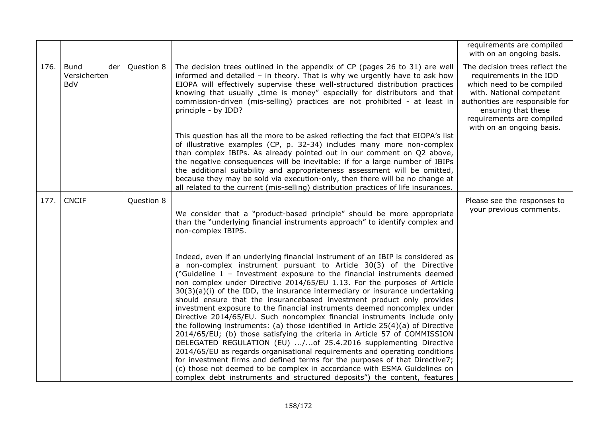|      |                                                  |            |                                                                                                                                                                                                                                                                                                                                                                                                                                                                                                                                                                                                                                                                                                                                                                                                                                                                                                                                                                                                                                                                                                                                                                                            | requirements are compiled<br>with on an ongoing basis.                                                                                                                                                                                 |
|------|--------------------------------------------------|------------|--------------------------------------------------------------------------------------------------------------------------------------------------------------------------------------------------------------------------------------------------------------------------------------------------------------------------------------------------------------------------------------------------------------------------------------------------------------------------------------------------------------------------------------------------------------------------------------------------------------------------------------------------------------------------------------------------------------------------------------------------------------------------------------------------------------------------------------------------------------------------------------------------------------------------------------------------------------------------------------------------------------------------------------------------------------------------------------------------------------------------------------------------------------------------------------------|----------------------------------------------------------------------------------------------------------------------------------------------------------------------------------------------------------------------------------------|
| 176. | <b>Bund</b><br>der<br>Versicherten<br><b>BdV</b> | Question 8 | The decision trees outlined in the appendix of CP (pages 26 to 31) are well<br>informed and detailed $-$ in theory. That is why we urgently have to ask how<br>EIOPA will effectively supervise these well-structured distribution practices<br>knowing that usually "time is money" especially for distributors and that<br>commission-driven (mis-selling) practices are not prohibited - at least in<br>principle - by IDD?                                                                                                                                                                                                                                                                                                                                                                                                                                                                                                                                                                                                                                                                                                                                                             | The decision trees reflect the<br>requirements in the IDD<br>which need to be compiled<br>with. National competent<br>authorities are responsible for<br>ensuring that these<br>requirements are compiled<br>with on an ongoing basis. |
|      |                                                  |            | This question has all the more to be asked reflecting the fact that EIOPA's list<br>of illustrative examples (CP, p. 32-34) includes many more non-complex<br>than complex IBIPs. As already pointed out in our comment on Q2 above,<br>the negative consequences will be inevitable: if for a large number of IBIPs<br>the additional suitability and appropriateness assessment will be omitted,<br>because they may be sold via execution-only, then there will be no change at<br>all related to the current (mis-selling) distribution practices of life insurances.                                                                                                                                                                                                                                                                                                                                                                                                                                                                                                                                                                                                                  |                                                                                                                                                                                                                                        |
| 177. | <b>CNCIF</b>                                     | Question 8 | We consider that a "product-based principle" should be more appropriate<br>than the "underlying financial instruments approach" to identify complex and<br>non-complex IBIPS.                                                                                                                                                                                                                                                                                                                                                                                                                                                                                                                                                                                                                                                                                                                                                                                                                                                                                                                                                                                                              | Please see the responses to<br>your previous comments.                                                                                                                                                                                 |
|      |                                                  |            | Indeed, even if an underlying financial instrument of an IBIP is considered as<br>a non-complex instrument pursuant to Article 30(3) of the Directive<br>("Guideline 1 - Investment exposure to the financial instruments deemed<br>non complex under Directive 2014/65/EU 1.13. For the purposes of Article<br>$30(3)(a)(i)$ of the IDD, the insurance intermediary or insurance undertaking<br>should ensure that the insurancebased investment product only provides<br>investment exposure to the financial instruments deemed noncomplex under<br>Directive 2014/65/EU. Such noncomplex financial instruments include only<br>the following instruments: (a) those identified in Article $25(4)(a)$ of Directive<br>2014/65/EU; (b) those satisfying the criteria in Article 57 of COMMISSION<br>DELEGATED REGULATION (EU) /of 25.4.2016 supplementing Directive<br>2014/65/EU as regards organisational requirements and operating conditions<br>for investment firms and defined terms for the purposes of that Directive7;<br>(c) those not deemed to be complex in accordance with ESMA Guidelines on<br>complex debt instruments and structured deposits") the content, features |                                                                                                                                                                                                                                        |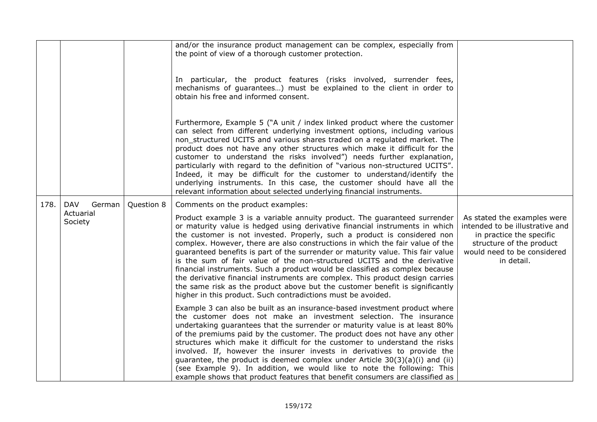|      |                      |            | and/or the insurance product management can be complex, especially from<br>the point of view of a thorough customer protection.                                                                                                                                                                                                                                                                                                                                                                                                                                                                                                                                                                                                                                                                      |                                                                                                                                                                     |
|------|----------------------|------------|------------------------------------------------------------------------------------------------------------------------------------------------------------------------------------------------------------------------------------------------------------------------------------------------------------------------------------------------------------------------------------------------------------------------------------------------------------------------------------------------------------------------------------------------------------------------------------------------------------------------------------------------------------------------------------------------------------------------------------------------------------------------------------------------------|---------------------------------------------------------------------------------------------------------------------------------------------------------------------|
|      |                      |            | In particular, the product features (risks involved, surrender fees,<br>mechanisms of guarantees) must be explained to the client in order to<br>obtain his free and informed consent.                                                                                                                                                                                                                                                                                                                                                                                                                                                                                                                                                                                                               |                                                                                                                                                                     |
|      |                      |            | Furthermore, Example 5 ("A unit / index linked product where the customer<br>can select from different underlying investment options, including various<br>non_structured UCITS and various shares traded on a regulated market. The<br>product does not have any other structures which make it difficult for the<br>customer to understand the risks involved") needs further explanation,<br>particularly with regard to the definition of "various non-structured UCITS".<br>Indeed, it may be difficult for the customer to understand/identify the<br>underlying instruments. In this case, the customer should have all the<br>relevant information about selected underlying financial instruments.                                                                                          |                                                                                                                                                                     |
| 178. | <b>DAV</b><br>German | Question 8 | Comments on the product examples:                                                                                                                                                                                                                                                                                                                                                                                                                                                                                                                                                                                                                                                                                                                                                                    |                                                                                                                                                                     |
|      | Actuarial<br>Society |            | Product example 3 is a variable annuity product. The guaranteed surrender<br>or maturity value is hedged using derivative financial instruments in which<br>the customer is not invested. Properly, such a product is considered non<br>complex. However, there are also constructions in which the fair value of the<br>guaranteed benefits is part of the surrender or maturity value. This fair value<br>is the sum of fair value of the non-structured UCITS and the derivative<br>financial instruments. Such a product would be classified as complex because<br>the derivative financial instruments are complex. This product design carries<br>the same risk as the product above but the customer benefit is significantly<br>higher in this product. Such contradictions must be avoided. | As stated the examples were<br>intended to be illustrative and<br>in practice the specific<br>structure of the product<br>would need to be considered<br>in detail. |
|      |                      |            | Example 3 can also be built as an insurance-based investment product where<br>the customer does not make an investment selection. The insurance<br>undertaking guarantees that the surrender or maturity value is at least 80%<br>of the premiums paid by the customer. The product does not have any other<br>structures which make it difficult for the customer to understand the risks<br>involved. If, however the insurer invests in derivatives to provide the<br>guarantee, the product is deemed complex under Article $30(3)(a)(i)$ and (ii)<br>(see Example 9). In addition, we would like to note the following: This<br>example shows that product features that benefit consumers are classified as                                                                                    |                                                                                                                                                                     |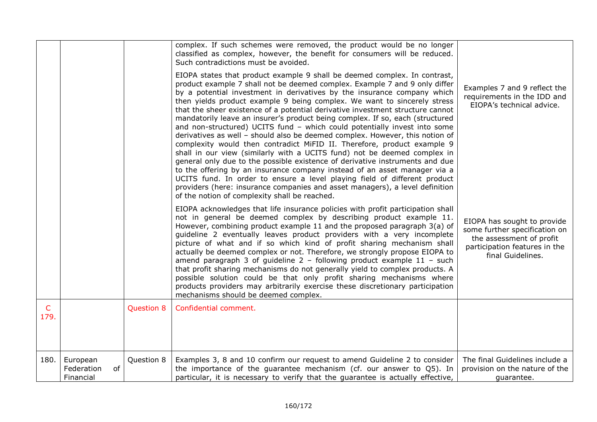|                      |                                           |            | complex. If such schemes were removed, the product would be no longer<br>classified as complex, however, the benefit for consumers will be reduced.<br>Such contradictions must be avoided.<br>EIOPA states that product example 9 shall be deemed complex. In contrast,<br>product example 7 shall not be deemed complex. Example 7 and 9 only differ<br>by a potential investment in derivatives by the insurance company which<br>then yields product example 9 being complex. We want to sincerely stress<br>that the sheer existence of a potential derivative investment structure cannot<br>mandatorily leave an insurer's product being complex. If so, each (structured<br>and non-structured) UCITS fund - which could potentially invest into some<br>derivatives as well - should also be deemed complex. However, this notion of<br>complexity would then contradict MiFID II. Therefore, product example 9<br>shall in our view (similarly with a UCITS fund) not be deemed complex in<br>general only due to the possible existence of derivative instruments and due                                          | Examples 7 and 9 reflect the<br>requirements in the IDD and<br>EIOPA's technical advice.                                                       |
|----------------------|-------------------------------------------|------------|-------------------------------------------------------------------------------------------------------------------------------------------------------------------------------------------------------------------------------------------------------------------------------------------------------------------------------------------------------------------------------------------------------------------------------------------------------------------------------------------------------------------------------------------------------------------------------------------------------------------------------------------------------------------------------------------------------------------------------------------------------------------------------------------------------------------------------------------------------------------------------------------------------------------------------------------------------------------------------------------------------------------------------------------------------------------------------------------------------------------------------|------------------------------------------------------------------------------------------------------------------------------------------------|
|                      |                                           |            | to the offering by an insurance company instead of an asset manager via a<br>UCITS fund. In order to ensure a level playing field of different product<br>providers (here: insurance companies and asset managers), a level definition<br>of the notion of complexity shall be reached.<br>EIOPA acknowledges that life insurance policies with profit participation shall<br>not in general be deemed complex by describing product example 11.<br>However, combining product example 11 and the proposed paragraph 3(a) of<br>guideline 2 eventually leaves product providers with a very incomplete<br>picture of what and if so which kind of profit sharing mechanism shall<br>actually be deemed complex or not. Therefore, we strongly propose EIOPA to<br>amend paragraph 3 of guideline $2$ - following product example $11$ - such<br>that profit sharing mechanisms do not generally yield to complex products. A<br>possible solution could be that only profit sharing mechanisms where<br>products providers may arbitrarily exercise these discretionary participation<br>mechanisms should be deemed complex. | EIOPA has sought to provide<br>some further specification on<br>the assessment of profit<br>participation features in the<br>final Guidelines. |
| $\mathsf{C}$<br>179. |                                           | Question 8 | Confidential comment.                                                                                                                                                                                                                                                                                                                                                                                                                                                                                                                                                                                                                                                                                                                                                                                                                                                                                                                                                                                                                                                                                                         |                                                                                                                                                |
| 180.                 | European<br>Federation<br>of<br>Financial | Question 8 | Examples 3, 8 and 10 confirm our request to amend Guideline 2 to consider<br>the importance of the guarantee mechanism (cf. our answer to Q5). In<br>particular, it is necessary to verify that the quarantee is actually effective,                                                                                                                                                                                                                                                                                                                                                                                                                                                                                                                                                                                                                                                                                                                                                                                                                                                                                          | The final Guidelines include a<br>provision on the nature of the<br>quarantee.                                                                 |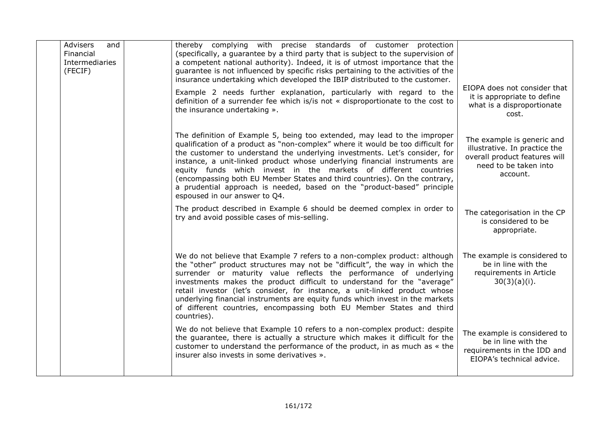| <b>Advisers</b><br>and<br>Financial<br>Intermediaries<br>(FECIF) | thereby complying with precise standards of customer protection<br>(specifically, a guarantee by a third party that is subject to the supervision of<br>a competent national authority). Indeed, it is of utmost importance that the<br>guarantee is not influenced by specific risks pertaining to the activities of the<br>insurance undertaking which developed the IBIP distributed to the customer.                                                                                                                                                                              |                                                                                                                                   |
|------------------------------------------------------------------|---------------------------------------------------------------------------------------------------------------------------------------------------------------------------------------------------------------------------------------------------------------------------------------------------------------------------------------------------------------------------------------------------------------------------------------------------------------------------------------------------------------------------------------------------------------------------------------|-----------------------------------------------------------------------------------------------------------------------------------|
|                                                                  | Example 2 needs further explanation, particularly with regard to the<br>definition of a surrender fee which is/is not « disproportionate to the cost to<br>the insurance undertaking ».                                                                                                                                                                                                                                                                                                                                                                                               | EIOPA does not consider that<br>it is appropriate to define<br>what is a disproportionate<br>cost.                                |
|                                                                  | The definition of Example 5, being too extended, may lead to the improper<br>qualification of a product as "non-complex" where it would be too difficult for<br>the customer to understand the underlying investments. Let's consider, for<br>instance, a unit-linked product whose underlying financial instruments are<br>equity funds which invest in the markets of different countries<br>(encompassing both EU Member States and third countries). On the contrary,<br>a prudential approach is needed, based on the "product-based" principle<br>espoused in our answer to Q4. | The example is generic and<br>illustrative. In practice the<br>overall product features will<br>need to be taken into<br>account. |
|                                                                  | The product described in Example 6 should be deemed complex in order to<br>try and avoid possible cases of mis-selling.                                                                                                                                                                                                                                                                                                                                                                                                                                                               | The categorisation in the CP<br>is considered to be<br>appropriate.                                                               |
|                                                                  | We do not believe that Example 7 refers to a non-complex product: although<br>the "other" product structures may not be "difficult", the way in which the<br>surrender or maturity value reflects the performance of underlying<br>investments makes the product difficult to understand for the "average"<br>retail investor (let's consider, for instance, a unit-linked product whose<br>underlying financial instruments are equity funds which invest in the markets<br>of different countries, encompassing both EU Member States and third<br>countries).                      | The example is considered to<br>be in line with the<br>requirements in Article<br>30(3)(a)(i).                                    |
|                                                                  | We do not believe that Example 10 refers to a non-complex product: despite<br>the guarantee, there is actually a structure which makes it difficult for the<br>customer to understand the performance of the product, in as much as « the<br>insurer also invests in some derivatives ».                                                                                                                                                                                                                                                                                              | The example is considered to<br>be in line with the<br>requirements in the IDD and<br>EIOPA's technical advice.                   |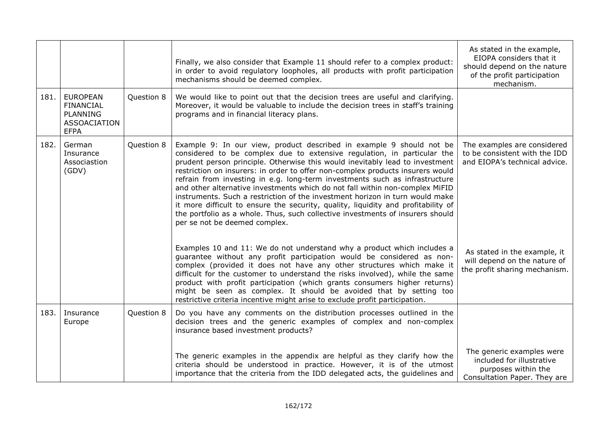|      |                                                                                              |            | Finally, we also consider that Example 11 should refer to a complex product:<br>in order to avoid regulatory loopholes, all products with profit participation<br>mechanisms should be deemed complex.                                                                                                                                                                                                                                                                                                                                                                                                                                                                                                                                                                   | As stated in the example,<br>EIOPA considers that it<br>should depend on the nature<br>of the profit participation<br>mechanism. |
|------|----------------------------------------------------------------------------------------------|------------|--------------------------------------------------------------------------------------------------------------------------------------------------------------------------------------------------------------------------------------------------------------------------------------------------------------------------------------------------------------------------------------------------------------------------------------------------------------------------------------------------------------------------------------------------------------------------------------------------------------------------------------------------------------------------------------------------------------------------------------------------------------------------|----------------------------------------------------------------------------------------------------------------------------------|
| 181. | <b>EUROPEAN</b><br><b>FINANCIAL</b><br><b>PLANNING</b><br><b>ASSOACIATION</b><br><b>EFPA</b> | Question 8 | We would like to point out that the decision trees are useful and clarifying.<br>Moreover, it would be valuable to include the decision trees in staff's training<br>programs and in financial literacy plans.                                                                                                                                                                                                                                                                                                                                                                                                                                                                                                                                                           |                                                                                                                                  |
| 182. | German<br>Insurance<br>Associastion<br>(GDV)                                                 | Question 8 | Example 9: In our view, product described in example 9 should not be<br>considered to be complex due to extensive regulation, in particular the<br>prudent person principle. Otherwise this would inevitably lead to investment<br>restriction on insurers: in order to offer non-complex products insurers would<br>refrain from investing in e.g. long-term investments such as infrastructure<br>and other alternative investments which do not fall within non-complex MiFID<br>instruments. Such a restriction of the investment horizon in turn would make<br>it more difficult to ensure the security, quality, liquidity and profitability of<br>the portfolio as a whole. Thus, such collective investments of insurers should<br>per se not be deemed complex. | The examples are considered<br>to be consistent with the IDD<br>and EIOPA's technical advice.                                    |
|      |                                                                                              |            | Examples 10 and 11: We do not understand why a product which includes a<br>guarantee without any profit participation would be considered as non-<br>complex (provided it does not have any other structures which make it<br>difficult for the customer to understand the risks involved), while the same<br>product with profit participation (which grants consumers higher returns)<br>might be seen as complex. It should be avoided that by setting too<br>restrictive criteria incentive might arise to exclude profit participation.                                                                                                                                                                                                                             | As stated in the example, it<br>will depend on the nature of<br>the profit sharing mechanism.                                    |
| 183. | Insurance<br>Europe                                                                          | Question 8 | Do you have any comments on the distribution processes outlined in the<br>decision trees and the generic examples of complex and non-complex<br>insurance based investment products?                                                                                                                                                                                                                                                                                                                                                                                                                                                                                                                                                                                     |                                                                                                                                  |
|      |                                                                                              |            | The generic examples in the appendix are helpful as they clarify how the<br>criteria should be understood in practice. However, it is of the utmost<br>importance that the criteria from the IDD delegated acts, the guidelines and                                                                                                                                                                                                                                                                                                                                                                                                                                                                                                                                      | The generic examples were<br>included for illustrative<br>purposes within the<br>Consultation Paper. They are                    |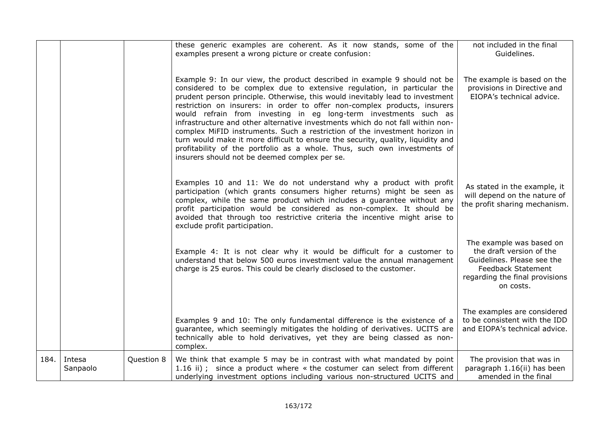|      |                    |            | these generic examples are coherent. As it now stands, some of the<br>examples present a wrong picture or create confusion:                                                                                                                                                                                                                                                                                                                                                                                                                                                                                                                                                                                                                                            | not included in the final<br>Guidelines.                                                                                                                       |
|------|--------------------|------------|------------------------------------------------------------------------------------------------------------------------------------------------------------------------------------------------------------------------------------------------------------------------------------------------------------------------------------------------------------------------------------------------------------------------------------------------------------------------------------------------------------------------------------------------------------------------------------------------------------------------------------------------------------------------------------------------------------------------------------------------------------------------|----------------------------------------------------------------------------------------------------------------------------------------------------------------|
|      |                    |            | Example 9: In our view, the product described in example 9 should not be<br>considered to be complex due to extensive regulation, in particular the<br>prudent person principle. Otherwise, this would inevitably lead to investment<br>restriction on insurers: in order to offer non-complex products, insurers<br>would refrain from investing in eg long-term investments such as<br>infrastructure and other alternative investments which do not fall within non-<br>complex MiFID instruments. Such a restriction of the investment horizon in<br>turn would make it more difficult to ensure the security, quality, liquidity and<br>profitability of the portfolio as a whole. Thus, such own investments of<br>insurers should not be deemed complex per se. | The example is based on the<br>provisions in Directive and<br>EIOPA's technical advice.                                                                        |
|      |                    |            | Examples 10 and 11: We do not understand why a product with profit<br>participation (which grants consumers higher returns) might be seen as<br>complex, while the same product which includes a guarantee without any<br>profit participation would be considered as non-complex. It should be<br>avoided that through too restrictive criteria the incentive might arise to<br>exclude profit participation.                                                                                                                                                                                                                                                                                                                                                         | As stated in the example, it<br>will depend on the nature of<br>the profit sharing mechanism.                                                                  |
|      |                    |            | Example 4: It is not clear why it would be difficult for a customer to<br>understand that below 500 euros investment value the annual management<br>charge is 25 euros. This could be clearly disclosed to the customer.                                                                                                                                                                                                                                                                                                                                                                                                                                                                                                                                               | The example was based on<br>the draft version of the<br>Guidelines. Please see the<br><b>Feedback Statement</b><br>regarding the final provisions<br>on costs. |
|      |                    |            | Examples 9 and 10: The only fundamental difference is the existence of a<br>guarantee, which seemingly mitigates the holding of derivatives. UCITS are<br>technically able to hold derivatives, yet they are being classed as non-<br>complex.                                                                                                                                                                                                                                                                                                                                                                                                                                                                                                                         | The examples are considered<br>to be consistent with the IDD<br>and EIOPA's technical advice.                                                                  |
| 184. | Intesa<br>Sanpaolo | Question 8 | We think that example 5 may be in contrast with what mandated by point<br>1.16 ii); since a product where « the costumer can select from different<br>underlying investment options including various non-structured UCITS and                                                                                                                                                                                                                                                                                                                                                                                                                                                                                                                                         | The provision that was in<br>paragraph 1.16(ii) has been<br>amended in the final                                                                               |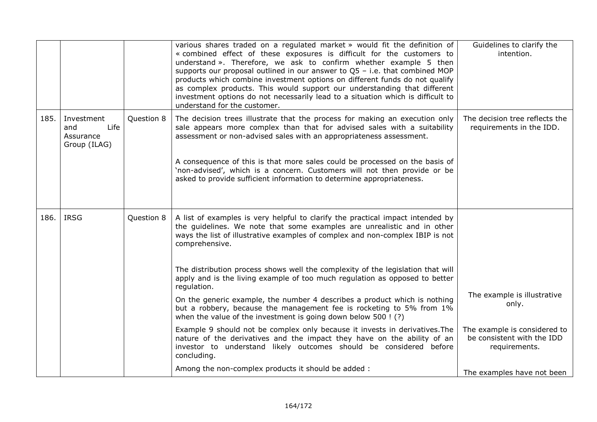|      |                                                        |            | various shares traded on a regulated market » would fit the definition of<br>« combined effect of these exposures is difficult for the customers to<br>understand ». Therefore, we ask to confirm whether example 5 then<br>supports our proposal outlined in our answer to $Q5 - i.e.$ that combined MOP<br>products which combine investment options on different funds do not qualify<br>as complex products. This would support our understanding that different<br>investment options do not necessarily lead to a situation which is difficult to<br>understand for the customer. | Guidelines to clarify the<br>intention.                                     |
|------|--------------------------------------------------------|------------|-----------------------------------------------------------------------------------------------------------------------------------------------------------------------------------------------------------------------------------------------------------------------------------------------------------------------------------------------------------------------------------------------------------------------------------------------------------------------------------------------------------------------------------------------------------------------------------------|-----------------------------------------------------------------------------|
| 185. | Investment<br>Life<br>and<br>Assurance<br>Group (ILAG) | Question 8 | The decision trees illustrate that the process for making an execution only<br>sale appears more complex than that for advised sales with a suitability<br>assessment or non-advised sales with an appropriateness assessment.<br>A consequence of this is that more sales could be processed on the basis of<br>'non-advised', which is a concern. Customers will not then provide or be<br>asked to provide sufficient information to determine appropriateness.                                                                                                                      | The decision tree reflects the<br>requirements in the IDD.                  |
| 186. | <b>IRSG</b>                                            | Question 8 | A list of examples is very helpful to clarify the practical impact intended by<br>the guidelines. We note that some examples are unrealistic and in other<br>ways the list of illustrative examples of complex and non-complex IBIP is not<br>comprehensive.                                                                                                                                                                                                                                                                                                                            |                                                                             |
|      |                                                        |            | The distribution process shows well the complexity of the legislation that will<br>apply and is the living example of too much regulation as opposed to better<br>regulation.<br>On the generic example, the number 4 describes a product which is nothing<br>but a robbery, because the management fee is rocketing to 5% from 1%<br>when the value of the investment is going down below 500 ! (?)                                                                                                                                                                                    | The example is illustrative<br>only.                                        |
|      |                                                        |            | Example 9 should not be complex only because it invests in derivatives. The<br>nature of the derivatives and the impact they have on the ability of an<br>investor to understand likely outcomes should be considered before<br>concluding.<br>Among the non-complex products it should be added :                                                                                                                                                                                                                                                                                      | The example is considered to<br>be consistent with the IDD<br>requirements. |
|      |                                                        |            |                                                                                                                                                                                                                                                                                                                                                                                                                                                                                                                                                                                         | The examples have not been                                                  |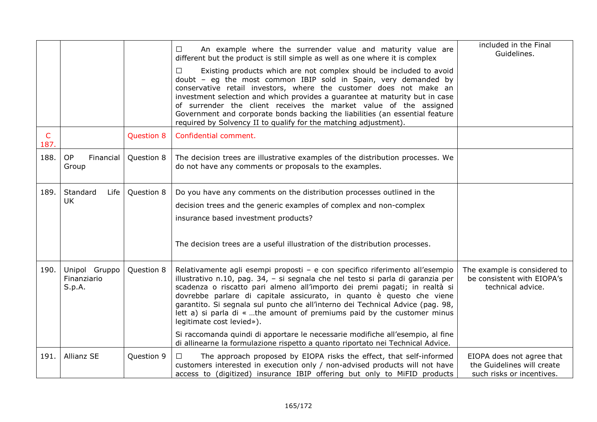|                      |                                        |                   | An example where the surrender value and maturity value are<br>$\Box$<br>different but the product is still simple as well as one where it is complex                                                                                                                                                                                                                                                                                                                                                                          | included in the Final<br>Guidelines.                                                 |
|----------------------|----------------------------------------|-------------------|--------------------------------------------------------------------------------------------------------------------------------------------------------------------------------------------------------------------------------------------------------------------------------------------------------------------------------------------------------------------------------------------------------------------------------------------------------------------------------------------------------------------------------|--------------------------------------------------------------------------------------|
|                      |                                        |                   | Existing products which are not complex should be included to avoid<br>$\Box$<br>doubt - eg the most common IBIP sold in Spain, very demanded by<br>conservative retail investors, where the customer does not make an<br>investment selection and which provides a guarantee at maturity but in case<br>of surrender the client receives the market value of the assigned<br>Government and corporate bonds backing the liabilities (an essential feature<br>required by Solvency II to qualify for the matching adjustment). |                                                                                      |
| $\mathsf{C}$<br>187. |                                        | <b>Question 8</b> | Confidential comment.                                                                                                                                                                                                                                                                                                                                                                                                                                                                                                          |                                                                                      |
| 188.                 | <b>OP</b><br>Financial<br>Group        | Question 8        | The decision trees are illustrative examples of the distribution processes. We<br>do not have any comments or proposals to the examples.                                                                                                                                                                                                                                                                                                                                                                                       |                                                                                      |
| 189.                 | Standard<br>Life                       | Question 8        | Do you have any comments on the distribution processes outlined in the                                                                                                                                                                                                                                                                                                                                                                                                                                                         |                                                                                      |
|                      | <b>UK</b>                              |                   | decision trees and the generic examples of complex and non-complex                                                                                                                                                                                                                                                                                                                                                                                                                                                             |                                                                                      |
|                      |                                        |                   | insurance based investment products?                                                                                                                                                                                                                                                                                                                                                                                                                                                                                           |                                                                                      |
|                      |                                        |                   | The decision trees are a useful illustration of the distribution processes.                                                                                                                                                                                                                                                                                                                                                                                                                                                    |                                                                                      |
| 190.                 | Unipol Gruppo<br>Finanziario<br>S.p.A. | Question 8        | Relativamente agli esempi proposti - e con specifico riferimento all'esempio<br>illustrativo n.10, pag. 34, - si segnala che nel testo si parla di garanzia per<br>scadenza o riscatto pari almeno all'importo dei premi pagati; in realtà si<br>dovrebbe parlare di capitale assicurato, in quanto è questo che viene<br>garantito. Si segnala sul punto che all'interno dei Technical Advice (pag. 98,<br>lett a) si parla di « the amount of premiums paid by the customer minus<br>legitimate cost levied»).               | The example is considered to<br>be consistent with EIOPA's<br>technical advice.      |
|                      |                                        |                   | Si raccomanda quindi di apportare le necessarie modifiche all'esempio, al fine<br>di allinearne la formulazione rispetto a quanto riportato nei Technical Advice.                                                                                                                                                                                                                                                                                                                                                              |                                                                                      |
| 191.                 | <b>Allianz SE</b>                      | Question 9        | The approach proposed by EIOPA risks the effect, that self-informed<br>$\Box$<br>customers interested in execution only / non-advised products will not have<br>access to (digitized) insurance IBIP offering but only to MiFID products                                                                                                                                                                                                                                                                                       | EIOPA does not agree that<br>the Guidelines will create<br>such risks or incentives. |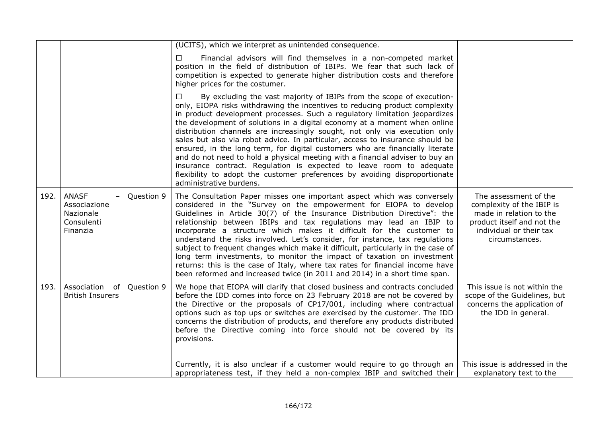|      |                                                                     |            | (UCITS), which we interpret as unintended consequence.                                                                                                                                                                                                                                                                                                                                                                                                                                                                                                                                                                                                                                                                                                                                                                                     |                                                                                                                                                          |
|------|---------------------------------------------------------------------|------------|--------------------------------------------------------------------------------------------------------------------------------------------------------------------------------------------------------------------------------------------------------------------------------------------------------------------------------------------------------------------------------------------------------------------------------------------------------------------------------------------------------------------------------------------------------------------------------------------------------------------------------------------------------------------------------------------------------------------------------------------------------------------------------------------------------------------------------------------|----------------------------------------------------------------------------------------------------------------------------------------------------------|
|      |                                                                     |            | Financial advisors will find themselves in a non-competed market<br>$\Box$<br>position in the field of distribution of IBIPs. We fear that such lack of<br>competition is expected to generate higher distribution costs and therefore<br>higher prices for the costumer.                                                                                                                                                                                                                                                                                                                                                                                                                                                                                                                                                                  |                                                                                                                                                          |
|      |                                                                     |            | $\Box$<br>By excluding the vast majority of IBIPs from the scope of execution-<br>only, EIOPA risks withdrawing the incentives to reducing product complexity<br>in product development processes. Such a regulatory limitation jeopardizes<br>the development of solutions in a digital economy at a moment when online<br>distribution channels are increasingly sought, not only via execution only<br>sales but also via robot advice. In particular, access to insurance should be<br>ensured, in the long term, for digital customers who are financially literate<br>and do not need to hold a physical meeting with a financial adviser to buy an<br>insurance contract. Regulation is expected to leave room to adequate<br>flexibility to adopt the customer preferences by avoiding disproportionate<br>administrative burdens. |                                                                                                                                                          |
| 192. | <b>ANASF</b><br>Associazione<br>Nazionale<br>Consulenti<br>Finanzia | Question 9 | The Consultation Paper misses one important aspect which was conversely<br>considered in the "Survey on the empowerment for EIOPA to develop<br>Guidelines in Article 30(7) of the Insurance Distribution Directive": the<br>relationship between IBIPs and tax regulations may lead an IBIP to<br>incorporate a structure which makes it difficult for the customer to<br>understand the risks involved. Let's consider, for instance, tax regulations<br>subject to frequent changes which make it difficult, particularly in the case of<br>long term investments, to monitor the impact of taxation on investment<br>returns: this is the case of Italy, where tax rates for financial income have<br>been reformed and increased twice (in 2011 and 2014) in a short time span.                                                       | The assessment of the<br>complexity of the IBIP is<br>made in relation to the<br>product itself and not the<br>individual or their tax<br>circumstances. |
| 193. | Association<br>0f<br><b>British Insurers</b>                        | Question 9 | We hope that EIOPA will clarify that closed business and contracts concluded<br>before the IDD comes into force on 23 February 2018 are not be covered by<br>the Directive or the proposals of CP17/001, including where contractual<br>options such as top ups or switches are exercised by the customer. The IDD<br>concerns the distribution of products, and therefore any products distributed<br>before the Directive coming into force should not be covered by its<br>provisions.                                                                                                                                                                                                                                                                                                                                                  | This issue is not within the<br>scope of the Guidelines, but<br>concerns the application of<br>the IDD in general.                                       |
|      |                                                                     |            | Currently, it is also unclear if a customer would require to go through an<br>appropriateness test, if they held a non-complex IBIP and switched their                                                                                                                                                                                                                                                                                                                                                                                                                                                                                                                                                                                                                                                                                     | This issue is addressed in the<br>explanatory text to the                                                                                                |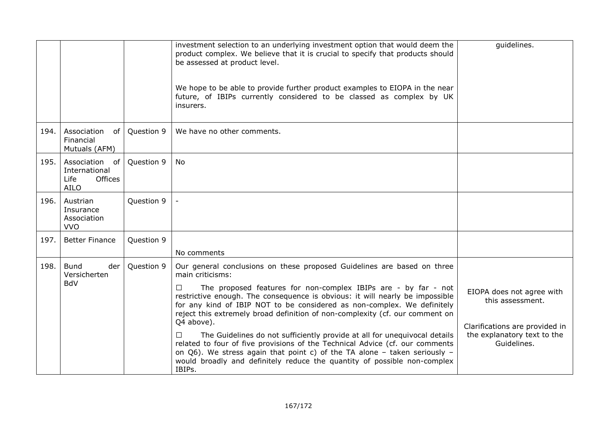|      |                                                                      |            | investment selection to an underlying investment option that would deem the<br>product complex. We believe that it is crucial to specify that products should<br>be assessed at product level.<br>We hope to be able to provide further product examples to EIOPA in the near<br>future, of IBIPs currently considered to be classed as complex by UK<br>insurers.                                                                                                                                                                                                                                                                                                                                                                                                         | quidelines.                                                                                                                   |
|------|----------------------------------------------------------------------|------------|----------------------------------------------------------------------------------------------------------------------------------------------------------------------------------------------------------------------------------------------------------------------------------------------------------------------------------------------------------------------------------------------------------------------------------------------------------------------------------------------------------------------------------------------------------------------------------------------------------------------------------------------------------------------------------------------------------------------------------------------------------------------------|-------------------------------------------------------------------------------------------------------------------------------|
| 194. | Association<br>of<br>Financial<br>Mutuals (AFM)                      | Question 9 | We have no other comments.                                                                                                                                                                                                                                                                                                                                                                                                                                                                                                                                                                                                                                                                                                                                                 |                                                                                                                               |
| 195. | Association<br>of<br>International<br>Offices<br>Life<br><b>AILO</b> | Question 9 | No                                                                                                                                                                                                                                                                                                                                                                                                                                                                                                                                                                                                                                                                                                                                                                         |                                                                                                                               |
| 196. | Austrian<br>Insurance<br>Association<br><b>VVO</b>                   | Question 9 |                                                                                                                                                                                                                                                                                                                                                                                                                                                                                                                                                                                                                                                                                                                                                                            |                                                                                                                               |
| 197. | <b>Better Finance</b>                                                | Question 9 | No comments                                                                                                                                                                                                                                                                                                                                                                                                                                                                                                                                                                                                                                                                                                                                                                |                                                                                                                               |
| 198. | <b>Bund</b><br>der<br>Versicherten<br><b>BdV</b>                     | Question 9 | Our general conclusions on these proposed Guidelines are based on three<br>main criticisms:<br>The proposed features for non-complex IBIPs are - by far - not<br>$\Box$<br>restrictive enough. The consequence is obvious: it will nearly be impossible<br>for any kind of IBIP NOT to be considered as non-complex. We definitely<br>reject this extremely broad definition of non-complexity (cf. our comment on<br>Q4 above).<br>The Guidelines do not sufficiently provide at all for unequivocal details<br>$\Box$<br>related to four of five provisions of the Technical Advice (cf. our comments<br>on Q6). We stress again that point c) of the TA alone - taken seriously -<br>would broadly and definitely reduce the quantity of possible non-complex<br>IBIPs. | EIOPA does not agree with<br>this assessment.<br>Clarifications are provided in<br>the explanatory text to the<br>Guidelines. |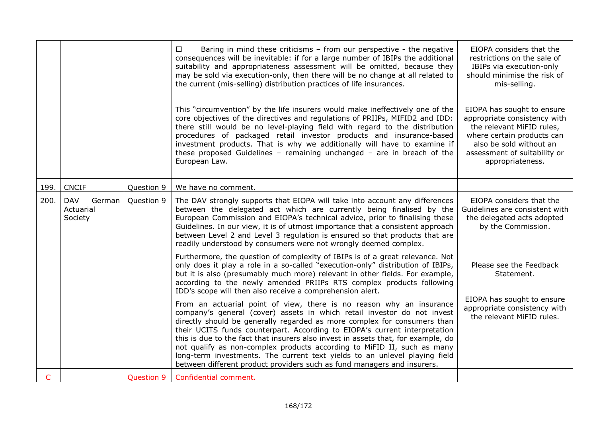|      |                                              |                   | Baring in mind these criticisms - from our perspective - the negative<br>$\Box$<br>consequences will be inevitable: if for a large number of IBIPs the additional<br>suitability and appropriateness assessment will be omitted, because they<br>may be sold via execution-only, then there will be no change at all related to<br>the current (mis-selling) distribution practices of life insurances.                                                                                                                                                                                                                            | EIOPA considers that the<br>restrictions on the sale of<br>IBIPs via execution-only<br>should minimise the risk of<br>mis-selling.                                                                   |
|------|----------------------------------------------|-------------------|------------------------------------------------------------------------------------------------------------------------------------------------------------------------------------------------------------------------------------------------------------------------------------------------------------------------------------------------------------------------------------------------------------------------------------------------------------------------------------------------------------------------------------------------------------------------------------------------------------------------------------|------------------------------------------------------------------------------------------------------------------------------------------------------------------------------------------------------|
|      |                                              |                   | This "circumvention" by the life insurers would make ineffectively one of the<br>core objectives of the directives and regulations of PRIIPs, MIFID2 and IDD:<br>there still would be no level-playing field with regard to the distribution<br>procedures of packaged retail investor products and insurance-based<br>investment products. That is why we additionally will have to examine if<br>these proposed Guidelines - remaining unchanged - are in breach of the<br>European Law.                                                                                                                                         | EIOPA has sought to ensure<br>appropriate consistency with<br>the relevant MiFID rules,<br>where certain products can<br>also be sold without an<br>assessment of suitability or<br>appropriateness. |
| 199. | <b>CNCIF</b>                                 | Question 9        | We have no comment.                                                                                                                                                                                                                                                                                                                                                                                                                                                                                                                                                                                                                |                                                                                                                                                                                                      |
| 200. | <b>DAV</b><br>German<br>Actuarial<br>Society | Question 9        | The DAV strongly supports that EIOPA will take into account any differences<br>between the delegated act which are currently being finalised by the<br>European Commission and EIOPA's technical advice, prior to finalising these<br>Guidelines. In our view, it is of utmost importance that a consistent approach<br>between Level 2 and Level 3 regulation is ensured so that products that are<br>readily understood by consumers were not wrongly deemed complex.                                                                                                                                                            | EIOPA considers that the<br>Guidelines are consistent with<br>the delegated acts adopted<br>by the Commission.                                                                                       |
|      |                                              |                   | Furthermore, the question of complexity of IBIPs is of a great relevance. Not<br>only does it play a role in a so-called "execution-only" distribution of IBIPs,<br>but it is also (presumably much more) relevant in other fields. For example,<br>according to the newly amended PRIIPs RTS complex products following<br>IDD's scope will then also receive a comprehension alert.                                                                                                                                                                                                                                              | Please see the Feedback<br>Statement.                                                                                                                                                                |
|      |                                              |                   | From an actuarial point of view, there is no reason why an insurance<br>company's general (cover) assets in which retail investor do not invest<br>directly should be generally regarded as more complex for consumers than<br>their UCITS funds counterpart. According to EIOPA's current interpretation<br>this is due to the fact that insurers also invest in assets that, for example, do<br>not qualify as non-complex products according to MiFID II, such as many<br>long-term investments. The current text yields to an unlevel playing field<br>between different product providers such as fund managers and insurers. | EIOPA has sought to ensure<br>appropriate consistency with<br>the relevant MiFID rules.                                                                                                              |
| C    |                                              | <b>Question 9</b> | Confidential comment.                                                                                                                                                                                                                                                                                                                                                                                                                                                                                                                                                                                                              |                                                                                                                                                                                                      |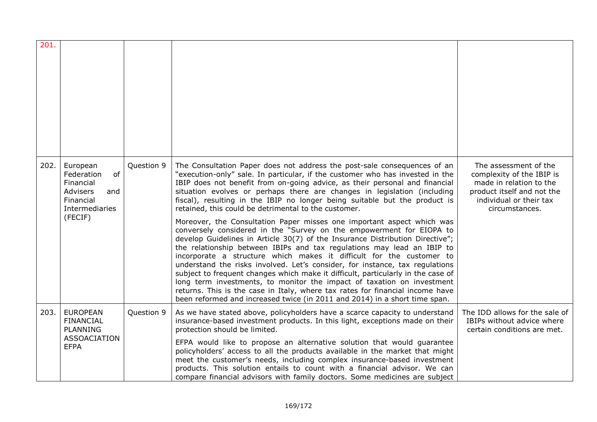| 201. |                                                                                                        |            |                                                                                                                                                                                                                                                                                                                                                                                                                                                                                                                                                                                                                                                                                                                                                                                                                                                                                                                                                                                                                                                                                                                                                                                                                                                              |                                                                                                                                                          |
|------|--------------------------------------------------------------------------------------------------------|------------|--------------------------------------------------------------------------------------------------------------------------------------------------------------------------------------------------------------------------------------------------------------------------------------------------------------------------------------------------------------------------------------------------------------------------------------------------------------------------------------------------------------------------------------------------------------------------------------------------------------------------------------------------------------------------------------------------------------------------------------------------------------------------------------------------------------------------------------------------------------------------------------------------------------------------------------------------------------------------------------------------------------------------------------------------------------------------------------------------------------------------------------------------------------------------------------------------------------------------------------------------------------|----------------------------------------------------------------------------------------------------------------------------------------------------------|
| 202. | European<br>of<br>Federation<br>Financial<br>Advisers<br>and<br>Financial<br>Intermediaries<br>(FECIF) | Question 9 | The Consultation Paper does not address the post-sale consequences of an<br>"execution-only" sale. In particular, if the customer who has invested in the<br>IBIP does not benefit from on-going advice, as their personal and financial<br>situation evolves or perhaps there are changes in legislation (including<br>fiscal), resulting in the IBIP no longer being suitable but the product is<br>retained, this could be detrimental to the customer.<br>Moreover, the Consultation Paper misses one important aspect which was<br>conversely considered in the "Survey on the empowerment for EIOPA to<br>develop Guidelines in Article 30(7) of the Insurance Distribution Directive";<br>the relationship between IBIPs and tax regulations may lead an IBIP to<br>incorporate a structure which makes it difficult for the customer to<br>understand the risks involved. Let's consider, for instance, tax regulations<br>subject to frequent changes which make it difficult, particularly in the case of<br>long term investments, to monitor the impact of taxation on investment<br>returns. This is the case in Italy, where tax rates for financial income have<br>been reformed and increased twice (in 2011 and 2014) in a short time span. | The assessment of the<br>complexity of the IBIP is<br>made in relation to the<br>product itself and not the<br>individual or their tax<br>circumstances. |
| 203. | <b>EUROPEAN</b><br><b>FINANCIAL</b><br><b>PLANNING</b><br><b>ASSOACIATION</b><br><b>EFPA</b>           | Question 9 | As we have stated above, policyholders have a scarce capacity to understand<br>insurance-based investment products. In this light, exceptions made on their<br>protection should be limited.<br>EFPA would like to propose an alternative solution that would guarantee<br>policyholders' access to all the products available in the market that might<br>meet the customer's needs, including complex insurance-based investment<br>products. This solution entails to count with a financial advisor. We can<br>compare financial advisors with family doctors. Some medicines are subject                                                                                                                                                                                                                                                                                                                                                                                                                                                                                                                                                                                                                                                                | The IDD allows for the sale of<br>IBIPs without advice where<br>certain conditions are met.                                                              |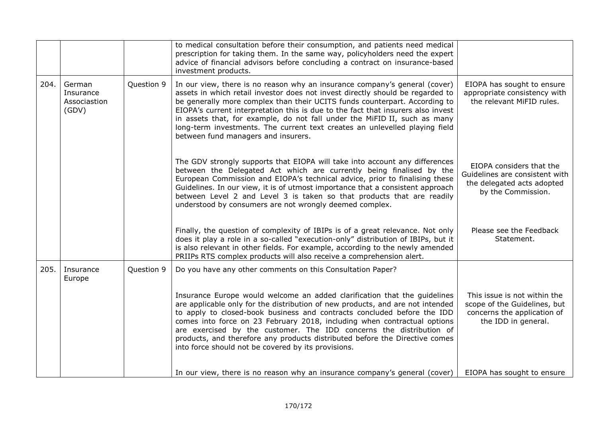|      |                                              |            | to medical consultation before their consumption, and patients need medical<br>prescription for taking them. In the same way, policyholders need the expert<br>advice of financial advisors before concluding a contract on insurance-based<br>investment products.                                                                                                                                                                                                                                                               |                                                                                                                    |
|------|----------------------------------------------|------------|-----------------------------------------------------------------------------------------------------------------------------------------------------------------------------------------------------------------------------------------------------------------------------------------------------------------------------------------------------------------------------------------------------------------------------------------------------------------------------------------------------------------------------------|--------------------------------------------------------------------------------------------------------------------|
| 204. | German<br>Insurance<br>Associastion<br>(GDV) | Question 9 | In our view, there is no reason why an insurance company's general (cover)<br>assets in which retail investor does not invest directly should be regarded to<br>be generally more complex than their UCITS funds counterpart. According to<br>EIOPA's current interpretation this is due to the fact that insurers also invest<br>in assets that, for example, do not fall under the MiFID II, such as many<br>long-term investments. The current text creates an unlevelled playing field<br>between fund managers and insurers. | EIOPA has sought to ensure<br>appropriate consistency with<br>the relevant MiFID rules.                            |
|      |                                              |            | The GDV strongly supports that EIOPA will take into account any differences<br>between the Delegated Act which are currently being finalised by the<br>European Commission and EIOPA's technical advice, prior to finalising these<br>Guidelines. In our view, it is of utmost importance that a consistent approach<br>between Level 2 and Level 3 is taken so that products that are readily<br>understood by consumers are not wrongly deemed complex.                                                                         | EIOPA considers that the<br>Guidelines are consistent with<br>the delegated acts adopted<br>by the Commission.     |
|      |                                              |            | Finally, the question of complexity of IBIPs is of a great relevance. Not only<br>does it play a role in a so-called "execution-only" distribution of IBIPs, but it<br>is also relevant in other fields. For example, according to the newly amended<br>PRIIPs RTS complex products will also receive a comprehension alert.                                                                                                                                                                                                      | Please see the Feedback<br>Statement.                                                                              |
| 205. | Insurance<br>Europe                          | Question 9 | Do you have any other comments on this Consultation Paper?                                                                                                                                                                                                                                                                                                                                                                                                                                                                        |                                                                                                                    |
|      |                                              |            | Insurance Europe would welcome an added clarification that the guidelines<br>are applicable only for the distribution of new products, and are not intended<br>to apply to closed-book business and contracts concluded before the IDD<br>comes into force on 23 February 2018, including when contractual options<br>are exercised by the customer. The IDD concerns the distribution of<br>products, and therefore any products distributed before the Directive comes<br>into force should not be covered by its provisions.   | This issue is not within the<br>scope of the Guidelines, but<br>concerns the application of<br>the IDD in general. |
|      |                                              |            | In our view, there is no reason why an insurance company's general (cover)                                                                                                                                                                                                                                                                                                                                                                                                                                                        | EIOPA has sought to ensure                                                                                         |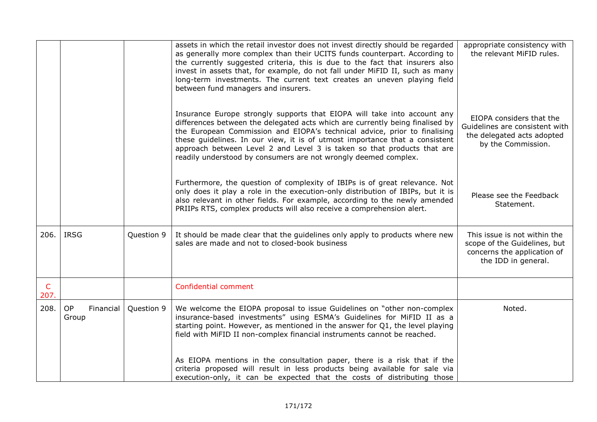|                      |                          |            | assets in which the retail investor does not invest directly should be regarded<br>as generally more complex than their UCITS funds counterpart. According to<br>the currently suggested criteria, this is due to the fact that insurers also<br>invest in assets that, for example, do not fall under MiFID II, such as many<br>long-term investments. The current text creates an uneven playing field<br>between fund managers and insurers.                     | appropriate consistency with<br>the relevant MiFID rules.                                                          |
|----------------------|--------------------------|------------|---------------------------------------------------------------------------------------------------------------------------------------------------------------------------------------------------------------------------------------------------------------------------------------------------------------------------------------------------------------------------------------------------------------------------------------------------------------------|--------------------------------------------------------------------------------------------------------------------|
|                      |                          |            | Insurance Europe strongly supports that EIOPA will take into account any<br>differences between the delegated acts which are currently being finalised by<br>the European Commission and EIOPA's technical advice, prior to finalising<br>these guidelines. In our view, it is of utmost importance that a consistent<br>approach between Level 2 and Level 3 is taken so that products that are<br>readily understood by consumers are not wrongly deemed complex. | EIOPA considers that the<br>Guidelines are consistent with<br>the delegated acts adopted<br>by the Commission.     |
|                      |                          |            | Furthermore, the question of complexity of IBIPs is of great relevance. Not<br>only does it play a role in the execution-only distribution of IBIPs, but it is<br>also relevant in other fields. For example, according to the newly amended<br>PRIIPs RTS, complex products will also receive a comprehension alert.                                                                                                                                               | Please see the Feedback<br>Statement.                                                                              |
| 206.                 | <b>IRSG</b>              | Question 9 | It should be made clear that the guidelines only apply to products where new<br>sales are made and not to closed-book business                                                                                                                                                                                                                                                                                                                                      | This issue is not within the<br>scope of the Guidelines, but<br>concerns the application of<br>the IDD in general. |
| $\mathsf{C}$<br>207. |                          |            | Confidential comment                                                                                                                                                                                                                                                                                                                                                                                                                                                |                                                                                                                    |
| 208.                 | OP<br>Financial<br>Group | Question 9 | We welcome the EIOPA proposal to issue Guidelines on "other non-complex<br>insurance-based investments" using ESMA's Guidelines for MiFID II as a<br>starting point. However, as mentioned in the answer for Q1, the level playing<br>field with MiFID II non-complex financial instruments cannot be reached.                                                                                                                                                      | Noted.                                                                                                             |
|                      |                          |            | As EIOPA mentions in the consultation paper, there is a risk that if the<br>criteria proposed will result in less products being available for sale via<br>execution-only, it can be expected that the costs of distributing those                                                                                                                                                                                                                                  |                                                                                                                    |